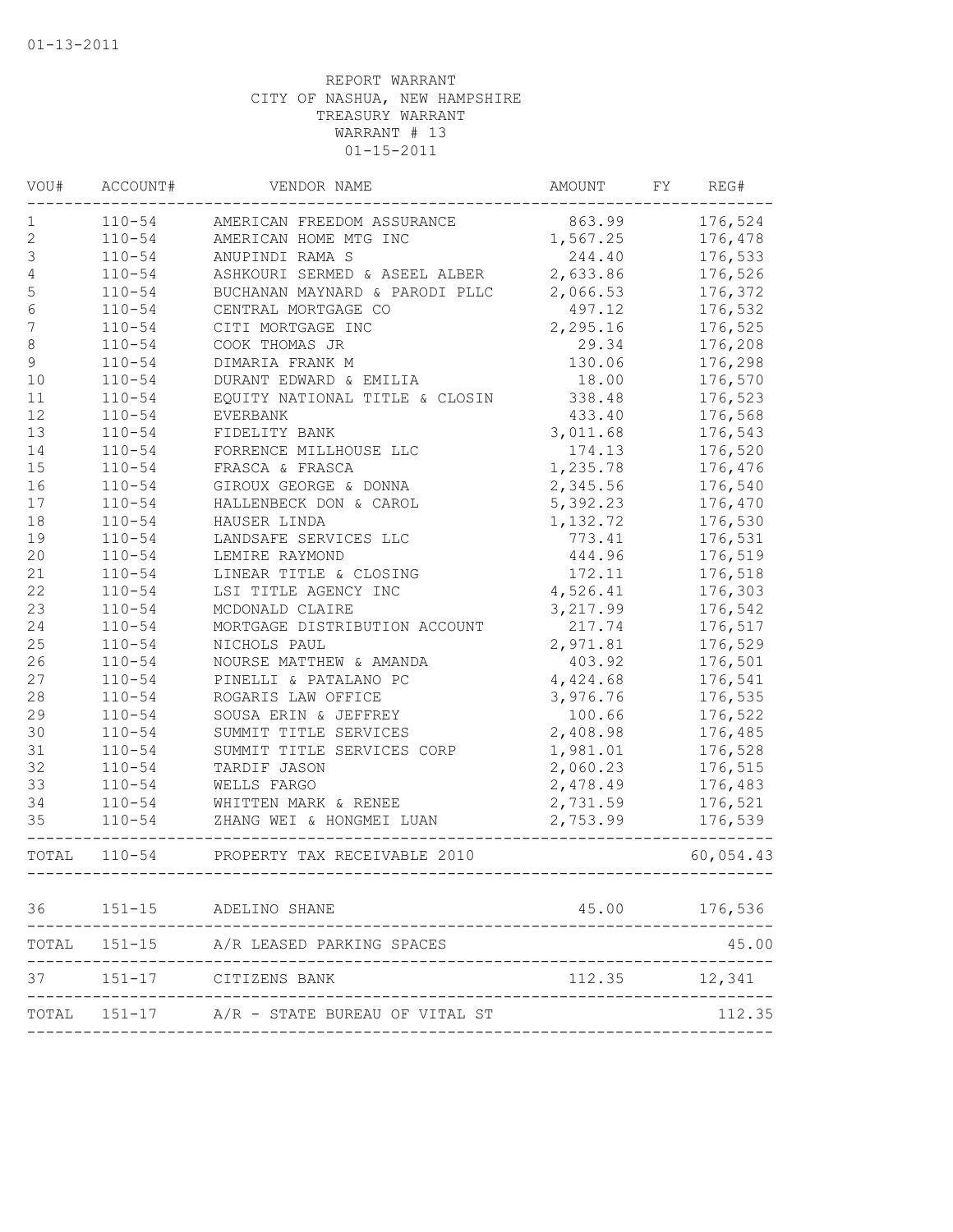| VOU#             | ACCOUNT#   | VENDOR NAME                                     | AMOUNT   | FY | REG#          |
|------------------|------------|-------------------------------------------------|----------|----|---------------|
| 1                | $110 - 54$ | AMERICAN FREEDOM ASSURANCE                      | 863.99   |    | 176,524       |
| $\mathbf{2}$     | $110 - 54$ | AMERICAN HOME MTG INC                           | 1,567.25 |    | 176,478       |
| 3                | $110 - 54$ | ANUPINDI RAMA S                                 | 244.40   |    | 176,533       |
| 4                | $110 - 54$ | ASHKOURI SERMED & ASEEL ALBER                   | 2,633.86 |    | 176,526       |
| 5                | $110 - 54$ | BUCHANAN MAYNARD & PARODI PLLC                  | 2,066.53 |    | 176,372       |
| $\epsilon$       | $110 - 54$ | CENTRAL MORTGAGE CO                             | 497.12   |    | 176,532       |
| $\boldsymbol{7}$ | $110 - 54$ | CITI MORTGAGE INC                               | 2,295.16 |    | 176,525       |
| 8                | $110 - 54$ | COOK THOMAS JR                                  | 29.34    |    | 176,208       |
| 9                | $110 - 54$ | DIMARIA FRANK M                                 | 130.06   |    | 176,298       |
| 10               | $110 - 54$ | DURANT EDWARD & EMILIA                          | 18.00    |    | 176,570       |
| $11\,$           | $110 - 54$ | EQUITY NATIONAL TITLE & CLOSIN                  | 338.48   |    | 176,523       |
| 12               | $110 - 54$ | EVERBANK                                        | 433.40   |    | 176,568       |
| 13               | $110 - 54$ | FIDELITY BANK                                   | 3,011.68 |    | 176,543       |
| 14               | $110 - 54$ | FORRENCE MILLHOUSE LLC                          | 174.13   |    | 176,520       |
| 15               | $110 - 54$ | FRASCA & FRASCA                                 | 1,235.78 |    | 176,476       |
| 16               | $110 - 54$ | GIROUX GEORGE & DONNA                           | 2,345.56 |    | 176,540       |
| $17$             | $110 - 54$ | HALLENBECK DON & CAROL                          | 5,392.23 |    | 176,470       |
| 18               | $110 - 54$ | HAUSER LINDA                                    | 1,132.72 |    | 176,530       |
| 19               | $110 - 54$ | LANDSAFE SERVICES LLC                           | 773.41   |    | 176,531       |
| 20               | $110 - 54$ | LEMIRE RAYMOND                                  | 444.96   |    | 176,519       |
| 21               | $110 - 54$ | LINEAR TITLE & CLOSING                          | 172.11   |    | 176,518       |
| 22               | $110 - 54$ | LSI TITLE AGENCY INC                            | 4,526.41 |    | 176,303       |
| 23               | $110 - 54$ | MCDONALD CLAIRE                                 | 3,217.99 |    | 176,542       |
| 24               | $110 - 54$ | MORTGAGE DISTRIBUTION ACCOUNT                   | 217.74   |    | 176,517       |
| 25               | $110 - 54$ | NICHOLS PAUL                                    | 2,971.81 |    | 176,529       |
| 26               | $110 - 54$ | NOURSE MATTHEW & AMANDA                         | 403.92   |    | 176,501       |
| 27               | $110 - 54$ | PINELLI & PATALANO PC                           | 4,424.68 |    | 176,541       |
| 28               | $110 - 54$ | ROGARIS LAW OFFICE                              | 3,976.76 |    | 176,535       |
| 29               | $110 - 54$ | SOUSA ERIN & JEFFREY                            | 100.66   |    | 176,522       |
| 30               | $110 - 54$ | SUMMIT TITLE SERVICES                           | 2,408.98 |    | 176,485       |
| 31               | $110 - 54$ | SUMMIT TITLE SERVICES CORP                      | 1,981.01 |    | 176,528       |
| 32               | $110 - 54$ | TARDIF JASON                                    | 2,060.23 |    | 176,515       |
| 33               | $110 - 54$ | WELLS FARGO                                     | 2,478.49 |    | 176,483       |
| 34               | $110 - 54$ | WHITTEN MARK & RENEE                            | 2,731.59 |    | 176,521       |
| 35               | $110 - 54$ | ZHANG WEI & HONGMEI LUAN<br>___________________ | 2,753.99 |    | 176,539       |
|                  |            | TOTAL 110-54 PROPERTY TAX RECEIVABLE 2010       |          |    | 60,054.43     |
|                  |            | 36 151-15 ADELINO SHANE                         |          |    | 45.00 176,536 |
|                  |            | TOTAL 151-15 A/R LEASED PARKING SPACES          |          |    | 45.00         |
| 37               | $151 - 17$ | CITIZENS BANK                                   | 112.35   |    | 12,341        |
|                  |            |                                                 |          |    |               |
|                  |            | TOTAL 151-17 A/R - STATE BUREAU OF VITAL ST     |          |    | 112.35        |
|                  |            |                                                 |          |    |               |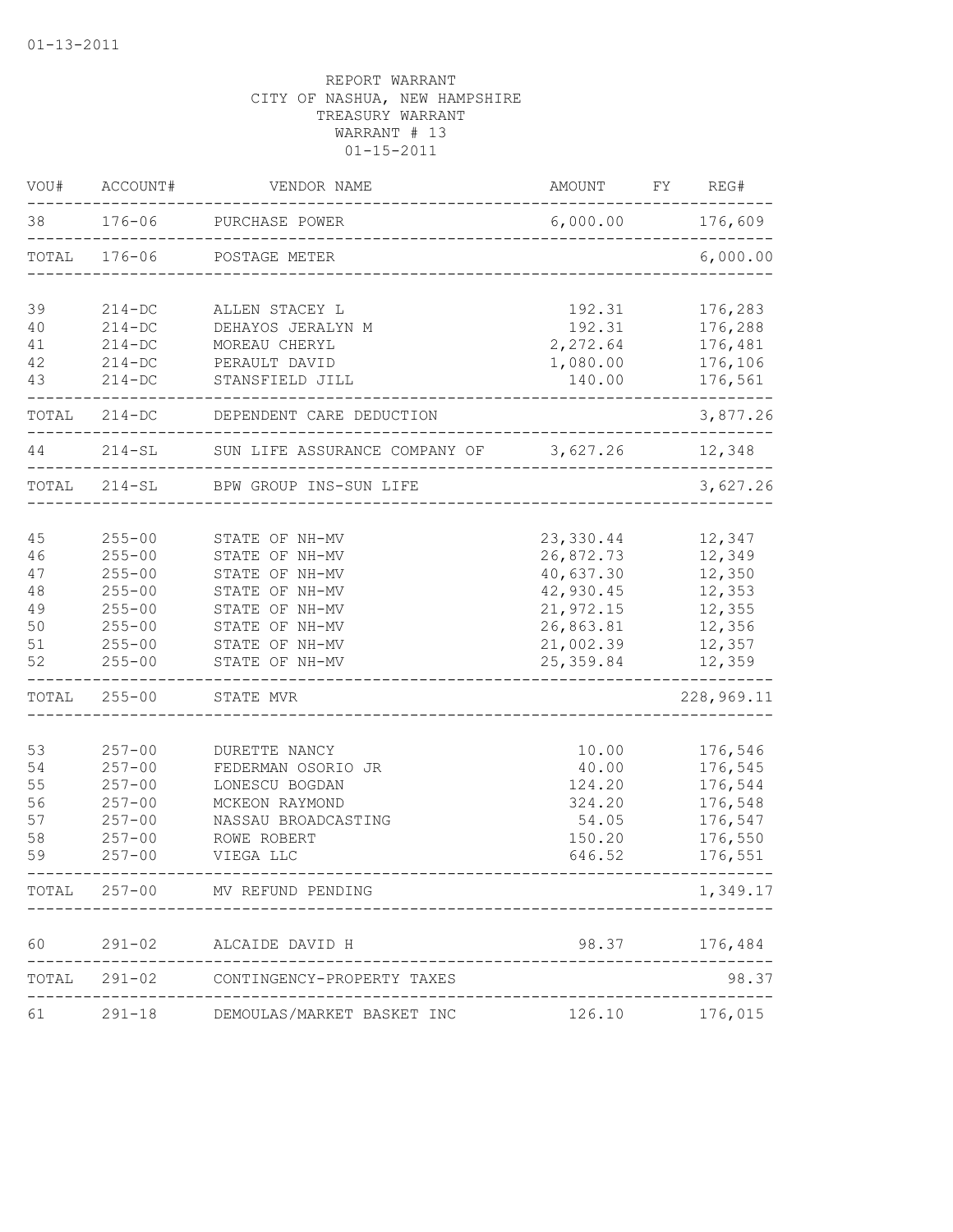| VOU#  | ACCOUNT#   | VENDOR NAME                   | AMOUNT         | FY | REG#       |
|-------|------------|-------------------------------|----------------|----|------------|
| 38    | $176 - 06$ | PURCHASE POWER                | 6,000.00       |    | 176,609    |
| TOTAL | $176 - 06$ | POSTAGE METER                 |                |    | 6,000.00   |
| 39    | $214 - DC$ | ALLEN STACEY L                | 192.31         |    | 176,283    |
| 40    | $214 - DC$ | DEHAYOS JERALYN M             | 192.31         |    | 176,288    |
| 41    | $214 - DC$ | MOREAU CHERYL                 | 2,272.64       |    | 176,481    |
| 42    | $214 - DC$ | PERAULT DAVID                 | 1,080.00       |    | 176,106    |
| 43    | $214 - DC$ | STANSFIELD JILL               | 140.00         |    | 176,561    |
| TOTAL | $214 - DC$ | DEPENDENT CARE DEDUCTION      |                |    | 3,877.26   |
| 44    | $214 - SL$ | SUN LIFE ASSURANCE COMPANY OF | 3,627.26       |    | 12,348     |
| TOTAL | $214 - SL$ | BPW GROUP INS-SUN LIFE        |                |    | 3,627.26   |
|       |            |                               |                |    |            |
| 45    | $255 - 00$ | STATE OF NH-MV                | 23,330.44      |    | 12,347     |
| 46    | $255 - 00$ | STATE OF NH-MV                | 26,872.73      |    | 12,349     |
| 47    | $255 - 00$ | STATE OF NH-MV                | 40,637.30      |    | 12,350     |
| 48    | $255 - 00$ | STATE OF NH-MV                | 42,930.45      |    | 12,353     |
| 49    | $255 - 00$ | STATE OF NH-MV                | 21,972.15      |    | 12,355     |
| 50    | $255 - 00$ | STATE OF NH-MV                | 26,863.81      |    | 12,356     |
| 51    | $255 - 00$ | STATE OF NH-MV                | 21,002.39      |    | 12,357     |
| 52    | $255 - 00$ | STATE OF NH-MV                | 25, 359.84     |    | 12,359     |
| TOTAL | $255 - 00$ | STATE MVR                     |                |    | 228,969.11 |
| 53    | $257 - 00$ | DURETTE NANCY                 | 10.00          |    | 176,546    |
| 54    | $257 - 00$ | FEDERMAN OSORIO JR            | 40.00          |    | 176,545    |
| 55    | $257 - 00$ | LONESCU BOGDAN                | 124.20         |    | 176,544    |
| 56    | $257 - 00$ | MCKEON RAYMOND                | 324.20         |    | 176,548    |
| 57    | $257 - 00$ | NASSAU BROADCASTING           | 54.05          |    | 176,547    |
| 58    | $257 - 00$ | ROWE ROBERT                   | 150.20         |    | 176,550    |
| 59    | $257 - 00$ | VIEGA LLC                     | 646.52         |    | 176,551    |
| TOTAL | $257 - 00$ | MV REFUND PENDING             |                |    | 1,349.17   |
|       |            |                               |                |    |            |
| 60    | $291 - 02$ | ALCAIDE DAVID H               | 98.37          |    | 176,484    |
| TOTAL | $291 - 02$ | CONTINGENCY-PROPERTY TAXES    |                |    | 98.37      |
| 61    | $291 - 18$ | DEMOULAS/MARKET BASKET INC    | 126.10 176,015 |    |            |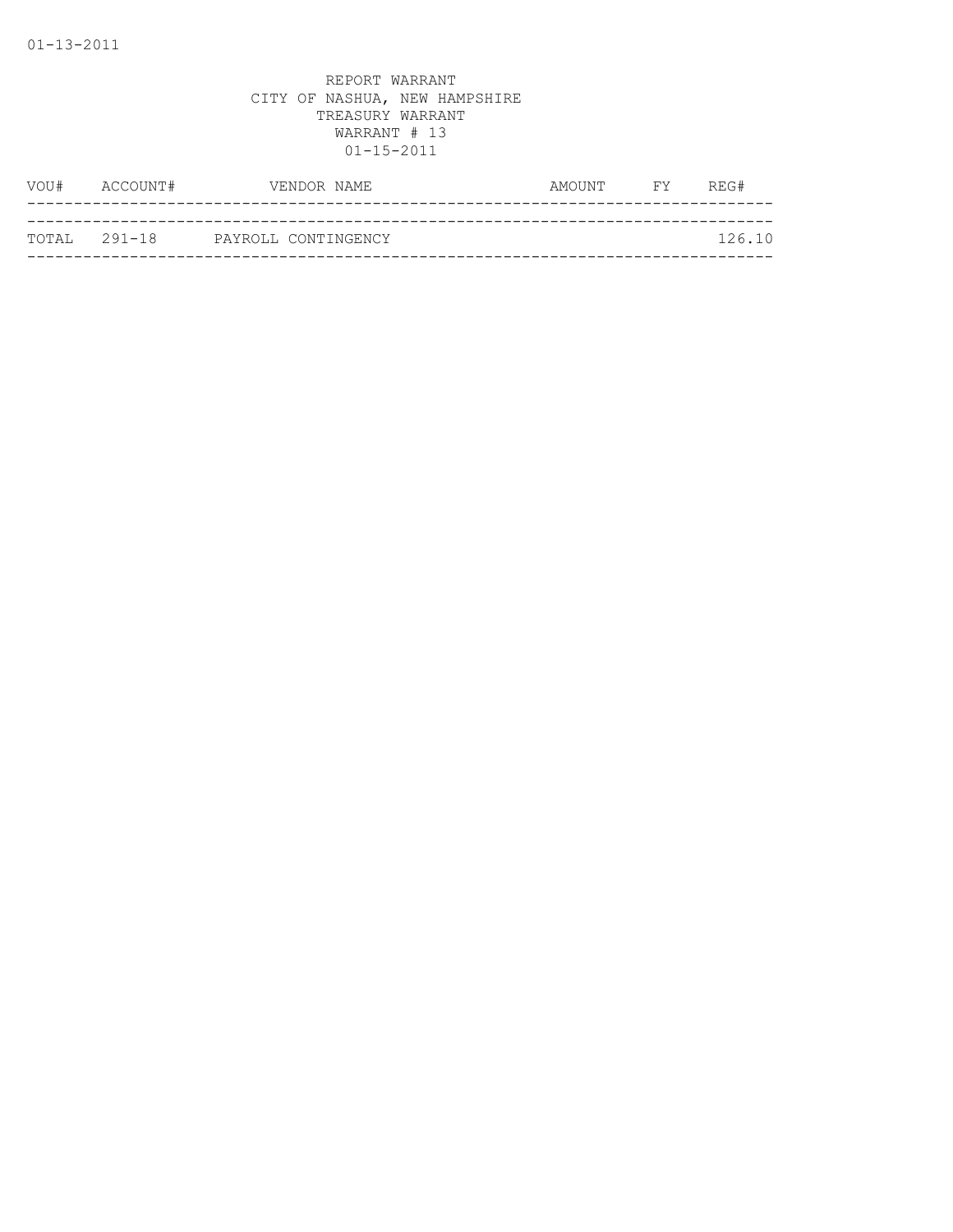|               | VOU# ACCOUNT# | VENDOR NAME         | AMOUNT | <b>EXECUTE</b> | REG#   |
|---------------|---------------|---------------------|--------|----------------|--------|
|               |               |                     |        |                |        |
| ТОТАІ, 291-18 |               | PAYROLL CONTINGENCY |        |                | 126.10 |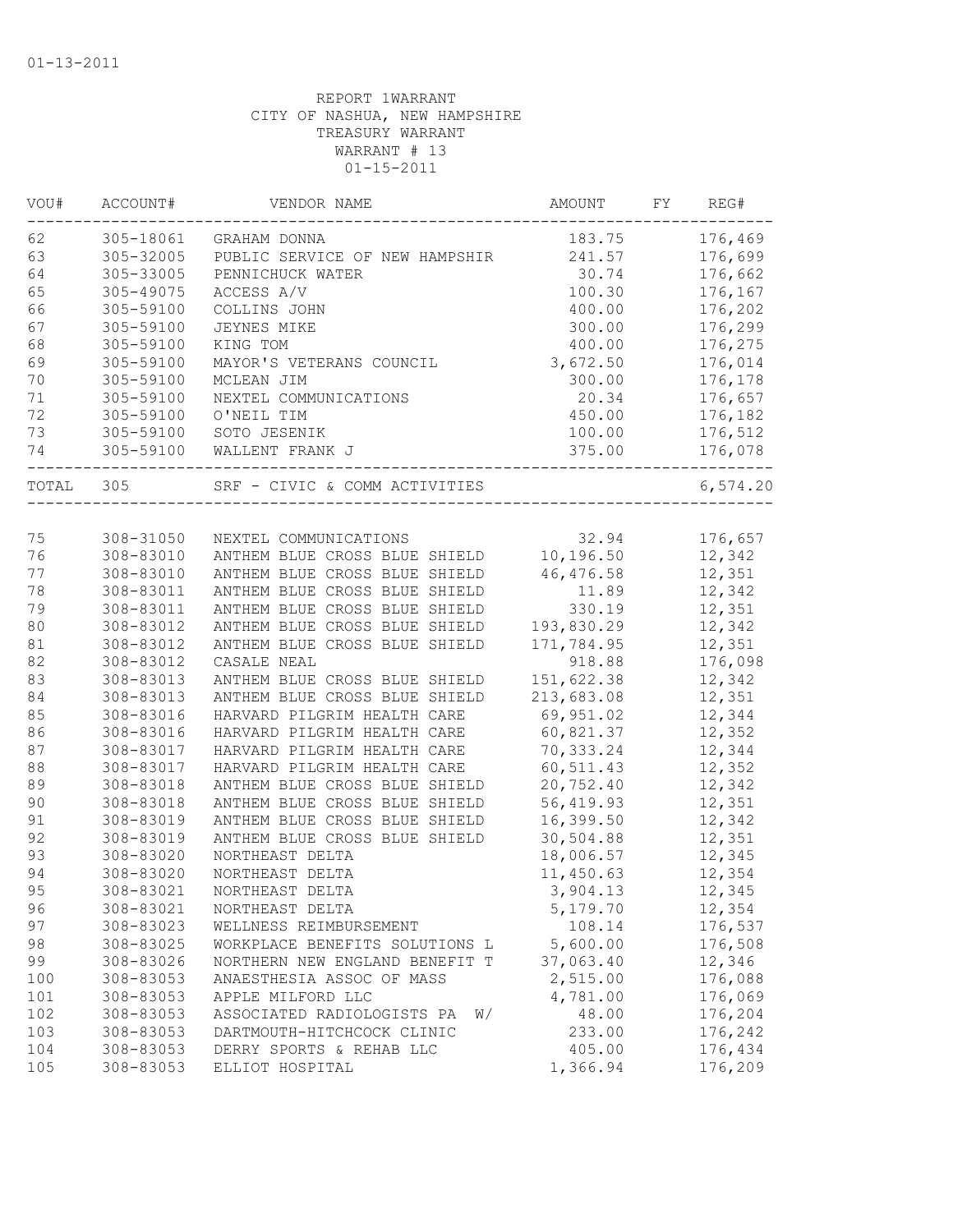| VOU#  | ACCOUNT#  | VENDOR NAME                      | AMOUNT     | FY. | REG#     |
|-------|-----------|----------------------------------|------------|-----|----------|
| 62    | 305-18061 | GRAHAM DONNA                     | 183.75     |     | 176,469  |
| 63    | 305-32005 | PUBLIC SERVICE OF NEW HAMPSHIR   | 241.57     |     | 176,699  |
| 64    | 305-33005 | PENNICHUCK WATER                 | 30.74      |     | 176,662  |
| 65    | 305-49075 | ACCESS A/V                       | 100.30     |     | 176,167  |
| 66    | 305-59100 | COLLINS JOHN                     | 400.00     |     | 176,202  |
| 67    | 305-59100 | <b>JEYNES MIKE</b>               | 300.00     |     | 176,299  |
| 68    | 305-59100 | KING TOM                         | 400.00     |     | 176,275  |
| 69    | 305-59100 | MAYOR'S VETERANS COUNCIL         | 3,672.50   |     | 176,014  |
| 70    | 305-59100 | MCLEAN JIM                       | 300.00     |     | 176,178  |
| 71    | 305-59100 | NEXTEL COMMUNICATIONS            | 20.34      |     | 176,657  |
| 72    | 305-59100 | O'NEIL TIM                       | 450.00     |     | 176,182  |
| 73    | 305-59100 | SOTO JESENIK                     | 100.00     |     | 176,512  |
| 74    | 305-59100 | WALLENT FRANK J                  | 375.00     |     | 176,078  |
| TOTAL | 305       | SRF - CIVIC & COMM ACTIVITIES    |            |     | 6,574.20 |
|       |           |                                  |            |     |          |
| 75    | 308-31050 | NEXTEL COMMUNICATIONS            | 32.94      |     | 176,657  |
| 76    | 308-83010 | ANTHEM BLUE CROSS BLUE SHIELD    | 10,196.50  |     | 12,342   |
| 77    | 308-83010 | ANTHEM BLUE CROSS BLUE SHIELD    | 46,476.58  |     | 12,351   |
| 78    | 308-83011 | ANTHEM BLUE CROSS BLUE SHIELD    | 11.89      |     | 12,342   |
| 79    | 308-83011 | ANTHEM BLUE CROSS BLUE SHIELD    | 330.19     |     | 12,351   |
| 80    | 308-83012 | ANTHEM BLUE CROSS BLUE SHIELD    | 193,830.29 |     | 12,342   |
| 81    | 308-83012 | ANTHEM BLUE CROSS BLUE SHIELD    | 171,784.95 |     | 12,351   |
| 82    | 308-83012 | CASALE NEAL                      | 918.88     |     | 176,098  |
| 83    | 308-83013 | ANTHEM BLUE CROSS BLUE SHIELD    | 151,622.38 |     | 12,342   |
| 84    | 308-83013 | ANTHEM BLUE CROSS BLUE SHIELD    | 213,683.08 |     | 12,351   |
| 85    | 308-83016 | HARVARD PILGRIM HEALTH CARE      | 69,951.02  |     | 12,344   |
| 86    | 308-83016 | HARVARD PILGRIM HEALTH CARE      | 60,821.37  |     | 12,352   |
| 87    | 308-83017 | HARVARD PILGRIM HEALTH CARE      | 70,333.24  |     | 12,344   |
| 88    | 308-83017 | HARVARD PILGRIM HEALTH CARE      | 60, 511.43 |     | 12,352   |
| 89    | 308-83018 | ANTHEM BLUE CROSS BLUE SHIELD    | 20,752.40  |     | 12,342   |
| 90    | 308-83018 | ANTHEM BLUE CROSS BLUE SHIELD    | 56,419.93  |     | 12,351   |
| 91    | 308-83019 | ANTHEM BLUE CROSS BLUE SHIELD    | 16,399.50  |     | 12,342   |
| 92    | 308-83019 | ANTHEM BLUE CROSS BLUE SHIELD    | 30,504.88  |     | 12,351   |
| 93    | 308-83020 | NORTHEAST DELTA                  | 18,006.57  |     | 12,345   |
| 94    | 308-83020 | NORTHEAST DELTA                  | 11,450.63  |     | 12,354   |
| 95    | 308-83021 | NORTHEAST DELTA                  | 3,904.13   |     | 12,345   |
| 96    | 308-83021 | NORTHEAST DELTA                  | 5,179.70   |     | 12,354   |
| 97    | 308-83023 | WELLNESS REIMBURSEMENT           | 108.14     |     | 176,537  |
| 98    | 308-83025 | WORKPLACE BENEFITS SOLUTIONS L   | 5,600.00   |     | 176,508  |
| 99    | 308-83026 | NORTHERN NEW ENGLAND BENEFIT T   | 37,063.40  |     | 12,346   |
|       |           |                                  | 2,515.00   |     | 176,088  |
| 100   | 308-83053 | ANAESTHESIA ASSOC OF MASS        |            |     |          |
| 101   | 308-83053 | APPLE MILFORD LLC                | 4,781.00   |     | 176,069  |
| 102   | 308-83053 | ASSOCIATED RADIOLOGISTS PA<br>W/ | 48.00      |     | 176,204  |
| 103   | 308-83053 | DARTMOUTH-HITCHCOCK CLINIC       | 233.00     |     | 176,242  |
| 104   | 308-83053 | DERRY SPORTS & REHAB LLC         | 405.00     |     | 176,434  |
| 105   | 308-83053 | ELLIOT HOSPITAL                  | 1,366.94   |     | 176,209  |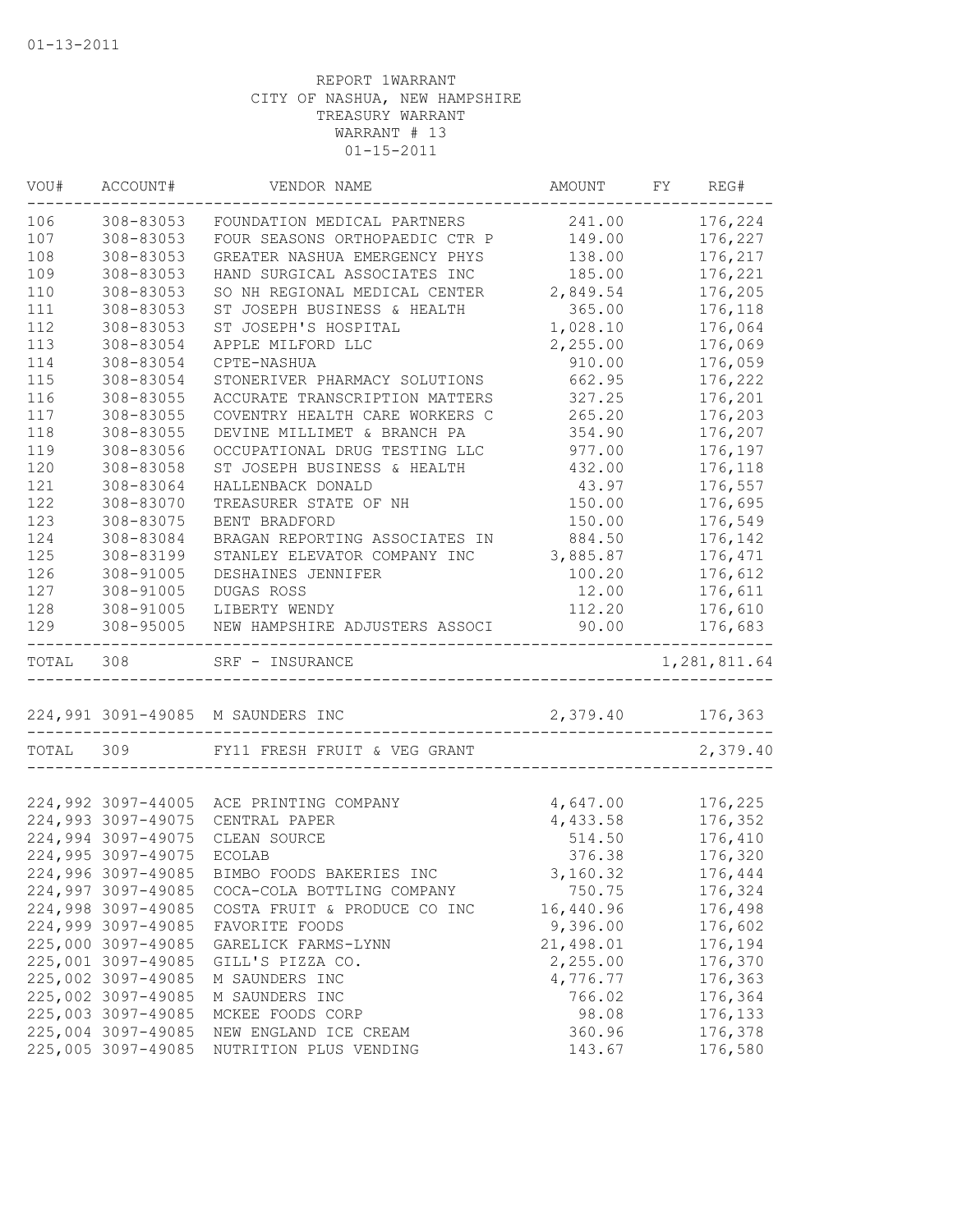| VOU#      | ACCOUNT#           | VENDOR NAME                                             | AMOUNT           | FY | REG#                     |
|-----------|--------------------|---------------------------------------------------------|------------------|----|--------------------------|
| 106       | 308-83053          | FOUNDATION MEDICAL PARTNERS                             | 241.00           |    | 176,224                  |
| 107       | 308-83053          | FOUR SEASONS ORTHOPAEDIC CTR P                          | 149.00           |    | 176,227                  |
| 108       | 308-83053          | GREATER NASHUA EMERGENCY PHYS                           | 138.00           |    | 176,217                  |
| 109       | 308-83053          | HAND SURGICAL ASSOCIATES INC                            | 185.00           |    | 176,221                  |
| 110       | 308-83053          | SO NH REGIONAL MEDICAL CENTER                           | 2,849.54         |    | 176,205                  |
| 111       | 308-83053          | ST JOSEPH BUSINESS & HEALTH                             | 365.00           |    | 176,118                  |
| 112       | 308-83053          | ST JOSEPH'S HOSPITAL                                    | 1,028.10         |    | 176,064                  |
| 113       | 308-83054          | APPLE MILFORD LLC                                       | 2,255.00         |    | 176,069                  |
| 114       | 308-83054          | CPTE-NASHUA                                             | 910.00           |    | 176,059                  |
| 115       | 308-83054          | STONERIVER PHARMACY SOLUTIONS                           | 662.95           |    | 176,222                  |
| 116       | 308-83055          | ACCURATE TRANSCRIPTION MATTERS                          | 327.25           |    | 176,201                  |
| 117       | 308-83055          | COVENTRY HEALTH CARE WORKERS C                          | 265.20           |    | 176,203                  |
| 118       | 308-83055          | DEVINE MILLIMET & BRANCH PA                             | 354.90           |    | 176,207                  |
| 119       | 308-83056          | OCCUPATIONAL DRUG TESTING LLC                           | 977.00           |    | 176,197                  |
| 120       | 308-83058          | ST JOSEPH BUSINESS & HEALTH                             | 432.00           |    | 176,118                  |
| 121       | 308-83064          | HALLENBACK DONALD                                       | 43.97            |    | 176,557                  |
| 122       | 308-83070          | TREASURER STATE OF NH                                   | 150.00           |    | 176,695                  |
| 123       | 308-83075          | BENT BRADFORD                                           | 150.00           |    | 176,549                  |
| 124       | 308-83084          | BRAGAN REPORTING ASSOCIATES IN                          | 884.50           |    | 176,142                  |
| 125       | 308-83199          | STANLEY ELEVATOR COMPANY INC                            | 3,885.87         |    | 176,471                  |
| 126       | 308-91005          | DESHAINES JENNIFER                                      | 100.20           |    | 176,612                  |
| 127       | 308-91005          | DUGAS ROSS                                              | 12.00            |    | 176,611                  |
| 128       | 308-91005          | LIBERTY WENDY                                           | 112.20           |    | 176,610                  |
| 129       | 308-95005          | NEW HAMPSHIRE ADJUSTERS ASSOCI                          | 90.00            |    | 176,683                  |
| TOTAL 308 |                    | ------------------------------------<br>SRF - INSURANCE |                  |    | --------<br>1,281,811.64 |
|           |                    | 224,991 3091-49085 M SAUNDERS INC                       | 2,379.40 176,363 |    |                          |
| TOTAL     | 309                | FY11 FRESH FRUIT & VEG GRANT                            |                  |    | 2,379.40                 |
|           |                    |                                                         |                  |    |                          |
|           |                    | 224,992 3097-44005 ACE PRINTING COMPANY                 | 4,647.00         |    | 176,225                  |
|           | 224,993 3097-49075 | CENTRAL PAPER                                           | 4,433.58         |    | 176,352                  |
|           | 224,994 3097-49075 | CLEAN SOURCE                                            | 514.50           |    | 176,410                  |
|           | 224,995 3097-49075 | <b>ECOLAB</b>                                           | 376.38           |    | 176,320                  |
|           | 224,996 3097-49085 | BIMBO FOODS BAKERIES INC                                | 3,160.32         |    | 176,444                  |
|           | 224,997 3097-49085 | COCA-COLA BOTTLING COMPANY                              | 750.75           |    | 176,324                  |
|           | 224,998 3097-49085 | COSTA FRUIT & PRODUCE CO INC                            | 16,440.96        |    | 176,498                  |
|           | 224,999 3097-49085 | FAVORITE FOODS                                          | 9,396.00         |    | 176,602                  |
|           | 225,000 3097-49085 | GARELICK FARMS-LYNN                                     | 21,498.01        |    | 176,194                  |
|           | 225,001 3097-49085 | GILL'S PIZZA CO.                                        | 2,255.00         |    | 176,370                  |
|           | 225,002 3097-49085 | M SAUNDERS INC                                          | 4,776.77         |    | 176,363                  |
|           | 225,002 3097-49085 | M SAUNDERS INC                                          | 766.02           |    | 176,364                  |
|           | 225,003 3097-49085 | MCKEE FOODS CORP                                        | 98.08            |    | 176,133                  |
|           | 225,004 3097-49085 | NEW ENGLAND ICE CREAM                                   | 360.96           |    | 176,378                  |
|           | 225,005 3097-49085 | NUTRITION PLUS VENDING                                  | 143.67           |    | 176,580                  |
|           |                    |                                                         |                  |    |                          |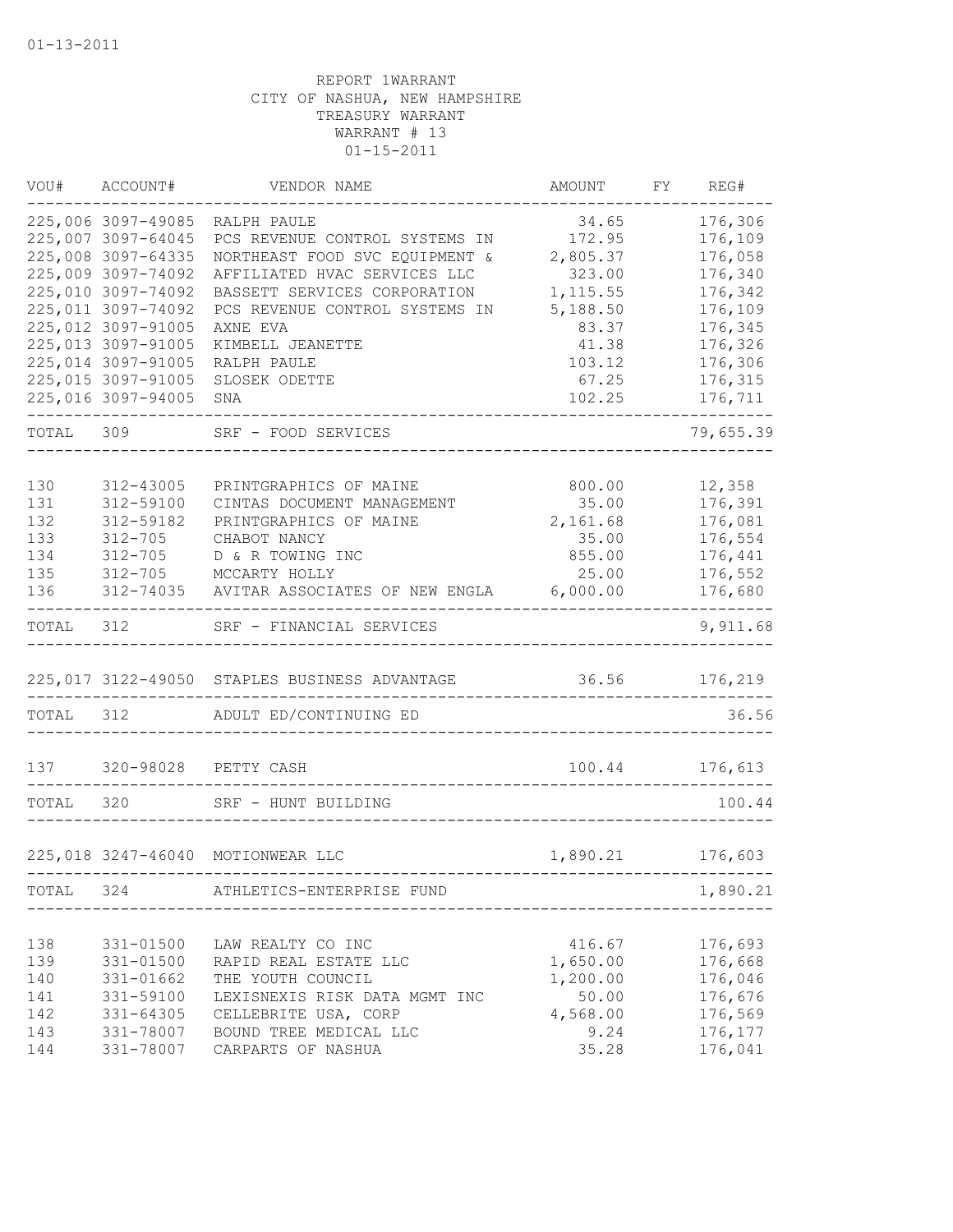| VOU#       | ACCOUNT#               | VENDOR NAME                                   | AMOUNT            | FΥ | REG#               |
|------------|------------------------|-----------------------------------------------|-------------------|----|--------------------|
|            | 225,006 3097-49085     | RALPH PAULE                                   | 34.65             |    | 176,306            |
|            | 225,007 3097-64045     | PCS REVENUE CONTROL SYSTEMS IN                | 172.95            |    | 176,109            |
|            | 225,008 3097-64335     | NORTHEAST FOOD SVC EQUIPMENT &                | 2,805.37          |    | 176,058            |
|            | 225,009 3097-74092     | AFFILIATED HVAC SERVICES LLC                  | 323.00            |    | 176,340            |
|            | 225,010 3097-74092     | BASSETT SERVICES CORPORATION                  | 1, 115.55         |    | 176,342            |
|            | 225,011 3097-74092     | PCS REVENUE CONTROL SYSTEMS IN                | 5,188.50          |    | 176,109            |
|            | 225,012 3097-91005     | AXNE EVA                                      | 83.37             |    | 176,345            |
|            | 225,013 3097-91005     | KIMBELL JEANETTE                              | 41.38             |    | 176,326            |
|            | 225,014 3097-91005     | RALPH PAULE                                   | 103.12            |    | 176,306            |
|            | 225,015 3097-91005     | SLOSEK ODETTE                                 | 67.25             |    | 176,315            |
|            | 225,016 3097-94005     | SNA                                           | 102.25            |    | 176,711            |
| TOTAL      | 309                    | SRF - FOOD SERVICES                           |                   |    | 79,655.39          |
|            |                        |                                               |                   |    |                    |
| 130        | 312-43005              | PRINTGRAPHICS OF MAINE                        | 800.00            |    | 12,358             |
| 131<br>132 | 312-59100<br>312-59182 | CINTAS DOCUMENT MANAGEMENT                    | 35.00<br>2,161.68 |    | 176,391<br>176,081 |
| 133        | $312 - 705$            | PRINTGRAPHICS OF MAINE<br>CHABOT NANCY        | 35.00             |    | 176,554            |
| 134        | $312 - 705$            | D & R TOWING INC                              | 855.00            |    | 176,441            |
| 135        | $312 - 705$            | MCCARTY HOLLY                                 | 25.00             |    | 176,552            |
| 136        | 312-74035              | AVITAR ASSOCIATES OF NEW ENGLA                | 6,000.00          |    | 176,680            |
| TOTAL      | 312                    | SRF - FINANCIAL SERVICES                      |                   |    | 9,911.68           |
|            |                        | 225,017 3122-49050 STAPLES BUSINESS ADVANTAGE | 36.56             |    | 176,219            |
|            |                        |                                               |                   |    |                    |
| TOTAL      | 312                    | ADULT ED/CONTINUING ED                        |                   |    | 36.56              |
| 137        | 320-98028              | PETTY CASH                                    | 100.44            |    | 176,613            |
| TOTAL      | 320                    | SRF - HUNT BUILDING                           |                   |    | 100.44             |
|            |                        |                                               |                   |    |                    |
|            |                        | 225,018 3247-46040 MOTIONWEAR LLC             | 1,890.21          |    | 176,603            |
| TOTAL      | 324                    | ATHLETICS-ENTERPRISE FUND                     |                   |    | 1,890.21           |
|            |                        |                                               |                   |    |                    |
| 138        | 331-01500              | LAW REALTY CO INC                             | 416.67            |    | 176,693            |
| 139        | 331-01500              | RAPID REAL ESTATE LLC                         | 1,650.00          |    | 176,668            |
| 140        | 331-01662              | THE YOUTH COUNCIL                             | 1,200.00          |    | 176,046            |
| 141        | 331-59100              | LEXISNEXIS RISK DATA MGMT INC                 | 50.00             |    | 176,676            |
| 142        | 331-64305              | CELLEBRITE USA, CORP                          | 4,568.00          |    | 176,569            |
| 143        | 331-78007              | BOUND TREE MEDICAL LLC                        | 9.24              |    | 176,177            |
| 144        | 331-78007              | CARPARTS OF NASHUA                            | 35.28             |    | 176,041            |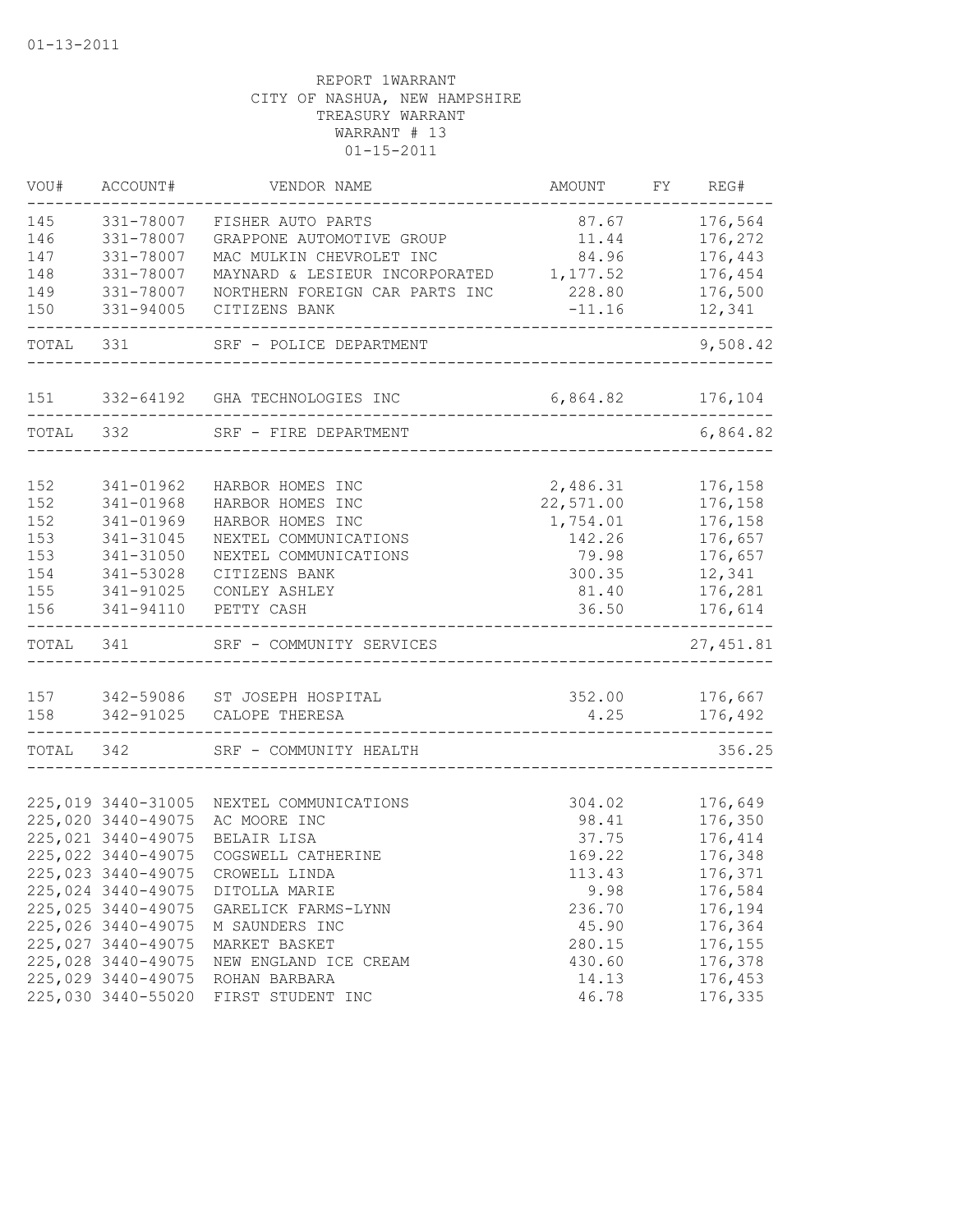| VOU#       | ACCOUNT#                                 | VENDOR NAME                          | AMOUNT         | FY | REG#               |
|------------|------------------------------------------|--------------------------------------|----------------|----|--------------------|
| 145        | 331-78007                                | FISHER AUTO PARTS                    | 87.67          |    | 176,564            |
| 146        | 331-78007                                | GRAPPONE AUTOMOTIVE GROUP            | 11.44          |    | 176,272            |
| 147        | 331-78007                                | MAC MULKIN CHEVROLET INC             | 84.96          |    | 176,443            |
| 148        | 331-78007                                | MAYNARD & LESIEUR INCORPORATED       | 1,177.52       |    | 176,454            |
| 149        | 331-78007                                | NORTHERN FOREIGN CAR PARTS INC       | 228.80         |    | 176,500            |
| 150        | 331-94005                                | CITIZENS BANK                        | $-11.16$       |    | 12,341             |
| TOTAL      | 331                                      | SRF - POLICE DEPARTMENT              |                |    | 9,508.42           |
| 151        |                                          | 332-64192 GHA TECHNOLOGIES INC       | 6,864.82       |    | 176,104            |
| TOTAL      | 332                                      | SRF - FIRE DEPARTMENT                |                |    | 6,864.82           |
|            |                                          |                                      |                |    |                    |
| 152        | 341-01962                                | HARBOR HOMES INC                     | 2,486.31       |    | 176,158            |
| 152        | 341-01968                                | HARBOR HOMES INC                     | 22,571.00      |    | 176,158            |
| 152        | 341-01969                                | HARBOR HOMES INC                     | 1,754.01       |    | 176,158            |
| 153        | 341-31045                                | NEXTEL COMMUNICATIONS                | 142.26         |    | 176,657            |
| 153        | 341-31050                                | NEXTEL COMMUNICATIONS                | 79.98          |    | 176,657            |
| 154        | 341-53028                                | CITIZENS BANK                        | 300.35         |    | 12,341             |
| 155<br>156 | 341-91025<br>341-94110                   | CONLEY ASHLEY<br>PETTY CASH          | 81.40<br>36.50 |    | 176,281<br>176,614 |
|            |                                          |                                      |                |    |                    |
| TOTAL      | 341                                      | SRF - COMMUNITY SERVICES             |                |    | 27, 451.81         |
| 157        | 342-59086                                | ST JOSEPH HOSPITAL                   | 352.00         |    | 176,667            |
| 158        |                                          | 342-91025 CALOPE THERESA             | 4.25           |    | 176,492            |
|            |                                          |                                      |                |    |                    |
| TOTAL      | 342                                      | SRF - COMMUNITY HEALTH               |                |    | 356.25             |
|            |                                          |                                      |                |    |                    |
|            | 225,019 3440-31005                       | NEXTEL COMMUNICATIONS                | 304.02         |    | 176,649            |
|            | 225,020 3440-49075                       | AC MOORE INC                         | 98.41          |    | 176,350            |
|            | 225,021 3440-49075                       | BELAIR LISA                          | 37.75          |    | 176,414            |
|            | 225,022 3440-49075                       | COGSWELL CATHERINE<br>CROWELL LINDA  | 169.22         |    | 176,348            |
|            | 225,023 3440-49075<br>225,024 3440-49075 |                                      | 113.43<br>9.98 |    | 176,371<br>176,584 |
|            | 225,025 3440-49075                       | DITOLLA MARIE<br>GARELICK FARMS-LYNN | 236.70         |    | 176,194            |
|            | 225,026 3440-49075                       | M SAUNDERS INC                       | 45.90          |    | 176,364            |
|            | 225,027 3440-49075                       | MARKET BASKET                        | 280.15         |    | 176,155            |
|            | 225,028 3440-49075                       | NEW ENGLAND ICE CREAM                | 430.60         |    | 176,378            |
|            | 225,029 3440-49075                       | ROHAN BARBARA                        | 14.13          |    | 176,453            |
|            | 225,030 3440-55020                       | FIRST STUDENT INC                    | 46.78          |    | 176,335            |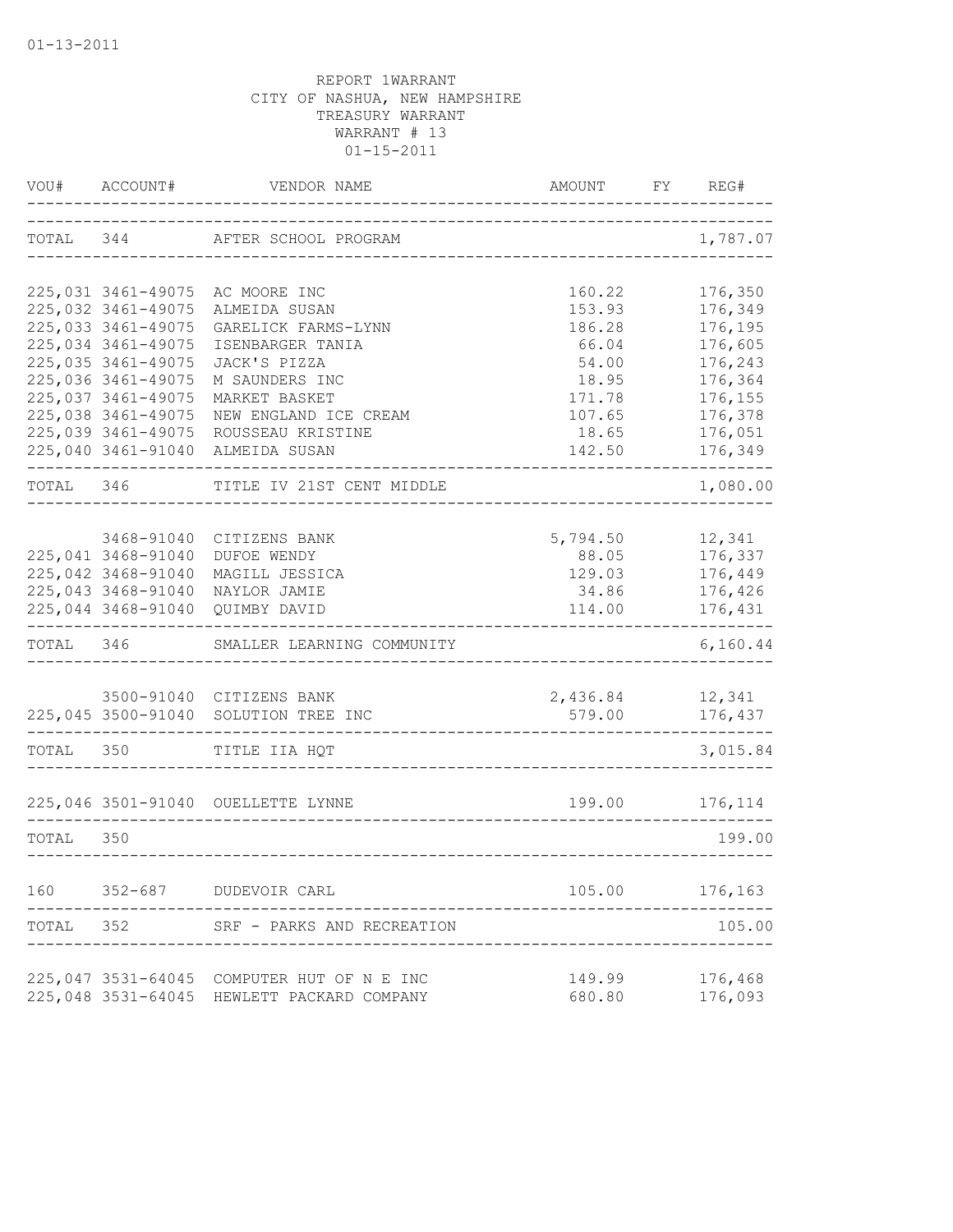| VOU#      | ACCOUNT#           | VENDOR NAME                                | AMOUNT   | FY. | REG#     |
|-----------|--------------------|--------------------------------------------|----------|-----|----------|
| TOTAL 344 |                    | AFTER SCHOOL PROGRAM                       |          |     | 1,787.07 |
|           | 225,031 3461-49075 | AC MOORE INC                               | 160.22   |     | 176,350  |
|           | 225,032 3461-49075 | ALMEIDA SUSAN                              | 153.93   |     | 176,349  |
|           | 225,033 3461-49075 | GARELICK FARMS-LYNN                        | 186.28   |     | 176,195  |
|           | 225,034 3461-49075 | ISENBARGER TANIA                           | 66.04    |     | 176,605  |
|           | 225,035 3461-49075 | JACK'S PIZZA                               | 54.00    |     | 176,243  |
|           | 225,036 3461-49075 | M SAUNDERS INC                             | 18.95    |     | 176,364  |
|           | 225,037 3461-49075 | MARKET BASKET                              | 171.78   |     | 176,155  |
|           | 225,038 3461-49075 | NEW ENGLAND ICE CREAM                      | 107.65   |     | 176,378  |
|           | 225,039 3461-49075 | ROUSSEAU KRISTINE                          | 18.65    |     | 176,051  |
|           | 225,040 3461-91040 | ALMEIDA SUSAN                              | 142.50   |     | 176,349  |
| TOTAL 346 |                    | TITLE IV 21ST CENT MIDDLE                  |          |     | 1,080.00 |
|           |                    |                                            |          |     |          |
|           | 3468-91040         | CITIZENS BANK                              | 5,794.50 |     | 12,341   |
|           | 225,041 3468-91040 | DUFOE WENDY                                | 88.05    |     | 176,337  |
|           | 225,042 3468-91040 | MAGILL JESSICA                             | 129.03   |     | 176,449  |
|           | 225,043 3468-91040 | NAYLOR JAMIE                               | 34.86    |     | 176,426  |
|           | 225,044 3468-91040 | QUIMBY DAVID                               | 114.00   |     | 176,431  |
| TOTAL     | 346                | SMALLER LEARNING COMMUNITY                 |          |     | 6,160.44 |
|           |                    |                                            |          |     |          |
|           |                    | 3500-91040 CITIZENS BANK                   | 2,436.84 |     | 12,341   |
|           | 225,045 3500-91040 | SOLUTION TREE INC                          | 579.00   |     | 176,437  |
| TOTAL     | 350                | TITLE IIA HQT                              |          |     | 3,015.84 |
|           |                    | 225,046 3501-91040 OUELLETTE LYNNE         | 199.00   |     | 176,114  |
|           |                    |                                            |          |     |          |
| TOTAL     | 350                |                                            |          |     | 199.00   |
| 160       | $352 - 687$        | DUDEVOIR CARL                              | 105.00   |     | 176,163  |
| TOTAL     | 352                | SRF - PARKS AND RECREATION                 |          |     | 105.00   |
|           |                    |                                            |          |     |          |
|           |                    | 225,047 3531-64045 COMPUTER HUT OF N E INC | 149.99   |     | 176,468  |
|           |                    | 225,048 3531-64045 HEWLETT PACKARD COMPANY | 680.80   |     | 176,093  |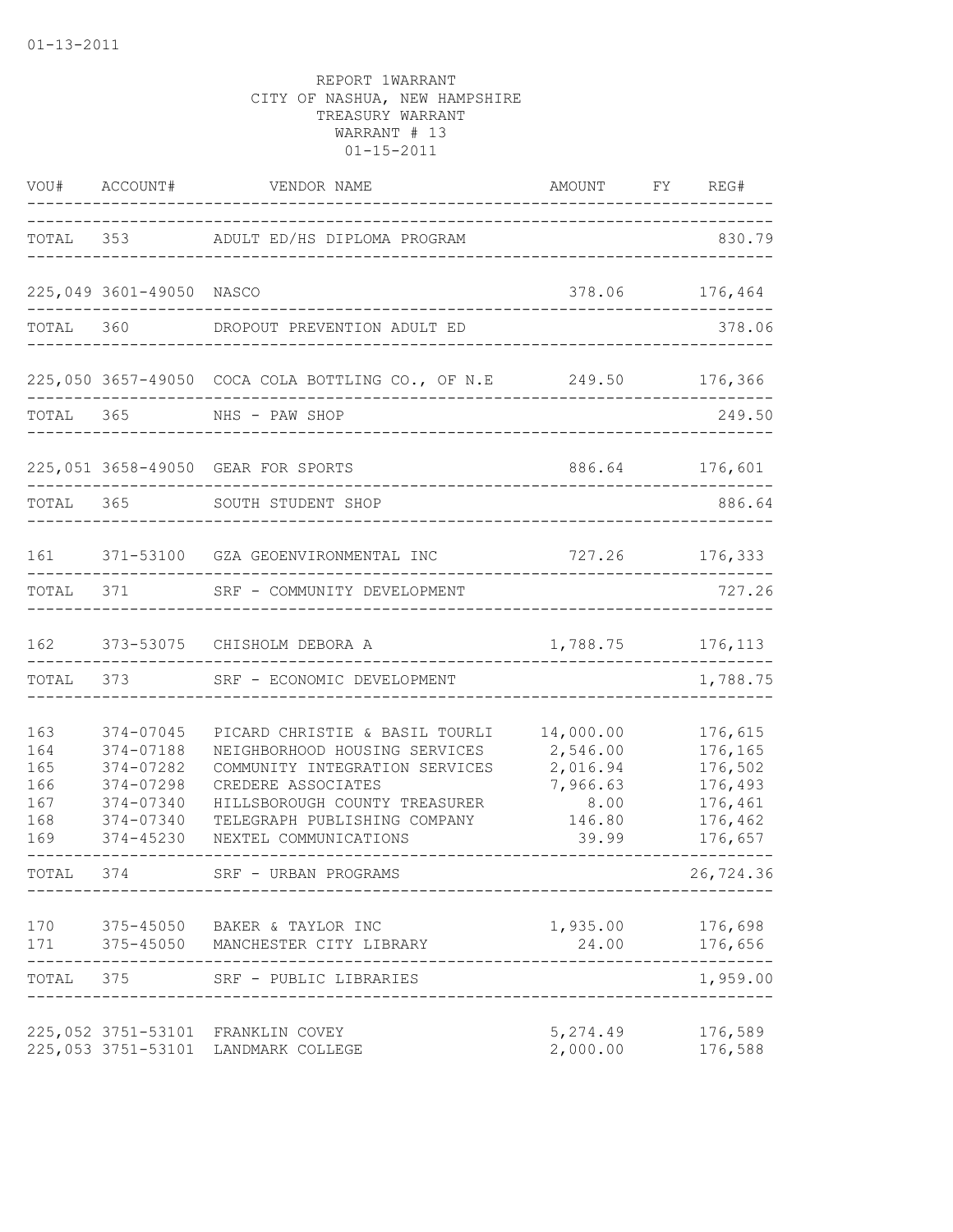| VOU#                                          | ACCOUNT#                                                                                | VENDOR NAME                                                                                                                                                                                                       | AMOUNT                                                                   | FY REG#                                                                   |
|-----------------------------------------------|-----------------------------------------------------------------------------------------|-------------------------------------------------------------------------------------------------------------------------------------------------------------------------------------------------------------------|--------------------------------------------------------------------------|---------------------------------------------------------------------------|
|                                               |                                                                                         | TOTAL 353 ADULT ED/HS DIPLOMA PROGRAM                                                                                                                                                                             |                                                                          | 830.79                                                                    |
|                                               | 225,049 3601-49050                                                                      | NASCO                                                                                                                                                                                                             | 378.06                                                                   | 176,464                                                                   |
| TOTAL                                         | 360                                                                                     | DROPOUT PREVENTION ADULT ED                                                                                                                                                                                       |                                                                          | 378.06                                                                    |
|                                               |                                                                                         | 225,050 3657-49050 COCA COLA BOTTLING CO., OF N.E 249.50 176,366                                                                                                                                                  |                                                                          |                                                                           |
| TOTAL 365                                     |                                                                                         | NHS - PAW SHOP                                                                                                                                                                                                    |                                                                          | 249.50                                                                    |
|                                               |                                                                                         | 225,051 3658-49050 GEAR FOR SPORTS                                                                                                                                                                                |                                                                          | 886.64 176,601                                                            |
| TOTAL                                         | 365                                                                                     | SOUTH STUDENT SHOP                                                                                                                                                                                                |                                                                          | 886.64                                                                    |
| 161                                           |                                                                                         | 371-53100 GZA GEOENVIRONMENTAL INC                                                                                                                                                                                | 727.26 176,333                                                           |                                                                           |
| TOTAL                                         | 371 371                                                                                 | SRF - COMMUNITY DEVELOPMENT                                                                                                                                                                                       |                                                                          | 727.26                                                                    |
| 162                                           |                                                                                         | 373-53075 CHISHOLM DEBORA A                                                                                                                                                                                       | 1,788.75                                                                 | 176,113                                                                   |
| TOTAL                                         | 373                                                                                     | SRF - ECONOMIC DEVELOPMENT                                                                                                                                                                                        |                                                                          | 1,788.75                                                                  |
| 163<br>164<br>165<br>166<br>167<br>168<br>169 | 374-07045<br>374-07188<br>374-07282<br>374-07298<br>374-07340<br>374-07340<br>374-45230 | PICARD CHRISTIE & BASIL TOURLI<br>NEIGHBORHOOD HOUSING SERVICES<br>COMMUNITY INTEGRATION SERVICES<br>CREDERE ASSOCIATES<br>HILLSBOROUGH COUNTY TREASURER<br>TELEGRAPH PUBLISHING COMPANY<br>NEXTEL COMMUNICATIONS | 14,000.00<br>2,546.00<br>2,016.94<br>7,966.63<br>8.00<br>146.80<br>39.99 | 176,615<br>176,165<br>176,502<br>176,493<br>176,461<br>176,462<br>176,657 |
| TOTAL                                         | 374                                                                                     | SRF - URBAN PROGRAMS                                                                                                                                                                                              |                                                                          | 26,724.36                                                                 |
| 170                                           |                                                                                         | 375-45050 BAKER & TAYLOR INC<br>171 375-45050 MANCHESTER CITY LIBRARY                                                                                                                                             | 1,935.00<br>24.00 176,656                                                | 176,698<br>$\qquad \qquad - - - - -$                                      |
| TOTAL 375                                     |                                                                                         | SRF - PUBLIC LIBRARIES                                                                                                                                                                                            |                                                                          | 1,959.00                                                                  |
|                                               |                                                                                         | 225,052 3751-53101 FRANKLIN COVEY<br>225,053 3751-53101 LANDMARK COLLEGE                                                                                                                                          | 5,274.49<br>2,000.00                                                     | 176,589<br>176,588                                                        |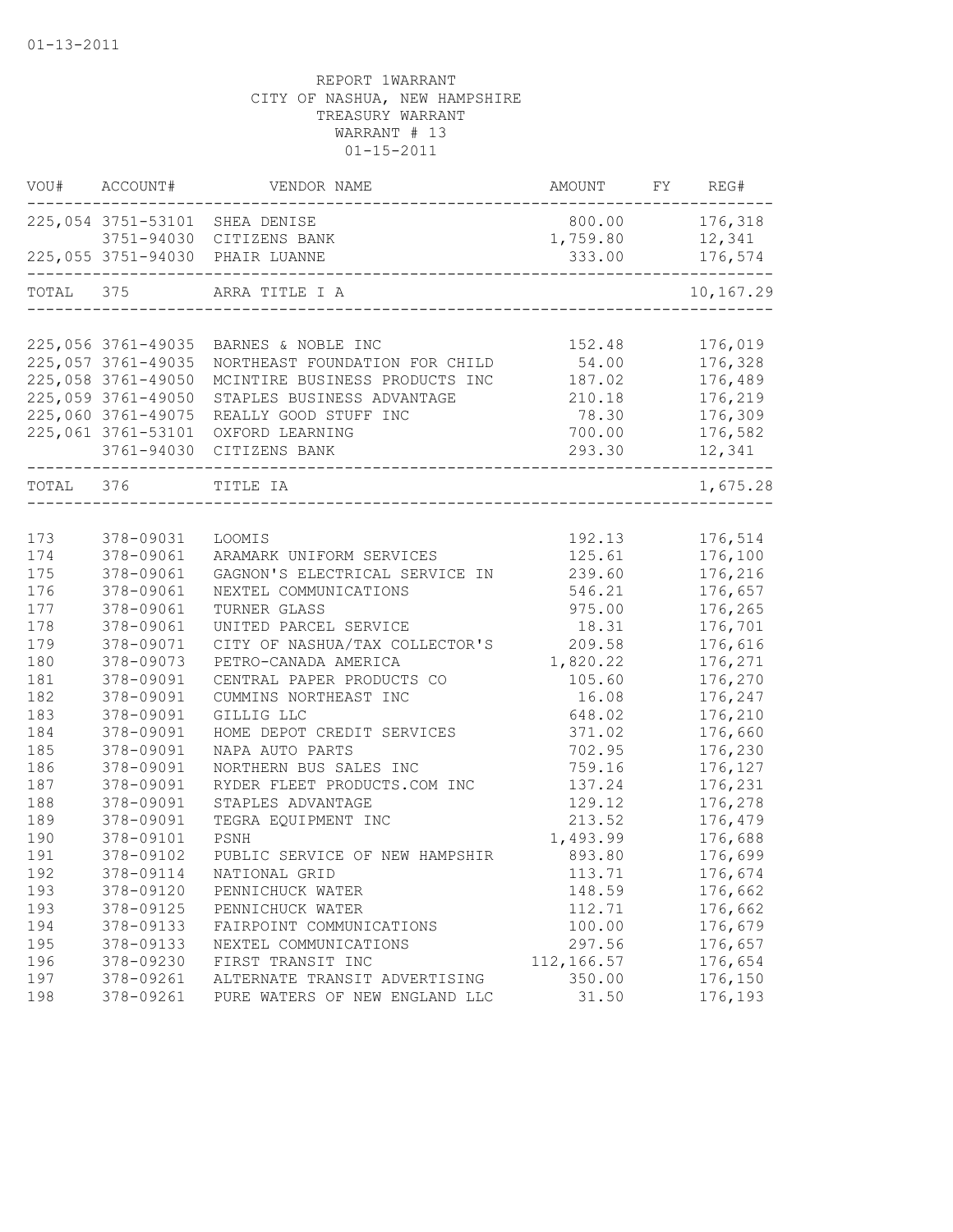| VOU#      | ACCOUNT#           | VENDOR NAME                                                    | AMOUNT      | FY | REG#      |
|-----------|--------------------|----------------------------------------------------------------|-------------|----|-----------|
|           |                    | 225,054 3751-53101 SHEA DENISE                                 | 800.00      |    | 176,318   |
|           |                    | 3751-94030 CITIZENS BANK                                       | 1,759.80    |    | 12,341    |
|           |                    | 225,055 3751-94030 PHAIR LUANNE<br>--------------------------- | 333.00      |    | 176,574   |
| TOTAL 375 |                    | ARRA TITLE I A                                                 |             |    | 10,167.29 |
|           |                    |                                                                |             |    |           |
|           | 225,056 3761-49035 | BARNES & NOBLE INC                                             | 152.48      |    | 176,019   |
|           | 225,057 3761-49035 | NORTHEAST FOUNDATION FOR CHILD                                 | 54.00       |    | 176,328   |
|           | 225,058 3761-49050 | MCINTIRE BUSINESS PRODUCTS INC                                 | 187.02      |    | 176,489   |
|           | 225,059 3761-49050 | STAPLES BUSINESS ADVANTAGE                                     | 210.18      |    | 176,219   |
|           | 225,060 3761-49075 | REALLY GOOD STUFF INC                                          | 78.30       |    | 176,309   |
|           | 225,061 3761-53101 | OXFORD LEARNING                                                | 700.00      |    | 176,582   |
|           | 3761-94030         | CITIZENS BANK                                                  | 293.30      |    | 12,341    |
| TOTAL     | 376                | TITLE IA                                                       |             |    | 1,675.28  |
|           |                    |                                                                |             |    |           |
| 173       | 378-09031          | LOOMIS                                                         | 192.13      |    | 176,514   |
| 174       | 378-09061          | ARAMARK UNIFORM SERVICES                                       | 125.61      |    | 176,100   |
| 175       | 378-09061          | GAGNON'S ELECTRICAL SERVICE IN                                 | 239.60      |    | 176,216   |
| 176       | 378-09061          | NEXTEL COMMUNICATIONS                                          | 546.21      |    | 176,657   |
| 177       | 378-09061          | TURNER GLASS                                                   | 975.00      |    | 176,265   |
| 178       | 378-09061          | UNITED PARCEL SERVICE                                          | 18.31       |    | 176,701   |
| 179       | 378-09071          | CITY OF NASHUA/TAX COLLECTOR'S                                 | 209.58      |    | 176,616   |
| 180       | 378-09073          | PETRO-CANADA AMERICA                                           | 1,820.22    |    | 176,271   |
| 181       | 378-09091          | CENTRAL PAPER PRODUCTS CO                                      | 105.60      |    | 176,270   |
| 182       | 378-09091          | CUMMINS NORTHEAST INC                                          | 16.08       |    | 176,247   |
| 183       | 378-09091          | GILLIG LLC                                                     | 648.02      |    | 176,210   |
| 184       | 378-09091          | HOME DEPOT CREDIT SERVICES                                     | 371.02      |    | 176,660   |
| 185       | 378-09091          | NAPA AUTO PARTS                                                | 702.95      |    | 176,230   |
| 186       | 378-09091          | NORTHERN BUS SALES INC                                         | 759.16      |    | 176,127   |
| 187       | 378-09091          | RYDER FLEET PRODUCTS.COM INC                                   | 137.24      |    | 176,231   |
| 188       | 378-09091          | STAPLES ADVANTAGE                                              | 129.12      |    | 176,278   |
| 189       | 378-09091          | TEGRA EQUIPMENT INC                                            | 213.52      |    | 176,479   |
| 190       | 378-09101          | PSNH                                                           | 1,493.99    |    | 176,688   |
| 191       | 378-09102          | PUBLIC SERVICE OF NEW HAMPSHIR                                 | 893.80      |    | 176,699   |
| 192       | 378-09114          | NATIONAL GRID                                                  | 113.71      |    | 176,674   |
| 193       | 378-09120          | PENNICHUCK WATER                                               | 148.59      |    | 176,662   |
| 193       | 378-09125          | PENNICHUCK WATER                                               | 112.71      |    | 176,662   |
| 194       | 378-09133          | FAIRPOINT COMMUNICATIONS                                       | 100.00      |    | 176,679   |
| 195       | 378-09133          | NEXTEL COMMUNICATIONS                                          | 297.56      |    | 176,657   |
| 196       | 378-09230          | FIRST TRANSIT INC                                              | 112, 166.57 |    | 176,654   |
| 197       | 378-09261          | ALTERNATE TRANSIT ADVERTISING                                  | 350.00      |    | 176,150   |
| 198       | 378-09261          | PURE WATERS OF NEW ENGLAND LLC                                 | 31.50       |    | 176,193   |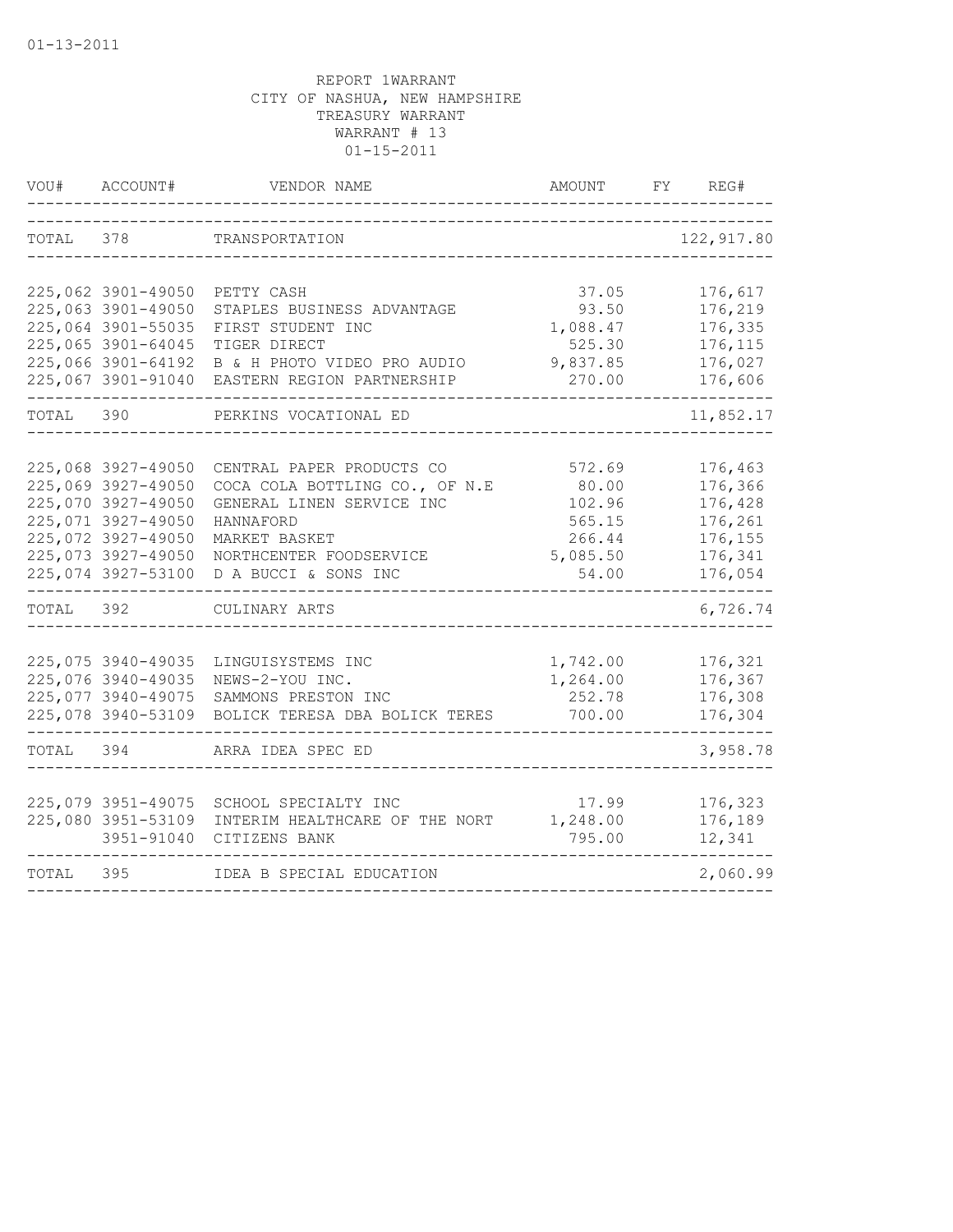| VOU#      | ACCOUNT#                                 | VENDOR NAME                                     | AMOUNT               | FY. | REG#               |
|-----------|------------------------------------------|-------------------------------------------------|----------------------|-----|--------------------|
| TOTAL     | 378                                      | TRANSPORTATION                                  |                      |     | 122, 917.80        |
|           |                                          |                                                 |                      |     |                    |
|           | 225,062 3901-49050<br>225,063 3901-49050 | PETTY CASH                                      | 37.05                |     | 176,617            |
|           | 225,064 3901-55035                       | STAPLES BUSINESS ADVANTAGE<br>FIRST STUDENT INC | 93.50<br>1,088.47    |     | 176,219<br>176,335 |
|           | 225,065 3901-64045                       | TIGER DIRECT                                    | 525.30               |     | 176,115            |
|           | 225,066 3901-64192                       | B & H PHOTO VIDEO PRO AUDIO                     | 9,837.85             |     | 176,027            |
|           | 225,067 3901-91040                       | EASTERN REGION PARTNERSHIP                      | 270.00               |     | 176,606            |
| TOTAL 390 |                                          | PERKINS VOCATIONAL ED                           |                      |     | 11,852.17          |
|           |                                          |                                                 |                      |     |                    |
|           | 225,068 3927-49050                       | CENTRAL PAPER PRODUCTS CO                       | 572.69               |     | 176,463            |
|           | 225,069 3927-49050                       | COCA COLA BOTTLING CO., OF N.E                  | 80.00                |     | 176,366            |
|           | 225,070 3927-49050                       | GENERAL LINEN SERVICE INC                       | 102.96               |     | 176,428            |
|           | 225,071 3927-49050                       | HANNAFORD                                       | 565.15               |     | 176,261            |
|           | 225,072 3927-49050                       | MARKET BASKET                                   | 266.44               |     | 176,155            |
|           | 225,073 3927-49050                       | NORTHCENTER FOODSERVICE                         | 5,085.50             |     | 176,341            |
|           | 225,074 3927-53100                       | D A BUCCI & SONS INC                            | 54.00                |     | 176,054            |
| TOTAL     | 392                                      | CULINARY ARTS                                   |                      |     | 6,726.74           |
|           | 225,075 3940-49035                       |                                                 |                      |     | 176,321            |
|           | 225,076 3940-49035                       | LINGUISYSTEMS INC<br>NEWS-2-YOU INC.            | 1,742.00<br>1,264.00 |     | 176,367            |
|           | 225,077 3940-49075                       | SAMMONS PRESTON INC                             | 252.78               |     | 176,308            |
|           | 225,078 3940-53109                       | BOLICK TERESA DBA BOLICK TERES                  | 700.00               |     | 176,304            |
|           |                                          |                                                 |                      |     |                    |
| TOTAL 394 |                                          | ARRA IDEA SPEC ED                               |                      |     | 3,958.78           |
|           |                                          |                                                 |                      |     |                    |
|           | 225,079 3951-49075                       | SCHOOL SPECIALTY INC                            | 17.99                |     | 176,323            |
|           | 225,080 3951-53109                       | INTERIM HEALTHCARE OF THE NORT                  | 1,248.00             |     | 176,189            |
|           | 3951-91040                               | CITIZENS BANK                                   | 795.00               |     | 12,341             |
| TOTAL     | 395                                      | IDEA B SPECIAL EDUCATION                        |                      |     | 2,060.99           |
|           |                                          |                                                 |                      |     |                    |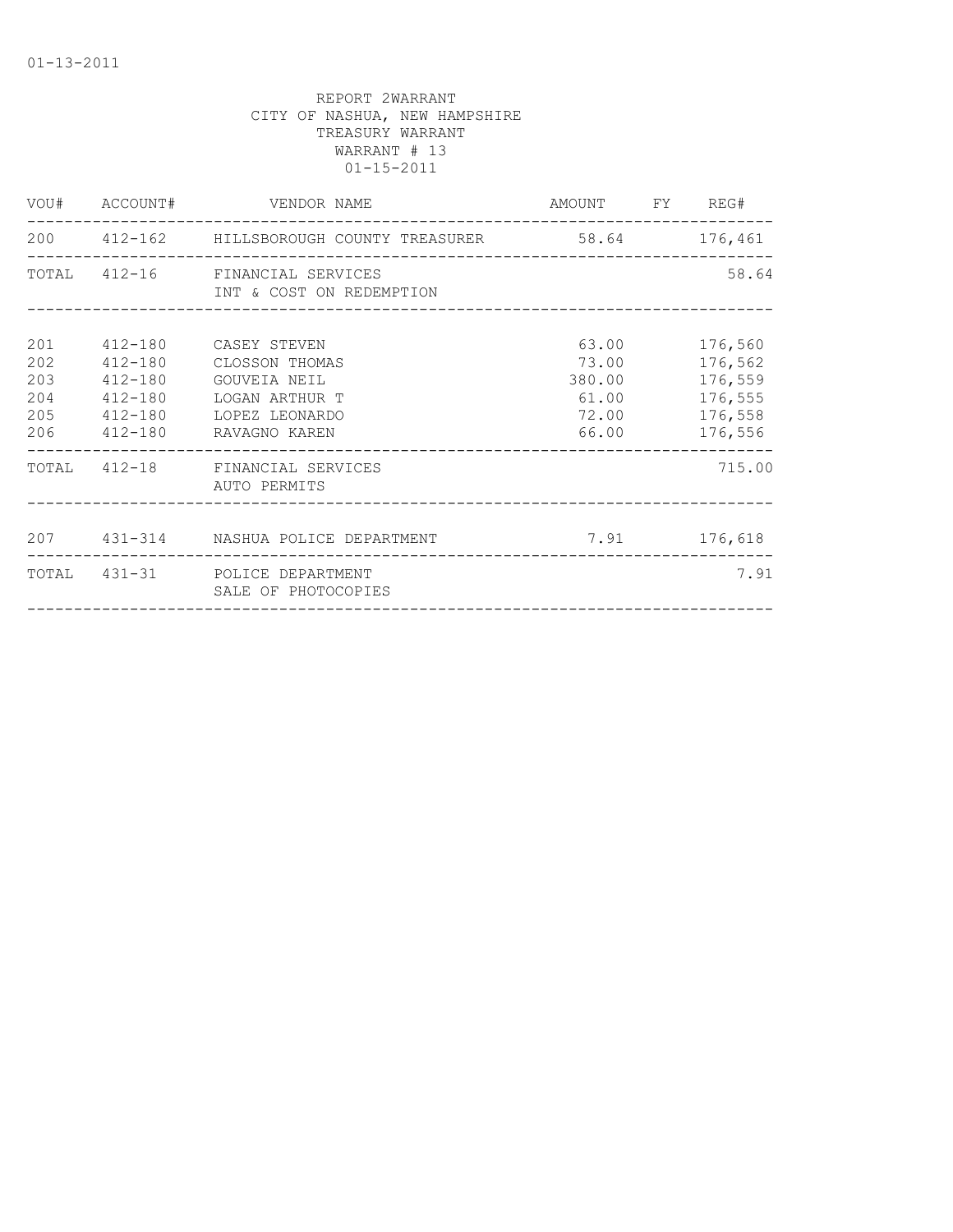|                                        |                                                          | VOU# ACCOUNT# VENDOR NAME                                                                                           | AMOUNT FY REG#                          |                                                             |
|----------------------------------------|----------------------------------------------------------|---------------------------------------------------------------------------------------------------------------------|-----------------------------------------|-------------------------------------------------------------|
|                                        |                                                          | 200  412-162  HILLSBOROUGH COUNTY TREASURER 58.64  176,461                                                          |                                         |                                                             |
|                                        |                                                          | TOTAL 412-16 FINANCIAL SERVICES<br>INT & COST ON REDEMPTION                                                         |                                         | 58.64                                                       |
| 201<br>202<br>203<br>204<br>205<br>206 | $412 - 180$<br>$412 - 180$<br>$412 - 180$<br>$412 - 180$ | 412-180 CASEY STEVEN<br>CLOSSON THOMAS<br>GOUVEIA NEIL<br>LOGAN ARTHUR T<br>412-180 LOPEZ LEONARDO<br>RAVAGNO KAREN | 73.00 176,562<br>61.00<br>72.00 176,558 | 63.00 176,560<br>380.00 176,559<br>176,555<br>66.00 176,556 |
|                                        |                                                          | TOTAL 412-18 FINANCIAL SERVICES<br>AUTO PERMITS                                                                     |                                         | 715.00                                                      |
|                                        |                                                          | 207  431-314  NASHUA POLICE DEPARTMENT   7.91  176,618                                                              |                                         |                                                             |
|                                        |                                                          | TOTAL 431-31 POLICE DEPARTMENT<br>SALE OF PHOTOCOPIES<br>-------------                                              |                                         | 7.91                                                        |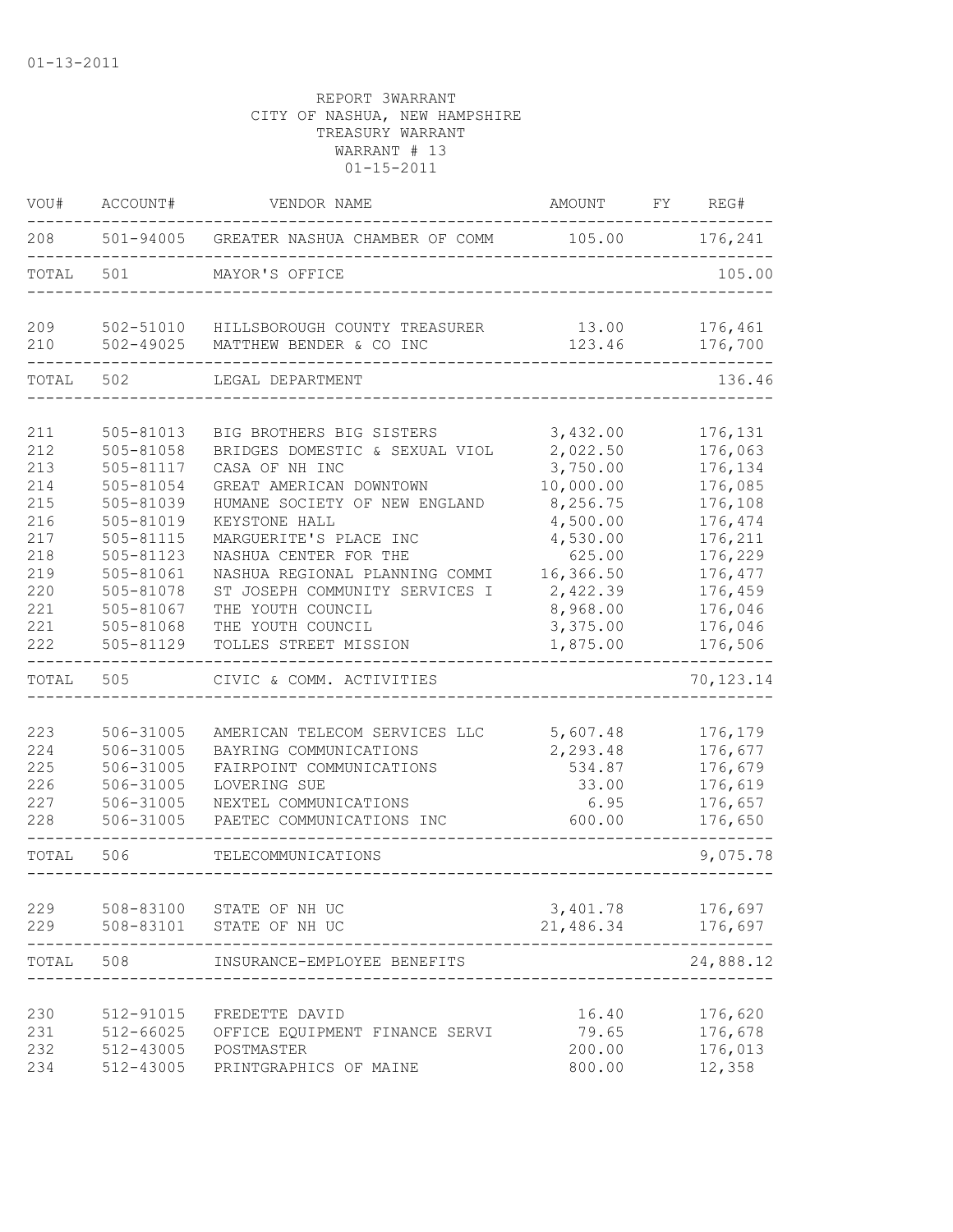| VOU#                                                                                    | ACCOUNT#                                                                                                                                                              | VENDOR NAME                                                                                                                                                                                                                                                                                                                                         | AMOUNT                                                                                                                                                   | FY REG#                                                                                                                                     |
|-----------------------------------------------------------------------------------------|-----------------------------------------------------------------------------------------------------------------------------------------------------------------------|-----------------------------------------------------------------------------------------------------------------------------------------------------------------------------------------------------------------------------------------------------------------------------------------------------------------------------------------------------|----------------------------------------------------------------------------------------------------------------------------------------------------------|---------------------------------------------------------------------------------------------------------------------------------------------|
| 208                                                                                     |                                                                                                                                                                       | 501-94005 GREATER NASHUA CHAMBER OF COMM                                                                                                                                                                                                                                                                                                            | 105.00 176,241                                                                                                                                           |                                                                                                                                             |
| TOTAL                                                                                   | 501                                                                                                                                                                   | MAYOR'S OFFICE                                                                                                                                                                                                                                                                                                                                      |                                                                                                                                                          | 105.00                                                                                                                                      |
| 209<br>210                                                                              | 502-51010<br>502-49025                                                                                                                                                | HILLSBOROUGH COUNTY TREASURER<br>MATTHEW BENDER & CO INC                                                                                                                                                                                                                                                                                            | 13.00<br>123.46                                                                                                                                          | 176,461<br>176,700                                                                                                                          |
| TOTAL                                                                                   | 502                                                                                                                                                                   | LEGAL DEPARTMENT                                                                                                                                                                                                                                                                                                                                    |                                                                                                                                                          | 136.46                                                                                                                                      |
| 211<br>212<br>213<br>214<br>215<br>216<br>217<br>218<br>219<br>220<br>221<br>221<br>222 | 505-81013<br>505-81058<br>505-81117<br>505-81054<br>505-81039<br>505-81019<br>505-81115<br>505-81123<br>505-81061<br>505-81078<br>505-81067<br>505-81068<br>505-81129 | BIG BROTHERS BIG SISTERS<br>BRIDGES DOMESTIC & SEXUAL VIOL<br>CASA OF NH INC<br>GREAT AMERICAN DOWNTOWN<br>HUMANE SOCIETY OF NEW ENGLAND<br>KEYSTONE HALL<br>MARGUERITE'S PLACE INC<br>NASHUA CENTER FOR THE<br>NASHUA REGIONAL PLANNING COMMI<br>ST JOSEPH COMMUNITY SERVICES I<br>THE YOUTH COUNCIL<br>THE YOUTH COUNCIL<br>TOLLES STREET MISSION | 3,432.00<br>2,022.50<br>3,750.00<br>10,000.00<br>8,256.75<br>4,500.00<br>4,530.00<br>625.00<br>16,366.50<br>2,422.39<br>8,968.00<br>3,375.00<br>1,875.00 | 176,131<br>176,063<br>176,134<br>176,085<br>176,108<br>176,474<br>176,211<br>176,229<br>176,477<br>176,459<br>176,046<br>176,046<br>176,506 |
| TOTAL                                                                                   | 505                                                                                                                                                                   | CIVIC & COMM. ACTIVITIES                                                                                                                                                                                                                                                                                                                            |                                                                                                                                                          | 70, 123.14                                                                                                                                  |
| 223<br>224<br>225<br>226<br>227<br>228                                                  | 506-31005<br>506-31005<br>506-31005<br>506-31005<br>506-31005<br>506-31005                                                                                            | AMERICAN TELECOM SERVICES LLC<br>BAYRING COMMUNICATIONS<br>FAIRPOINT COMMUNICATIONS<br>LOVERING SUE<br>NEXTEL COMMUNICATIONS<br>PAETEC COMMUNICATIONS INC                                                                                                                                                                                           | 5,607.48<br>2,293.48<br>534.87<br>33.00<br>6.95<br>600.00                                                                                                | 176,179<br>176,677<br>176,679<br>176,619<br>176,657<br>176,650                                                                              |
| TOTAL                                                                                   | 506                                                                                                                                                                   | TELECOMMUNICATIONS                                                                                                                                                                                                                                                                                                                                  |                                                                                                                                                          | 9,075.78                                                                                                                                    |
| 229<br>229                                                                              | 508-83100<br>508-83101                                                                                                                                                | STATE OF NH UC<br>STATE OF NH UC                                                                                                                                                                                                                                                                                                                    | 3,401.78<br>21,486.34                                                                                                                                    | 176,697<br>176,697                                                                                                                          |
| TOTAL                                                                                   | 508                                                                                                                                                                   | INSURANCE-EMPLOYEE BENEFITS                                                                                                                                                                                                                                                                                                                         |                                                                                                                                                          | 24,888.12                                                                                                                                   |
| 230<br>231<br>232<br>234                                                                | 512-91015<br>512-66025<br>512-43005<br>512-43005                                                                                                                      | FREDETTE DAVID<br>OFFICE EQUIPMENT FINANCE SERVI<br>POSTMASTER<br>PRINTGRAPHICS OF MAINE                                                                                                                                                                                                                                                            | 16.40<br>79.65<br>200.00<br>800.00                                                                                                                       | 176,620<br>176,678<br>176,013<br>12,358                                                                                                     |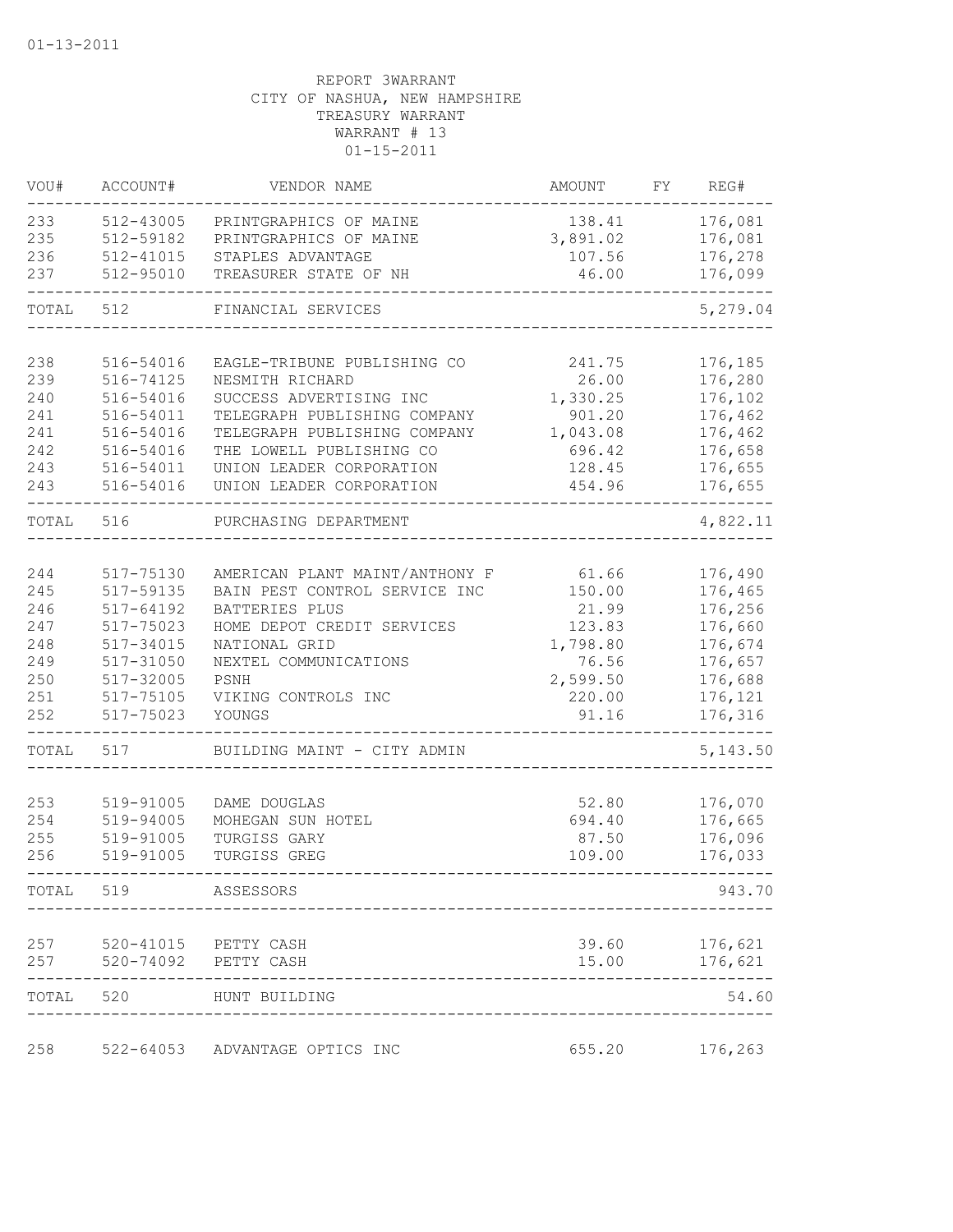| VOU#       | ACCOUNT#               | VENDOR NAME                    | AMOUNT          | FY. | REG#               |
|------------|------------------------|--------------------------------|-----------------|-----|--------------------|
| 233        | 512-43005              | PRINTGRAPHICS OF MAINE         | 138.41          |     | 176,081            |
| 235        | 512-59182              | PRINTGRAPHICS OF MAINE         | 3,891.02        |     | 176,081            |
| 236        | 512-41015              | STAPLES ADVANTAGE              | 107.56          |     | 176,278            |
| 237        | 512-95010              | TREASURER STATE OF NH          | 46.00           |     | 176,099            |
| TOTAL      | 512                    | FINANCIAL SERVICES             |                 |     | 5,279.04           |
|            |                        |                                |                 |     |                    |
| 238        | 516-54016              | EAGLE-TRIBUNE PUBLISHING CO    | 241.75          |     | 176,185            |
| 239        | 516-74125              | NESMITH RICHARD                | 26.00           |     | 176,280            |
| 240        | 516-54016              | SUCCESS ADVERTISING INC        | 1,330.25        |     | 176,102            |
| 241        | 516-54011              | TELEGRAPH PUBLISHING COMPANY   | 901.20          |     | 176,462            |
| 241        | 516-54016              | TELEGRAPH PUBLISHING COMPANY   | 1,043.08        |     | 176,462            |
| 242        | 516-54016              | THE LOWELL PUBLISHING CO       | 696.42          |     | 176,658            |
| 243        | 516-54011              | UNION LEADER CORPORATION       | 128.45          |     | 176,655            |
| 243        | 516-54016              | UNION LEADER CORPORATION       | 454.96          |     | 176,655            |
| TOTAL      | 516                    | PURCHASING DEPARTMENT          |                 |     | 4,822.11           |
|            |                        |                                |                 |     |                    |
| 244        | 517-75130              | AMERICAN PLANT MAINT/ANTHONY F | 61.66           |     | 176,490            |
| 245        | 517-59135              | BAIN PEST CONTROL SERVICE INC  | 150.00          |     | 176,465            |
| 246        | 517-64192              | BATTERIES PLUS                 | 21.99           |     | 176,256            |
| 247        | 517-75023              | HOME DEPOT CREDIT SERVICES     | 123.83          |     | 176,660            |
| 248        | 517-34015              | NATIONAL GRID                  | 1,798.80        |     | 176,674            |
| 249        | 517-31050              | NEXTEL COMMUNICATIONS          | 76.56           |     | 176,657            |
| 250        | 517-32005              | PSNH                           | 2,599.50        |     | 176,688            |
| 251<br>252 | 517-75105<br>517-75023 | VIKING CONTROLS INC<br>YOUNGS  | 220.00<br>91.16 |     | 176,121<br>176,316 |
| TOTAL      | 517                    | BUILDING MAINT - CITY ADMIN    |                 |     | 5, 143.50          |
|            |                        |                                |                 |     |                    |
| 253        | 519-91005              | DAME DOUGLAS                   | 52.80           |     | 176,070            |
| 254        | 519-94005              | MOHEGAN SUN HOTEL              | 694.40          |     | 176,665            |
| 255        | 519-91005              | TURGISS GARY                   | 87.50           |     | 176,096            |
| 256        | 519-91005              | TURGISS GREG                   | 109.00          |     | 176,033            |
| TOTAL      | 519                    | ASSESSORS                      |                 |     | 943.70             |
| 257        |                        | 520-41015 PETTY CASH           | 39.60           |     | 176,621            |
| 257        | 520-74092              | PETTY CASH                     | 15.00           |     | 176,621            |
| TOTAL      | 520                    | HUNT BUILDING                  |                 |     | 54.60              |
| 258        | 522-64053              | ADVANTAGE OPTICS INC           | 655.20          |     | 176,263            |
|            |                        |                                |                 |     |                    |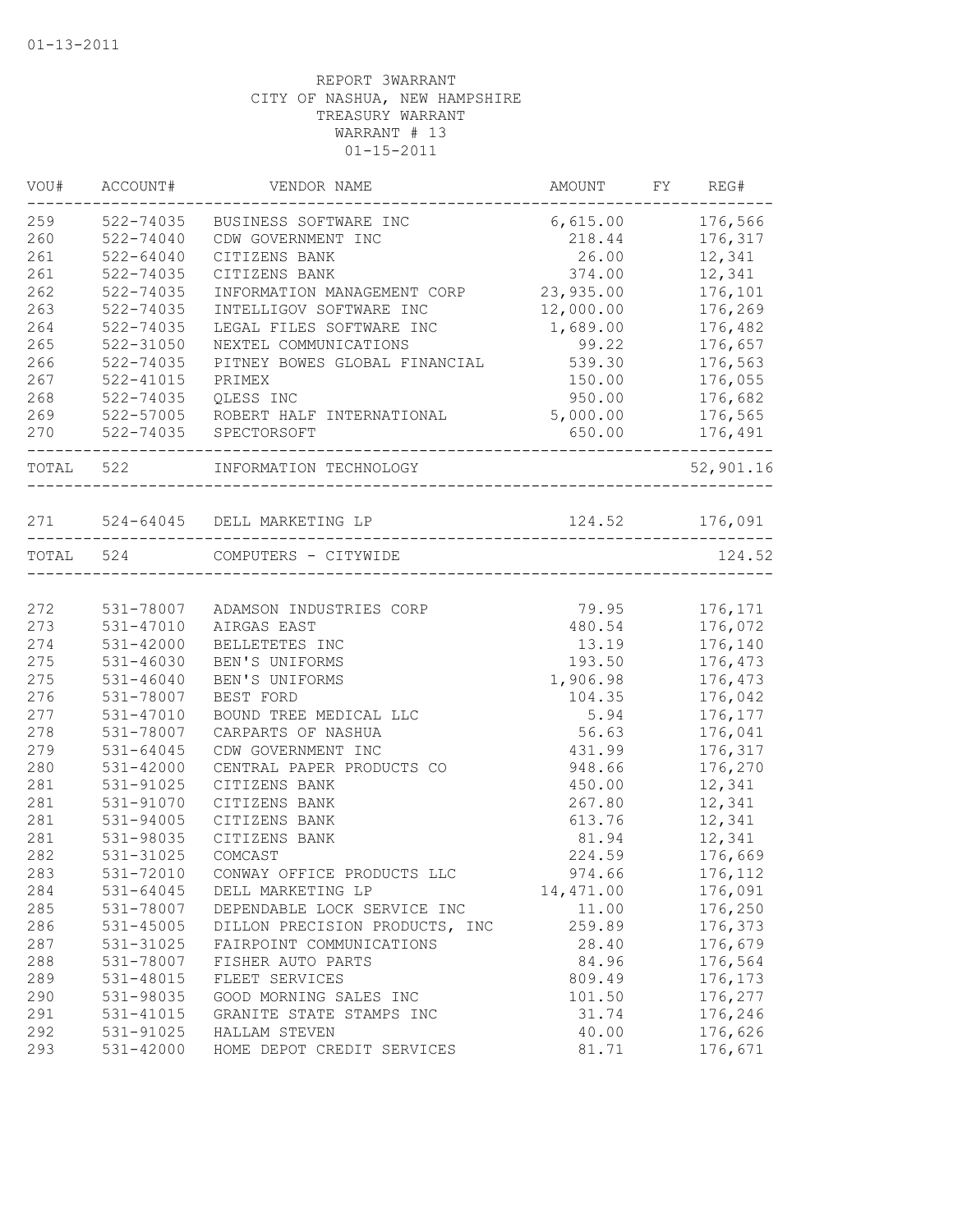| VOU#      | ACCOUNT#      | VENDOR NAME                                       | AMOUNT         | FY REG#   |
|-----------|---------------|---------------------------------------------------|----------------|-----------|
| 259       | 522-74035     | BUSINESS SOFTWARE INC                             | 6,615.00       | 176,566   |
| 260       | 522-74040     | CDW GOVERNMENT INC                                | 218.44         | 176,317   |
| 261       | $522 - 64040$ | CITIZENS BANK                                     | 26.00          | 12,341    |
| 261       | 522-74035     | CITIZENS BANK                                     | 374.00         | 12,341    |
| 262       | 522-74035     | INFORMATION MANAGEMENT CORP                       | 23,935.00      | 176,101   |
| 263       | 522-74035     | INTELLIGOV SOFTWARE INC                           | 12,000.00      | 176,269   |
| 264       | 522-74035     | LEGAL FILES SOFTWARE INC                          | 1,689.00       | 176,482   |
| 265       | $522 - 31050$ | NEXTEL COMMUNICATIONS                             | 99.22          | 176,657   |
| 266       | 522-74035     | PITNEY BOWES GLOBAL FINANCIAL                     | 539.30         | 176,563   |
| 267       | 522-41015     | PRIMEX                                            | 150.00         | 176,055   |
| 268       | 522-74035     | QLESS INC                                         | 950.00         | 176,682   |
| 269       | 522-57005     | ROBERT HALF INTERNATIONAL                         | 5,000.00       | 176,565   |
| 270       |               | 522-74035 SPECTORSOFT                             | 650.00         | 176,491   |
| TOTAL 522 |               | INFORMATION TECHNOLOGY<br>__________________      |                | 52,901.16 |
|           |               | 271 524-64045 DELL MARKETING LP                   | 124.52 176,091 |           |
|           |               |                                                   |                |           |
|           | TOTAL 524     | COMPUTERS - CITYWIDE<br>_________________________ |                | 124.52    |
| 272       | 531-78007     | ADAMSON INDUSTRIES CORP                           | 79.95          | 176,171   |
| 273       | 531-47010     | AIRGAS EAST                                       | 480.54         | 176,072   |
| 274       | $531 - 42000$ | BELLETETES INC                                    | 13.19          | 176,140   |
| 275       | 531-46030     | BEN'S UNIFORMS                                    | 193.50         | 176,473   |
| 275       | $531 - 46040$ | BEN'S UNIFORMS                                    | 1,906.98       | 176,473   |
| 276       | 531-78007     | BEST FORD                                         | 104.35         | 176,042   |
| 277       | 531-47010     | BOUND TREE MEDICAL LLC                            | 5.94           | 176,177   |
| 278       | 531-78007     | CARPARTS OF NASHUA                                | 56.63          | 176,041   |
| 279       | $531 - 64045$ | CDW GOVERNMENT INC                                | 431.99         | 176,317   |
| 280       | 531-42000     | CENTRAL PAPER PRODUCTS CO                         | 948.66         | 176,270   |
| 281       | 531-91025     | CITIZENS BANK                                     | 450.00         | 12,341    |
| 281       | 531-91070     | CITIZENS BANK                                     | 267.80         | 12,341    |
| 281       | $531 - 94005$ | CITIZENS BANK                                     | 613.76         | 12,341    |
| 281       | 531-98035     | CITIZENS BANK                                     | 81.94          | 12,341    |
| 282       | 531-31025     | COMCAST                                           | 224.59         | 176,669   |
| 283       | 531-72010     | CONWAY OFFICE PRODUCTS LLC                        | 974.66         | 176,112   |
| 284       | 531-64045     | DELL MARKETING LP                                 | 14, 471.00     | 176,091   |
| 285       | 531-78007     | DEPENDABLE LOCK SERVICE INC                       | 11.00          | 176,250   |
| 286       | $531 - 45005$ | DILLON PRECISION PRODUCTS, INC                    | 259.89         | 176,373   |
| 287       | 531-31025     | FAIRPOINT COMMUNICATIONS                          | 28.40          | 176,679   |
| 288       | 531-78007     | FISHER AUTO PARTS                                 | 84.96          | 176,564   |
| 289       | 531-48015     | FLEET SERVICES                                    | 809.49         | 176,173   |
| 290       | 531-98035     | GOOD MORNING SALES INC                            | 101.50         | 176,277   |
| 291       | 531-41015     | GRANITE STATE STAMPS INC                          | 31.74          | 176,246   |
| 292       | 531-91025     | HALLAM STEVEN                                     | 40.00          | 176,626   |
| 293       | 531-42000     | HOME DEPOT CREDIT SERVICES                        | 81.71          | 176,671   |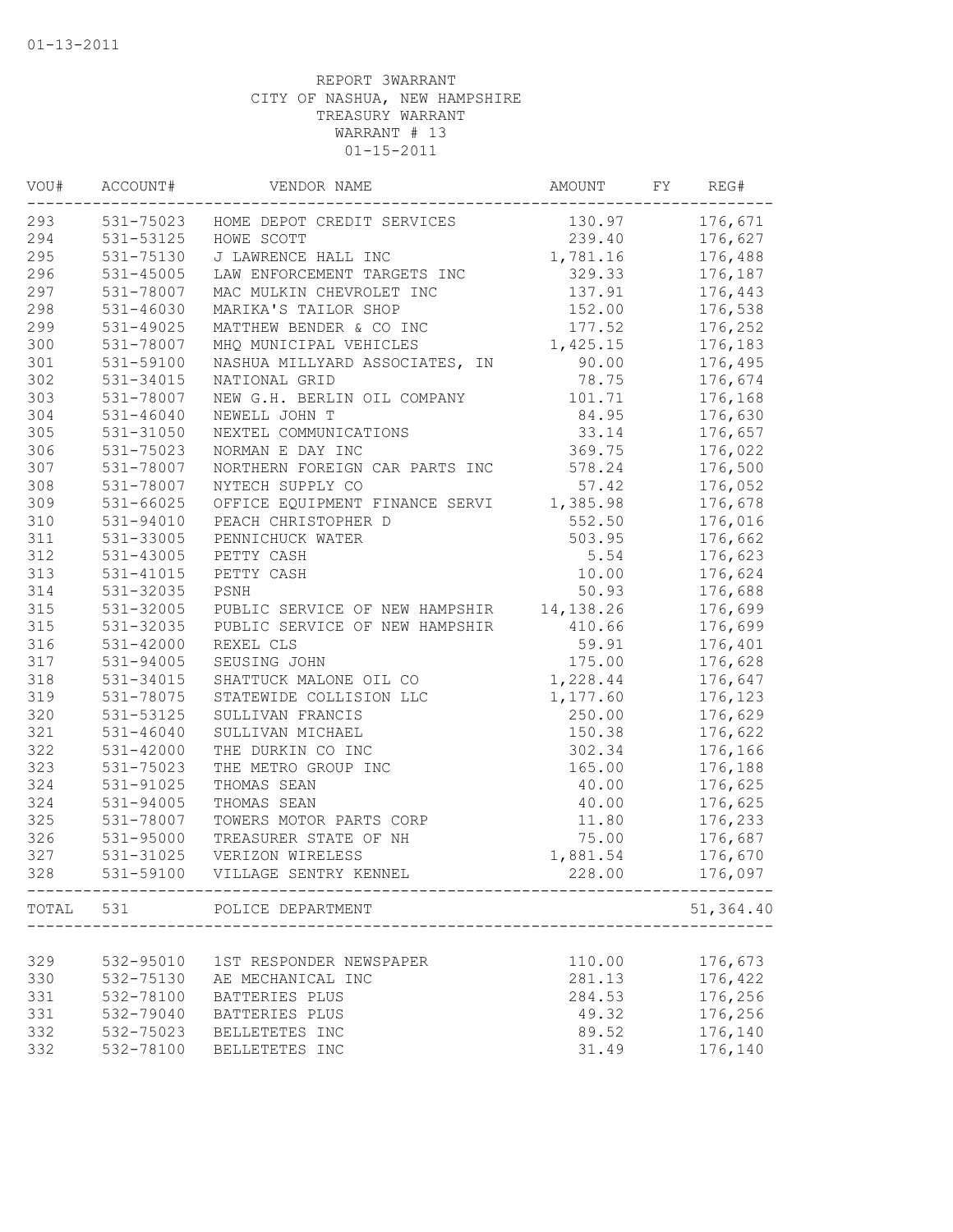| VOU# | ACCOUNT#      | VENDOR NAME                                                  | AMOUNT    | FY | REG#      |
|------|---------------|--------------------------------------------------------------|-----------|----|-----------|
| 293  |               | 531-75023 HOME DEPOT CREDIT SERVICES                         | 130.97    |    | 176,671   |
| 294  | 531-53125     | HOWE SCOTT                                                   | 239.40    |    | 176,627   |
| 295  | 531-75130     | J LAWRENCE HALL INC                                          | 1,781.16  |    | 176,488   |
| 296  | 531-45005     | LAW ENFORCEMENT TARGETS INC                                  | 329.33    |    | 176,187   |
| 297  | 531-78007     | MAC MULKIN CHEVROLET INC                                     | 137.91    |    | 176,443   |
| 298  | 531-46030     | MARIKA'S TAILOR SHOP                                         | 152.00    |    | 176,538   |
| 299  | 531-49025     | MATTHEW BENDER & CO INC                                      | 177.52    |    | 176,252   |
| 300  | 531-78007     | MHQ MUNICIPAL VEHICLES                                       | 1,425.15  |    | 176,183   |
| 301  | 531-59100     | NASHUA MILLYARD ASSOCIATES, IN                               | 90.00     |    | 176,495   |
| 302  | 531-34015     | NATIONAL GRID                                                | 78.75     |    | 176,674   |
| 303  | 531-78007     | NEW G.H. BERLIN OIL COMPANY                                  | 101.71    |    | 176,168   |
| 304  | 531-46040     | NEWELL JOHN T                                                | 84.95     |    | 176,630   |
| 305  | 531-31050     | NEXTEL COMMUNICATIONS                                        | 33.14     |    | 176,657   |
| 306  | 531-75023     | NORMAN E DAY INC                                             | 369.75    |    | 176,022   |
| 307  | 531-78007     | NORTHERN FOREIGN CAR PARTS INC                               | 578.24    |    | 176,500   |
| 308  | 531-78007     | NYTECH SUPPLY CO                                             | 57.42     |    | 176,052   |
| 309  | $531 - 66025$ | OFFICE EQUIPMENT FINANCE SERVI                               | 1,385.98  |    | 176,678   |
| 310  | 531-94010     | PEACH CHRISTOPHER D                                          | 552.50    |    | 176,016   |
| 311  | 531-33005     | PENNICHUCK WATER                                             | 503.95    |    | 176,662   |
| 312  | 531-43005     | PETTY CASH                                                   | 5.54      |    | 176,623   |
| 313  | 531-41015     | PETTY CASH                                                   | 10.00     |    | 176,624   |
| 314  | 531-32035     | PSNH                                                         | 50.93     |    | 176,688   |
| 315  | 531-32005     | PUBLIC SERVICE OF NEW HAMPSHIR                               | 14,138.26 |    | 176,699   |
| 315  | 531-32035     | PUBLIC SERVICE OF NEW HAMPSHIR                               | 410.66    |    | 176,699   |
| 316  | 531-42000     | REXEL CLS                                                    | 59.91     |    | 176,401   |
| 317  | 531-94005     | SEUSING JOHN                                                 | 175.00    |    | 176,628   |
| 318  | 531-34015     | SHATTUCK MALONE OIL CO                                       | 1,228.44  |    | 176,647   |
| 319  | 531-78075     | STATEWIDE COLLISION LLC                                      | 1,177.60  |    | 176,123   |
| 320  | 531-53125     | SULLIVAN FRANCIS                                             | 250.00    |    | 176,629   |
| 321  | 531-46040     | SULLIVAN MICHAEL                                             | 150.38    |    | 176,622   |
| 322  | 531-42000     | THE DURKIN CO INC                                            | 302.34    |    | 176,166   |
| 323  | 531-75023     | THE METRO GROUP INC                                          | 165.00    |    | 176,188   |
| 324  | 531-91025     | THOMAS SEAN                                                  | 40.00     |    | 176,625   |
| 324  | 531-94005     | THOMAS SEAN                                                  | 40.00     |    | 176,625   |
| 325  | 531-78007     | TOWERS MOTOR PARTS CORP                                      | 11.80     |    | 176,233   |
| 326  | 531-95000     | TREASURER STATE OF NH                                        | 75.00     |    | 176,687   |
| 327  | 531-31025     | VERIZON WIRELESS                                             | 1,881.54  |    | 176,670   |
| 328  | 531-59100     | VILLAGE SENTRY KENNEL                                        | 228.00    |    | 176,097   |
|      |               | TOTAL 531 POLICE DEPARTMENT<br>----------------------------- |           |    | 51,364.40 |
|      |               |                                                              |           |    |           |
| 329  | 532-95010     | 1ST RESPONDER NEWSPAPER                                      | 110.00    |    | 176,673   |
| 330  | 532-75130     | AE MECHANICAL INC                                            | 281.13    |    | 176,422   |
| 331  | 532-78100     | BATTERIES PLUS                                               | 284.53    |    | 176,256   |
| 331  | 532-79040     | BATTERIES PLUS                                               | 49.32     |    | 176,256   |
| 332  | 532-75023     | BELLETETES INC                                               | 89.52     |    | 176,140   |
| 332  | 532-78100     | BELLETETES INC                                               | 31.49     |    | 176,140   |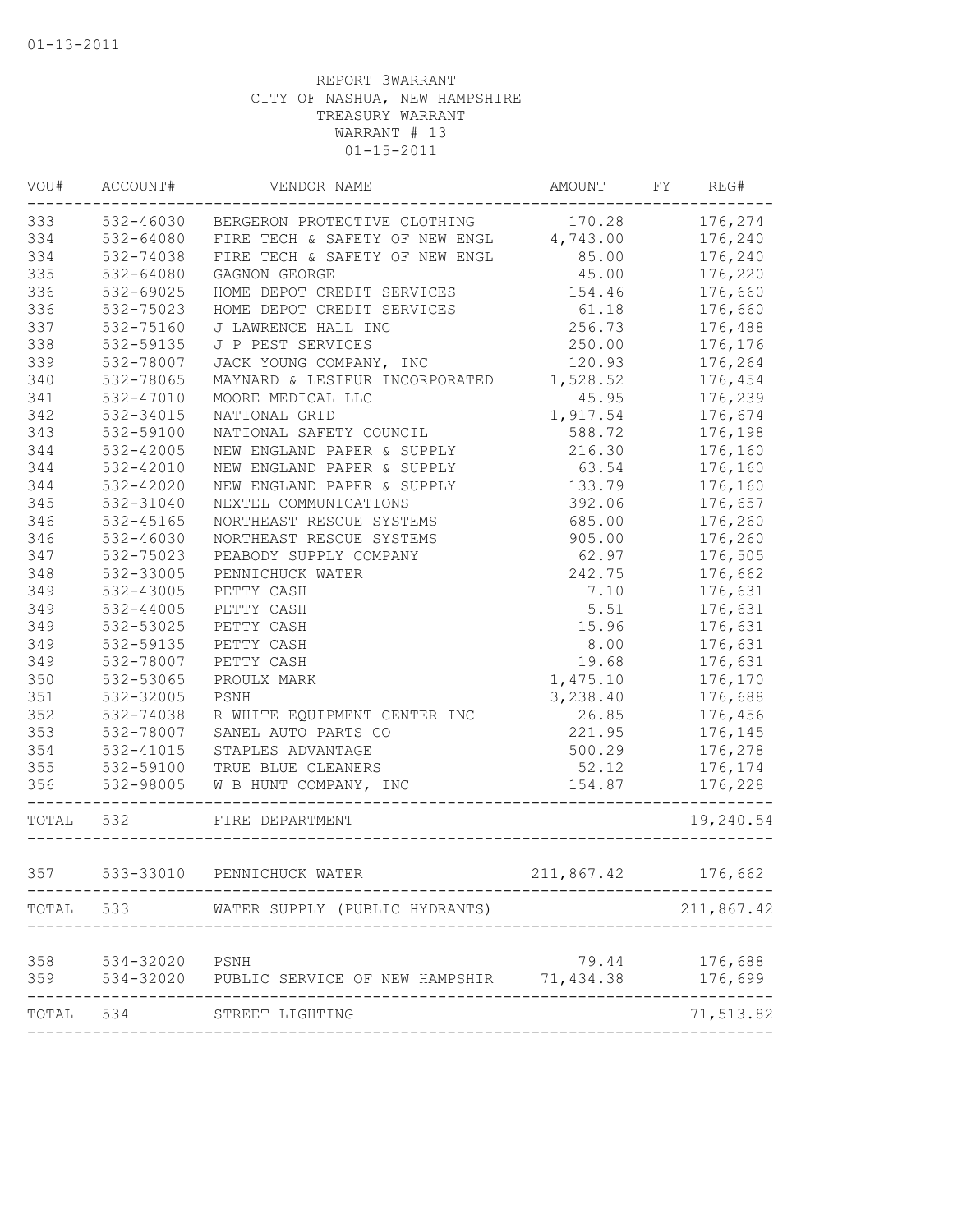|       | VOU# ACCOUNT#  | VENDOR NAME                                        | AMOUNT FY REG# |            |
|-------|----------------|----------------------------------------------------|----------------|------------|
|       |                | 333 532-46030 BERGERON PROTECTIVE CLOTHING         | 170.28         | 176,274    |
| 334   | 532-64080      | FIRE TECH & SAFETY OF NEW ENGL 4,743.00            |                | 176,240    |
| 334   | 532-74038      | FIRE TECH & SAFETY OF NEW ENGL 85.00               |                | 176,240    |
| 335   | 532-64080      | GAGNON GEORGE                                      | 45.00          | 176,220    |
| 336   | 532-69025      | HOME DEPOT CREDIT SERVICES                         | 154.46         | 176,660    |
| 336   | 532-75023      | HOME DEPOT CREDIT SERVICES                         | 61.18          | 176,660    |
| 337   | 532-75160      | J LAWRENCE HALL INC                                | 256.73         | 176,488    |
| 338   | 532-59135      | J P PEST SERVICES                                  | 250.00         | 176,176    |
| 339   | 532-78007      | JACK YOUNG COMPANY, INC                            | 120.93         | 176,264    |
| 340   | 532-78065      | MAYNARD & LESIEUR INCORPORATED                     | 1,528.52       | 176,454    |
| 341   | 532-47010      | MOORE MEDICAL LLC                                  | 45.95          | 176,239    |
| 342   | 532-34015      | NATIONAL GRID                                      | 1,917.54       | 176,674    |
| 343   | 532-59100      | NATIONAL SAFETY COUNCIL                            | 588.72         | 176,198    |
| 344   | 532-42005      | NEW ENGLAND PAPER & SUPPLY                         | 216.30         | 176,160    |
| 344   | 532-42010      | NEW ENGLAND PAPER & SUPPLY                         | 63.54          | 176,160    |
| 344   | 532-42020      | NEW ENGLAND PAPER & SUPPLY                         | 133.79         | 176,160    |
| 345   | 532-31040      | NEXTEL COMMUNICATIONS                              | 392.06         | 176,657    |
| 346   | 532-45165      | NORTHEAST RESCUE SYSTEMS                           | 685.00         | 176,260    |
| 346   | 532-46030      | NORTHEAST RESCUE SYSTEMS                           | 905.00         | 176,260    |
| 347   | 532-75023      | PEABODY SUPPLY COMPANY                             | 62.97          | 176,505    |
| 348   | 532-33005      | PENNICHUCK WATER                                   | 242.75         | 176,662    |
| 349   | 532-43005      | PETTY CASH                                         | 7.10           | 176,631    |
| 349   | 532-44005      | PETTY CASH                                         | 5.51           | 176,631    |
| 349   | 532-53025      | PETTY CASH                                         | 15.96          | 176,631    |
| 349   | 532-59135      | PETTY CASH                                         | 8.00           | 176,631    |
| 349   | 532-78007      | PETTY CASH                                         | 19.68          | 176,631    |
| 350   | 532-53065      | PROULX MARK                                        | 1,475.10       | 176,170    |
| 351   | 532-32005      | PSNH                                               | 3,238.40       | 176,688    |
| 352   | 532-74038      | R WHITE EQUIPMENT CENTER INC                       | 26.85          | 176,456    |
| 353   | 532-78007      | SANEL AUTO PARTS CO                                | 221.95         | 176,145    |
| 354   | 532-41015      | STAPLES ADVANTAGE                                  | 500.29         | 176,278    |
| 355   | 532-59100      | TRUE BLUE CLEANERS                                 | 52.12          | 176,174    |
| 356   | 532-98005      | W B HUNT COMPANY, INC                              | 154.87         | 176,228    |
|       |                |                                                    |                |            |
| TOTAL | 532            | FIRE DEPARTMENT                                    |                | 19,240.54  |
| 357   |                | 533-33010 PENNICHUCK WATER                         | 211,867.42     | 176,662    |
|       |                | TOTAL 533 WATER SUPPLY (PUBLIC HYDRANTS)           |                | 211,867.42 |
|       |                |                                                    |                |            |
| 358   | 534-32020 PSNH |                                                    | 79.44          | 176,688    |
| 359   |                | 534-32020 PUBLIC SERVICE OF NEW HAMPSHIR 71,434.38 |                | 176,699    |
|       |                | TOTAL 534 STREET LIGHTING                          |                | 71,513.82  |
|       |                |                                                    |                |            |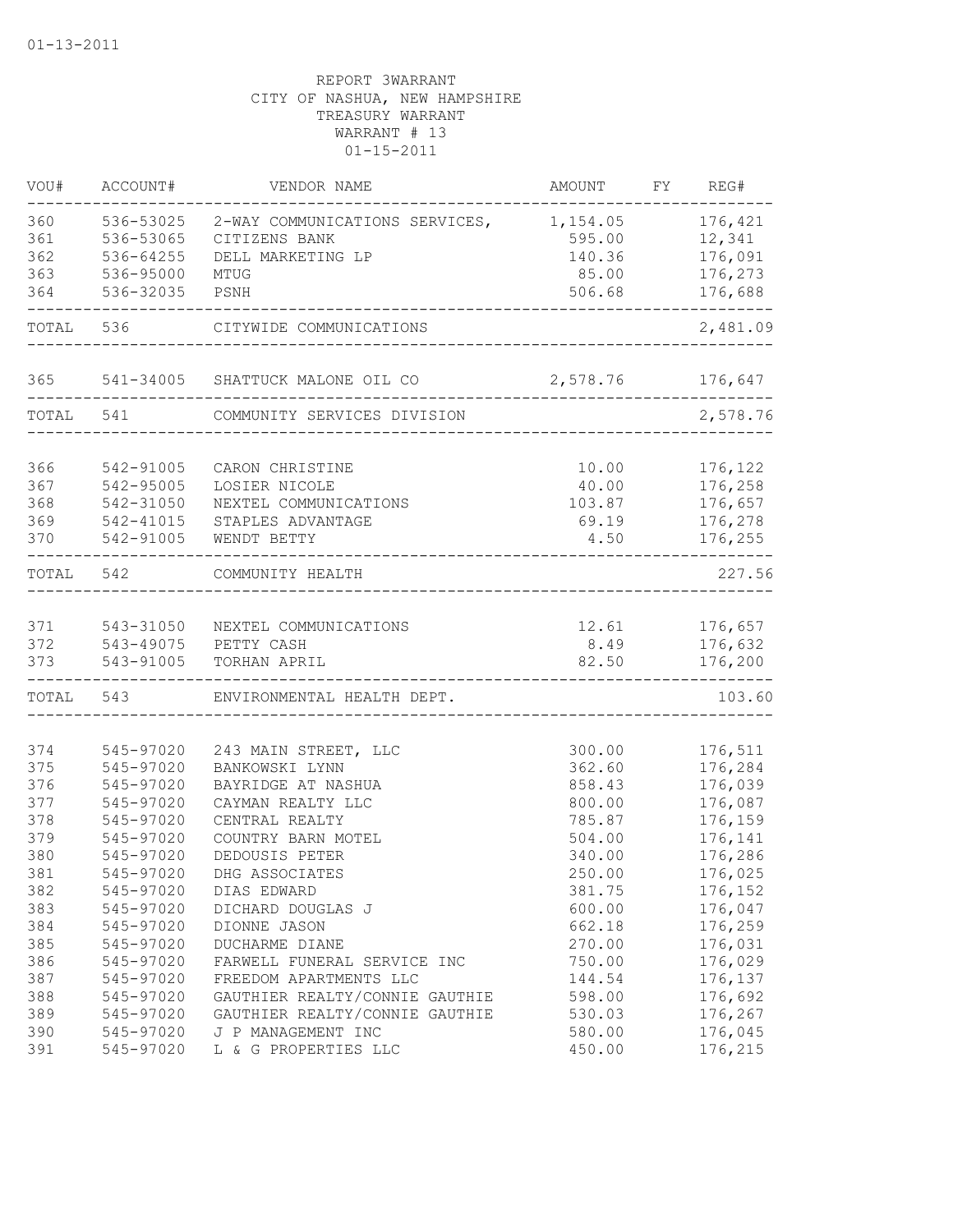| VOU#       | ACCOUNT#               | VENDOR NAME                                              | AMOUNT           | FY REG#            |
|------------|------------------------|----------------------------------------------------------|------------------|--------------------|
| 360<br>361 | 536-53025<br>536-53065 | 2-WAY COMMUNICATIONS SERVICES, 1,154.05<br>CITIZENS BANK | 595.00           | 176,421<br>12,341  |
| 362<br>363 | 536-64255<br>536-95000 | DELL MARKETING LP<br>MTUG                                | 140.36<br>85.00  | 176,091<br>176,273 |
| 364        | 536-32035              | PSNH                                                     | 506.68           | 176,688            |
| TOTAL      | 536                    | CITYWIDE COMMUNICATIONS                                  |                  | 2,481.09           |
|            |                        |                                                          |                  |                    |
| 365        | 541-34005              | SHATTUCK MALONE OIL CO                                   | 2,578.76 176,647 |                    |
| TOTAL      | 541                    | COMMUNITY SERVICES DIVISION                              |                  | 2,578.76           |
| 366        | 542-91005              | CARON CHRISTINE                                          | 10.00            | 176,122            |
| 367        | 542-95005              | LOSIER NICOLE                                            | 40.00            | 176,258            |
| 368        | 542-31050              | NEXTEL COMMUNICATIONS                                    | 103.87           | 176,657            |
| 369        | 542-41015              | STAPLES ADVANTAGE                                        | 69.19            | 176,278            |
| 370        | 542-91005              | WENDT BETTY                                              | 4.50             | 176,255            |
| TOTAL      | 542                    | COMMUNITY HEALTH                                         |                  | 227.56             |
|            |                        |                                                          |                  |                    |
| 371        | 543-31050              | NEXTEL COMMUNICATIONS                                    | 12.61            | 176,657            |
| 372        | 543-49075              | PETTY CASH                                               | 8.49             | 176,632            |
| 373        | 543-91005              | TORHAN APRIL                                             | 82.50            | 176,200            |
| TOTAL      | 543                    | ENVIRONMENTAL HEALTH DEPT.                               |                  | 103.60             |
| 374        | 545-97020              |                                                          |                  | 176,511            |
| 375        | 545-97020              | 243 MAIN STREET, LLC<br>BANKOWSKI LYNN                   | 300.00<br>362.60 | 176,284            |
| 376        | 545-97020              | BAYRIDGE AT NASHUA                                       | 858.43           | 176,039            |
| 377        | 545-97020              | CAYMAN REALTY LLC                                        | 800.00           | 176,087            |
| 378        | 545-97020              | CENTRAL REALTY                                           | 785.87           | 176,159            |
| 379        | 545-97020              | COUNTRY BARN MOTEL                                       | 504.00           | 176,141            |
| 380        | 545-97020              | DEDOUSIS PETER                                           | 340.00           | 176,286            |
| 381        | 545-97020              | DHG ASSOCIATES                                           | 250.00           | 176,025            |
| 382        | 545-97020              | DIAS EDWARD                                              | 381.75           | 176,152            |
| 383        | 545-97020              | DICHARD DOUGLAS J                                        | 600.00           | 176,047            |
| 384        | 545-97020              | DIONNE JASON                                             | 662.18           | 176,259            |
| 385        | 545-97020              | DUCHARME DIANE                                           | 270.00           | 176,031            |
| 386        | 545-97020              | FARWELL FUNERAL SERVICE INC                              | 750.00           | 176,029            |
| 387        | 545-97020              | FREEDOM APARTMENTS LLC                                   | 144.54           | 176,137            |
| 388        | 545-97020              | GAUTHIER REALTY/CONNIE GAUTHIE                           | 598.00           | 176,692            |
| 389        | 545-97020              | GAUTHIER REALTY/CONNIE GAUTHIE                           | 530.03           | 176,267            |
| 390        | 545-97020              | J P MANAGEMENT INC                                       | 580.00           | 176,045            |
| 391        | 545-97020              | L & G PROPERTIES LLC                                     | 450.00           | 176,215            |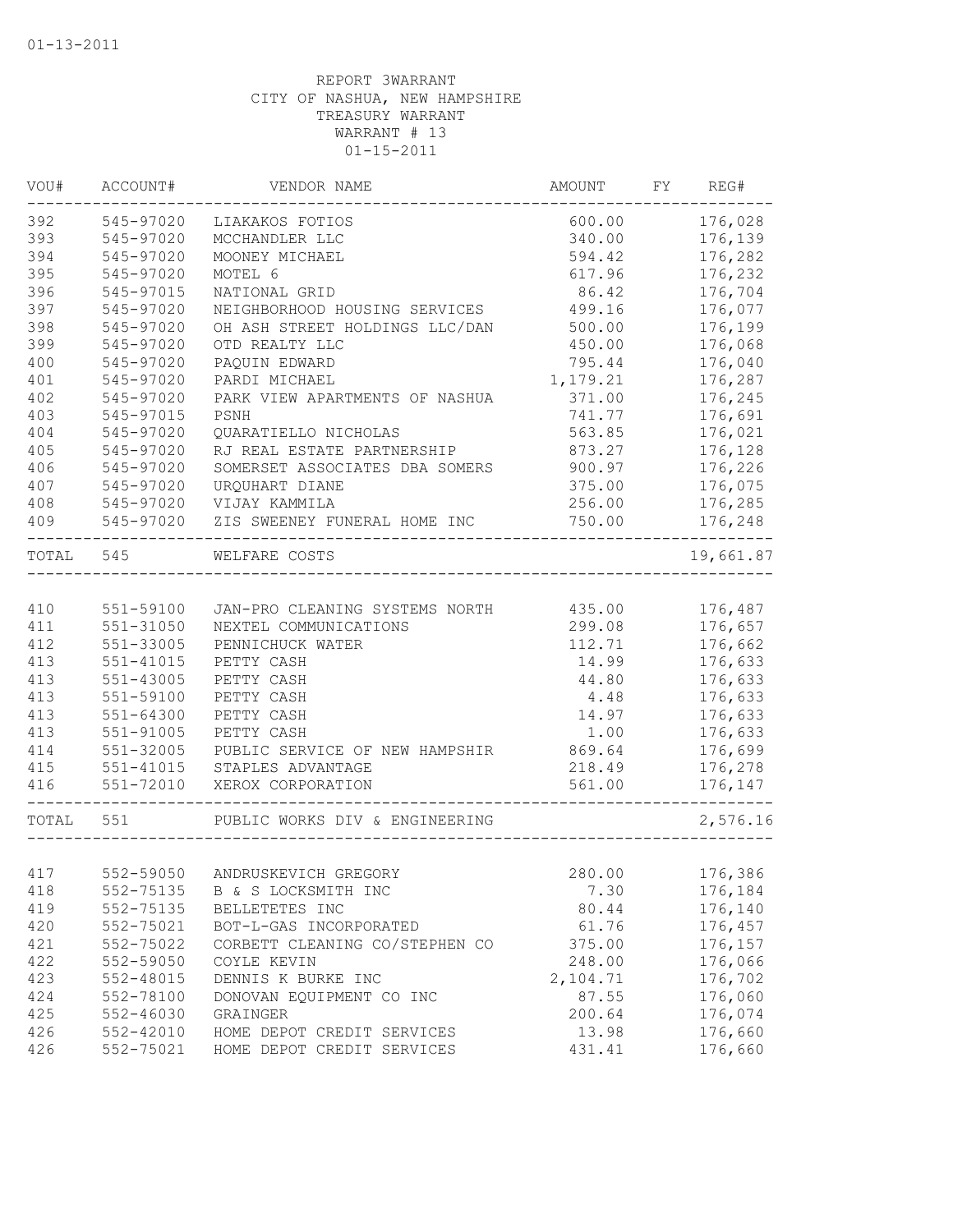| VOU#      | ACCOUNT#               | VENDOR NAME                                             | AMOUNT           | FY | REG#               |
|-----------|------------------------|---------------------------------------------------------|------------------|----|--------------------|
| 392       | 545-97020              | LIAKAKOS FOTIOS                                         | 600.00           |    | 176,028            |
| 393       | 545-97020              | MCCHANDLER LLC                                          | 340.00           |    | 176,139            |
| 394       | 545-97020              | MOONEY MICHAEL                                          | 594.42           |    | 176,282            |
| 395       | 545-97020              | MOTEL 6                                                 | 617.96           |    | 176,232            |
| 396       | 545-97015              | NATIONAL GRID                                           | 86.42            |    | 176,704            |
| 397       | 545-97020              | NEIGHBORHOOD HOUSING SERVICES                           | 499.16           |    | 176,077            |
| 398       | 545-97020              | OH ASH STREET HOLDINGS LLC/DAN                          | 500.00           |    | 176,199            |
| 399       | 545-97020              | OTD REALTY LLC                                          | 450.00           |    | 176,068            |
| 400       | 545-97020              | PAQUIN EDWARD                                           | 795.44           |    | 176,040            |
| 401       | 545-97020              | PARDI MICHAEL                                           | 1,179.21         |    | 176,287            |
| 402       | 545-97020              | PARK VIEW APARTMENTS OF NASHUA                          | 371.00           |    | 176,245            |
| 403       | 545-97015              | PSNH                                                    | 741.77           |    | 176,691            |
| 404       | 545-97020              | QUARATIELLO NICHOLAS                                    | 563.85           |    | 176,021            |
| 405       | 545-97020              | RJ REAL ESTATE PARTNERSHIP                              | 873.27           |    | 176,128            |
| 406       | 545-97020              | SOMERSET ASSOCIATES DBA SOMERS                          | 900.97           |    | 176,226            |
| 407       | 545-97020              | URQUHART DIANE                                          | 375.00           |    | 176,075            |
| 408       | 545-97020              | VIJAY KAMMILA                                           | 256.00           |    | 176,285            |
| 409       | 545-97020              | ZIS SWEENEY FUNERAL HOME INC                            | 750.00           |    | 176,248            |
| TOTAL     | 545                    | WELFARE COSTS                                           |                  |    | 19,661.87          |
| 410       |                        |                                                         |                  |    |                    |
| 411       | 551-59100<br>551-31050 | JAN-PRO CLEANING SYSTEMS NORTH<br>NEXTEL COMMUNICATIONS | 435.00<br>299.08 |    | 176,487<br>176,657 |
| 412       | 551-33005              |                                                         | 112.71           |    |                    |
| 413       |                        | PENNICHUCK WATER                                        | 14.99            |    | 176,662            |
| 413       | 551-41015              | PETTY CASH                                              | 44.80            |    | 176,633<br>176,633 |
| 413       | 551-43005<br>551-59100 | PETTY CASH                                              |                  |    | 176,633            |
|           |                        | PETTY CASH                                              | 4.48             |    |                    |
| 413       | 551-64300              | PETTY CASH                                              | 14.97            |    | 176,633            |
| 413       | $551 - 91005$          | PETTY CASH                                              | 1.00             |    | 176,633            |
| 414       | 551-32005              | PUBLIC SERVICE OF NEW HAMPSHIR                          | 869.64           |    | 176,699            |
| 415       | 551-41015              | STAPLES ADVANTAGE<br>XEROX CORPORATION                  | 218.49<br>561.00 |    | 176,278            |
| 416       | 551-72010              |                                                         |                  |    | 176,147            |
| TOTAL 551 |                        | PUBLIC WORKS DIV & ENGINEERING                          |                  |    | 2,576.16           |
|           |                        |                                                         |                  |    |                    |
| 417       | 552-59050              | ANDRUSKEVICH GREGORY                                    | 280.00           |    | 176,386            |
| 418       | 552-75135              | B & S LOCKSMITH INC                                     | 7.30             |    | 176,184            |
| 419       | 552-75135              | BELLETETES INC                                          | 80.44            |    | 176,140            |
| 420       | 552-75021              | BOT-L-GAS INCORPORATED                                  | 61.76            |    | 176,457            |
| 421       | 552-75022              | CORBETT CLEANING CO/STEPHEN CO                          | 375.00           |    | 176,157            |
| 422       | 552-59050              | COYLE KEVIN                                             | 248.00           |    | 176,066            |
| 423       | 552-48015              | DENNIS K BURKE INC                                      | 2,104.71         |    | 176,702            |
| 424       | 552-78100              | DONOVAN EQUIPMENT CO INC                                | 87.55            |    | 176,060            |
| 425       | 552-46030              | GRAINGER                                                | 200.64           |    | 176,074            |
| 426       | 552-42010              | HOME DEPOT CREDIT SERVICES                              | 13.98            |    | 176,660            |
| 426       | 552-75021              | HOME DEPOT CREDIT SERVICES                              | 431.41           |    | 176,660            |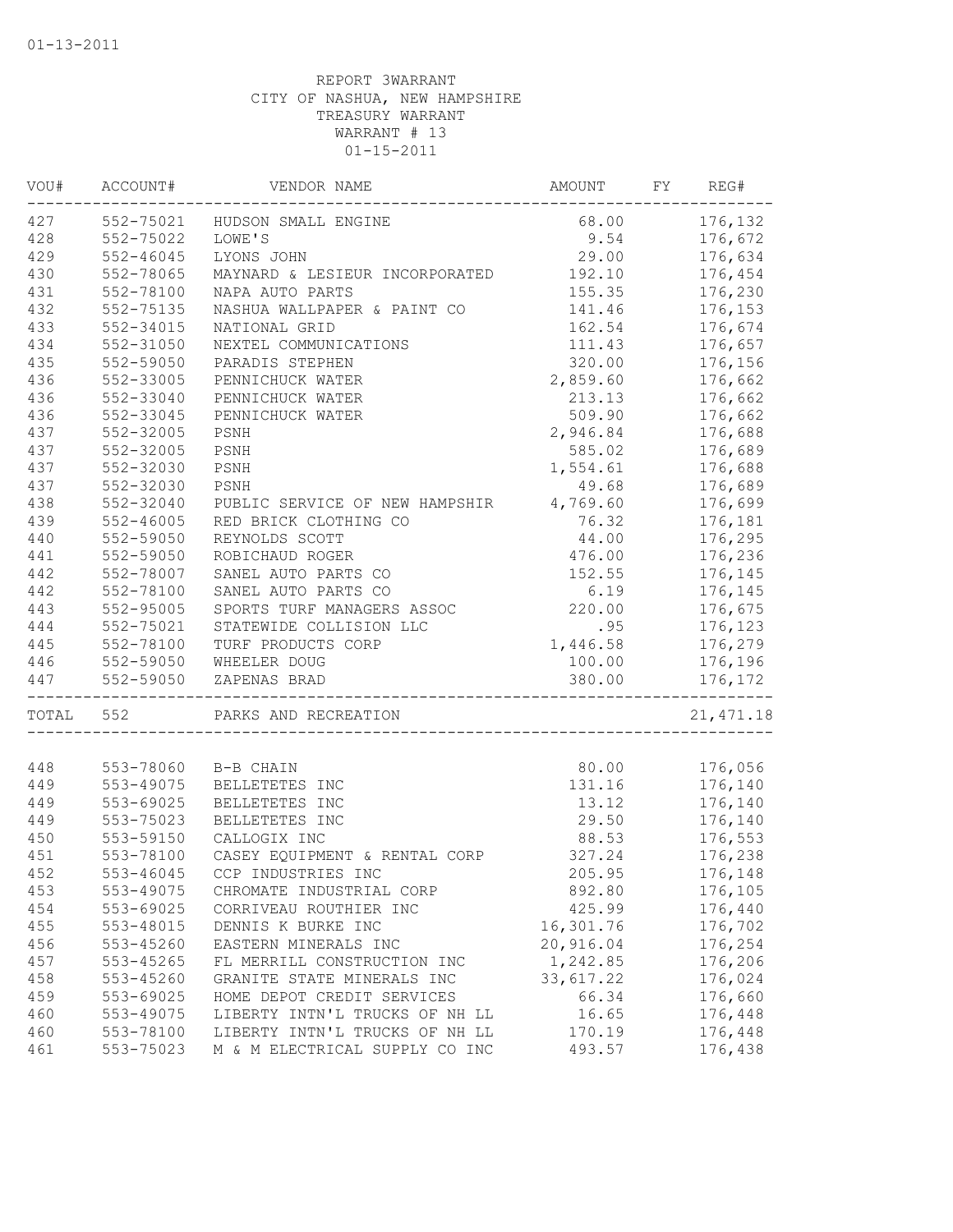| VOU#       | ACCOUNT#               | VENDOR NAME                    | AMOUNT    | FY. | REG#       |
|------------|------------------------|--------------------------------|-----------|-----|------------|
| 427        | 552-75021              | HUDSON SMALL ENGINE            | 68.00     |     | 176,132    |
| 428        | 552-75022              | LOWE'S                         | 9.54      |     | 176,672    |
| 429        | $552 - 46045$          | LYONS JOHN                     | 29.00     |     | 176,634    |
| 430        | 552-78065              | MAYNARD & LESIEUR INCORPORATED | 192.10    |     | 176,454    |
| 431        | 552-78100              | NAPA AUTO PARTS                | 155.35    |     | 176,230    |
| 432        | 552-75135              | NASHUA WALLPAPER & PAINT CO    | 141.46    |     | 176,153    |
| 433        | 552-34015              | NATIONAL GRID                  | 162.54    |     | 176,674    |
| 434        | 552-31050              | NEXTEL COMMUNICATIONS          | 111.43    |     | 176,657    |
| 435        | 552-59050              | PARADIS STEPHEN                | 320.00    |     | 176,156    |
| 436        | 552-33005              | PENNICHUCK WATER               | 2,859.60  |     | 176,662    |
| 436        | 552-33040              | PENNICHUCK WATER               | 213.13    |     | 176,662    |
| 436        | 552-33045              | PENNICHUCK WATER               | 509.90    |     | 176,662    |
| 437        | 552-32005              | PSNH                           | 2,946.84  |     | 176,688    |
| 437        | 552-32005              | PSNH                           | 585.02    |     | 176,689    |
| 437        | 552-32030              | PSNH                           | 1,554.61  |     | 176,688    |
| 437        | 552-32030              | PSNH                           | 49.68     |     | 176,689    |
| 438        | 552-32040              | PUBLIC SERVICE OF NEW HAMPSHIR | 4,769.60  |     | 176,699    |
| 439        | $552 - 46005$          | RED BRICK CLOTHING CO          | 76.32     |     | 176,181    |
| 440        | 552-59050              | REYNOLDS SCOTT                 | 44.00     |     | 176,295    |
| 441        | 552-59050              | ROBICHAUD ROGER                | 476.00    |     | 176,236    |
| 442        | 552-78007              | SANEL AUTO PARTS CO            | 152.55    |     | 176,145    |
| 442        | 552-78100              | SANEL AUTO PARTS CO            | 6.19      |     | 176,145    |
| 443        | 552-95005              | SPORTS TURF MANAGERS ASSOC     | 220.00    |     | 176,675    |
| 444        | 552-75021              | STATEWIDE COLLISION LLC        | .95       |     | 176,123    |
| 445        | 552-78100              | TURF PRODUCTS CORP             | 1,446.58  |     | 176,279    |
|            |                        |                                |           |     |            |
| 446<br>447 | 552-59050<br>552-59050 | WHEELER DOUG                   | 100.00    |     | 176,196    |
|            |                        | ZAPENAS BRAD                   | 380.00    |     | 176,172    |
| TOTAL      | 552                    | PARKS AND RECREATION           |           |     | 21, 471.18 |
|            |                        |                                |           |     |            |
| 448        | 553-78060              | B-B CHAIN                      | 80.00     |     | 176,056    |
| 449        | 553-49075              | BELLETETES INC                 | 131.16    |     | 176,140    |
| 449        | 553-69025              | BELLETETES INC                 | 13.12     |     | 176,140    |
| 449        | 553-75023              | BELLETETES INC                 | 29.50     |     | 176,140    |
| 450        | 553-59150              | CALLOGIX INC                   | 88.53     |     | 176,553    |
| 451        | 553-78100              | CASEY EQUIPMENT & RENTAL CORP  | 327.24    |     | 176,238    |
| 452        | 553-46045              | CCP INDUSTRIES INC             | 205.95    |     | 176,148    |
| 453        | 553-49075              | CHROMATE INDUSTRIAL CORP       | 892.80    |     | 176,105    |
| 454        | 553-69025              | CORRIVEAU ROUTHIER INC         | 425.99    |     | 176,440    |
| 455        | 553-48015              | DENNIS K BURKE INC             | 16,301.76 |     | 176,702    |
| 456        | 553-45260              | EASTERN MINERALS INC           | 20,916.04 |     | 176,254    |
| 457        | 553-45265              | FL MERRILL CONSTRUCTION INC    | 1,242.85  |     | 176,206    |
| 458        | 553-45260              | GRANITE STATE MINERALS INC     | 33,617.22 |     | 176,024    |
| 459        | 553-69025              | HOME DEPOT CREDIT SERVICES     | 66.34     |     | 176,660    |
| 460        | 553-49075              | LIBERTY INTN'L TRUCKS OF NH LL | 16.65     |     | 176,448    |
| 460        | 553-78100              | LIBERTY INTN'L TRUCKS OF NH LL | 170.19    |     | 176,448    |
| 461        | 553-75023              | M & M ELECTRICAL SUPPLY CO INC | 493.57    |     | 176,438    |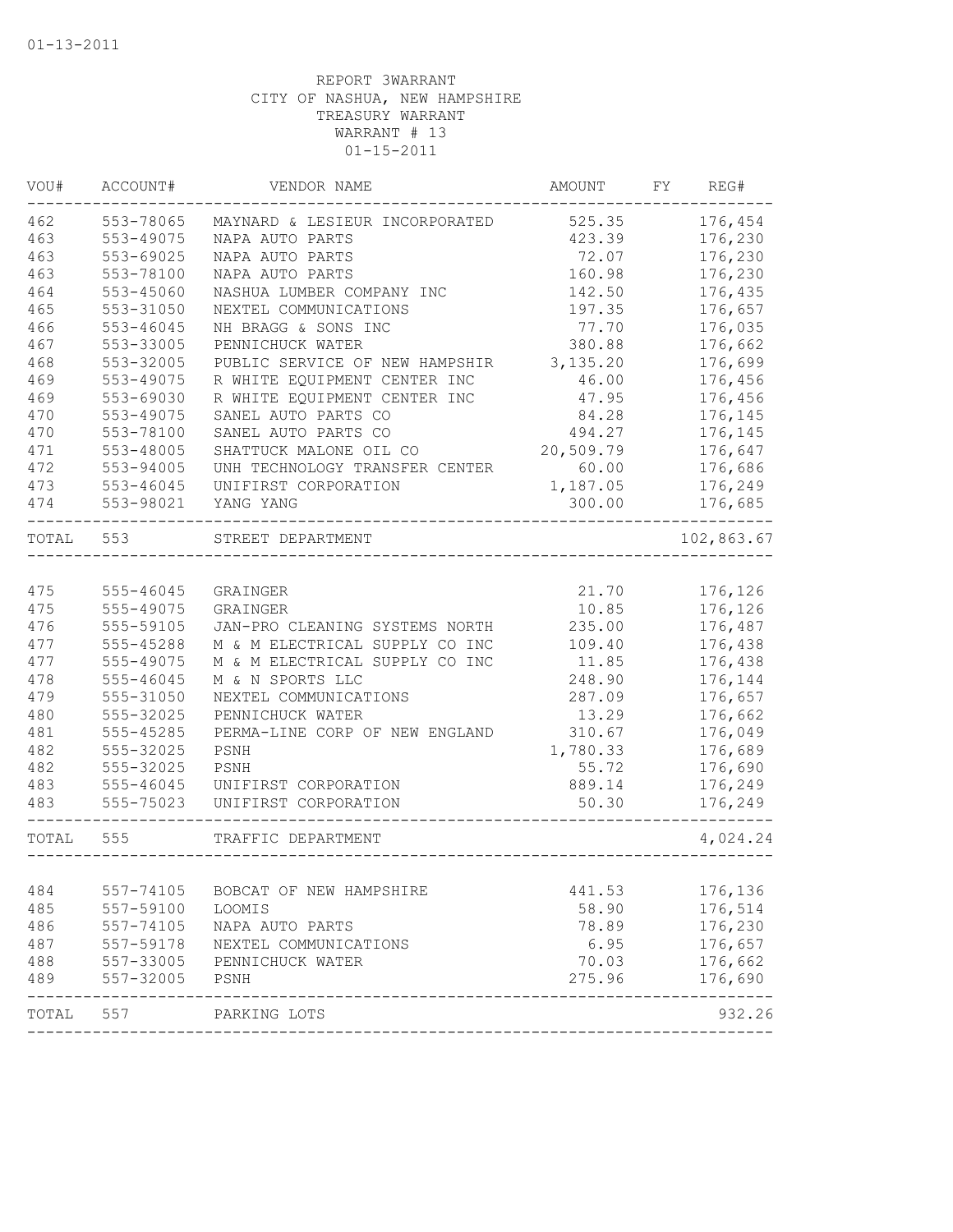| VOU#      | ACCOUNT#  | VENDOR NAME                    | AMOUNT          | FΥ | REG#       |
|-----------|-----------|--------------------------------|-----------------|----|------------|
| 462       | 553-78065 | MAYNARD & LESIEUR INCORPORATED | 525.35          |    | 176,454    |
| 463       | 553-49075 | NAPA AUTO PARTS                | 423.39          |    | 176,230    |
| 463       | 553-69025 | NAPA AUTO PARTS                | 72.07           |    | 176,230    |
| 463       | 553-78100 | NAPA AUTO PARTS                | 160.98          |    | 176,230    |
| 464       | 553-45060 | NASHUA LUMBER COMPANY INC      | 142.50          |    | 176,435    |
| 465       | 553-31050 | NEXTEL COMMUNICATIONS          | 197.35          |    | 176,657    |
| 466       | 553-46045 | NH BRAGG & SONS INC            | 77.70           |    | 176,035    |
| 467       | 553-33005 | PENNICHUCK WATER               | 380.88          |    | 176,662    |
| 468       | 553-32005 | PUBLIC SERVICE OF NEW HAMPSHIR | 3, 135.20       |    | 176,699    |
| 469       | 553-49075 | R WHITE EQUIPMENT CENTER INC   | 46.00           |    | 176,456    |
| 469       | 553-69030 | R WHITE EQUIPMENT CENTER INC   | 47.95           |    | 176,456    |
| 470       | 553-49075 | SANEL AUTO PARTS CO            | 84.28           |    | 176,145    |
| 470       | 553-78100 | SANEL AUTO PARTS CO            | 494.27          |    | 176,145    |
| 471       | 553-48005 | SHATTUCK MALONE OIL CO         | 20,509.79       |    | 176,647    |
| 472       | 553-94005 | UNH TECHNOLOGY TRANSFER CENTER | 60.00           |    | 176,686    |
| 473       | 553-46045 | UNIFIRST CORPORATION           | 1,187.05        |    | 176,249    |
| 474       | 553-98021 | YANG YANG                      | 300.00          |    | 176,685    |
| TOTAL     | 553       | STREET DEPARTMENT              |                 |    | 102,863.67 |
|           |           |                                |                 |    |            |
| 475       | 555-46045 | GRAINGER                       | 21.70           |    | 176,126    |
| 475       | 555-49075 | GRAINGER                       | 10.85           |    | 176,126    |
| 476       | 555-59105 | JAN-PRO CLEANING SYSTEMS NORTH | 235.00          |    | 176,487    |
| 477       | 555-45288 | M & M ELECTRICAL SUPPLY CO INC | 109.40          |    | 176,438    |
| 477       | 555-49075 | M & M ELECTRICAL SUPPLY CO INC | 11.85           |    | 176,438    |
| 478       | 555-46045 | M & N SPORTS LLC               | 248.90          |    | 176,144    |
| 479       | 555-31050 | NEXTEL COMMUNICATIONS          | 287.09          |    | 176,657    |
| 480       | 555-32025 | PENNICHUCK WATER               | 13.29           |    | 176,662    |
| 481       | 555-45285 | PERMA-LINE CORP OF NEW ENGLAND | 310.67          |    | 176,049    |
| 482       | 555-32025 | PSNH                           | 1,780.33        |    | 176,689    |
| 482       | 555-32025 | PSNH                           | 55.72           |    | 176,690    |
| 483       | 555-46045 | UNIFIRST CORPORATION           | 889.14          |    | 176,249    |
| 483       | 555-75023 | UNIFIRST CORPORATION           | 50.30           |    | 176,249    |
| TOTAL     | 555       | TRAFFIC DEPARTMENT             |                 |    | 4,024.24   |
| 484       | 557-74105 | BOBCAT OF NEW HAMPSHIRE        |                 |    | 176,136    |
| 485       | 557-59100 | LOOMIS                         | 441.53<br>58.90 |    | 176,514    |
| 486       | 557-74105 | NAPA AUTO PARTS                | 78.89           |    | 176,230    |
| 487       | 557-59178 | NEXTEL COMMUNICATIONS          | 6.95            |    | 176,657    |
| 488       | 557-33005 | PENNICHUCK WATER               | 70.03           |    | 176,662    |
| 489       | 557-32005 | PSNH                           | 275.96          |    | 176,690    |
| TOTAL 557 |           | PARKING LOTS                   |                 |    | 932.26     |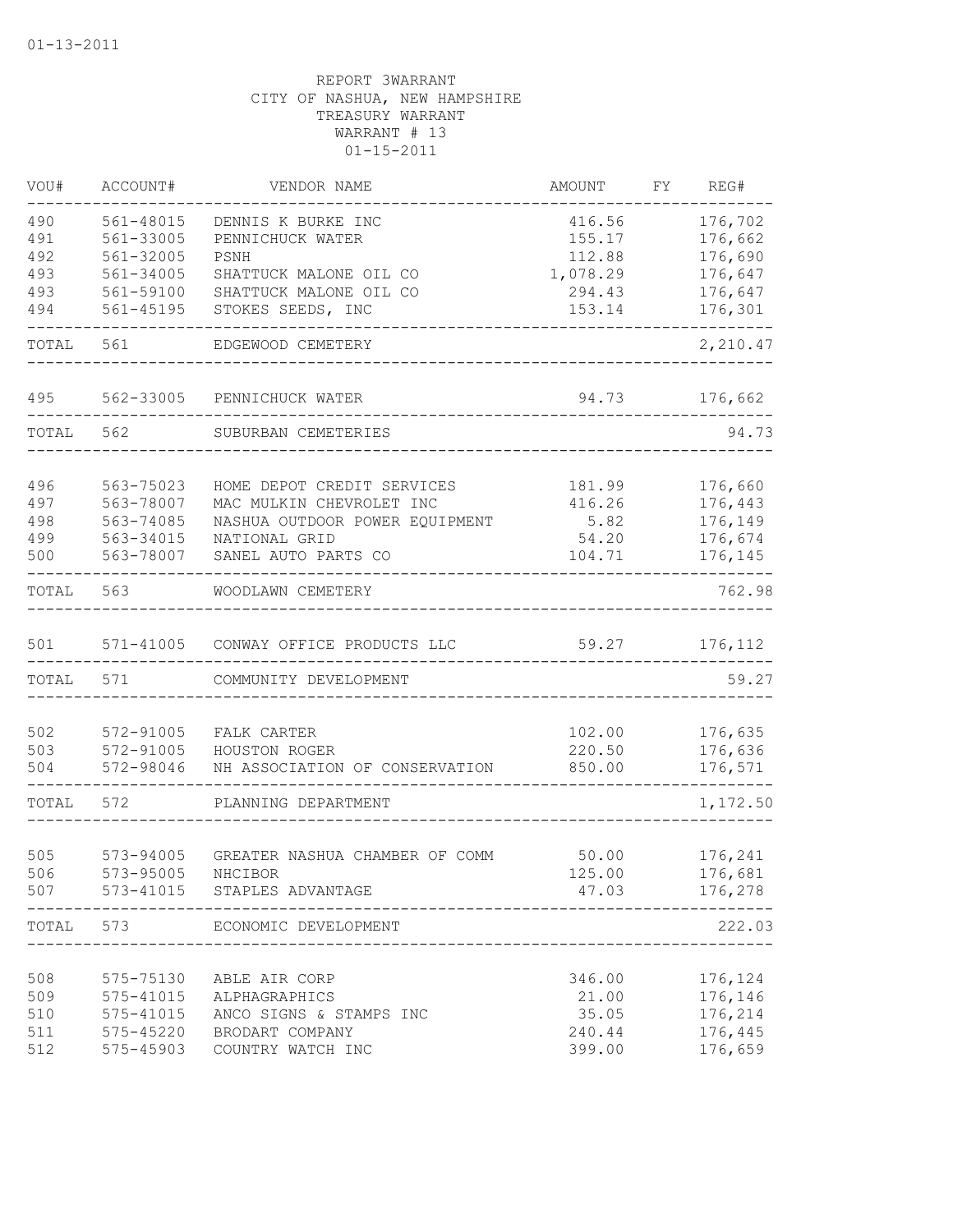| VOU#       | ACCOUNT#               | VENDOR NAME                                     | AMOUNT           | FΥ | REG#               |
|------------|------------------------|-------------------------------------------------|------------------|----|--------------------|
| 490        | 561-48015              | DENNIS K BURKE INC                              | 416.56           |    | 176,702            |
| 491        | 561-33005              | PENNICHUCK WATER                                | 155.17           |    | 176,662            |
| 492        | 561-32005              | PSNH                                            | 112.88           |    | 176,690            |
| 493<br>493 | 561-34005<br>561-59100 | SHATTUCK MALONE OIL CO                          | 1,078.29         |    | 176,647            |
| 494        | 561-45195              | SHATTUCK MALONE OIL CO<br>STOKES SEEDS, INC     | 294.43<br>153.14 |    | 176,647<br>176,301 |
| TOTAL      | 561                    | EDGEWOOD CEMETERY                               |                  |    | 2,210.47           |
|            |                        |                                                 |                  |    |                    |
| 495        | 562-33005              | PENNICHUCK WATER                                | 94.73            |    | 176,662            |
| TOTAL      | 562                    | SUBURBAN CEMETERIES                             |                  |    | 94.73              |
| 496        | 563-75023              | HOME DEPOT CREDIT SERVICES                      | 181.99           |    | 176,660            |
| 497        | 563-78007              | MAC MULKIN CHEVROLET INC                        | 416.26           |    | 176,443            |
| 498        | 563-74085              | NASHUA OUTDOOR POWER EQUIPMENT                  | 5.82             |    | 176,149            |
| 499        | 563-34015              | NATIONAL GRID                                   | 54.20            |    | 176,674            |
| 500        | 563-78007              | SANEL AUTO PARTS CO                             | 104.71           |    | 176,145            |
| TOTAL      | 563                    | WOODLAWN CEMETERY                               |                  |    | 762.98             |
| 501        | 571-41005              | CONWAY OFFICE PRODUCTS LLC                      | 59.27            |    | 176,112            |
| TOTAL      | 571                    | COMMUNITY DEVELOPMENT                           |                  |    | 59.27              |
|            |                        |                                                 |                  |    |                    |
| 502        | 572-91005              | FALK CARTER                                     | 102.00           |    | 176,635            |
| 503<br>504 | 572-91005<br>572-98046 | HOUSTON ROGER<br>NH ASSOCIATION OF CONSERVATION | 220.50<br>850.00 |    | 176,636<br>176,571 |
|            |                        |                                                 |                  |    |                    |
| TOTAL      | 572                    | PLANNING DEPARTMENT                             |                  |    | 1,172.50           |
|            |                        |                                                 |                  |    |                    |
| 505<br>506 | 573-94005<br>573-95005 | GREATER NASHUA CHAMBER OF COMM<br>NHCIBOR       | 50.00<br>125.00  |    | 176,241<br>176,681 |
| 507        | 573-41015              | STAPLES ADVANTAGE                               | 47.03            |    | 176,278            |
| TOTAL      | 573                    | ECONOMIC DEVELOPMENT                            |                  |    | 222.03             |
|            |                        |                                                 |                  |    |                    |
| 508        | 575-75130              | ABLE AIR CORP                                   | 346.00           |    | 176,124            |
| 509        | 575-41015              | ALPHAGRAPHICS                                   | 21.00            |    | 176,146            |
| 510        | 575-41015              | ANCO SIGNS & STAMPS INC                         | 35.05            |    | 176,214            |
| 511        | 575-45220              | BRODART COMPANY                                 | 240.44           |    | 176,445            |
| 512        | 575-45903              | COUNTRY WATCH INC                               | 399.00           |    | 176,659            |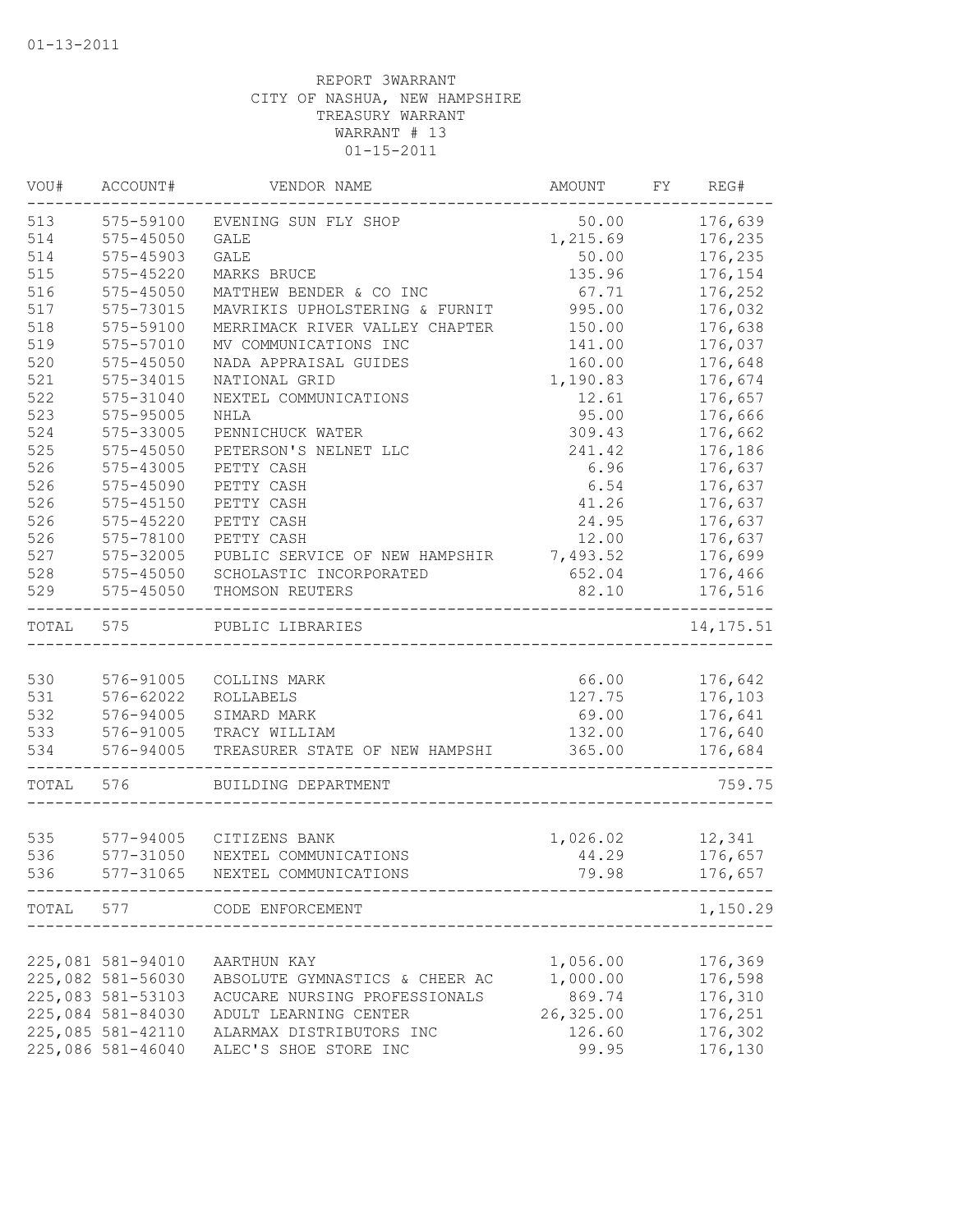| WOU#  | ACCOUNT#          | VENDOR NAME                             | AMOUNT    | FY | REG#       |
|-------|-------------------|-----------------------------------------|-----------|----|------------|
| 513   | 575-59100         | EVENING SUN FLY SHOP                    | 50.00     |    | 176,639    |
| 514   | 575-45050         | <b>GALE</b>                             | 1,215.69  |    | 176,235    |
| 514   | 575-45903         | <b>GALE</b>                             | 50.00     |    | 176,235    |
| 515   | 575-45220         | MARKS BRUCE                             | 135.96    |    | 176,154    |
| 516   | 575-45050         | MATTHEW BENDER & CO INC                 | 67.71     |    | 176,252    |
| 517   | 575-73015         | MAVRIKIS UPHOLSTERING & FURNIT          | 995.00    |    | 176,032    |
| 518   | 575-59100         | MERRIMACK RIVER VALLEY CHAPTER          | 150.00    |    | 176,638    |
| 519   | 575-57010         | MV COMMUNICATIONS INC                   | 141.00    |    | 176,037    |
| 520   | 575-45050         | NADA APPRAISAL GUIDES                   | 160.00    |    | 176,648    |
| 521   | 575-34015         | NATIONAL GRID                           | 1,190.83  |    | 176,674    |
| 522   | 575-31040         | NEXTEL COMMUNICATIONS                   | 12.61     |    | 176,657    |
| 523   | 575-95005         | NHLA                                    | 95.00     |    | 176,666    |
| 524   | 575-33005         | PENNICHUCK WATER                        | 309.43    |    | 176,662    |
| 525   | 575-45050         | PETERSON'S NELNET LLC                   | 241.42    |    | 176,186    |
| 526   | 575-43005         | PETTY CASH                              | 6.96      |    | 176,637    |
| 526   | 575-45090         | PETTY CASH                              | 6.54      |    | 176,637    |
| 526   | $575 - 45150$     | PETTY CASH                              | 41.26     |    | 176,637    |
| 526   | 575-45220         | PETTY CASH                              | 24.95     |    | 176,637    |
| 526   | 575-78100         | PETTY CASH                              | 12.00     |    | 176,637    |
| 527   | $575 - 32005$     | PUBLIC SERVICE OF NEW HAMPSHIR 7,493.52 |           |    | 176,699    |
| 528   | 575-45050         | SCHOLASTIC INCORPORATED                 | 652.04    |    | 176,466    |
| 529   | $575 - 45050$     | THOMSON REUTERS                         | 82.10     |    | 176,516    |
| TOTAL | 575               | PUBLIC LIBRARIES                        |           |    | 14, 175.51 |
|       |                   |                                         |           |    |            |
| 530   | 576-91005         | COLLINS MARK                            | 66.00     |    | 176,642    |
| 531   | 576-62022         | ROLLABELS                               | 127.75    |    | 176,103    |
| 532   | 576-94005         | SIMARD MARK                             | 69.00     |    | 176,641    |
| 533   | 576-91005         | TRACY WILLIAM                           | 132.00    |    | 176,640    |
| 534   | 576-94005         | TREASURER STATE OF NEW HAMPSHI          | 365.00    |    | 176,684    |
| TOTAL | 576               | BUILDING DEPARTMENT                     |           |    | 759.75     |
|       |                   |                                         |           |    |            |
| 535   |                   | 577-94005 CITIZENS BANK                 | 1,026.02  |    | 12,341     |
| 536   | 577-31050         | NEXTEL COMMUNICATIONS                   | 44.29     |    | 176,657    |
| 536   | 577-31065         | NEXTEL COMMUNICATIONS                   | 79.98     |    | 176,657    |
|       |                   | TOTAL 577 CODE ENFORCEMENT              |           |    | 1,150.29   |
|       |                   |                                         |           |    |            |
|       | 225,081 581-94010 | AARTHUN KAY                             | 1,056.00  |    | 176,369    |
|       | 225,082 581-56030 | ABSOLUTE GYMNASTICS & CHEER AC          | 1,000.00  |    | 176,598    |
|       | 225,083 581-53103 | ACUCARE NURSING PROFESSIONALS           | 869.74    |    | 176,310    |
|       | 225,084 581-84030 | ADULT LEARNING CENTER                   | 26,325.00 |    | 176,251    |
|       | 225,085 581-42110 | ALARMAX DISTRIBUTORS INC                | 126.60    |    | 176,302    |
|       | 225,086 581-46040 | ALEC'S SHOE STORE INC                   | 99.95     |    | 176,130    |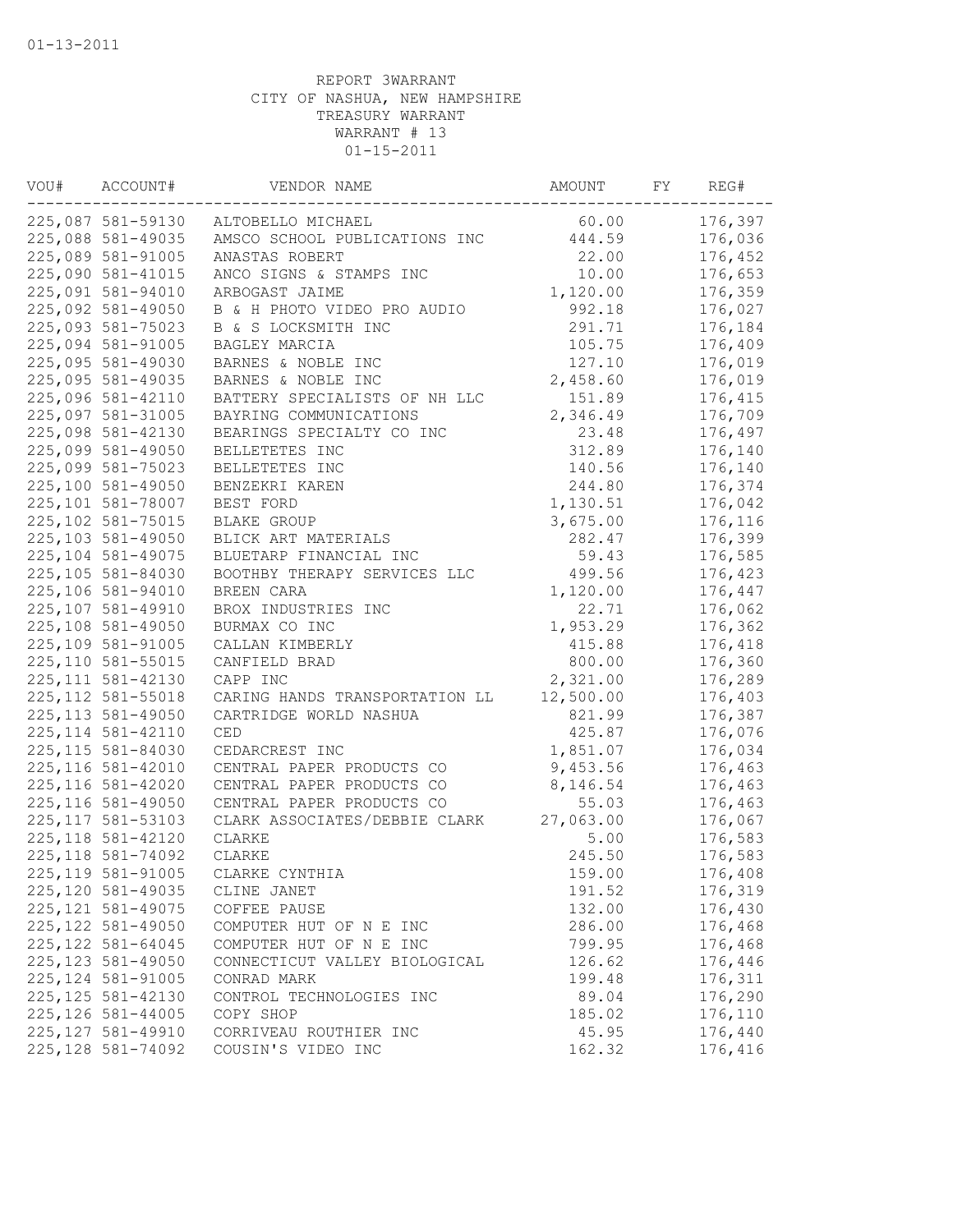| VOU# | ACCOUNT#           | VENDOR NAME                    | AMOUNT    | FY | REG#    |
|------|--------------------|--------------------------------|-----------|----|---------|
|      | 225,087 581-59130  | ALTOBELLO MICHAEL              | 60.00     |    | 176,397 |
|      | 225,088 581-49035  | AMSCO SCHOOL PUBLICATIONS INC  | 444.59    |    | 176,036 |
|      | 225,089 581-91005  | ANASTAS ROBERT                 | 22.00     |    | 176,452 |
|      | 225,090 581-41015  | ANCO SIGNS & STAMPS INC        | 10.00     |    | 176,653 |
|      | 225,091 581-94010  | ARBOGAST JAIME                 | 1,120.00  |    | 176,359 |
|      | 225,092 581-49050  | B & H PHOTO VIDEO PRO AUDIO    | 992.18    |    | 176,027 |
|      | 225,093 581-75023  | B & S LOCKSMITH INC            | 291.71    |    | 176,184 |
|      | 225,094 581-91005  | BAGLEY MARCIA                  | 105.75    |    | 176,409 |
|      | 225,095 581-49030  | BARNES & NOBLE INC             | 127.10    |    | 176,019 |
|      | 225,095 581-49035  | BARNES & NOBLE INC             | 2,458.60  |    | 176,019 |
|      | 225,096 581-42110  | BATTERY SPECIALISTS OF NH LLC  | 151.89    |    | 176,415 |
|      | 225,097 581-31005  | BAYRING COMMUNICATIONS         | 2,346.49  |    | 176,709 |
|      | 225,098 581-42130  | BEARINGS SPECIALTY CO INC      | 23.48     |    | 176,497 |
|      | 225,099 581-49050  | BELLETETES INC                 | 312.89    |    | 176,140 |
|      | 225,099 581-75023  | BELLETETES INC                 | 140.56    |    | 176,140 |
|      | 225,100 581-49050  | BENZEKRI KAREN                 | 244.80    |    | 176,374 |
|      | 225,101 581-78007  | BEST FORD                      | 1,130.51  |    | 176,042 |
|      | 225,102 581-75015  | BLAKE GROUP                    | 3,675.00  |    | 176,116 |
|      | 225,103 581-49050  | BLICK ART MATERIALS            | 282.47    |    | 176,399 |
|      | 225,104 581-49075  | BLUETARP FINANCIAL INC         | 59.43     |    | 176,585 |
|      | 225,105 581-84030  | BOOTHBY THERAPY SERVICES LLC   | 499.56    |    | 176,423 |
|      | 225,106 581-94010  | BREEN CARA                     | 1,120.00  |    | 176,447 |
|      | 225,107 581-49910  | BROX INDUSTRIES INC            | 22.71     |    | 176,062 |
|      | 225,108 581-49050  | BURMAX CO INC                  | 1,953.29  |    | 176,362 |
|      | 225,109 581-91005  | CALLAN KIMBERLY                | 415.88    |    | 176,418 |
|      | 225,110 581-55015  | CANFIELD BRAD                  | 800.00    |    | 176,360 |
|      | 225, 111 581-42130 | CAPP INC                       | 2,321.00  |    | 176,289 |
|      | 225, 112 581-55018 | CARING HANDS TRANSPORTATION LL | 12,500.00 |    | 176,403 |
|      | 225, 113 581-49050 | CARTRIDGE WORLD NASHUA         | 821.99    |    | 176,387 |
|      | 225, 114 581-42110 | CED                            | 425.87    |    | 176,076 |
|      | 225, 115 581-84030 | CEDARCREST INC                 | 1,851.07  |    | 176,034 |
|      | 225, 116 581-42010 | CENTRAL PAPER PRODUCTS CO      | 9,453.56  |    | 176,463 |
|      | 225, 116 581-42020 | CENTRAL PAPER PRODUCTS CO      | 8,146.54  |    | 176,463 |
|      | 225, 116 581-49050 | CENTRAL PAPER PRODUCTS CO      | 55.03     |    | 176,463 |
|      | 225, 117 581-53103 | CLARK ASSOCIATES/DEBBIE CLARK  | 27,063.00 |    | 176,067 |
|      | 225, 118 581-42120 | CLARKE                         | 5.00      |    | 176,583 |
|      | 225, 118 581-74092 | CLARKE                         | 245.50    |    | 176,583 |
|      | 225, 119 581-91005 | CLARKE CYNTHIA                 | 159.00    |    | 176,408 |
|      | 225,120 581-49035  | CLINE JANET                    | 191.52    |    | 176,319 |
|      | 225, 121 581-49075 | COFFEE PAUSE                   | 132.00    |    | 176,430 |
|      | 225, 122 581-49050 | COMPUTER HUT OF N E INC        | 286.00    |    | 176,468 |
|      | 225, 122 581-64045 | COMPUTER HUT OF N E INC        | 799.95    |    | 176,468 |
|      | 225, 123 581-49050 | CONNECTICUT VALLEY BIOLOGICAL  | 126.62    |    | 176,446 |
|      | 225, 124 581-91005 | CONRAD MARK                    | 199.48    |    | 176,311 |
|      | 225, 125 581-42130 | CONTROL TECHNOLOGIES INC       | 89.04     |    | 176,290 |
|      | 225, 126 581-44005 | COPY SHOP                      | 185.02    |    | 176,110 |
|      | 225, 127 581-49910 | CORRIVEAU ROUTHIER INC         | 45.95     |    | 176,440 |
|      | 225, 128 581-74092 | COUSIN'S VIDEO INC             | 162.32    |    | 176,416 |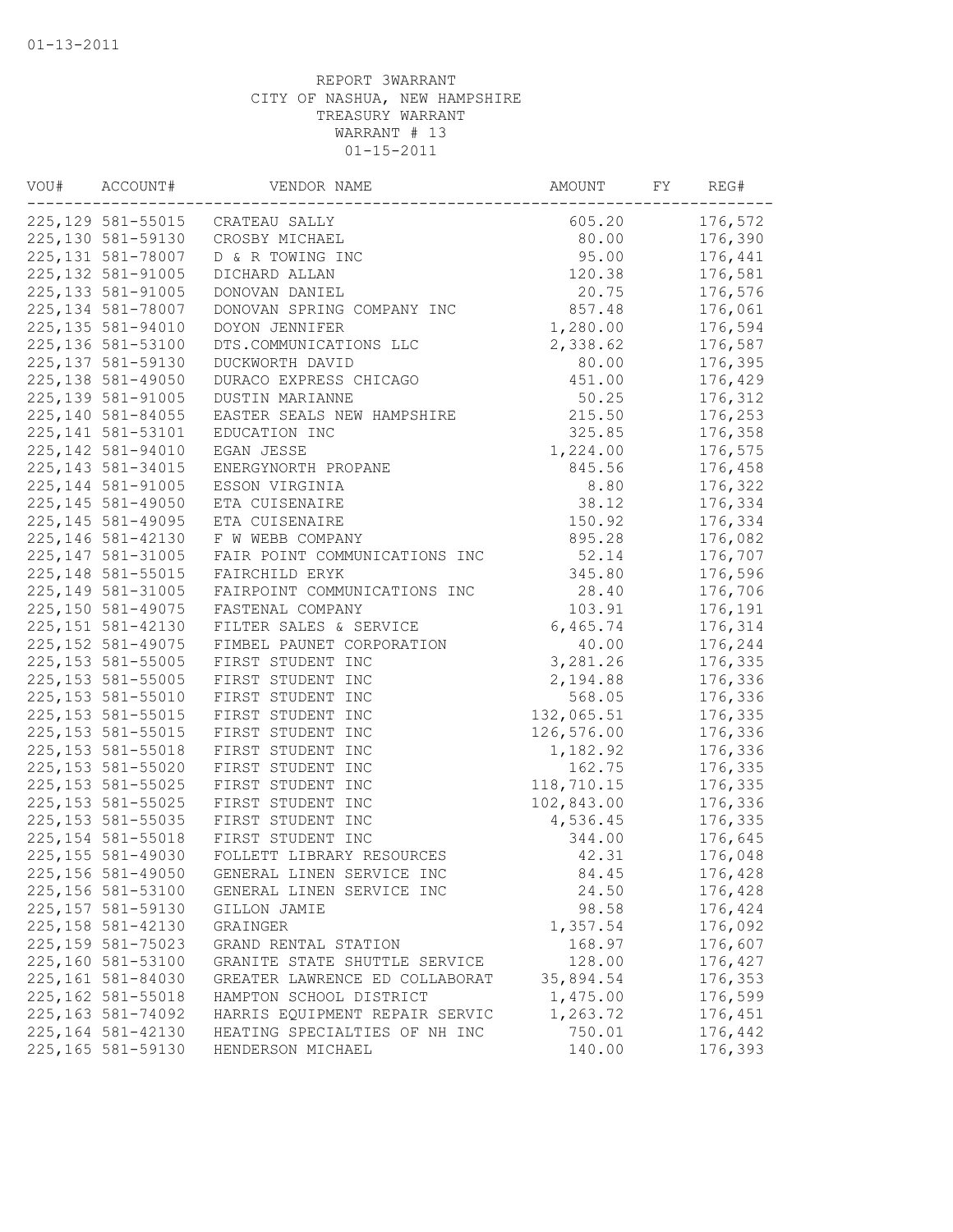| VOU# | ACCOUNT#           | VENDOR NAME                    | AMOUNT     | FY | REG#    |
|------|--------------------|--------------------------------|------------|----|---------|
|      | 225, 129 581-55015 | CRATEAU SALLY                  | 605.20     |    | 176,572 |
|      | 225,130 581-59130  | CROSBY MICHAEL                 | 80.00      |    | 176,390 |
|      | 225, 131 581-78007 | D & R TOWING INC               | 95.00      |    | 176,441 |
|      | 225, 132 581-91005 | DICHARD ALLAN                  | 120.38     |    | 176,581 |
|      | 225, 133 581-91005 | DONOVAN DANIEL                 | 20.75      |    | 176,576 |
|      | 225, 134 581-78007 | DONOVAN SPRING COMPANY INC     | 857.48     |    | 176,061 |
|      | 225, 135 581-94010 | DOYON JENNIFER                 | 1,280.00   |    | 176,594 |
|      | 225,136 581-53100  | DTS.COMMUNICATIONS LLC         | 2,338.62   |    | 176,587 |
|      | 225, 137 581-59130 | DUCKWORTH DAVID                | 80.00      |    | 176,395 |
|      | 225, 138 581-49050 | DURACO EXPRESS CHICAGO         | 451.00     |    | 176,429 |
|      | 225, 139 581-91005 | DUSTIN MARIANNE                | 50.25      |    | 176,312 |
|      | 225,140 581-84055  | EASTER SEALS NEW HAMPSHIRE     | 215.50     |    | 176,253 |
|      | 225, 141 581-53101 | EDUCATION INC                  | 325.85     |    | 176,358 |
|      | 225, 142 581-94010 | EGAN JESSE                     | 1,224.00   |    | 176,575 |
|      | 225, 143 581-34015 | ENERGYNORTH PROPANE            | 845.56     |    | 176,458 |
|      | 225, 144 581-91005 | ESSON VIRGINIA                 | 8.80       |    | 176,322 |
|      | 225, 145 581-49050 | ETA CUISENAIRE                 | 38.12      |    | 176,334 |
|      | 225, 145 581-49095 | ETA CUISENAIRE                 | 150.92     |    | 176,334 |
|      | 225, 146 581-42130 | F W WEBB COMPANY               | 895.28     |    | 176,082 |
|      | 225, 147 581-31005 | FAIR POINT COMMUNICATIONS INC  | 52.14      |    | 176,707 |
|      | 225, 148 581-55015 | FAIRCHILD ERYK                 | 345.80     |    | 176,596 |
|      | 225, 149 581-31005 | FAIRPOINT COMMUNICATIONS INC   | 28.40      |    | 176,706 |
|      | 225,150 581-49075  | FASTENAL COMPANY               | 103.91     |    | 176,191 |
|      | 225, 151 581-42130 | FILTER SALES & SERVICE         | 6,465.74   |    | 176,314 |
|      | 225, 152 581-49075 | FIMBEL PAUNET CORPORATION      | 40.00      |    | 176,244 |
|      | 225, 153 581-55005 | FIRST STUDENT INC              | 3,281.26   |    | 176,335 |
|      | 225, 153 581-55005 | FIRST STUDENT INC              | 2,194.88   |    | 176,336 |
|      | 225, 153 581-55010 | FIRST STUDENT INC              | 568.05     |    | 176,336 |
|      | 225, 153 581-55015 | FIRST STUDENT INC              | 132,065.51 |    | 176,335 |
|      | 225, 153 581-55015 | FIRST STUDENT INC              | 126,576.00 |    | 176,336 |
|      | 225, 153 581-55018 | FIRST STUDENT INC              | 1,182.92   |    | 176,336 |
|      | 225, 153 581-55020 | FIRST STUDENT INC              | 162.75     |    | 176,335 |
|      | 225, 153 581-55025 | FIRST STUDENT INC              | 118,710.15 |    | 176,335 |
|      | 225, 153 581-55025 | FIRST STUDENT INC              | 102,843.00 |    | 176,336 |
|      | 225, 153 581-55035 | FIRST STUDENT INC              | 4,536.45   |    | 176,335 |
|      | 225, 154 581-55018 | FIRST STUDENT INC              | 344.00     |    | 176,645 |
|      | 225, 155 581-49030 | FOLLETT LIBRARY RESOURCES      | 42.31      |    | 176,048 |
|      | 225, 156 581-49050 | GENERAL LINEN SERVICE INC      | 84.45      |    | 176,428 |
|      | 225, 156 581-53100 | GENERAL LINEN SERVICE INC      | 24.50      |    | 176,428 |
|      | 225, 157 581-59130 | GILLON JAMIE                   | 98.58      |    | 176,424 |
|      | 225, 158 581-42130 | GRAINGER                       | 1,357.54   |    | 176,092 |
|      | 225, 159 581-75023 | GRAND RENTAL STATION           | 168.97     |    | 176,607 |
|      | 225,160 581-53100  | GRANITE STATE SHUTTLE SERVICE  | 128.00     |    | 176,427 |
|      | 225,161 581-84030  | GREATER LAWRENCE ED COLLABORAT | 35,894.54  |    | 176,353 |
|      | 225, 162 581-55018 | HAMPTON SCHOOL DISTRICT        | 1,475.00   |    | 176,599 |
|      | 225, 163 581-74092 | HARRIS EOUIPMENT REPAIR SERVIC | 1,263.72   |    | 176,451 |
|      | 225, 164 581-42130 | HEATING SPECIALTIES OF NH INC  | 750.01     |    | 176,442 |
|      | 225,165 581-59130  | HENDERSON MICHAEL              | 140.00     |    | 176,393 |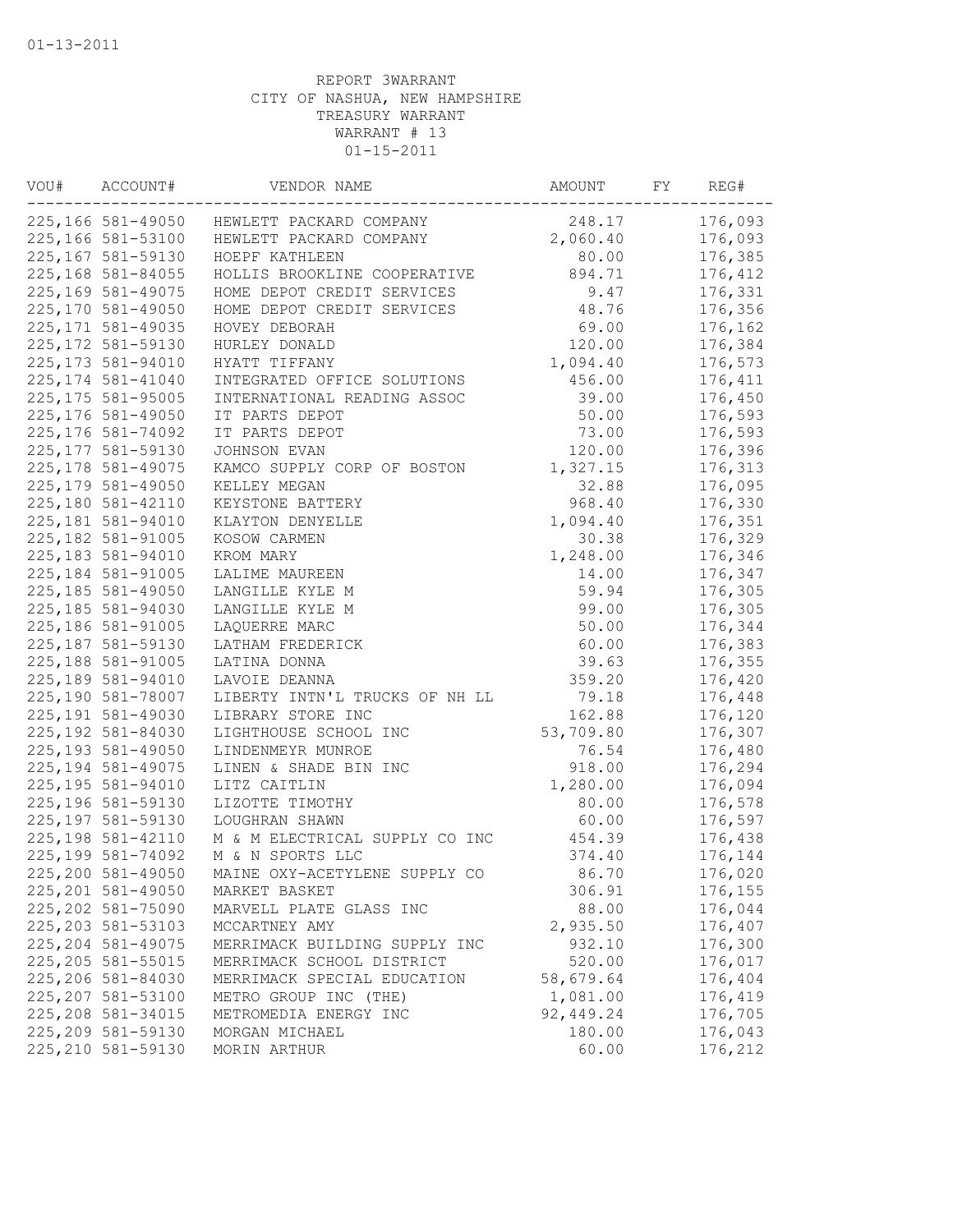| VOU# | ACCOUNT#           | VENDOR NAME                               | AMOUNT    | FY | REG#    |
|------|--------------------|-------------------------------------------|-----------|----|---------|
|      |                    | 225,166 581-49050 HEWLETT PACKARD COMPANY | 248.17    |    | 176,093 |
|      | 225,166 581-53100  | HEWLETT PACKARD COMPANY                   | 2,060.40  |    | 176,093 |
|      | 225,167 581-59130  | HOEPF KATHLEEN                            | 80.00     |    | 176,385 |
|      | 225,168 581-84055  | HOLLIS BROOKLINE COOPERATIVE              | 894.71    |    | 176,412 |
|      | 225,169 581-49075  | HOME DEPOT CREDIT SERVICES                | 9.47      |    | 176,331 |
|      | 225,170 581-49050  | HOME DEPOT CREDIT SERVICES                | 48.76     |    | 176,356 |
|      | 225, 171 581-49035 | HOVEY DEBORAH                             | 69.00     |    | 176,162 |
|      | 225, 172 581-59130 | HURLEY DONALD                             | 120.00    |    | 176,384 |
|      | 225, 173 581-94010 | HYATT TIFFANY                             | 1,094.40  |    | 176,573 |
|      | 225, 174 581-41040 | INTEGRATED OFFICE SOLUTIONS               | 456.00    |    | 176,411 |
|      | 225, 175 581-95005 | INTERNATIONAL READING ASSOC               | 39.00     |    | 176,450 |
|      | 225,176 581-49050  | IT PARTS DEPOT                            | 50.00     |    | 176,593 |
|      | 225, 176 581-74092 | IT PARTS DEPOT                            | 73.00     |    | 176,593 |
|      | 225, 177 581-59130 | JOHNSON EVAN                              | 120.00    |    | 176,396 |
|      | 225, 178 581-49075 | KAMCO SUPPLY CORP OF BOSTON               | 1,327.15  |    | 176,313 |
|      | 225, 179 581-49050 | KELLEY MEGAN                              | 32.88     |    | 176,095 |
|      | 225,180 581-42110  | KEYSTONE BATTERY                          | 968.40    |    | 176,330 |
|      | 225,181 581-94010  | KLAYTON DENYELLE                          | 1,094.40  |    | 176,351 |
|      | 225, 182 581-91005 | KOSOW CARMEN                              | 30.38     |    | 176,329 |
|      | 225,183 581-94010  | KROM MARY                                 | 1,248.00  |    | 176,346 |
|      | 225, 184 581-91005 | LALIME MAUREEN                            | 14.00     |    | 176,347 |
|      | 225, 185 581-49050 | LANGILLE KYLE M                           | 59.94     |    | 176,305 |
|      | 225, 185 581-94030 | LANGILLE KYLE M                           | 99.00     |    | 176,305 |
|      | 225,186 581-91005  | LAQUERRE MARC                             | 50.00     |    | 176,344 |
|      | 225, 187 581-59130 | LATHAM FREDERICK                          | 60.00     |    | 176,383 |
|      | 225, 188 581-91005 | LATINA DONNA                              | 39.63     |    | 176,355 |
|      | 225,189 581-94010  | LAVOIE DEANNA                             | 359.20    |    | 176,420 |
|      | 225,190 581-78007  | LIBERTY INTN'L TRUCKS OF NH LL            | 79.18     |    | 176,448 |
|      |                    |                                           |           |    |         |
|      | 225, 191 581-49030 | LIBRARY STORE INC                         | 162.88    |    | 176,120 |
|      | 225, 192 581-84030 | LIGHTHOUSE SCHOOL INC                     | 53,709.80 |    | 176,307 |
|      | 225, 193 581-49050 | LINDENMEYR MUNROE                         | 76.54     |    | 176,480 |
|      | 225, 194 581-49075 | LINEN & SHADE BIN INC                     | 918.00    |    | 176,294 |
|      | 225, 195 581-94010 | LITZ CAITLIN                              | 1,280.00  |    | 176,094 |
|      | 225,196 581-59130  | LIZOTTE TIMOTHY                           | 80.00     |    | 176,578 |
|      | 225,197 581-59130  | LOUGHRAN SHAWN                            | 60.00     |    | 176,597 |
|      | 225, 198 581-42110 | M & M ELECTRICAL SUPPLY CO INC            | 454.39    |    | 176,438 |
|      | 225,199 581-74092  | M & N SPORTS LLC                          | 374.40    |    | 176,144 |
|      | 225,200 581-49050  | MAINE OXY-ACETYLENE SUPPLY CO             | 86.70     |    | 176,020 |
|      | 225, 201 581-49050 | MARKET BASKET                             | 306.91    |    | 176,155 |
|      | 225, 202 581-75090 | MARVELL PLATE GLASS INC                   | 88.00     |    | 176,044 |
|      | 225, 203 581-53103 | MCCARTNEY AMY                             | 2,935.50  |    | 176,407 |
|      | 225, 204 581-49075 | MERRIMACK BUILDING SUPPLY INC             | 932.10    |    | 176,300 |
|      | 225, 205 581-55015 | MERRIMACK SCHOOL DISTRICT                 | 520.00    |    | 176,017 |
|      | 225,206 581-84030  | MERRIMACK SPECIAL EDUCATION               | 58,679.64 |    | 176,404 |
|      | 225, 207 581-53100 | METRO GROUP INC (THE)                     | 1,081.00  |    | 176,419 |
|      | 225, 208 581-34015 | METROMEDIA ENERGY INC                     | 92,449.24 |    | 176,705 |
|      | 225,209 581-59130  | MORGAN MICHAEL                            | 180.00    |    | 176,043 |
|      | 225, 210 581-59130 | MORIN ARTHUR                              | 60.00     |    | 176,212 |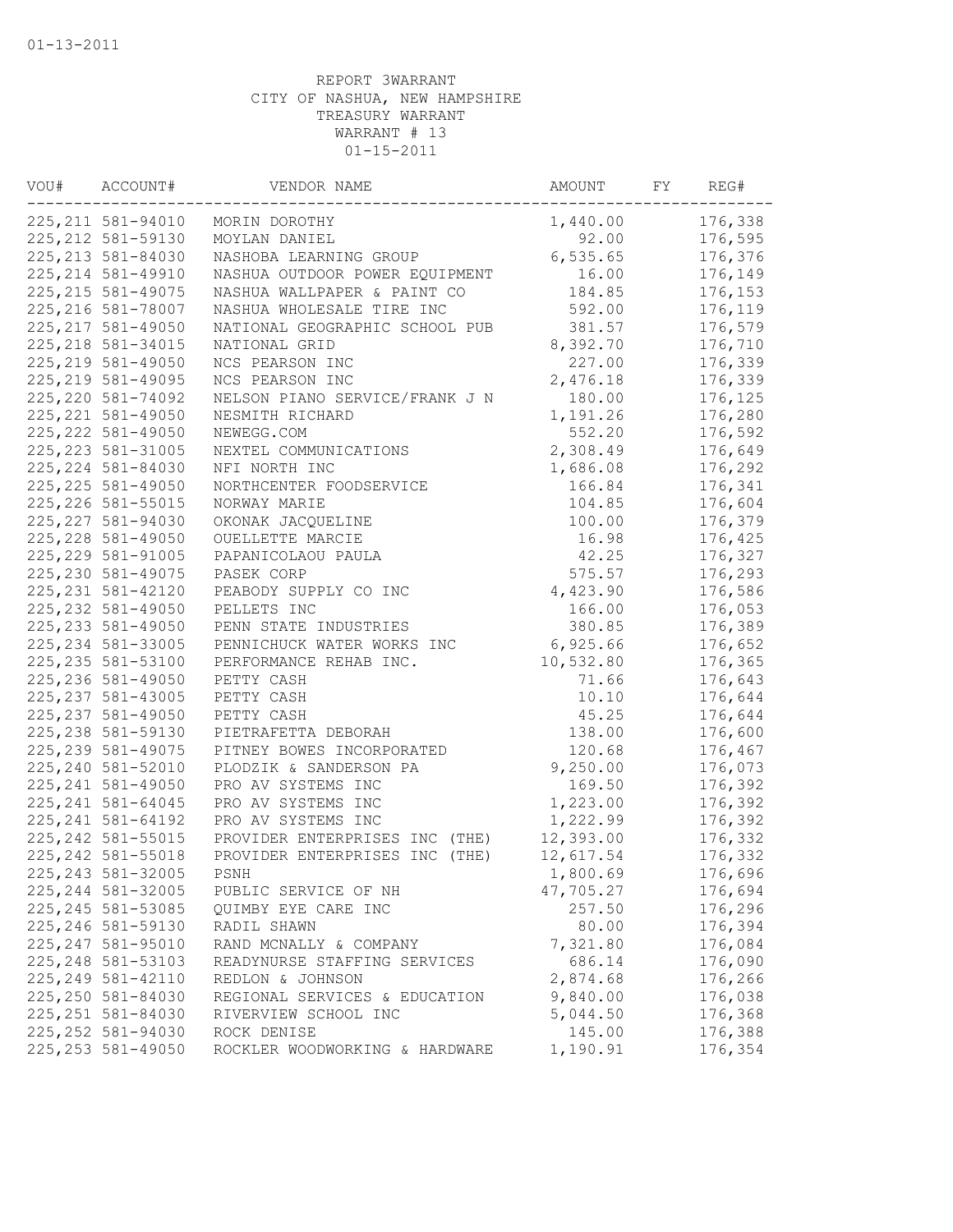| VOU# | ACCOUNT#           | VENDOR NAME                    | AMOUNT    | FY | REG#    |
|------|--------------------|--------------------------------|-----------|----|---------|
|      | 225, 211 581-94010 | MORIN DOROTHY                  | 1,440.00  |    | 176,338 |
|      | 225, 212 581-59130 | MOYLAN DANIEL                  | 92.00     |    | 176,595 |
|      | 225, 213 581-84030 | NASHOBA LEARNING GROUP         | 6,535.65  |    | 176,376 |
|      | 225, 214 581-49910 | NASHUA OUTDOOR POWER EQUIPMENT | 16.00     |    | 176,149 |
|      | 225, 215 581-49075 | NASHUA WALLPAPER & PAINT CO    | 184.85    |    | 176,153 |
|      | 225, 216 581-78007 | NASHUA WHOLESALE TIRE INC      | 592.00    |    | 176,119 |
|      | 225, 217 581-49050 | NATIONAL GEOGRAPHIC SCHOOL PUB | 381.57    |    | 176,579 |
|      | 225, 218 581-34015 | NATIONAL GRID                  | 8,392.70  |    | 176,710 |
|      | 225, 219 581-49050 | NCS PEARSON INC                | 227.00    |    | 176,339 |
|      | 225, 219 581-49095 | NCS PEARSON INC                | 2,476.18  |    | 176,339 |
|      | 225, 220 581-74092 | NELSON PIANO SERVICE/FRANK J N | 180.00    |    | 176,125 |
|      | 225, 221 581-49050 | NESMITH RICHARD                | 1,191.26  |    | 176,280 |
|      | 225, 222 581-49050 | NEWEGG.COM                     | 552.20    |    | 176,592 |
|      | 225, 223 581-31005 | NEXTEL COMMUNICATIONS          | 2,308.49  |    | 176,649 |
|      | 225, 224 581-84030 | NFI NORTH INC                  | 1,686.08  |    | 176,292 |
|      | 225, 225 581-49050 | NORTHCENTER FOODSERVICE        | 166.84    |    | 176,341 |
|      | 225, 226 581-55015 | NORWAY MARIE                   | 104.85    |    | 176,604 |
|      | 225, 227 581-94030 | OKONAK JACQUELINE              | 100.00    |    | 176,379 |
|      | 225, 228 581-49050 | OUELLETTE MARCIE               | 16.98     |    | 176,425 |
|      | 225, 229 581-91005 | PAPANICOLAOU PAULA             | 42.25     |    | 176,327 |
|      | 225, 230 581-49075 | PASEK CORP                     | 575.57    |    | 176,293 |
|      | 225, 231 581-42120 | PEABODY SUPPLY CO INC          | 4,423.90  |    | 176,586 |
|      | 225, 232 581-49050 | PELLETS INC                    | 166.00    |    | 176,053 |
|      | 225, 233 581-49050 | PENN STATE INDUSTRIES          | 380.85    |    | 176,389 |
|      | 225, 234 581-33005 | PENNICHUCK WATER WORKS INC     | 6,925.66  |    | 176,652 |
|      | 225, 235 581-53100 | PERFORMANCE REHAB INC.         | 10,532.80 |    | 176,365 |
|      | 225, 236 581-49050 | PETTY CASH                     | 71.66     |    | 176,643 |
|      | 225, 237 581-43005 | PETTY CASH                     | 10.10     |    | 176,644 |
|      | 225, 237 581-49050 | PETTY CASH                     | 45.25     |    | 176,644 |
|      | 225, 238 581-59130 | PIETRAFETTA DEBORAH            | 138.00    |    | 176,600 |
|      | 225, 239 581-49075 | PITNEY BOWES INCORPORATED      | 120.68    |    | 176,467 |
|      | 225,240 581-52010  | PLODZIK & SANDERSON PA         | 9,250.00  |    | 176,073 |
|      | 225, 241 581-49050 | PRO AV SYSTEMS INC             | 169.50    |    | 176,392 |
|      | 225, 241 581-64045 | PRO AV SYSTEMS INC             | 1,223.00  |    | 176,392 |
|      | 225, 241 581-64192 | PRO AV SYSTEMS INC             | 1,222.99  |    | 176,392 |
|      | 225, 242 581-55015 | PROVIDER ENTERPRISES INC (THE) | 12,393.00 |    | 176,332 |
|      | 225, 242 581-55018 | PROVIDER ENTERPRISES INC (THE) | 12,617.54 |    | 176,332 |
|      | 225, 243 581-32005 | PSNH                           | 1,800.69  |    | 176,696 |
|      | 225,244 581-32005  | PUBLIC SERVICE OF NH           | 47,705.27 |    | 176,694 |
|      | 225, 245 581-53085 | QUIMBY EYE CARE INC            | 257.50    |    | 176,296 |
|      | 225, 246 581-59130 | RADIL SHAWN                    | 80.00     |    | 176,394 |
|      | 225, 247 581-95010 | RAND MCNALLY & COMPANY         | 7,321.80  |    | 176,084 |
|      | 225, 248 581-53103 | READYNURSE STAFFING SERVICES   | 686.14    |    | 176,090 |
|      | 225, 249 581-42110 | REDLON & JOHNSON               | 2,874.68  |    | 176,266 |
|      | 225, 250 581-84030 | REGIONAL SERVICES & EDUCATION  | 9,840.00  |    | 176,038 |
|      | 225, 251 581-84030 | RIVERVIEW SCHOOL INC           | 5,044.50  |    | 176,368 |
|      | 225, 252 581-94030 | ROCK DENISE                    | 145.00    |    | 176,388 |
|      | 225, 253 581-49050 | ROCKLER WOODWORKING & HARDWARE | 1,190.91  |    | 176,354 |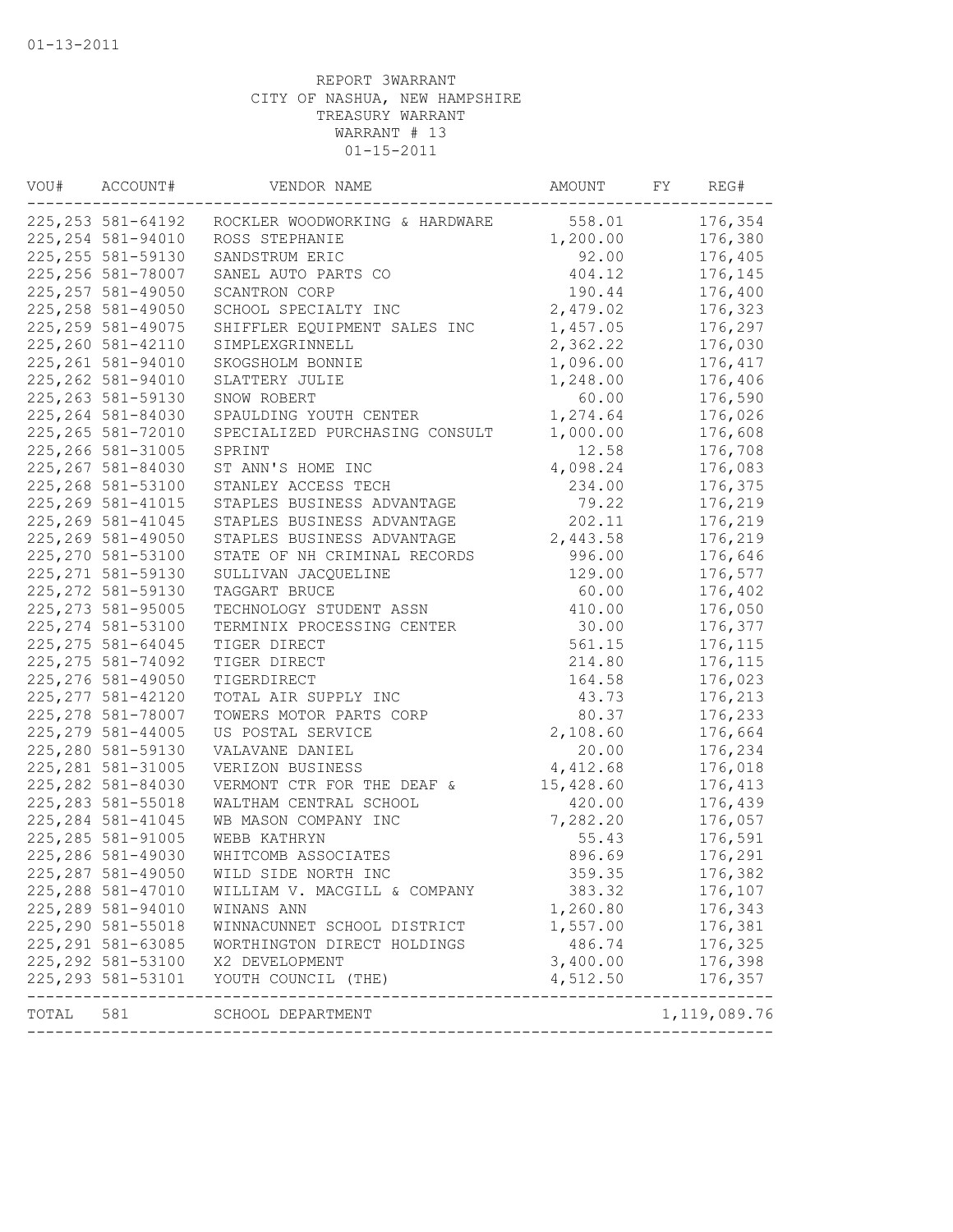| VOU#  | ACCOUNT#           | VENDOR NAME                    | AMOUNT    | FY | REG#         |
|-------|--------------------|--------------------------------|-----------|----|--------------|
|       | 225, 253 581-64192 | ROCKLER WOODWORKING & HARDWARE | 558.01    |    | 176,354      |
|       | 225, 254 581-94010 | ROSS STEPHANIE                 | 1,200.00  |    | 176,380      |
|       | 225, 255 581-59130 | SANDSTRUM ERIC                 | 92.00     |    | 176,405      |
|       | 225, 256 581-78007 | SANEL AUTO PARTS CO            | 404.12    |    | 176,145      |
|       | 225, 257 581-49050 | SCANTRON CORP                  | 190.44    |    | 176,400      |
|       | 225, 258 581-49050 | SCHOOL SPECIALTY INC           | 2,479.02  |    | 176,323      |
|       | 225, 259 581-49075 | SHIFFLER EQUIPMENT SALES INC   | 1,457.05  |    | 176,297      |
|       | 225, 260 581-42110 | SIMPLEXGRINNELL                | 2,362.22  |    | 176,030      |
|       | 225, 261 581-94010 | SKOGSHOLM BONNIE               | 1,096.00  |    | 176,417      |
|       | 225, 262 581-94010 | SLATTERY JULIE                 | 1,248.00  |    | 176,406      |
|       | 225, 263 581-59130 | SNOW ROBERT                    | 60.00     |    | 176,590      |
|       | 225, 264 581-84030 | SPAULDING YOUTH CENTER         | 1,274.64  |    | 176,026      |
|       | 225, 265 581-72010 | SPECIALIZED PURCHASING CONSULT | 1,000.00  |    | 176,608      |
|       | 225, 266 581-31005 | SPRINT                         | 12.58     |    | 176,708      |
|       | 225, 267 581-84030 | ST ANN'S HOME INC              | 4,098.24  |    | 176,083      |
|       | 225,268 581-53100  | STANLEY ACCESS TECH            | 234.00    |    | 176,375      |
|       | 225, 269 581-41015 | STAPLES BUSINESS ADVANTAGE     | 79.22     |    | 176,219      |
|       | 225, 269 581-41045 | STAPLES BUSINESS ADVANTAGE     | 202.11    |    | 176,219      |
|       | 225,269 581-49050  | STAPLES BUSINESS ADVANTAGE     | 2,443.58  |    | 176,219      |
|       | 225, 270 581-53100 | STATE OF NH CRIMINAL RECORDS   | 996.00    |    | 176,646      |
|       | 225, 271 581-59130 | SULLIVAN JACQUELINE            | 129.00    |    | 176,577      |
|       | 225, 272 581-59130 | TAGGART BRUCE                  | 60.00     |    | 176,402      |
|       | 225, 273 581-95005 | TECHNOLOGY STUDENT ASSN        | 410.00    |    | 176,050      |
|       | 225, 274 581-53100 | TERMINIX PROCESSING CENTER     | 30.00     |    | 176,377      |
|       | 225, 275 581-64045 | TIGER DIRECT                   | 561.15    |    | 176,115      |
|       | 225, 275 581-74092 | TIGER DIRECT                   | 214.80    |    | 176,115      |
|       | 225, 276 581-49050 | TIGERDIRECT                    | 164.58    |    | 176,023      |
|       | 225, 277 581-42120 | TOTAL AIR SUPPLY INC           | 43.73     |    | 176,213      |
|       | 225, 278 581-78007 | TOWERS MOTOR PARTS CORP        | 80.37     |    | 176,233      |
|       | 225, 279 581-44005 | US POSTAL SERVICE              | 2,108.60  |    | 176,664      |
|       | 225,280 581-59130  | VALAVANE DANIEL                | 20.00     |    | 176,234      |
|       | 225, 281 581-31005 | VERIZON BUSINESS               | 4,412.68  |    | 176,018      |
|       | 225, 282 581-84030 | VERMONT CTR FOR THE DEAF &     | 15,428.60 |    | 176,413      |
|       | 225, 283 581-55018 | WALTHAM CENTRAL SCHOOL         | 420.00    |    | 176,439      |
|       | 225, 284 581-41045 | WB MASON COMPANY INC           | 7,282.20  |    | 176,057      |
|       | 225, 285 581-91005 | WEBB KATHRYN                   | 55.43     |    | 176,591      |
|       | 225,286 581-49030  | WHITCOMB ASSOCIATES            | 896.69    |    | 176,291      |
|       | 225, 287 581-49050 | WILD SIDE NORTH INC            | 359.35    |    | 176,382      |
|       | 225,288 581-47010  | WILLIAM V. MACGILL & COMPANY   | 383.32    |    | 176,107      |
|       | 225,289 581-94010  | WINANS ANN                     | 1,260.80  |    | 176,343      |
|       | 225, 290 581-55018 | WINNACUNNET SCHOOL DISTRICT    | 1,557.00  |    | 176,381      |
|       | 225, 291 581-63085 | WORTHINGTON DIRECT HOLDINGS    | 486.74    |    | 176,325      |
|       | 225, 292 581-53100 | X2 DEVELOPMENT                 | 3,400.00  |    | 176,398      |
|       | 225, 293 581-53101 | YOUTH COUNCIL (THE)            | 4,512.50  |    | 176,357      |
| TOTAL | 581                | SCHOOL DEPARTMENT              |           |    | 1,119,089.76 |
|       |                    |                                |           |    |              |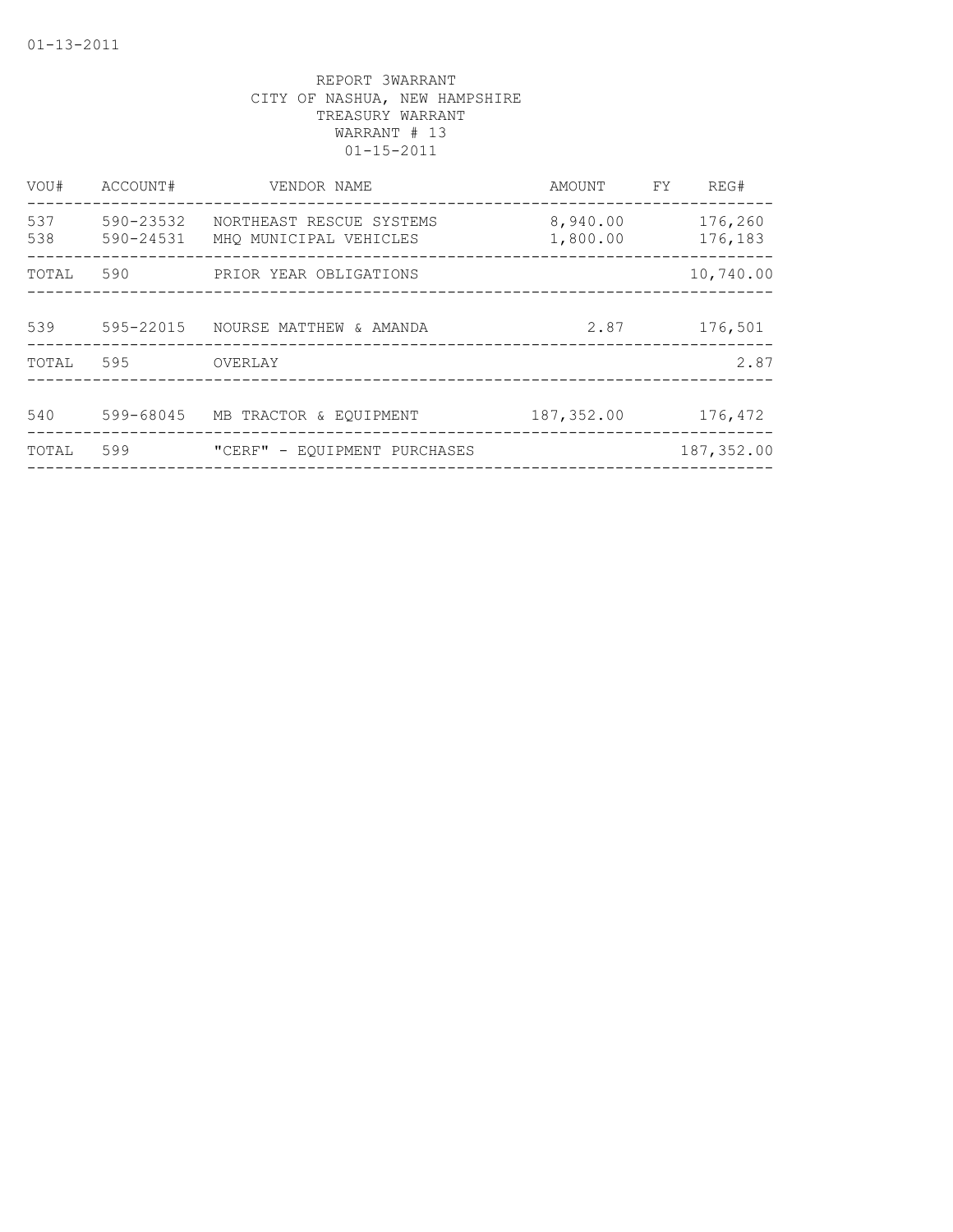| VOU#       | ACCOUNT#               | VENDOR NAME                                        | AMOUNT FY            | REG#               |
|------------|------------------------|----------------------------------------------------|----------------------|--------------------|
| 537<br>538 | 590-23532<br>590-24531 | NORTHEAST RESCUE SYSTEMS<br>MHO MUNICIPAL VEHICLES | 8,940.00<br>1,800.00 | 176,260<br>176,183 |
| TOTAL      | 590                    | PRIOR YEAR OBLIGATIONS                             |                      | 10,740.00          |
| 539        | 595-22015              | NOURSE MATTHEW & AMANDA                            | 2.87                 | 176,501            |
| TOTAL      | 595                    | OVERLAY                                            |                      | 2.87               |
| 540        | 599-68045              | MB TRACTOR & EQUIPMENT                             | 187,352.00           | 176,472            |
| TOTAL      | 599                    | "CERF" - EOUIPMENT PURCHASES                       |                      | 187,352.00         |
|            |                        |                                                    |                      |                    |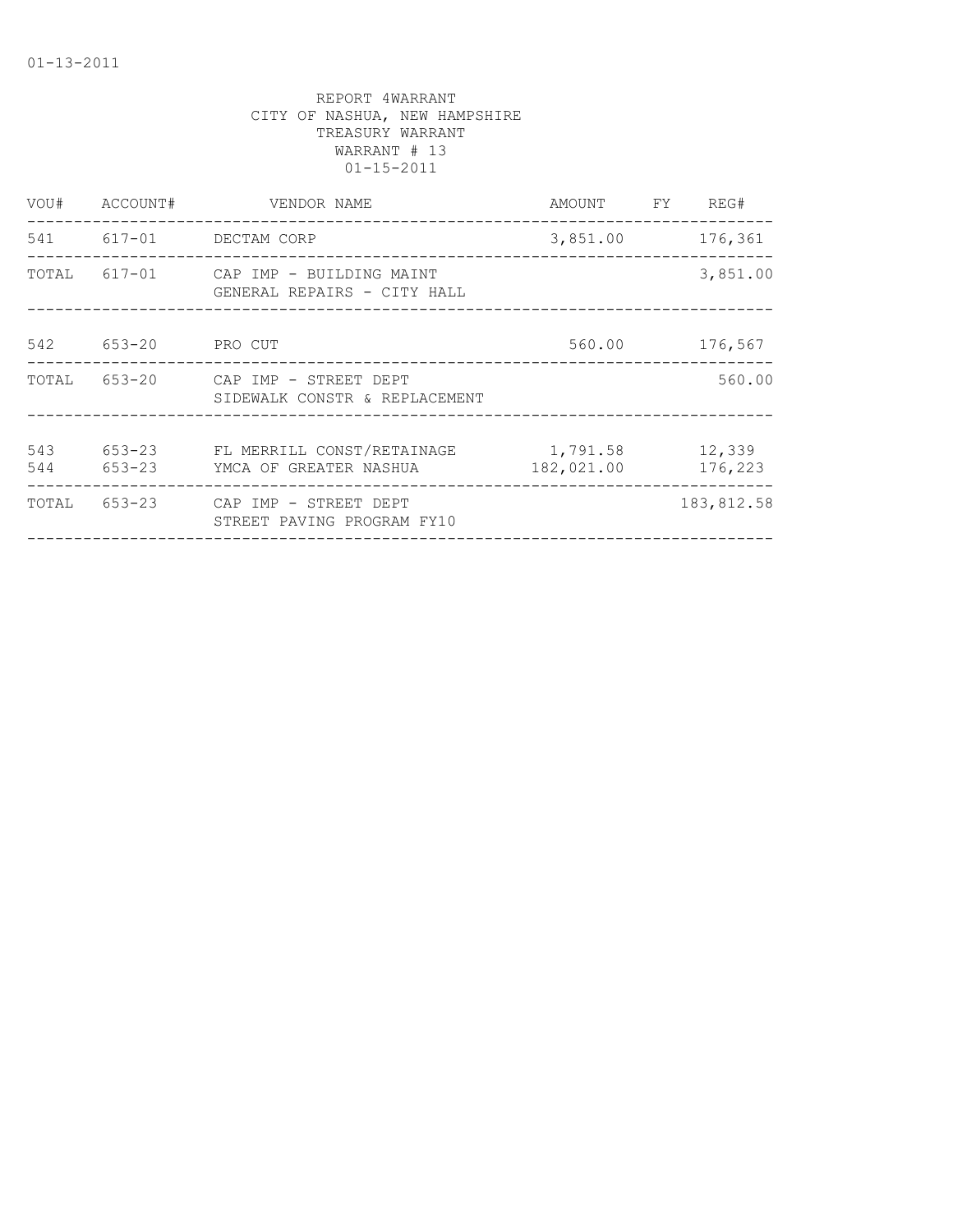| VOU#       | ACCOUNT#         | VENDOR NAME<br>AMOUNT<br>FY.                                   |                                      | REG#              |
|------------|------------------|----------------------------------------------------------------|--------------------------------------|-------------------|
|            |                  | 541 617-01 DECTAM CORP<br>__________________________________   | 3,851.00                             | 176,361           |
| TOTAL      |                  | 617-01 CAP IMP - BUILDING MAINT<br>GENERAL REPAIRS - CITY HALL |                                      | 3,851.00          |
| 542        | $653 - 20$       | PRO CUT                                                        | 560.00                               | 176,567           |
| TOTAL      |                  | 653-20 CAP IMP - STREET DEPT<br>SIDEWALK CONSTR & REPLACEMENT  | ____________________________________ | 560.00            |
| 543<br>544 | 653-23<br>653-23 | FL MERRILL CONST/RETAINAGE<br>YMCA OF GREATER NASHUA           | 1,791.58<br>182,021.00               | 12,339<br>176,223 |
| TOTAL      |                  | 653-23 CAP IMP - STREET DEPT<br>STREET PAVING PROGRAM FY10     |                                      | 183,812.58        |
|            |                  |                                                                |                                      |                   |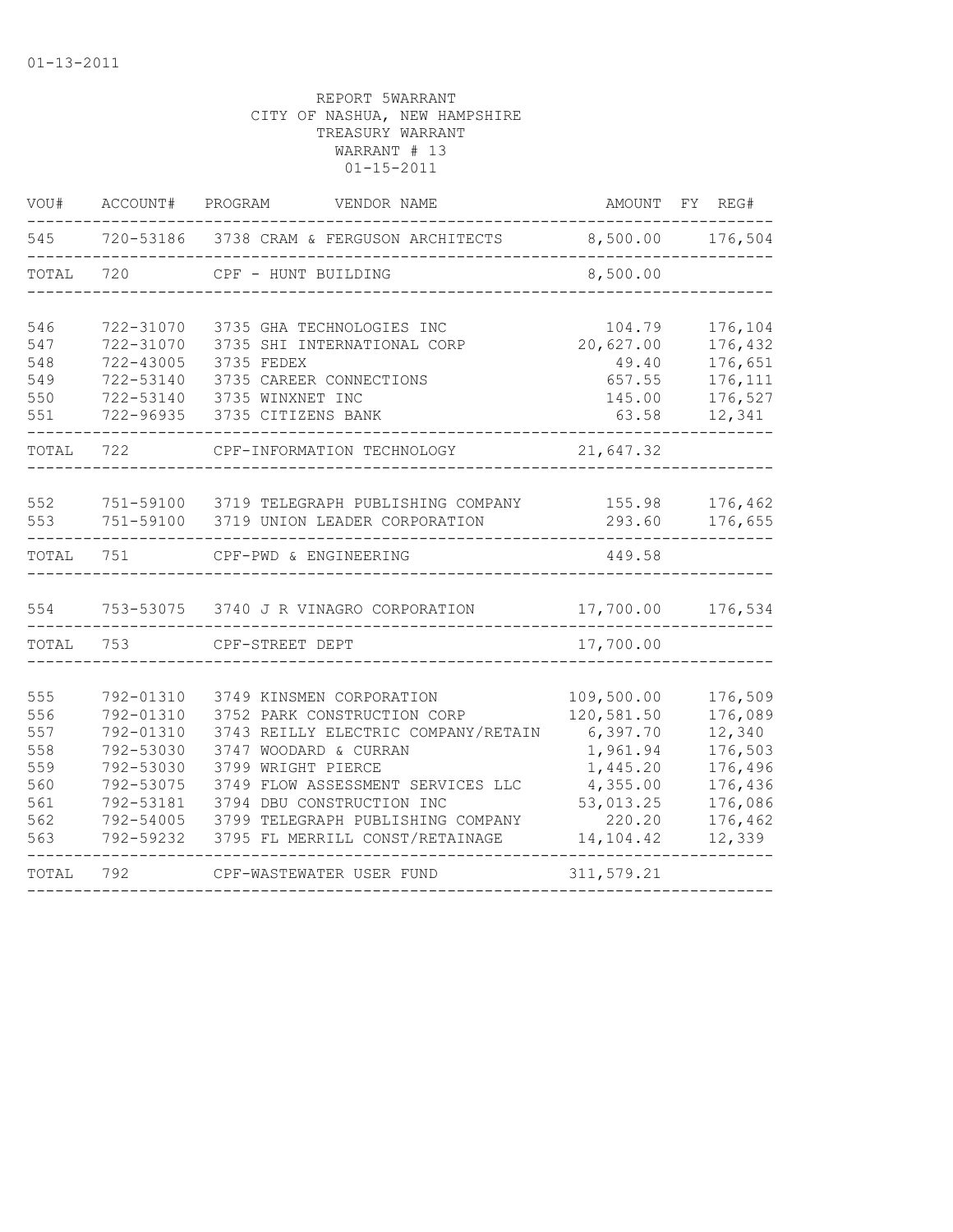| VOU#                                                        | ACCOUNT#                                                                                                          | PROGRAM<br>VENDOR NAME                                                                                                                                                                                                                                                                  | AMOUNT FY                                                                                                    | REG#                                                                                          |
|-------------------------------------------------------------|-------------------------------------------------------------------------------------------------------------------|-----------------------------------------------------------------------------------------------------------------------------------------------------------------------------------------------------------------------------------------------------------------------------------------|--------------------------------------------------------------------------------------------------------------|-----------------------------------------------------------------------------------------------|
| 545                                                         |                                                                                                                   | 720-53186 3738 CRAM & FERGUSON ARCHITECTS                                                                                                                                                                                                                                               |                                                                                                              | 8,500.00 176,504                                                                              |
| TOTAL                                                       | 720                                                                                                               | CPF - HUNT BUILDING                                                                                                                                                                                                                                                                     | 8,500.00                                                                                                     |                                                                                               |
| 546<br>547<br>548<br>549<br>550<br>551                      | 722-31070<br>722-31070<br>$722 - 43005$<br>722-53140<br>722-53140<br>722-96935                                    | 3735 GHA TECHNOLOGIES INC<br>3735 SHI INTERNATIONAL CORP<br>3735 FEDEX<br>3735 CAREER CONNECTIONS<br>3735 WINXNET INC<br>3735 CITIZENS BANK                                                                                                                                             | 104.79<br>20,627.00<br>49.40<br>657.55<br>145.00<br>63.58                                                    | 176,104<br>176,432<br>176,651<br>176,111<br>176,527<br>12,341                                 |
| TOTAL                                                       | 722                                                                                                               | CPF-INFORMATION TECHNOLOGY                                                                                                                                                                                                                                                              | 21,647.32                                                                                                    |                                                                                               |
| 552<br>553                                                  | 751-59100<br>751-59100                                                                                            | 3719 TELEGRAPH PUBLISHING COMPANY<br>3719 UNION LEADER CORPORATION                                                                                                                                                                                                                      | 155.98<br>293.60                                                                                             | 176,462<br>176,655                                                                            |
| TOTAL                                                       | 751                                                                                                               | CPF-PWD & ENGINEERING                                                                                                                                                                                                                                                                   | 449.58                                                                                                       |                                                                                               |
| 554                                                         |                                                                                                                   | 753-53075 3740 J R VINAGRO CORPORATION                                                                                                                                                                                                                                                  | 17,700.00                                                                                                    | 176,534                                                                                       |
| TOTAL                                                       | 753                                                                                                               | CPF-STREET DEPT                                                                                                                                                                                                                                                                         | 17,700.00                                                                                                    |                                                                                               |
| 555<br>556<br>557<br>558<br>559<br>560<br>561<br>562<br>563 | 792-01310<br>792-01310<br>792-01310<br>792-53030<br>792-53030<br>792-53075<br>792-53181<br>792-54005<br>792-59232 | 3749 KINSMEN CORPORATION<br>3752 PARK CONSTRUCTION CORP<br>3743 REILLY ELECTRIC COMPANY/RETAIN<br>3747 WOODARD & CURRAN<br>3799 WRIGHT PIERCE<br>3749 FLOW ASSESSMENT SERVICES LLC<br>3794 DBU CONSTRUCTION INC<br>3799 TELEGRAPH PUBLISHING COMPANY<br>3795 FL MERRILL CONST/RETAINAGE | 109,500.00<br>120,581.50<br>6,397.70<br>1,961.94<br>1,445.20<br>4,355.00<br>53,013.25<br>220.20<br>14,104.42 | 176,509<br>176,089<br>12,340<br>176,503<br>176,496<br>176,436<br>176,086<br>176,462<br>12,339 |
| TOTAL                                                       | 792                                                                                                               | CPF-WASTEWATER USER FUND                                                                                                                                                                                                                                                                | 311,579.21                                                                                                   |                                                                                               |
|                                                             |                                                                                                                   |                                                                                                                                                                                                                                                                                         |                                                                                                              |                                                                                               |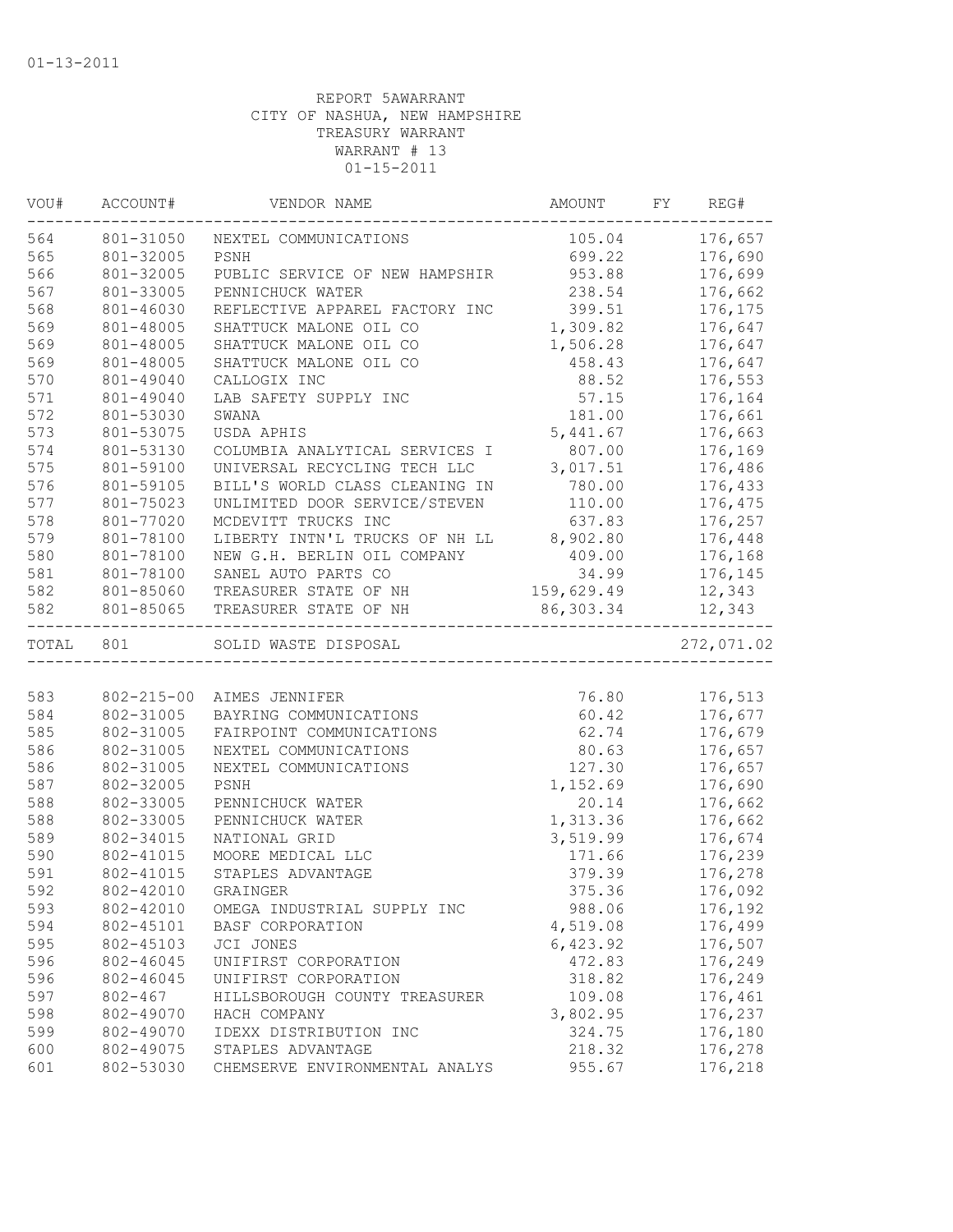| VOU#             | ACCOUNT#    | VENDOR NAME                             | AMOUNT     | FY | REG#       |
|------------------|-------------|-----------------------------------------|------------|----|------------|
| 564<br>801-31050 |             | NEXTEL COMMUNICATIONS                   | 105.04     |    | 176,657    |
| 565              | 801-32005   | PSNH                                    | 699.22     |    | 176,690    |
| 566              | 801-32005   | PUBLIC SERVICE OF NEW HAMPSHIR          | 953.88     |    | 176,699    |
| 567              | 801-33005   | PENNICHUCK WATER                        | 238.54     |    | 176,662    |
| 568              | 801-46030   | REFLECTIVE APPAREL FACTORY INC          | 399.51     |    | 176,175    |
| 569              | 801-48005   | SHATTUCK MALONE OIL CO                  | 1,309.82   |    | 176,647    |
| 569              | 801-48005   | SHATTUCK MALONE OIL CO                  | 1,506.28   |    | 176,647    |
| 569              | 801-48005   | SHATTUCK MALONE OIL CO                  | 458.43     |    | 176,647    |
| 570              | 801-49040   | CALLOGIX INC                            | 88.52      |    | 176,553    |
| 571              | 801-49040   | LAB SAFETY SUPPLY INC                   | 57.15      |    | 176,164    |
| 572              | 801-53030   | SWANA                                   | 181.00     |    | 176,661    |
| 573              | 801-53075   | USDA APHIS                              | 5,441.67   |    | 176,663    |
| 574              | 801-53130   | COLUMBIA ANALYTICAL SERVICES I          | 807.00     |    | 176,169    |
| 575              | 801-59100   | UNIVERSAL RECYCLING TECH LLC            | 3,017.51   |    | 176,486    |
| 576              | 801-59105   | BILL'S WORLD CLASS CLEANING IN          | 780.00     |    | 176,433    |
| 577              | 801-75023   | UNLIMITED DOOR SERVICE/STEVEN           | 110.00     |    | 176,475    |
| 578              | 801-77020   | MCDEVITT TRUCKS INC                     | 637.83     |    | 176,257    |
| 579              | 801-78100   | LIBERTY INTN'L TRUCKS OF NH LL 8,902.80 |            |    | 176,448    |
| 580              | 801-78100   | NEW G.H. BERLIN OIL COMPANY             | 409.00     |    | 176,168    |
| 581              | 801-78100   | SANEL AUTO PARTS CO                     | 34.99      |    | 176,145    |
| 582              | 801-85060   | TREASURER STATE OF NH                   | 159,629.49 |    | 12,343     |
| 582              | 801-85065   | TREASURER STATE OF NH                   | 86,303.34  |    | 12,343     |
| TOTAL            | 801         | SOLID WASTE DISPOSAL                    |            |    | 272,071.02 |
|                  |             |                                         |            |    |            |
| 583              | 802-215-00  | AIMES JENNIFER                          | 76.80      |    | 176,513    |
| 584              | 802-31005   | BAYRING COMMUNICATIONS                  | 60.42      |    | 176,677    |
| 585              | 802-31005   | FAIRPOINT COMMUNICATIONS                | 62.74      |    | 176,679    |
| 586              | 802-31005   | NEXTEL COMMUNICATIONS                   | 80.63      |    | 176,657    |
| 586              | 802-31005   | NEXTEL COMMUNICATIONS                   | 127.30     |    | 176,657    |
| 587              | 802-32005   | PSNH                                    | 1,152.69   |    | 176,690    |
| 588              | 802-33005   | PENNICHUCK WATER                        | 20.14      |    | 176,662    |
| 588              | 802-33005   | PENNICHUCK WATER                        | 1,313.36   |    | 176,662    |
| 589              | 802-34015   | NATIONAL GRID                           | 3,519.99   |    | 176,674    |
| 590              | 802-41015   | MOORE MEDICAL LLC                       | 171.66     |    | 176,239    |
| 591              | 802-41015   | STAPLES ADVANTAGE                       | 379.39     |    | 176,278    |
| 592              | 802-42010   | GRAINGER                                | 375.36     |    | 176,092    |
| 593              | 802-42010   | OMEGA INDUSTRIAL SUPPLY INC             | 988.06     |    | 176,192    |
| 594              | 802-45101   | BASF CORPORATION                        | 4,519.08   |    | 176,499    |
| 595              | 802-45103   | JCI JONES                               | 6,423.92   |    | 176,507    |
| 596              | 802-46045   | UNIFIRST CORPORATION                    | 472.83     |    | 176,249    |
| 596              | 802-46045   | UNIFIRST CORPORATION                    | 318.82     |    | 176,249    |
| 597              | $802 - 467$ | HILLSBOROUGH COUNTY TREASURER           | 109.08     |    | 176,461    |
| 598              | 802-49070   | HACH COMPANY                            | 3,802.95   |    | 176,237    |
| 599              | 802-49070   | IDEXX DISTRIBUTION INC                  | 324.75     |    | 176,180    |
| 600              | 802-49075   | STAPLES ADVANTAGE                       | 218.32     |    | 176,278    |
| 601              | 802-53030   | CHEMSERVE ENVIRONMENTAL ANALYS          | 955.67     |    | 176,218    |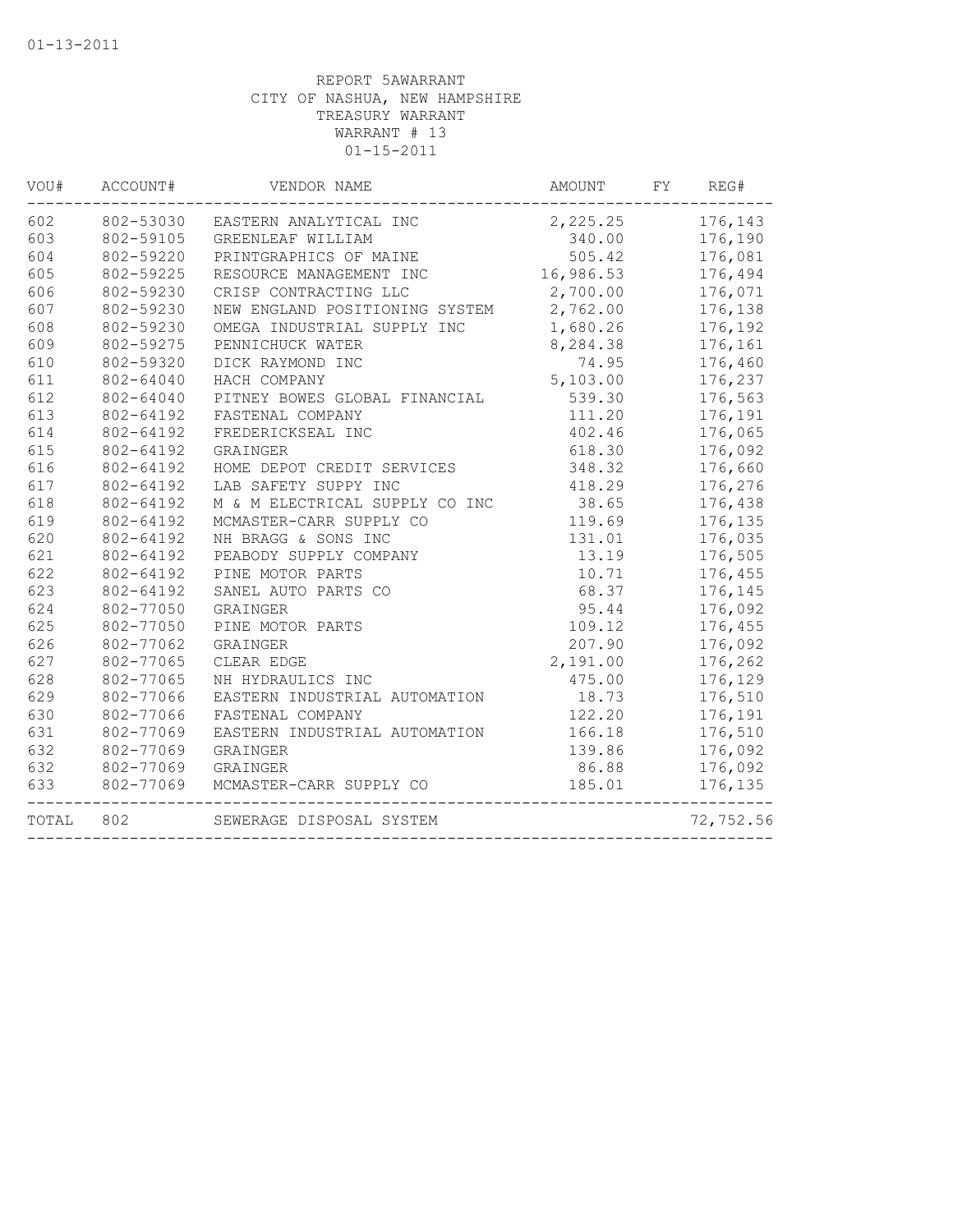| VOU#  | ACCOUNT#  | VENDOR NAME                      | AMOUNT             | FY      | REG#      |  |
|-------|-----------|----------------------------------|--------------------|---------|-----------|--|
| 602   |           | 802-53030 EASTERN ANALYTICAL INC | 2, 225.25 176, 143 |         |           |  |
| 603   | 802-59105 | GREENLEAF WILLIAM                | 340.00             | 176,190 |           |  |
| 604   | 802-59220 | PRINTGRAPHICS OF MAINE           | 505.42             |         | 176,081   |  |
| 605   | 802-59225 | RESOURCE MANAGEMENT INC          | 16,986.53          |         | 176,494   |  |
| 606   | 802-59230 | CRISP CONTRACTING LLC            | 2,700.00           |         | 176,071   |  |
| 607   | 802-59230 | NEW ENGLAND POSITIONING SYSTEM   | 2,762.00           |         | 176,138   |  |
| 608   | 802-59230 | OMEGA INDUSTRIAL SUPPLY INC      | 1,680.26           |         | 176,192   |  |
| 609   | 802-59275 | PENNICHUCK WATER                 | 8,284.38           |         | 176,161   |  |
| 610   | 802-59320 | DICK RAYMOND INC                 | 74.95              |         | 176,460   |  |
| 611   | 802-64040 | HACH COMPANY                     | 5,103.00           |         | 176,237   |  |
| 612   | 802-64040 | PITNEY BOWES GLOBAL FINANCIAL    | 539.30             |         | 176,563   |  |
| 613   | 802-64192 | FASTENAL COMPANY                 | 111.20             |         | 176,191   |  |
| 614   | 802-64192 | FREDERICKSEAL INC                | 402.46             |         | 176,065   |  |
| 615   | 802-64192 | GRAINGER                         | 618.30             |         | 176,092   |  |
| 616   | 802-64192 | HOME DEPOT CREDIT SERVICES       | 348.32             |         | 176,660   |  |
| 617   | 802-64192 | LAB SAFETY SUPPY INC             | 418.29             |         | 176,276   |  |
| 618   | 802-64192 | M & M ELECTRICAL SUPPLY CO INC   | 38.65              |         | 176,438   |  |
| 619   | 802-64192 | MCMASTER-CARR SUPPLY CO          | 119.69             |         | 176,135   |  |
| 620   | 802-64192 | NH BRAGG & SONS INC              | 131.01             |         | 176,035   |  |
| 621   | 802-64192 | PEABODY SUPPLY COMPANY           | 13.19              |         | 176,505   |  |
| 622   | 802-64192 | PINE MOTOR PARTS                 | 10.71              |         | 176,455   |  |
| 623   | 802-64192 | SANEL AUTO PARTS CO              | 68.37              |         | 176,145   |  |
| 624   | 802-77050 | GRAINGER                         | 95.44              |         | 176,092   |  |
| 625   | 802-77050 | PINE MOTOR PARTS                 | 109.12             |         | 176,455   |  |
| 626   | 802-77062 | GRAINGER                         | 207.90             |         | 176,092   |  |
| 627   | 802-77065 | CLEAR EDGE                       | 2,191.00           |         | 176,262   |  |
| 628   | 802-77065 | NH HYDRAULICS INC                | 475.00             |         | 176,129   |  |
| 629   | 802-77066 | EASTERN INDUSTRIAL AUTOMATION    | 18.73              |         | 176,510   |  |
| 630   | 802-77066 | FASTENAL COMPANY                 | 122.20             |         | 176,191   |  |
| 631   | 802-77069 | EASTERN INDUSTRIAL AUTOMATION    | 166.18             |         | 176,510   |  |
| 632   | 802-77069 | GRAINGER                         | 139.86             |         | 176,092   |  |
| 632   | 802-77069 | GRAINGER                         | 86.88              |         | 176,092   |  |
| 633   | 802-77069 | MCMASTER-CARR SUPPLY CO          | 185.01             |         | 176,135   |  |
| TOTAL | 802       | SEWERAGE DISPOSAL SYSTEM         |                    |         | 72,752.56 |  |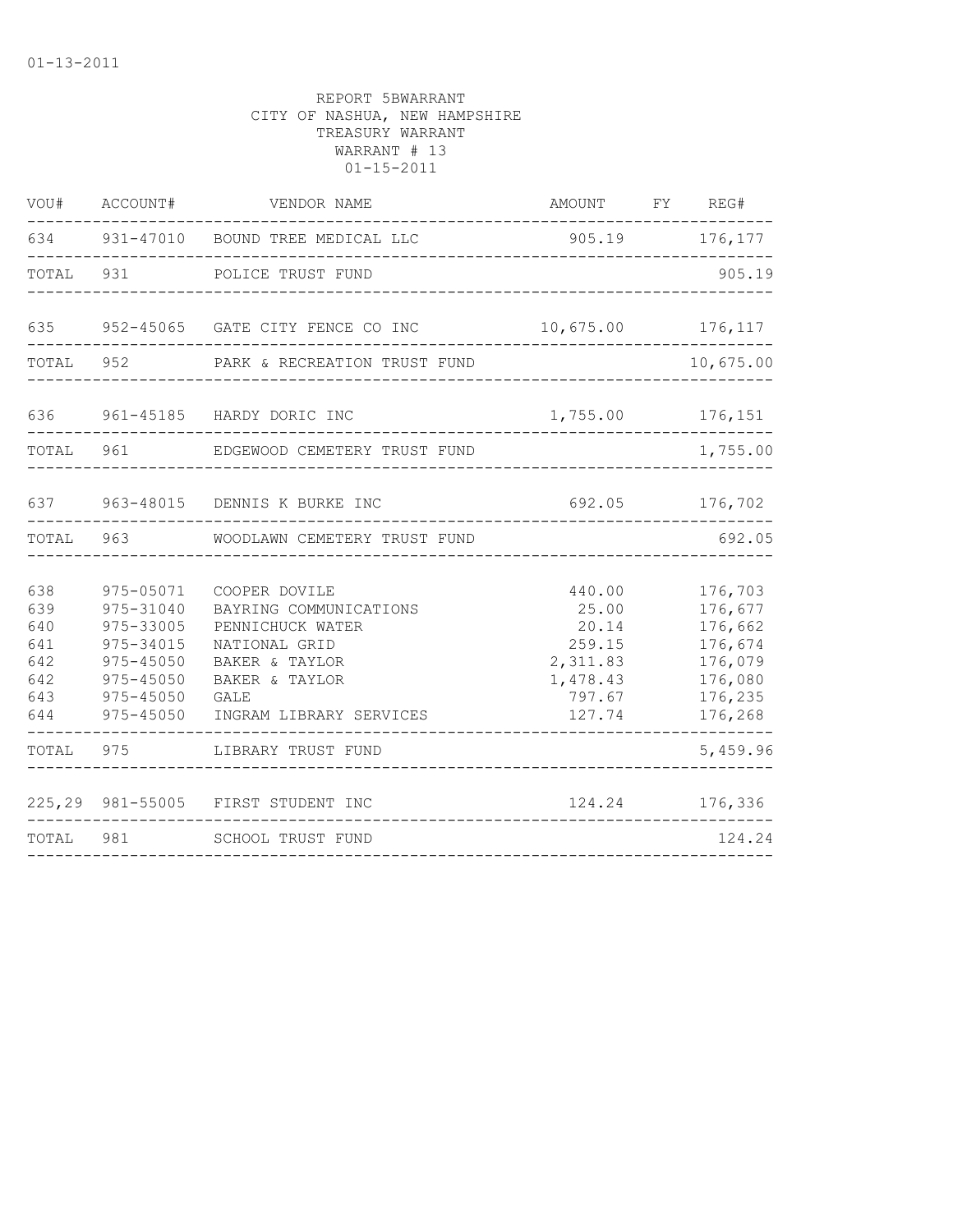| WOU#                                                 | ACCOUNT#                                                                                                 | VENDOR NAME                                                                                                                                         |                                                                                | AMOUNT FY REG# |                                                                                      |
|------------------------------------------------------|----------------------------------------------------------------------------------------------------------|-----------------------------------------------------------------------------------------------------------------------------------------------------|--------------------------------------------------------------------------------|----------------|--------------------------------------------------------------------------------------|
|                                                      |                                                                                                          | 634 931-47010 BOUND TREE MEDICAL LLC                                                                                                                | 905.19 176,177                                                                 |                |                                                                                      |
| TOTAL                                                | 931                                                                                                      | POLICE TRUST FUND                                                                                                                                   |                                                                                |                | 905.19                                                                               |
| 635                                                  |                                                                                                          | 952-45065 GATE CITY FENCE CO INC                                                                                                                    | 10,675.00 176,117                                                              |                |                                                                                      |
| TOTAL 952                                            |                                                                                                          | PARK & RECREATION TRUST FUND                                                                                                                        |                                                                                |                | 10,675.00                                                                            |
| 636                                                  |                                                                                                          | 961-45185 HARDY DORIC INC                                                                                                                           | 1,755.00                                                                       |                | 176,151                                                                              |
| TOTAL                                                | 961                                                                                                      | EDGEWOOD CEMETERY TRUST FUND                                                                                                                        |                                                                                |                | 1,755.00                                                                             |
| 637                                                  |                                                                                                          | 963-48015 DENNIS K BURKE INC                                                                                                                        | 692.05                                                                         |                | 176,702                                                                              |
| TOTAL                                                | 963                                                                                                      | WOODLAWN CEMETERY TRUST FUND                                                                                                                        |                                                                                |                | 692.05                                                                               |
| 638<br>639<br>640<br>641<br>642<br>642<br>643<br>644 | 975-05071<br>975-31040<br>975-33005<br>975-34015<br>$975 - 45050$<br>975-45050<br>975-45050<br>975-45050 | COOPER DOVILE<br>BAYRING COMMUNICATIONS<br>PENNICHUCK WATER<br>NATIONAL GRID<br>BAKER & TAYLOR<br>BAKER & TAYLOR<br>GALE<br>INGRAM LIBRARY SERVICES | 440.00<br>25.00<br>20.14<br>259.15<br>2,311.83<br>1,478.43<br>797.67<br>127.74 |                | 176,703<br>176,677<br>176,662<br>176,674<br>176,079<br>176,080<br>176,235<br>176,268 |
| TOTAL                                                | 975                                                                                                      | LIBRARY TRUST FUND                                                                                                                                  |                                                                                |                | 5,459.96                                                                             |
|                                                      |                                                                                                          | 225,29 981-55005 FIRST STUDENT INC                                                                                                                  | 124.24                                                                         |                | 176,336                                                                              |
| TOTAL                                                | 981                                                                                                      | SCHOOL TRUST FUND                                                                                                                                   |                                                                                |                | 124.24                                                                               |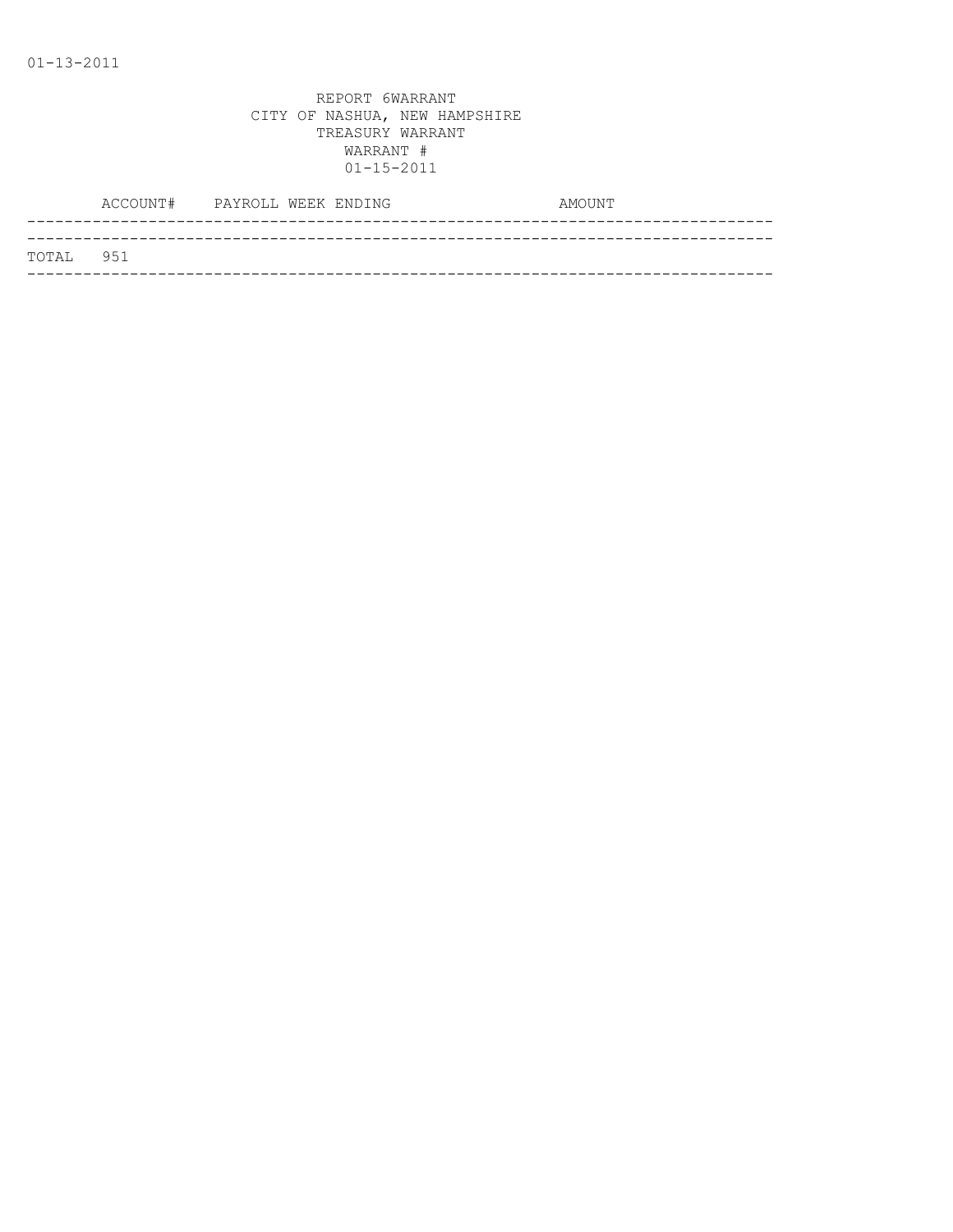|           | ACCOUNT# PAYROLL WEEK ENDING |  | AMOUNT |
|-----------|------------------------------|--|--------|
|           |                              |  |        |
| TOTAL 951 |                              |  |        |
|           |                              |  |        |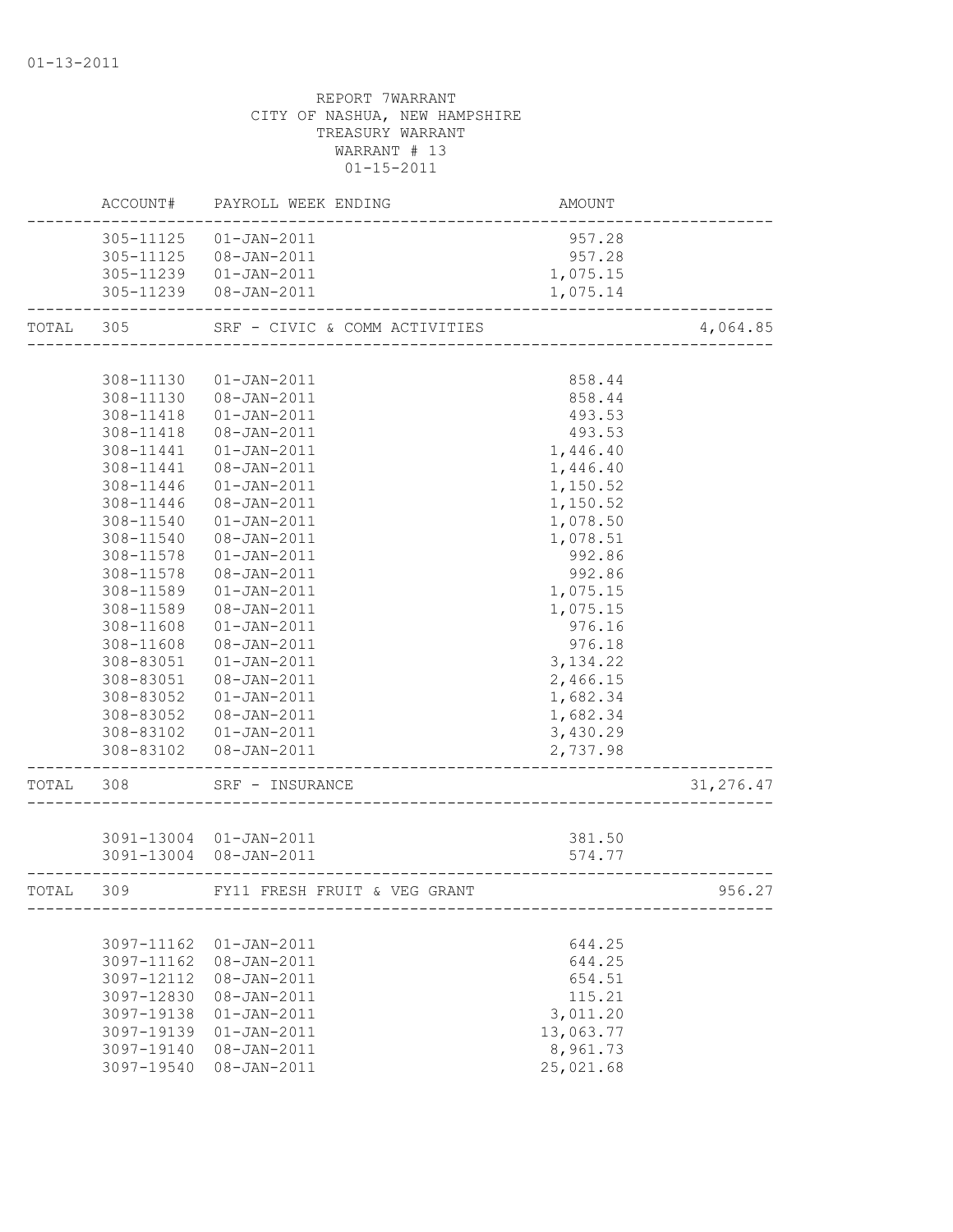# REPORT 7WARRANT CITY OF NASHUA, NEW HAMPSHIRE TREASURY WARRANT WARRANT # 13 01-15-2011 ACCOUNT# PAYROLL WEEK ENDING COUNT AMOUNT -------------------------------------------------------------------------------- 305-11125 01-JAN-2011 957.28 305-11125 08-JAN-2011 957.28 305-11239 01-JAN-2011 1,075.15 305-11239 08-JAN-2011 1,075.14 -------------------------------------------------------------------------------- TOTAL 305 SRF - CIVIC & COMM ACTIVITIES 4,064.85 -------------------------------------------------------------------------------- 308-11130 01-JAN-2011 858.44 308-11130 08-JAN-2011 858.44 308-11418 01-JAN-2011 493.53 308-11418 08-JAN-2011 493.53 308-11441 01-JAN-2011 1,446.40 308-11441 08-JAN-2011 1,446.40 308-11446 01-JAN-2011 1,150.52 308-11446 08-JAN-2011 1,150.52 308-11540 01-JAN-2011 1,078.50 308-11540 08-JAN-2011 1,078.51 308-11578 01-JAN-2011 992.86 308-11578 08-JAN-2011 992.86 308-11589 01-JAN-2011 1,075.15 308-11589 08-JAN-2011 1,075.15 308-11608 01-JAN-2011 976.16 308-11608 08-JAN-2011 976.18 308-83051 01-JAN-2011 3,134.22 308-83051 08-JAN-2011 2,466.15 308-83052 01-JAN-2011 1,682.34 308-83052 08-JAN-2011 1,682.34 308-83102 01-JAN-2011 3,430.29 308-83102 08-JAN-2011 2,737.98 -------------------------------------------------------------------------------- TOTAL 308 SRF – INSURANCE 31,276.47 -------------------------------------------------------------------------------- 3091-13004 01-JAN-2011 381.50 3091-13004 08-JAN-2011 574.77 -------------------------------------------------------------------------------- TOTAL 309 FY11 FRESH FRUIT & VEG GRANT 956.27 --------------------------------------------------------------------------------

|            | 3097-11162 01-JAN-2011 | 644.25    |
|------------|------------------------|-----------|
| 3097-11162 | 08-JAN-2011            | 644.25    |
| 3097-12112 | 08-JAN-2011            | 654.51    |
| 3097-12830 | 08-JAN-2011            | 115.21    |
| 3097-19138 | 01-JAN-2011            | 3,011.20  |
| 3097-19139 | 01-JAN-2011            | 13,063.77 |
| 3097-19140 | 08-JAN-2011            | 8,961.73  |
| 3097-19540 | 08-JAN-2011            | 25,021.68 |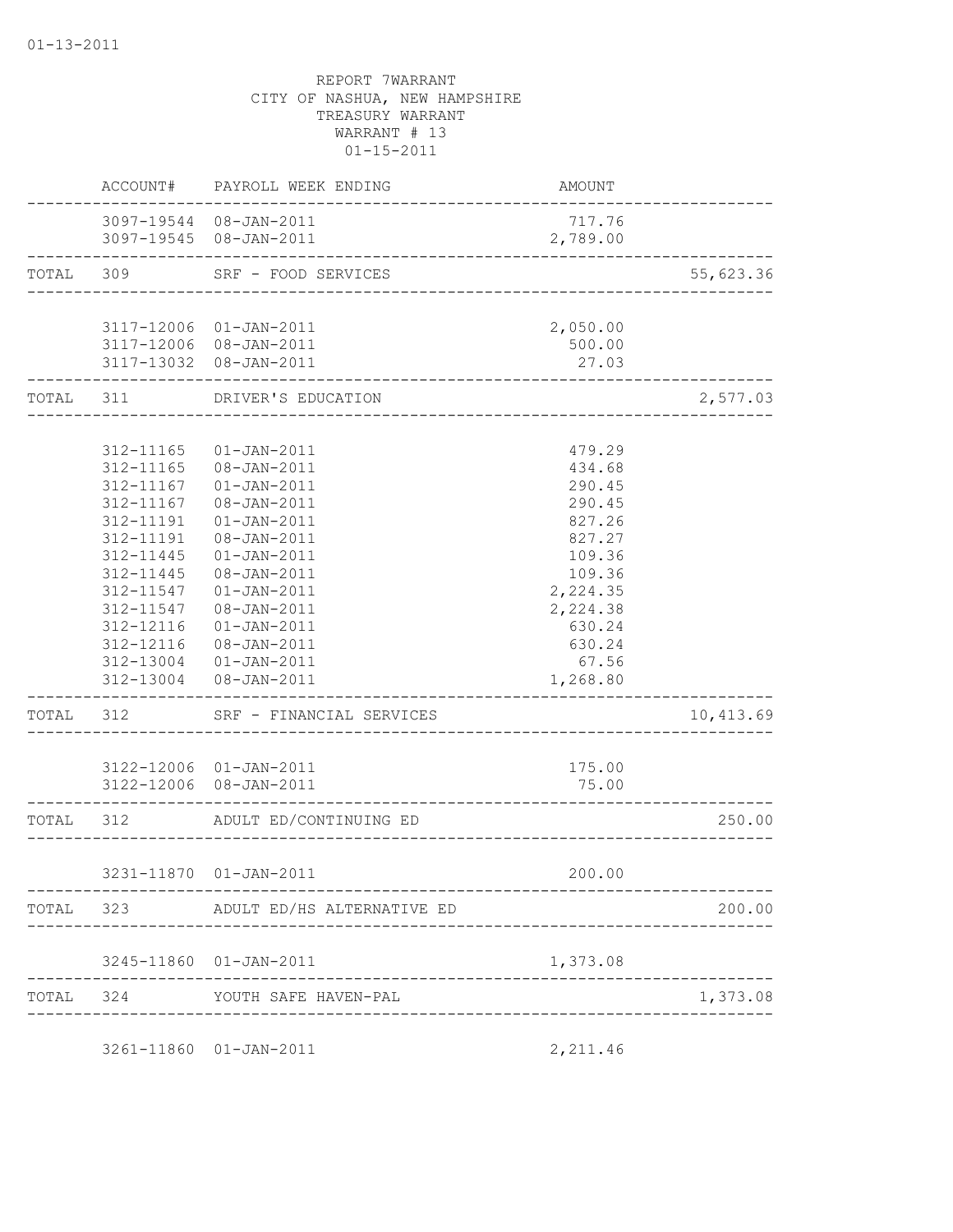|                                     | ACCOUNT# PAYROLL WEEK ENDING                     | AMOUNT                               |           |
|-------------------------------------|--------------------------------------------------|--------------------------------------|-----------|
|                                     | 3097-19544 08-JAN-2011<br>3097-19545 08-JAN-2011 | 717.76<br>2,789.00                   |           |
|                                     | TOTAL 309 SRF - FOOD SERVICES                    | ____________________________________ | 55,623.36 |
|                                     |                                                  |                                      |           |
|                                     | 3117-12006 01-JAN-2011                           | 2,050.00                             |           |
|                                     | 3117-12006 08-JAN-2011                           | 500.00                               |           |
| . _ _ _ _ _ _ _ _ _ _ _ _ _ _ _ _ _ | 3117-13032 08-JAN-2011                           | 27.03<br>_____________               |           |
|                                     | TOTAL 311 DRIVER'S EDUCATION                     | _______________________              | 2,577.03  |
|                                     |                                                  |                                      |           |
| 312-11165                           | 01-JAN-2011                                      | 479.29                               |           |
| 312-11165                           | 08-JAN-2011                                      | 434.68                               |           |
|                                     | 312-11167  01-JAN-2011                           | 290.45                               |           |
| 312-11167                           | 08-JAN-2011                                      | 290.45                               |           |
| 312-11191                           | $01 - JAN - 2011$                                | 827.26                               |           |
| 312-11191                           | 08-JAN-2011                                      | 827.27                               |           |
| 312-11445                           | $01 - JAN - 2011$                                | 109.36                               |           |
| 312-11445                           | 08-JAN-2011                                      | 109.36                               |           |
|                                     | 312-11547   01-JAN-2011                          | 2,224.35                             |           |
| 312-11547<br>312-12116              | 08-JAN-2011                                      | 2,224.38<br>630.24                   |           |
|                                     | $01 - JAN - 2011$<br>312-12116 08-JAN-2011       | 630.24                               |           |
|                                     | 312-13004  01-JAN-2011                           | 67.56                                |           |
|                                     | 312-13004 08-JAN-2011                            | 1,268.80                             |           |
|                                     | TOTAL 312 SRF - FINANCIAL SERVICES               |                                      | 10,413.69 |
|                                     |                                                  |                                      |           |
|                                     | 3122-12006 01-JAN-2011                           | 175.00                               |           |
|                                     | 3122-12006 08-JAN-2011                           | 75.00<br>------------------------    |           |
| TOTAL 312                           | ADULT ED/CONTINUING ED                           | --------------------                 | 250.00    |
|                                     |                                                  |                                      |           |
|                                     | 3231-11870 01-JAN-2011                           | 200.00                               |           |
|                                     | TOTAL 323 ADULT ED/HS ALTERNATIVE ED             |                                      | 200.00    |
|                                     |                                                  |                                      |           |
|                                     | 3245-11860 01-JAN-2011                           | 1,373.08                             |           |
|                                     | TOTAL 324 YOUTH SAFE HAVEN-PAL                   |                                      | 1,373.08  |
|                                     |                                                  |                                      |           |
|                                     | 3261-11860 01-JAN-2011                           | 2,211.46                             |           |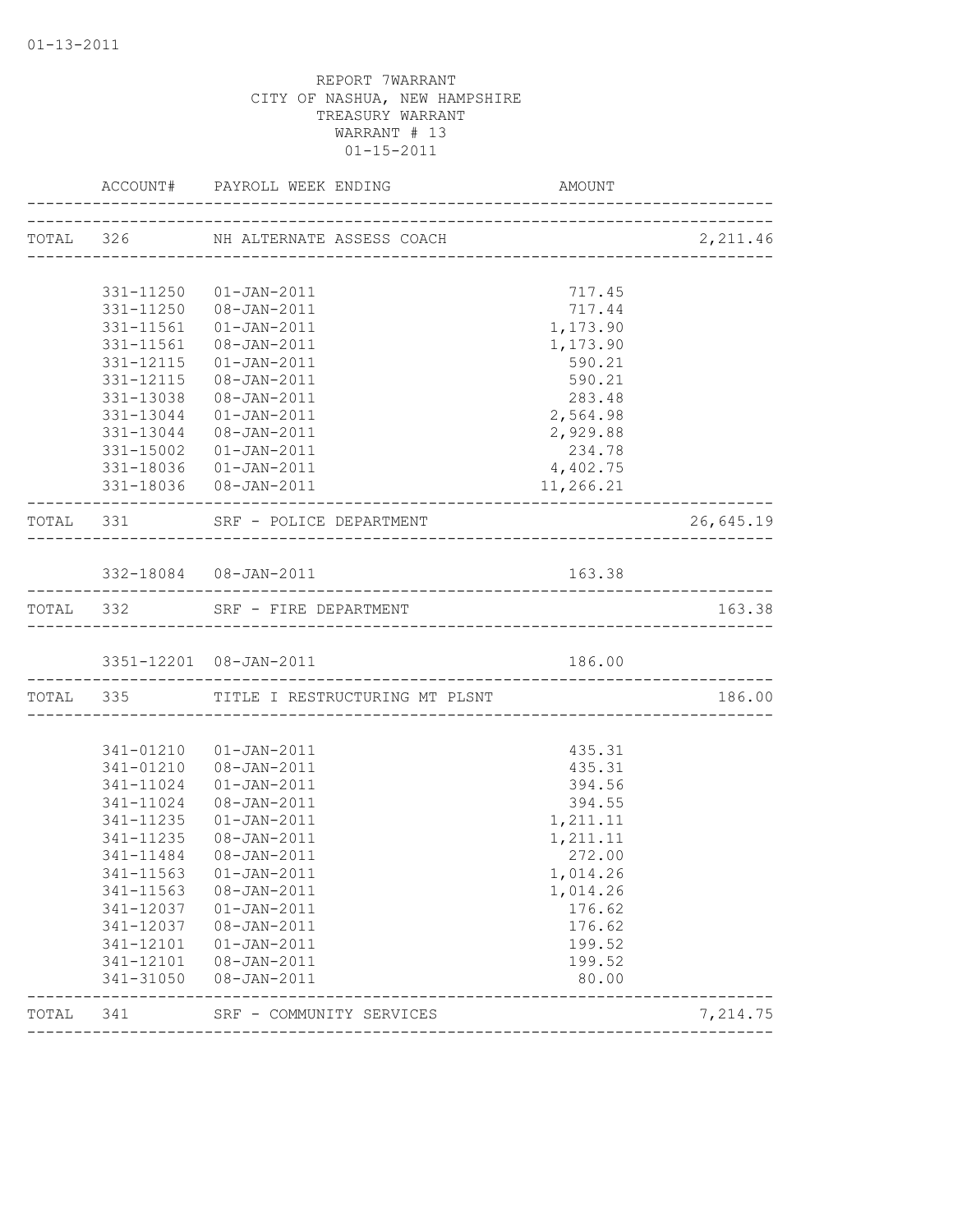|       |                     | ACCOUNT# PAYROLL WEEK ENDING             | AMOUNT    |           |
|-------|---------------------|------------------------------------------|-----------|-----------|
|       |                     | TOTAL 326 NH ALTERNATE ASSESS COACH      |           |           |
|       |                     |                                          |           |           |
|       |                     | 331-11250 01-JAN-2011                    | 717.45    |           |
|       |                     | 331-11250 08-JAN-2011                    | 717.44    |           |
|       |                     | 331-11561  01-JAN-2011                   | 1,173.90  |           |
|       |                     | 331-11561  08-JAN-2011                   | 1,173.90  |           |
|       |                     | 331-12115  01-JAN-2011                   | 590.21    |           |
|       |                     | 331-12115  08-JAN-2011                   | 590.21    |           |
|       |                     | 331-13038  08-JAN-2011                   | 283.48    |           |
|       |                     | 331-13044  01-JAN-2011                   | 2,564.98  |           |
|       |                     | 331-13044  08-JAN-2011                   | 2,929.88  |           |
|       |                     | 331-15002  01-JAN-2011                   | 234.78    |           |
|       |                     | 331-18036  01-JAN-2011                   | 4,402.75  |           |
|       |                     | 331-18036 08-JAN-2011                    | 11,266.21 |           |
|       |                     | TOTAL 331 SRF - POLICE DEPARTMENT        |           | 26,645.19 |
|       |                     |                                          |           |           |
|       |                     | 332-18084  08-JAN-2011                   | 163.38    |           |
|       |                     | TOTAL 332 SRF - FIRE DEPARTMENT          |           | 163.38    |
|       |                     | 3351-12201 08-JAN-2011                   | 186.00    |           |
|       | ___________________ | TOTAL 335 TITLE I RESTRUCTURING MT PLSNT |           | 186.00    |
|       |                     |                                          |           |           |
|       |                     | 341-01210  01-JAN-2011                   | 435.31    |           |
|       |                     | 341-01210  08-JAN-2011                   | 435.31    |           |
|       |                     | 341-11024  01-JAN-2011                   | 394.56    |           |
|       | 341-11024           | 08-JAN-2011                              | 394.55    |           |
|       | 341-11235           | $01 - JAN - 2011$                        | 1,211.11  |           |
|       |                     | 341-11235 08-JAN-2011                    | 1,211.11  |           |
|       |                     | 341-11484 08-JAN-2011                    | 272.00    |           |
|       |                     | 341-11563 01-JAN-2011                    | 1,014.26  |           |
|       | 341-11563           | 08-JAN-2011                              | 1,014.26  |           |
|       | 341-12037           | $01 - JAN - 2011$                        | 176.62    |           |
|       | 341-12037           | 08-JAN-2011                              | 176.62    |           |
|       | 341-12101           | $01 - JAN - 2011$                        | 199.52    |           |
|       | 341-12101           | 08-JAN-2011                              | 199.52    |           |
|       | 341-31050           | 08-JAN-2011                              | 80.00     |           |
| TOTAL | 341                 | SRF - COMMUNITY SERVICES                 |           | 7,214.75  |
|       |                     |                                          |           |           |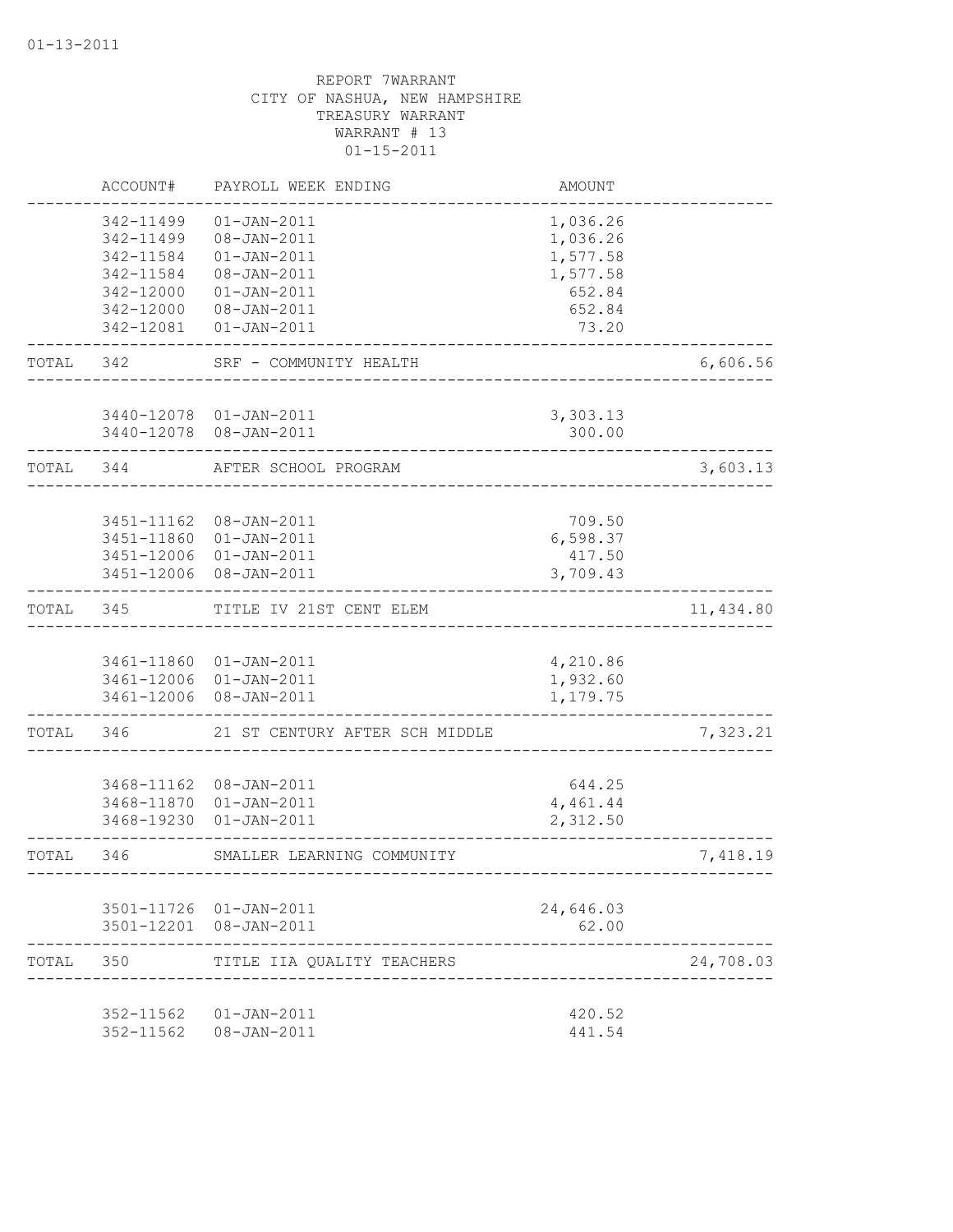|       | ACCOUNT#                                                                   | PAYROLL WEEK ENDING                                                                                      | <b>AMOUNT</b>                                                    |           |
|-------|----------------------------------------------------------------------------|----------------------------------------------------------------------------------------------------------|------------------------------------------------------------------|-----------|
|       | 342-11499<br>342-11499<br>342-11584<br>342-11584<br>342-12000<br>342-12000 | $01 - JAN - 2011$<br>08-JAN-2011<br>$01 - JAN - 2011$<br>08-JAN-2011<br>$01 - JAN - 2011$<br>08-JAN-2011 | 1,036.26<br>1,036.26<br>1,577.58<br>1,577.58<br>652.84<br>652.84 |           |
|       | 342-12081                                                                  | $01 - JAN - 2011$                                                                                        | 73.20                                                            |           |
| TOTAL | 342                                                                        | SRF - COMMUNITY HEALTH                                                                                   |                                                                  | 6,606.56  |
|       |                                                                            | 3440-12078 01-JAN-2011<br>3440-12078 08-JAN-2011                                                         | 3,303.13<br>300.00                                               |           |
| TOTAL | 344                                                                        | AFTER SCHOOL PROGRAM                                                                                     |                                                                  | 3,603.13  |
|       | 3451-11162<br>3451-11860<br>3451-12006                                     | 08-JAN-2011<br>$01 - JAN - 2011$<br>3451-12006 01-JAN-2011<br>$08 - JAN - 2011$                          | 709.50<br>6,598.37<br>417.50<br>3,709.43                         |           |
| TOTAL | 345                                                                        | TITLE IV 21ST CENT ELEM                                                                                  |                                                                  | 11,434.80 |
|       | 3461-12006                                                                 | 3461-11860 01-JAN-2011<br>3461-12006 01-JAN-2011<br>08-JAN-2011                                          | 4,210.86<br>1,932.60<br>1,179.75                                 |           |
| TOTAL | 346                                                                        | 21 ST CENTURY AFTER SCH MIDDLE                                                                           |                                                                  | 7,323.21  |
|       | 3468-11162<br>3468-11870<br>3468-19230                                     | 08-JAN-2011<br>$01 - JAN - 2011$<br>$01 - JAN - 2011$                                                    | 644.25<br>4,461.44<br>2,312.50                                   |           |
| TOTAL | 346                                                                        | SMALLER LEARNING COMMUNITY                                                                               | --------------                                                   | 7,418.19  |
|       |                                                                            | 3501-11726 01-JAN-2011<br>3501-12201 08-JAN-2011                                                         | 24,646.03<br>62.00                                               |           |
| TOTAL | 350                                                                        | TITLE IIA QUALITY TEACHERS                                                                               |                                                                  | 24,708.03 |
|       |                                                                            | 352-11562  01-JAN-2011<br>352-11562  08-JAN-2011                                                         | 420.52<br>441.54                                                 |           |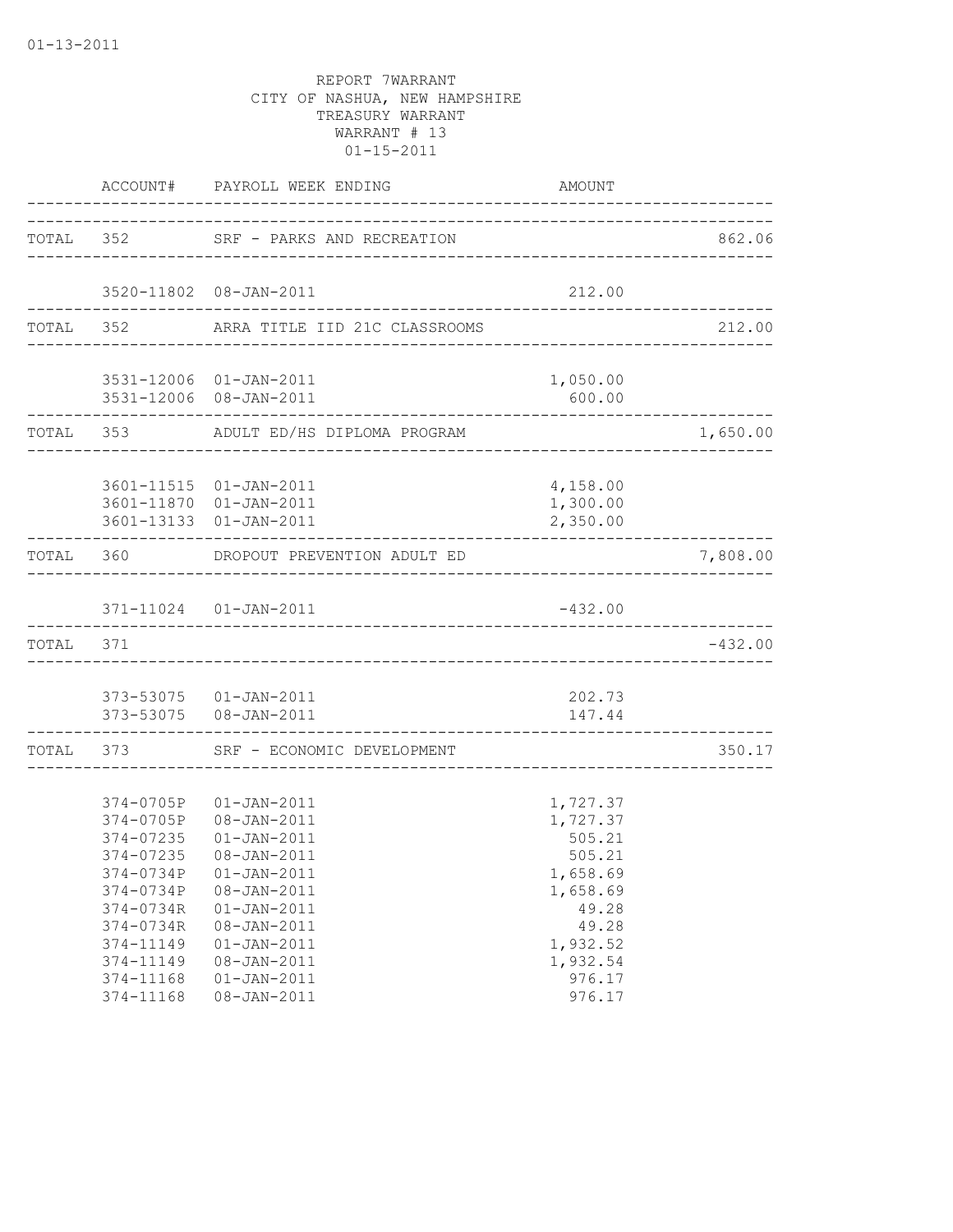| TOTAL 352 SRF - PARKS AND RECREATION<br>3520-11802 08-JAN-2011<br>212.00<br>TOTAL 352 ARRA TITLE IID 21C CLASSROOMS<br>1,050.00<br>3531-12006 01-JAN-2011<br>3531-12006 08-JAN-2011<br>600.00<br>TOTAL 353 ADULT ED/HS DIPLOMA PROGRAM<br>3601-11515  01-JAN-2011<br>4,158.00<br>3601-11870 01-JAN-2011<br>1,300.00<br>3601-13133  01-JAN-2011<br>2,350.00<br>--------------<br>TOTAL 360<br>DROPOUT PREVENTION ADULT ED<br>371-11024  01-JAN-2011<br>$-432.00$<br>TOTAL 371<br>373-53075  01-JAN-2011<br>202.73<br>373-53075  08-JAN-2011<br>147.44<br>-----------------<br>TOTAL 373 SRF - ECONOMIC DEVELOPMENT<br>---------------<br>374-0705P 01-JAN-2011<br>1,727.37<br>374-0705P 08-JAN-2011<br>1,727.37<br>374-07235  01-JAN-2011<br>505.21<br>505.21<br>374-07235<br>$08 - JAN - 2011$<br>1,658.69<br>374-0734P 01-JAN-2011<br>374-0734P<br>08-JAN-2011<br>1,658.69<br>374-0734R<br>$01 - JAN - 2011$<br>49.28<br>08-JAN-2011<br>49.28<br>374-0734R<br>$01 - JAN - 2011$<br>1,932.52<br>374-11149<br>$08 - JAN - 2011$<br>374-11149<br>1,932.54 |           | ACCOUNT# PAYROLL WEEK ENDING | AMOUNT |           |
|---------------------------------------------------------------------------------------------------------------------------------------------------------------------------------------------------------------------------------------------------------------------------------------------------------------------------------------------------------------------------------------------------------------------------------------------------------------------------------------------------------------------------------------------------------------------------------------------------------------------------------------------------------------------------------------------------------------------------------------------------------------------------------------------------------------------------------------------------------------------------------------------------------------------------------------------------------------------------------------------------------------------------------------------------------|-----------|------------------------------|--------|-----------|
|                                                                                                                                                                                                                                                                                                                                                                                                                                                                                                                                                                                                                                                                                                                                                                                                                                                                                                                                                                                                                                                         |           |                              |        | 862.06    |
|                                                                                                                                                                                                                                                                                                                                                                                                                                                                                                                                                                                                                                                                                                                                                                                                                                                                                                                                                                                                                                                         |           |                              |        |           |
|                                                                                                                                                                                                                                                                                                                                                                                                                                                                                                                                                                                                                                                                                                                                                                                                                                                                                                                                                                                                                                                         |           |                              |        | 212.00    |
|                                                                                                                                                                                                                                                                                                                                                                                                                                                                                                                                                                                                                                                                                                                                                                                                                                                                                                                                                                                                                                                         |           |                              |        |           |
|                                                                                                                                                                                                                                                                                                                                                                                                                                                                                                                                                                                                                                                                                                                                                                                                                                                                                                                                                                                                                                                         |           |                              |        | 1,650.00  |
|                                                                                                                                                                                                                                                                                                                                                                                                                                                                                                                                                                                                                                                                                                                                                                                                                                                                                                                                                                                                                                                         |           |                              |        |           |
|                                                                                                                                                                                                                                                                                                                                                                                                                                                                                                                                                                                                                                                                                                                                                                                                                                                                                                                                                                                                                                                         |           |                              |        | 7,808.00  |
|                                                                                                                                                                                                                                                                                                                                                                                                                                                                                                                                                                                                                                                                                                                                                                                                                                                                                                                                                                                                                                                         |           |                              |        |           |
|                                                                                                                                                                                                                                                                                                                                                                                                                                                                                                                                                                                                                                                                                                                                                                                                                                                                                                                                                                                                                                                         |           |                              |        | $-432.00$ |
|                                                                                                                                                                                                                                                                                                                                                                                                                                                                                                                                                                                                                                                                                                                                                                                                                                                                                                                                                                                                                                                         |           |                              |        |           |
|                                                                                                                                                                                                                                                                                                                                                                                                                                                                                                                                                                                                                                                                                                                                                                                                                                                                                                                                                                                                                                                         |           |                              |        | 350.17    |
|                                                                                                                                                                                                                                                                                                                                                                                                                                                                                                                                                                                                                                                                                                                                                                                                                                                                                                                                                                                                                                                         | 374-11168 | $01 - JAN - 2011$            | 976.17 |           |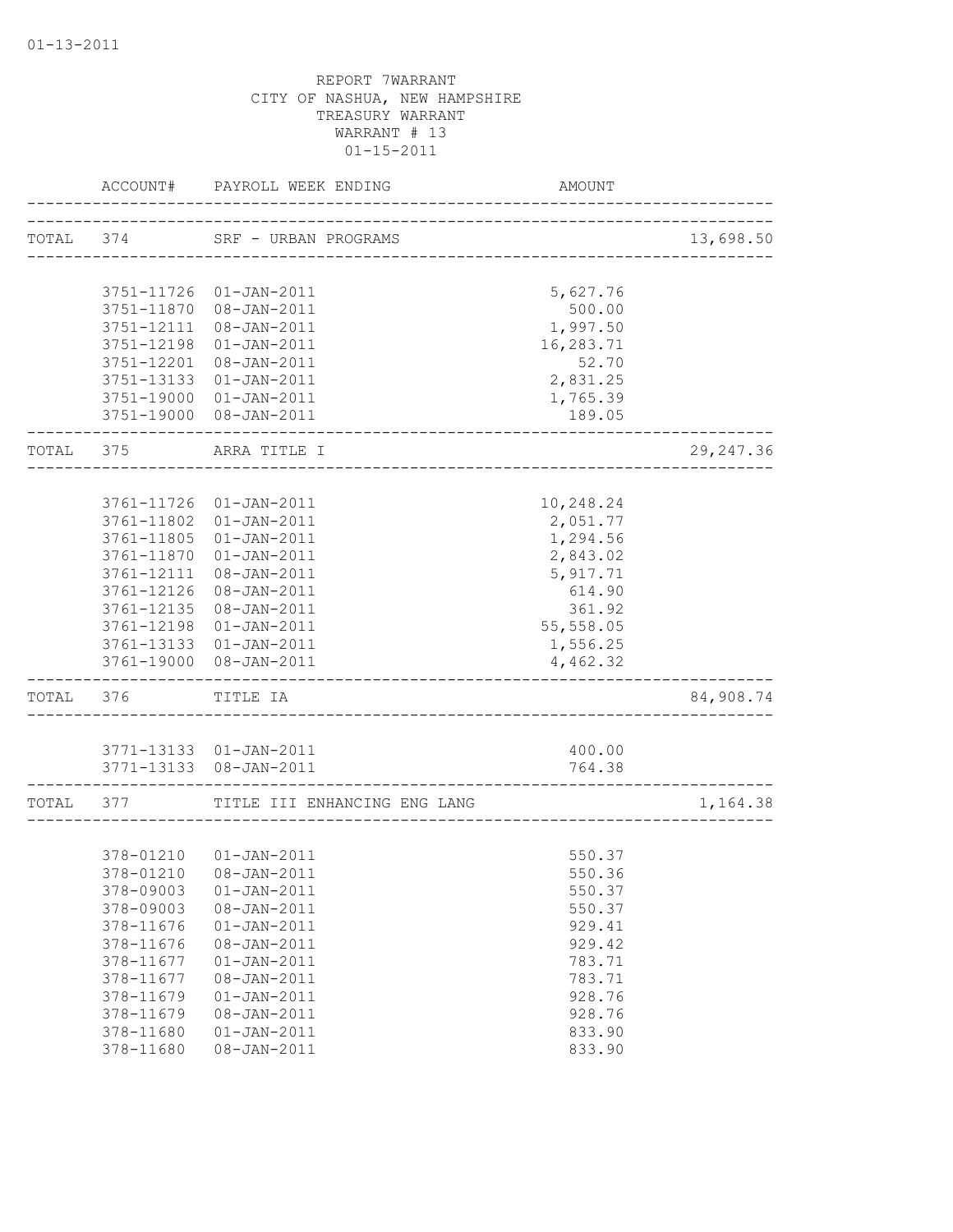|           | ACCOUNT#                 | PAYROLL WEEK ENDING              | AMOUNT                                  |            |
|-----------|--------------------------|----------------------------------|-----------------------------------------|------------|
| TOTAL 374 |                          | SRF - URBAN PROGRAMS             | ____________________________________    | 13,698.50  |
|           |                          | 3751-11726 01-JAN-2011           |                                         |            |
|           | 3751-11870               | 08-JAN-2011                      | 5,627.76<br>500.00                      |            |
|           | 3751-12111               | 08-JAN-2011                      | 1,997.50                                |            |
|           | 3751-12198               | $01 - JAN - 2011$                | 16,283.71                               |            |
|           | 3751-12201               | $08 - JAN - 2011$                | 52.70                                   |            |
|           | 3751-13133               | $01 - JAN - 2011$                | 2,831.25                                |            |
|           | 3751-19000               | $01 - JAN - 2011$                | 1,765.39                                |            |
|           |                          | 3751-19000 08-JAN-2011           | 189.05                                  |            |
| TOTAL 375 |                          | ARRA TITLE I                     |                                         | 29, 247.36 |
|           |                          |                                  |                                         |            |
|           | 3761-11726               | $01 - JAN - 2011$                | 10,248.24                               |            |
|           | 3761-11802               | $01 - JAN - 2011$                | 2,051.77                                |            |
|           | 3761-11805               | $01 - JAN - 2011$                | 1,294.56                                |            |
|           | 3761-11870               | $01 - JAN - 2011$                | 2,843.02                                |            |
|           | 3761-12111               | 08-JAN-2011                      | 5,917.71                                |            |
|           | 3761-12126               | $08 - JAN - 2011$                | 614.90                                  |            |
|           | 3761-12135               | 08-JAN-2011                      | 361.92                                  |            |
|           | 3761-12198               | $01 - JAN - 2011$                | 55,558.05                               |            |
|           | 3761-13133<br>3761-19000 | $01 - JAN - 2011$<br>08-JAN-2011 | 1,556.25<br>4,462.32                    |            |
| TOTAL 376 |                          | TITLE IA                         |                                         | 84,908.74  |
|           |                          |                                  |                                         |            |
|           |                          | 3771-13133  01-JAN-2011          | 400.00                                  |            |
|           |                          | 3771-13133 08-JAN-2011           | 764.38<br>_____________________________ |            |
| TOTAL 377 |                          | TITLE III ENHANCING ENG LANG     |                                         | 1,164.38   |
|           |                          |                                  |                                         |            |
|           |                          | 378-01210  01-JAN-2011           | 550.37                                  |            |
|           |                          | 378-01210 08-JAN-2011            | 550.36                                  |            |
|           | 378-09003                | $01 - JAN - 2011$                | 550.37                                  |            |
|           | 378-09003                | 08-JAN-2011                      | 550.37                                  |            |
|           | 378-11676                | $01 - JAN - 2011$                | 929.41                                  |            |
|           | 378-11676                | 08-JAN-2011                      | 929.42                                  |            |
|           | 378-11677                | $01 - JAN - 2011$                | 783.71                                  |            |
|           | 378-11677                | 08-JAN-2011<br>$01 - JAN - 2011$ | 783.71                                  |            |
|           | 378-11679<br>378-11679   | 08-JAN-2011                      | 928.76<br>928.76                        |            |
|           | 378-11680                | $01 - JAN - 2011$                | 833.90                                  |            |
|           | 378-11680                | 08-JAN-2011                      | 833.90                                  |            |
|           |                          |                                  |                                         |            |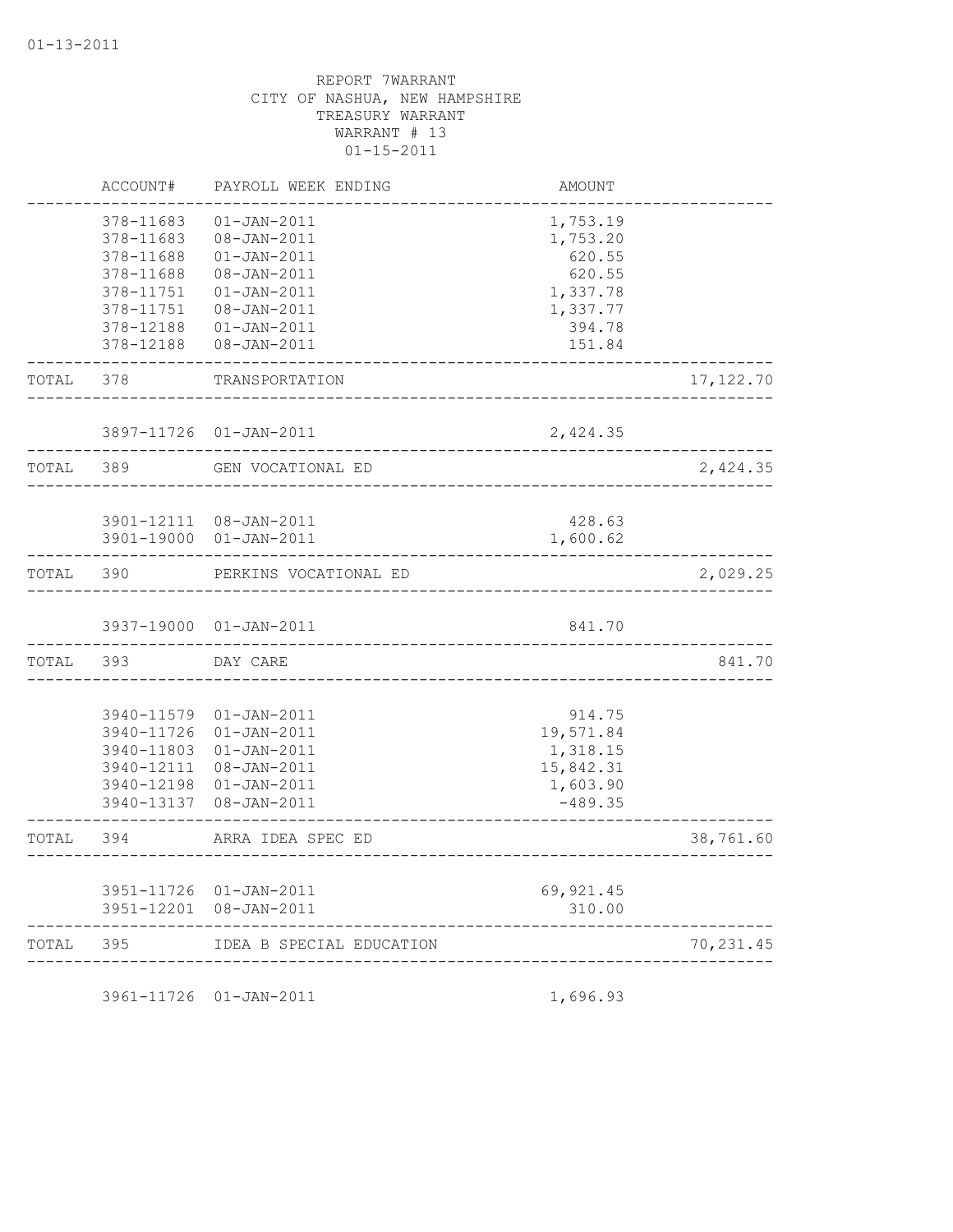|       | ACCOUNT#                                                                                             | PAYROLL WEEK ENDING                                                                                                                          | AMOUNT                                                                               |            |
|-------|------------------------------------------------------------------------------------------------------|----------------------------------------------------------------------------------------------------------------------------------------------|--------------------------------------------------------------------------------------|------------|
|       | 378-11683<br>378-11683<br>378-11688<br>378-11688<br>378-11751<br>378-11751<br>378-12188<br>378-12188 | $01 - JAN - 2011$<br>08-JAN-2011<br>$01 - JAN - 2011$<br>08-JAN-2011<br>$01 - JAN - 2011$<br>08-JAN-2011<br>$01 - JAN - 2011$<br>08-JAN-2011 | 1,753.19<br>1,753.20<br>620.55<br>620.55<br>1,337.78<br>1,337.77<br>394.78<br>151.84 |            |
| TOTAL | 378                                                                                                  | TRANSPORTATION                                                                                                                               |                                                                                      | 17, 122.70 |
|       |                                                                                                      | 3897-11726 01-JAN-2011                                                                                                                       | 2,424.35                                                                             |            |
| TOTAL | 389                                                                                                  | GEN VOCATIONAL ED                                                                                                                            |                                                                                      | 2,424.35   |
|       | 3901-19000                                                                                           | 3901-12111 08-JAN-2011<br>$01 - JAN - 2011$                                                                                                  | 428.63<br>1,600.62                                                                   |            |
| TOTAL | 390                                                                                                  | PERKINS VOCATIONAL ED                                                                                                                        |                                                                                      | 2,029.25   |
|       |                                                                                                      | 3937-19000 01-JAN-2011                                                                                                                       | 841.70                                                                               |            |
| TOTAL | 393                                                                                                  | DAY CARE                                                                                                                                     |                                                                                      | 841.70     |
|       | 3940-11579<br>3940-11726<br>3940-11803<br>3940-12111<br>3940-12198<br>3940-13137                     | $01 - JAN - 2011$<br>$01 - JAN - 2011$<br>$01 - JAN - 2011$<br>08-JAN-2011<br>$01 - JAN - 2011$<br>08-JAN-2011                               | 914.75<br>19,571.84<br>1,318.15<br>15,842.31<br>1,603.90<br>$-489.35$                |            |
| TOTAL | 394                                                                                                  | ARRA IDEA SPEC ED                                                                                                                            |                                                                                      | 38,761.60  |
|       | 3951-12201                                                                                           | 3951-11726 01-JAN-2011<br>$08 - JAN - 2011$                                                                                                  | 69, 921.45<br>310.00                                                                 |            |
| TOTAL | 395                                                                                                  | IDEA B SPECIAL EDUCATION                                                                                                                     |                                                                                      | 70,231.45  |
|       |                                                                                                      |                                                                                                                                              |                                                                                      |            |

3961-11726 01-JAN-2011 1,696.93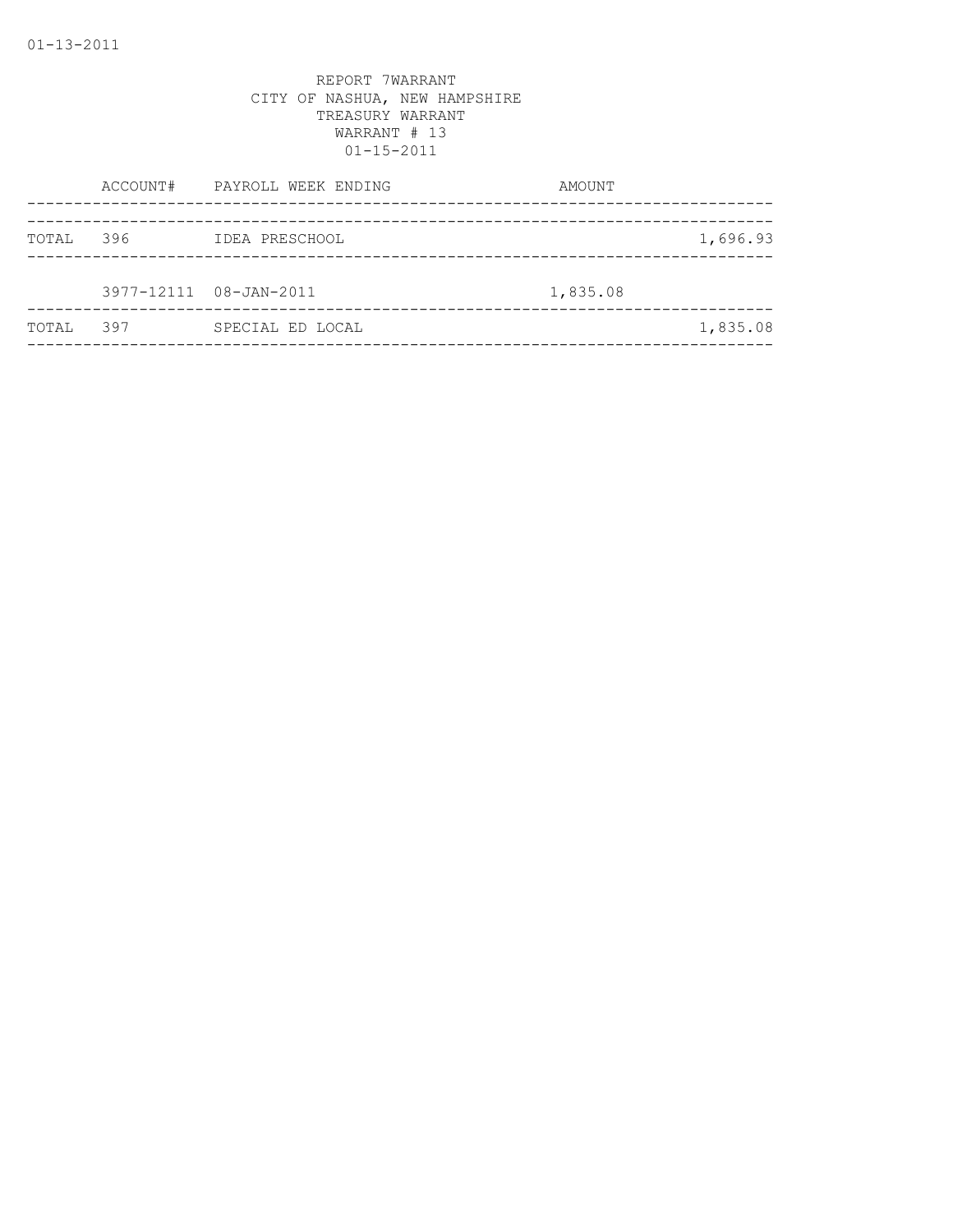|       |     | ACCOUNT# PAYROLL WEEK ENDING | AMOUNT   |          |
|-------|-----|------------------------------|----------|----------|
|       |     |                              |          |          |
| TOTAL | 396 | IDEA PRESCHOOL               |          | 1,696.93 |
|       |     |                              |          |          |
|       |     | 3977-12111 08-JAN-2011       | 1,835.08 |          |
| TOTAL | 397 | SPECIAL ED LOCAL             |          | 1,835.08 |
|       |     |                              |          |          |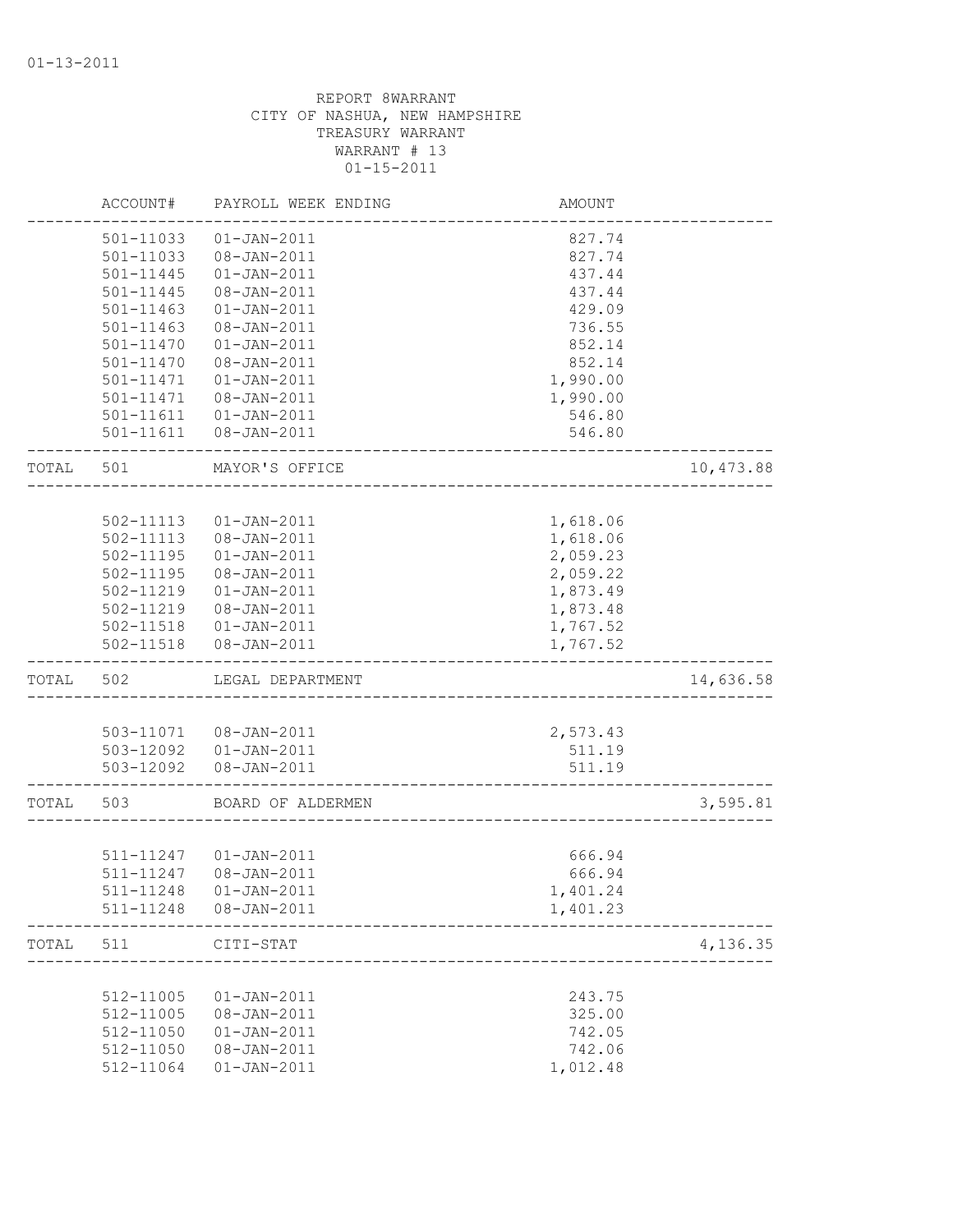|       | ACCOUNT#  | PAYROLL WEEK ENDING    | AMOUNT   |           |
|-------|-----------|------------------------|----------|-----------|
|       | 501-11033 | $01 - JAN - 2011$      | 827.74   |           |
|       | 501-11033 | 08-JAN-2011            | 827.74   |           |
|       | 501-11445 | $01 - JAN - 2011$      | 437.44   |           |
|       | 501-11445 | $08 - JAN - 2011$      | 437.44   |           |
|       | 501-11463 | $01 - JAN - 2011$      | 429.09   |           |
|       | 501-11463 | 08-JAN-2011            | 736.55   |           |
|       | 501-11470 | $01 - JAN - 2011$      | 852.14   |           |
|       | 501-11470 | $08 - JAN - 2011$      | 852.14   |           |
|       | 501-11471 | $01 - JAN - 2011$      | 1,990.00 |           |
|       | 501-11471 | 08-JAN-2011            | 1,990.00 |           |
|       |           | 501-11611  01-JAN-2011 | 546.80   |           |
|       | 501-11611 | 08-JAN-2011            | 546.80   |           |
| TOTAL | 501       | MAYOR'S OFFICE         |          | 10,473.88 |
|       |           |                        |          |           |
|       | 502-11113 | $01 - JAN - 2011$      | 1,618.06 |           |
|       | 502-11113 | 08-JAN-2011            | 1,618.06 |           |
|       | 502-11195 | $01 - JAN - 2011$      | 2,059.23 |           |
|       | 502-11195 | 08-JAN-2011            | 2,059.22 |           |
|       | 502-11219 | $01 - JAN - 2011$      | 1,873.49 |           |
|       | 502-11219 | 08-JAN-2011            | 1,873.48 |           |
|       | 502-11518 | $01 - JAN - 2011$      | 1,767.52 |           |
|       | 502-11518 | 08-JAN-2011            | 1,767.52 |           |
| TOTAL | 502       | LEGAL DEPARTMENT       |          | 14,636.58 |
|       |           |                        |          |           |
|       | 503-11071 | 08-JAN-2011            | 2,573.43 |           |
|       |           | 503-12092  01-JAN-2011 | 511.19   |           |
|       |           | 503-12092  08-JAN-2011 | 511.19   |           |
| TOTAL | 503       | BOARD OF ALDERMEN      |          | 3,595.81  |
|       |           |                        |          |           |
|       | 511-11247 | $01 - JAN - 2011$      | 666.94   |           |
|       | 511-11247 | 08-JAN-2011            | 666.94   |           |
|       | 511-11248 | 01-JAN-2011            | 1,401.24 |           |
|       |           | 511-11248  08-JAN-2011 | 1,401.23 |           |
| TOTAL | 511       | CITI-STAT              |          | 4,136.35  |
|       |           |                        |          |           |
|       | 512-11005 | $01 - JAN - 2011$      | 243.75   |           |
|       | 512-11005 | 08-JAN-2011            | 325.00   |           |
|       | 512-11050 | $01 - JAN - 2011$      | 742.05   |           |
|       | 512-11050 | $08 - JAN - 2011$      | 742.06   |           |
|       | 512-11064 | $01 - JAN - 2011$      | 1,012.48 |           |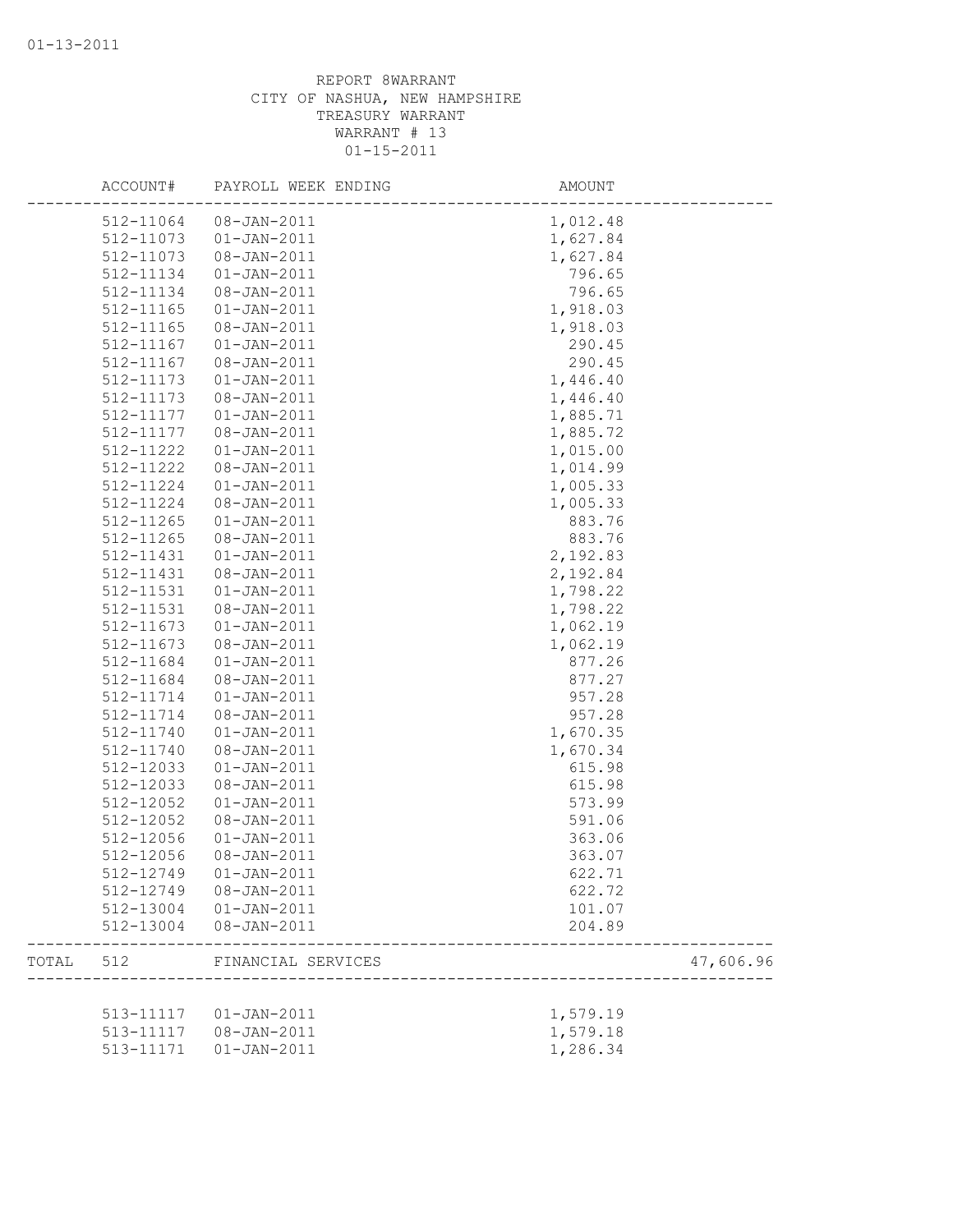|       | ACCOUNT#  | PAYROLL WEEK ENDING | AMOUNT   |           |
|-------|-----------|---------------------|----------|-----------|
|       | 512-11064 | $08 - JAN - 2011$   | 1,012.48 |           |
|       | 512-11073 | $01 - JAN - 2011$   | 1,627.84 |           |
|       | 512-11073 | $08 - JAN - 2011$   | 1,627.84 |           |
|       | 512-11134 | $01 - JAN - 2011$   | 796.65   |           |
|       | 512-11134 | $08 - JAN - 2011$   | 796.65   |           |
|       | 512-11165 | $01 - JAN - 2011$   | 1,918.03 |           |
|       | 512-11165 | 08-JAN-2011         | 1,918.03 |           |
|       | 512-11167 | $01 - JAN - 2011$   | 290.45   |           |
|       | 512-11167 | 08-JAN-2011         | 290.45   |           |
|       | 512-11173 | $01 - JAN - 2011$   | 1,446.40 |           |
|       | 512-11173 | $08 - JAN - 2011$   | 1,446.40 |           |
|       | 512-11177 | $01 - JAN - 2011$   | 1,885.71 |           |
|       | 512-11177 | 08-JAN-2011         | 1,885.72 |           |
|       | 512-11222 | $01 - JAN - 2011$   | 1,015.00 |           |
|       | 512-11222 | 08-JAN-2011         | 1,014.99 |           |
|       | 512-11224 | $01 - JAN - 2011$   | 1,005.33 |           |
|       | 512-11224 | $08 - JAN - 2011$   | 1,005.33 |           |
|       | 512-11265 | $01 - JAN - 2011$   | 883.76   |           |
|       | 512-11265 | 08-JAN-2011         | 883.76   |           |
|       | 512-11431 | $01 - JAN - 2011$   | 2,192.83 |           |
|       | 512-11431 | 08-JAN-2011         | 2,192.84 |           |
|       | 512-11531 | $01 - JAN - 2011$   | 1,798.22 |           |
|       | 512-11531 | $08 - JAN - 2011$   | 1,798.22 |           |
|       | 512-11673 | $01 - JAN - 2011$   | 1,062.19 |           |
|       | 512-11673 | 08-JAN-2011         | 1,062.19 |           |
|       | 512-11684 | $01 - JAN - 2011$   | 877.26   |           |
|       | 512-11684 | 08-JAN-2011         | 877.27   |           |
|       | 512-11714 | $01 - JAN - 2011$   | 957.28   |           |
|       | 512-11714 | 08-JAN-2011         | 957.28   |           |
|       | 512-11740 | $01 - JAN - 2011$   | 1,670.35 |           |
|       | 512-11740 | 08-JAN-2011         | 1,670.34 |           |
|       | 512-12033 | $01 - JAN - 2011$   | 615.98   |           |
|       | 512-12033 | 08-JAN-2011         | 615.98   |           |
|       | 512-12052 | $01 - JAN - 2011$   | 573.99   |           |
|       | 512-12052 | $08 - JAN - 2011$   | 591.06   |           |
|       | 512-12056 | $01 - JAN - 2011$   | 363.06   |           |
|       | 512-12056 | 08-JAN-2011         | 363.07   |           |
|       | 512-12749 | $01 - JAN - 2011$   | 622.71   |           |
|       | 512-12749 | 08-JAN-2011         | 622.72   |           |
|       | 512-13004 | $01 - JAN - 2011$   | 101.07   |           |
|       | 512-13004 | 08-JAN-2011         | 204.89   |           |
| TOTAL | 512       | FINANCIAL SERVICES  |          | 47,606.96 |
|       |           |                     |          |           |
|       | 513-11117 | $01 - JAN - 2011$   | 1,579.19 |           |
|       | 513-11117 | 08-JAN-2011         | 1,579.18 |           |
|       | 513-11171 | $01 - JAN - 2011$   | 1,286.34 |           |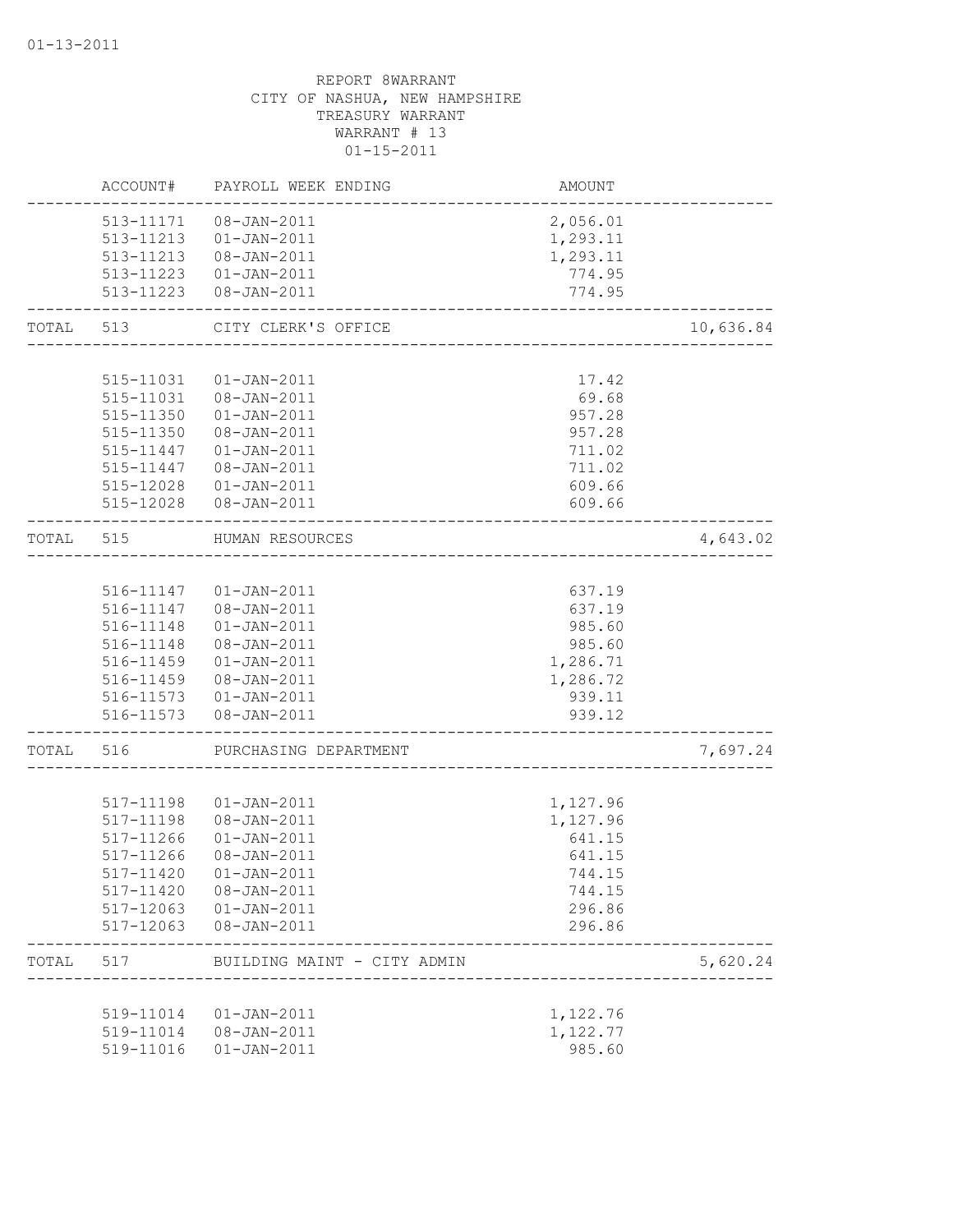|       | ACCOUNT#  | PAYROLL WEEK ENDING                            | AMOUNT   |           |
|-------|-----------|------------------------------------------------|----------|-----------|
|       |           | 513-11171  08-JAN-2011                         | 2,056.01 |           |
|       |           | 513-11213  01-JAN-2011                         | 1,293.11 |           |
|       |           | 513-11213  08-JAN-2011                         | 1,293.11 |           |
|       |           | 513-11223  01-JAN-2011                         | 774.95   |           |
|       |           | 513-11223  08-JAN-2011                         | 774.95   |           |
| TOTAL | 513       | CITY CLERK'S OFFICE                            |          | 10,636.84 |
|       |           |                                                |          |           |
|       | 515-11031 | $01 - JAN - 2011$                              | 17.42    |           |
|       |           | 515-11031  08-JAN-2011                         | 69.68    |           |
|       | 515-11350 | $01 - JAN - 2011$                              | 957.28   |           |
|       | 515-11350 | 08-JAN-2011                                    | 957.28   |           |
|       | 515-11447 | $01 - JAN - 2011$                              | 711.02   |           |
|       | 515-11447 | 08-JAN-2011                                    | 711.02   |           |
|       | 515-12028 | $01 - JAN - 2011$                              | 609.66   |           |
|       |           | 515-12028  08-JAN-2011                         | 609.66   |           |
| TOTAL | 515       | HUMAN RESOURCES<br>--------------------------- |          | 4,643.02  |
|       |           |                                                |          |           |
|       |           | 516-11147  01-JAN-2011                         | 637.19   |           |
|       |           | 516-11147 08-JAN-2011                          | 637.19   |           |
|       | 516-11148 | $01 - JAN - 2011$                              | 985.60   |           |
|       | 516-11148 | 08-JAN-2011                                    | 985.60   |           |
|       | 516-11459 | $01 - JAN - 2011$                              | 1,286.71 |           |
|       | 516-11459 | 08-JAN-2011                                    | 1,286.72 |           |
|       |           | 516-11573  01-JAN-2011                         | 939.11   |           |
|       |           | 516-11573  08-JAN-2011                         | 939.12   |           |
| TOTAL | 516       | PURCHASING DEPARTMENT                          |          | 7,697.24  |
|       |           |                                                |          |           |
|       | 517-11198 | $01 - JAN - 2011$                              | 1,127.96 |           |
|       | 517-11198 | 08-JAN-2011                                    | 1,127.96 |           |
|       | 517-11266 | $01 - JAN - 2011$                              | 641.15   |           |
|       | 517-11266 | 08-JAN-2011                                    | 641.15   |           |
|       | 517-11420 | $01 - JAN - 2011$                              | 744.15   |           |
|       | 517-11420 | 08-JAN-2011                                    | 744.15   |           |
|       | 517-12063 | 01-JAN-2011                                    | 296.86   |           |
|       | 517-12063 | 08-JAN-2011                                    | 296.86   |           |
| TOTAL | 517       | BUILDING MAINT - CITY ADMIN                    |          | 5,620.24  |
|       |           |                                                |          |           |
|       | 519-11014 | 01-JAN-2011                                    | 1,122.76 |           |
|       | 519-11014 | 08-JAN-2011                                    | 1,122.77 |           |
|       | 519-11016 | $01 - JAN - 2011$                              | 985.60   |           |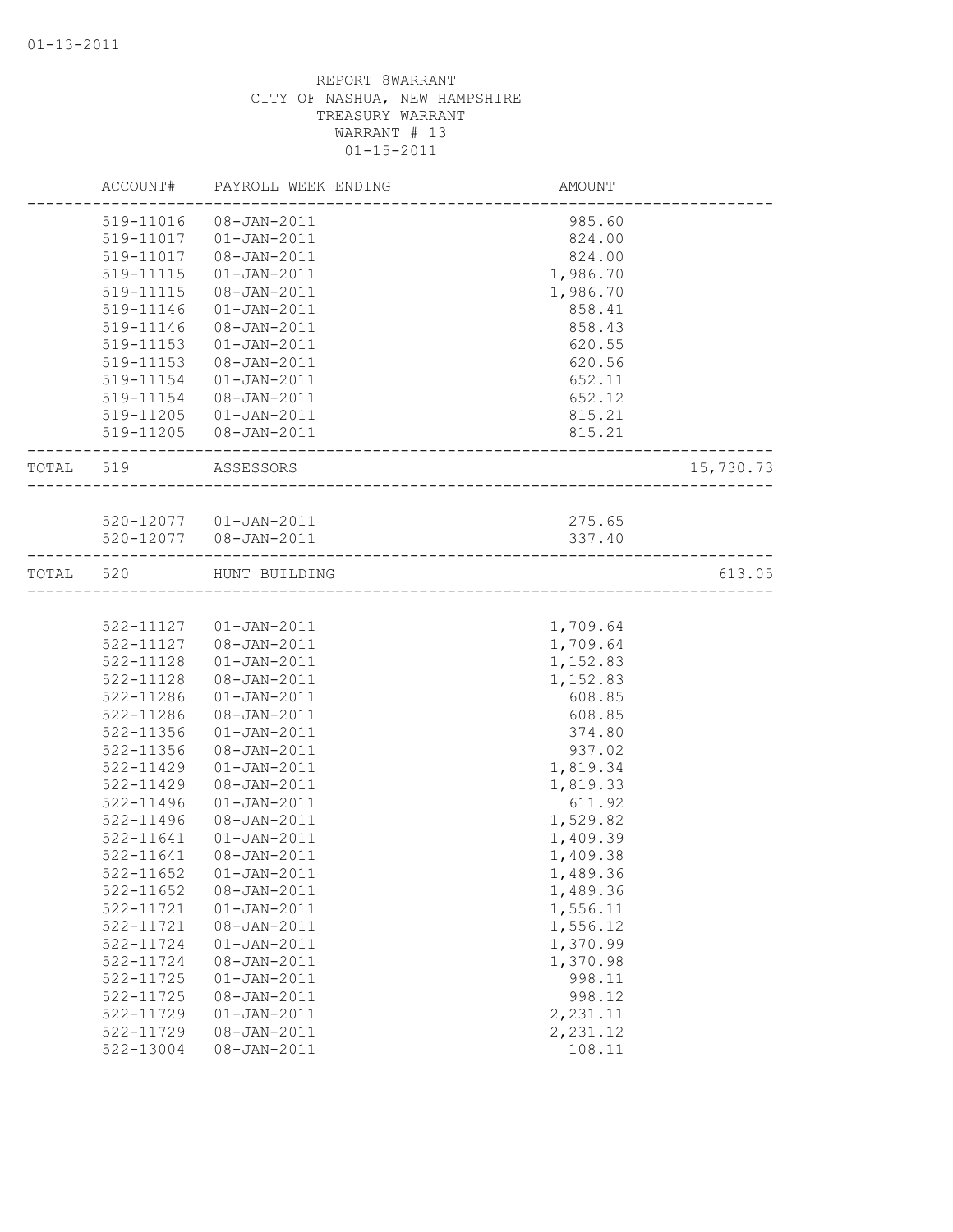|           | ACCOUNT#      | PAYROLL WEEK ENDING                 | AMOUNT   |           |
|-----------|---------------|-------------------------------------|----------|-----------|
|           | 519-11016     | 08-JAN-2011                         | 985.60   |           |
|           | 519-11017     | 01-JAN-2011                         | 824.00   |           |
|           | 519-11017     | 08-JAN-2011                         | 824.00   |           |
|           | 519-11115     | $01 - JAN - 2011$                   | 1,986.70 |           |
|           | 519-11115     | 08-JAN-2011                         | 1,986.70 |           |
|           | 519-11146     | $01 - JAN - 2011$                   | 858.41   |           |
|           | 519-11146     | 08-JAN-2011                         | 858.43   |           |
|           | 519-11153     | $01 - JAN - 2011$                   | 620.55   |           |
|           | 519-11153     | 08-JAN-2011                         | 620.56   |           |
|           | 519-11154     | $01 - JAN - 2011$                   | 652.11   |           |
|           | 519-11154     | 08-JAN-2011                         | 652.12   |           |
|           | 519-11205     | $01 - JAN - 2011$                   | 815.21   |           |
|           |               | 519-11205 08-JAN-2011               | 815.21   |           |
| TOTAL 519 |               | ASSESSORS<br>---------------------- |          | 15,730.73 |
|           |               |                                     |          |           |
|           |               | 520-12077  01-JAN-2011              | 275.65   |           |
|           |               | 520-12077  08-JAN-2011              | 337.40   |           |
| TOTAL     | 520           | HUNT BUILDING                       |          | 613.05    |
|           |               |                                     |          |           |
|           |               | 522-11127  01-JAN-2011              | 1,709.64 |           |
|           |               | 522-11127  08-JAN-2011              | 1,709.64 |           |
|           | 522-11128     | $01 - JAN - 2011$                   | 1,152.83 |           |
|           | 522-11128     | 08-JAN-2011                         | 1,152.83 |           |
|           | 522-11286     | $01 - JAN - 2011$                   | 608.85   |           |
|           | 522-11286     | $08 - JAN - 2011$                   | 608.85   |           |
|           | 522-11356     | $01 - JAN - 2011$                   | 374.80   |           |
|           | 522-11356     | 08-JAN-2011                         | 937.02   |           |
|           | 522-11429     | $01 - JAN - 2011$                   | 1,819.34 |           |
|           | 522-11429     | 08-JAN-2011                         | 1,819.33 |           |
|           | 522-11496     | $01 - JAN - 2011$                   | 611.92   |           |
|           | 522-11496     | $08 - JAN - 2011$                   | 1,529.82 |           |
|           | $522 - 11641$ | $01 - JAN - 2011$                   | 1,409.39 |           |
|           | 522-11641     | 08-JAN-2011                         | 1,409.38 |           |
|           | 522-11652     | $01 - JAN - 2011$                   | 1,489.36 |           |
|           | $522 - 11652$ | 08-JAN-2011                         | 1,489.36 |           |
|           | 522-11721     | $01 - JAN - 2011$                   | 1,556.11 |           |
|           | 522-11721     | 08-JAN-2011                         | 1,556.12 |           |
|           | 522-11724     | $01 - JAN - 2011$                   | 1,370.99 |           |
|           | 522-11724     | 08-JAN-2011                         | 1,370.98 |           |
|           | 522-11725     | $01 - JAN - 2011$                   | 998.11   |           |
|           | 522-11725     | 08-JAN-2011                         | 998.12   |           |
|           | 522-11729     | $01 - JAN - 2011$                   | 2,231.11 |           |
|           | 522-11729     | 08-JAN-2011                         | 2,231.12 |           |
|           | 522-13004     | 08-JAN-2011                         | 108.11   |           |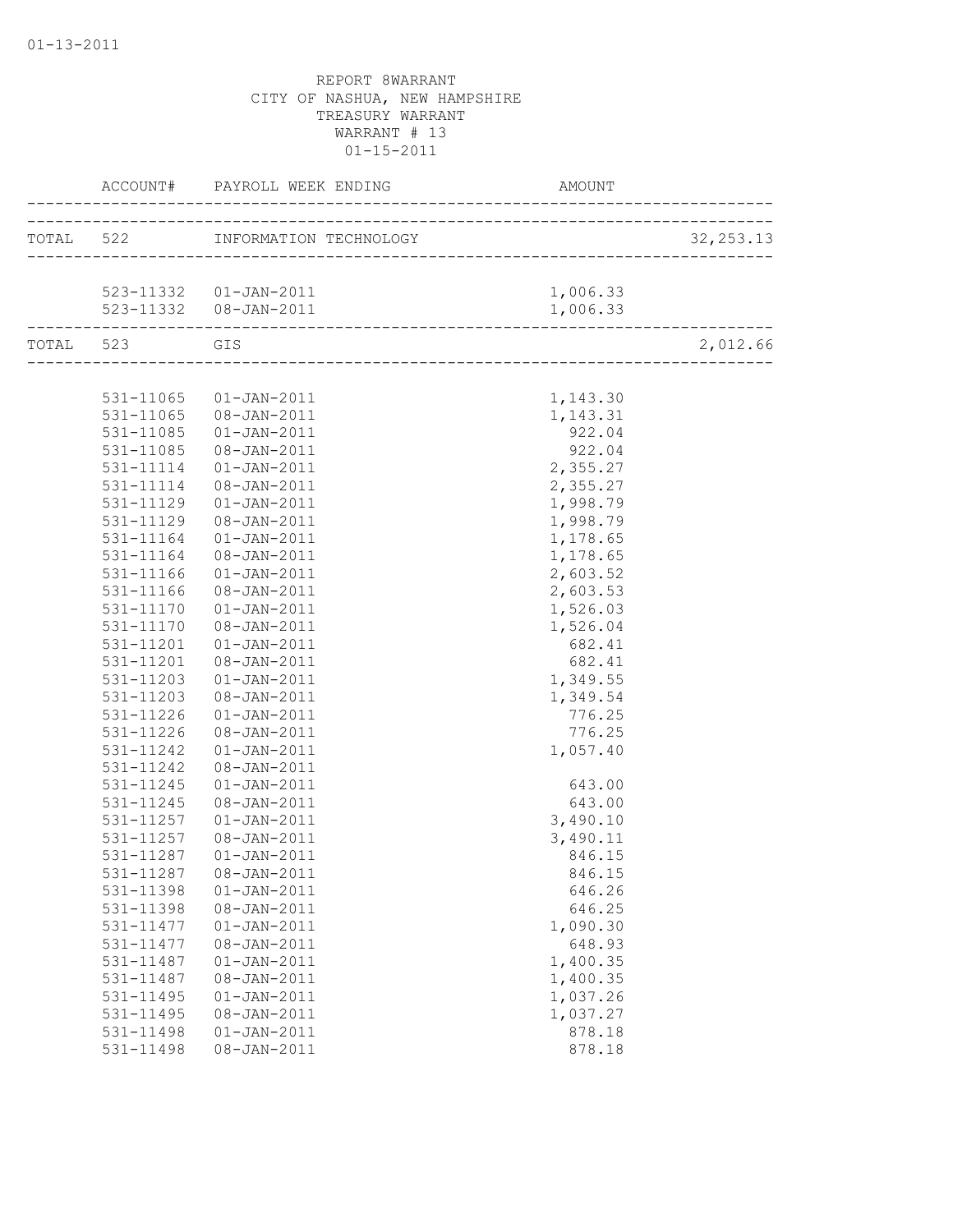|               |                        |          | 32, 253.13 |
|---------------|------------------------|----------|------------|
|               |                        |          |            |
|               | 523-11332  01-JAN-2011 | 1,006.33 |            |
|               |                        |          |            |
| TOTAL 523 GIS |                        |          | 2,012.66   |
|               |                        |          |            |
|               | 531-11065  01-JAN-2011 | 1,143.30 |            |
|               | 531-11065 08-JAN-2011  | 1,143.31 |            |
| 531-11085     | $01 - JAN - 2011$      | 922.04   |            |
| 531-11085     | 08-JAN-2011            | 922.04   |            |
| 531-11114     | $01 - JAN - 2011$      | 2,355.27 |            |
| 531-11114     | 08-JAN-2011            | 2,355.27 |            |
| 531-11129     | $01 - JAN - 2011$      | 1,998.79 |            |
| 531-11129     | 08-JAN-2011            | 1,998.79 |            |
| 531-11164     | $01 - JAN - 2011$      | 1,178.65 |            |
| 531-11164     | 08-JAN-2011            | 1,178.65 |            |
| 531-11166     | $01 - JAN - 2011$      | 2,603.52 |            |
| 531-11166     | 08-JAN-2011            | 2,603.53 |            |
| 531-11170     | $01 - JAN - 2011$      | 1,526.03 |            |
| 531-11170     | 08-JAN-2011            | 1,526.04 |            |
| 531-11201     | $01 - JAN - 2011$      | 682.41   |            |
| 531-11201     | 08-JAN-2011            | 682.41   |            |
| 531-11203     | $01 - JAN - 2011$      | 1,349.55 |            |
| 531-11203     | 08-JAN-2011            | 1,349.54 |            |
| 531-11226     | $01 - JAN - 2011$      | 776.25   |            |
| 531-11226     | 08-JAN-2011            | 776.25   |            |
| 531-11242     | $01 - JAN - 2011$      | 1,057.40 |            |
| 531-11242     | 08-JAN-2011            |          |            |
| 531-11245     | $01 - JAN - 2011$      | 643.00   |            |
| 531-11245     | 08-JAN-2011            | 643.00   |            |
| 531-11257     | $01 - JAN - 2011$      | 3,490.10 |            |
| 531-11257     | 08-JAN-2011            | 3,490.11 |            |
| 531-11287     | $01 - JAN - 2011$      | 846.15   |            |
| 531-11287     | 08-JAN-2011            | 846.15   |            |
| 531-11398     | $01 - JAN - 2011$      | 646.26   |            |
| 531-11398     | $08 - JAN - 2011$      | 646.25   |            |
| 531-11477     | $01 - JAN - 2011$      | 1,090.30 |            |
| 531-11477     | 08-JAN-2011            | 648.93   |            |
| 531-11487     | $01 - JAN - 2011$      | 1,400.35 |            |
| 531-11487     | 08-JAN-2011            | 1,400.35 |            |
| 531-11495     | $01 - JAN - 2011$      | 1,037.26 |            |
| 531-11495     | 08-JAN-2011            | 1,037.27 |            |
| 531-11498     | $01 - JAN - 2011$      | 878.18   |            |
| 531-11498     | $08 - JAN - 2011$      | 878.18   |            |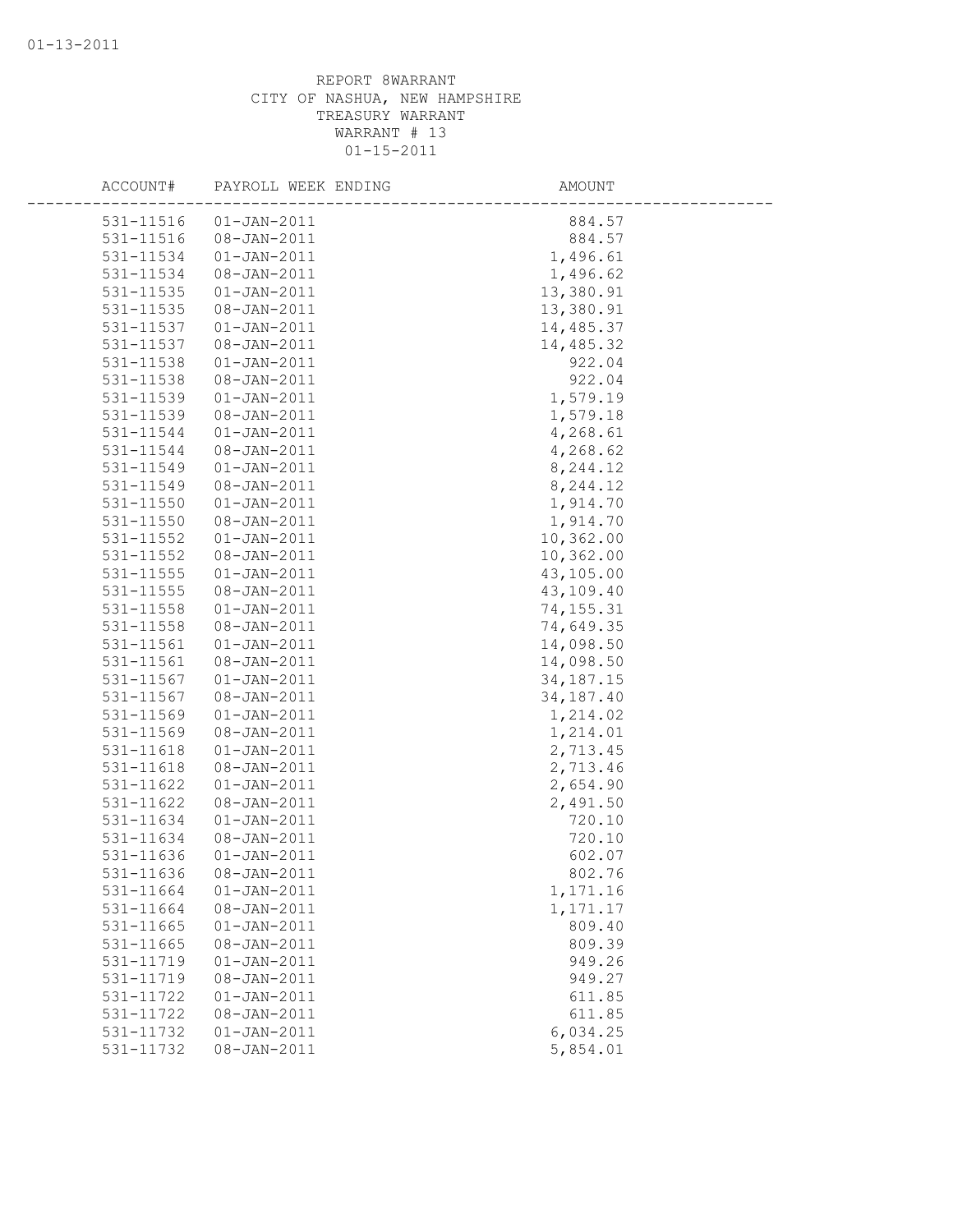| ACCOUNT#  | PAYROLL WEEK ENDING | AMOUNT      |
|-----------|---------------------|-------------|
| 531-11516 | $01 - JAN - 2011$   | 884.57      |
| 531-11516 | $08 - JAN - 2011$   | 884.57      |
| 531-11534 | $01 - JAN - 2011$   | 1,496.61    |
| 531-11534 | 08-JAN-2011         | 1,496.62    |
| 531-11535 | $01 - JAN - 2011$   | 13,380.91   |
| 531-11535 | 08-JAN-2011         | 13,380.91   |
| 531-11537 | $01 - JAN - 2011$   | 14,485.37   |
| 531-11537 | $08 - JAN - 2011$   | 14,485.32   |
| 531-11538 | $01 - JAN - 2011$   | 922.04      |
| 531-11538 | 08-JAN-2011         | 922.04      |
| 531-11539 | $01 - JAN - 2011$   | 1,579.19    |
| 531-11539 | $08 - JAN - 2011$   | 1,579.18    |
| 531-11544 | $01 - JAN - 2011$   | 4,268.61    |
| 531-11544 | $08 - JAN - 2011$   | 4,268.62    |
| 531-11549 | $01 - JAN - 2011$   | 8,244.12    |
| 531-11549 | 08-JAN-2011         | 8,244.12    |
| 531-11550 | $01 - JAN - 2011$   | 1,914.70    |
| 531-11550 | 08-JAN-2011         | 1,914.70    |
| 531-11552 | $01 - JAN - 2011$   | 10,362.00   |
| 531-11552 | 08-JAN-2011         | 10,362.00   |
| 531-11555 | $01 - JAN - 2011$   | 43,105.00   |
| 531-11555 | $08 - JAN - 2011$   | 43,109.40   |
| 531-11558 | $01 - JAN - 2011$   | 74, 155.31  |
| 531-11558 | 08-JAN-2011         | 74,649.35   |
| 531-11561 | $01 - JAN - 2011$   | 14,098.50   |
| 531-11561 | $08 - JAN - 2011$   | 14,098.50   |
| 531-11567 | $01 - JAN - 2011$   | 34, 187. 15 |
| 531-11567 | 08-JAN-2011         | 34, 187. 40 |
| 531-11569 | $01 - JAN - 2011$   | 1,214.02    |
| 531-11569 | 08-JAN-2011         | 1,214.01    |
| 531-11618 | $01 - JAN - 2011$   | 2,713.45    |
| 531-11618 | $08 - JAN - 2011$   | 2,713.46    |
| 531-11622 | $01 - JAN - 2011$   | 2,654.90    |
| 531-11622 | $08 - JAN - 2011$   | 2,491.50    |
| 531-11634 | $01 - JAN - 2011$   | 720.10      |
| 531-11634 | $08 - JAN - 2011$   | 720.10      |
| 531-11636 | $01 - JAN - 2011$   | 602.07      |
| 531-11636 | 08-JAN-2011         | 802.76      |
| 531-11664 | $01 - JAN - 2011$   | 1,171.16    |
| 531-11664 | 08-JAN-2011         | 1,171.17    |
| 531-11665 | $01 - JAN - 2011$   | 809.40      |
| 531-11665 | 08-JAN-2011         | 809.39      |
| 531-11719 | $01 - JAN - 2011$   | 949.26      |
| 531-11719 | 08-JAN-2011         | 949.27      |
| 531-11722 | $01 - JAN - 2011$   | 611.85      |
| 531-11722 | 08-JAN-2011         | 611.85      |
| 531-11732 | $01 - JAN - 2011$   | 6,034.25    |
| 531-11732 | $08 - JAN - 2011$   | 5,854.01    |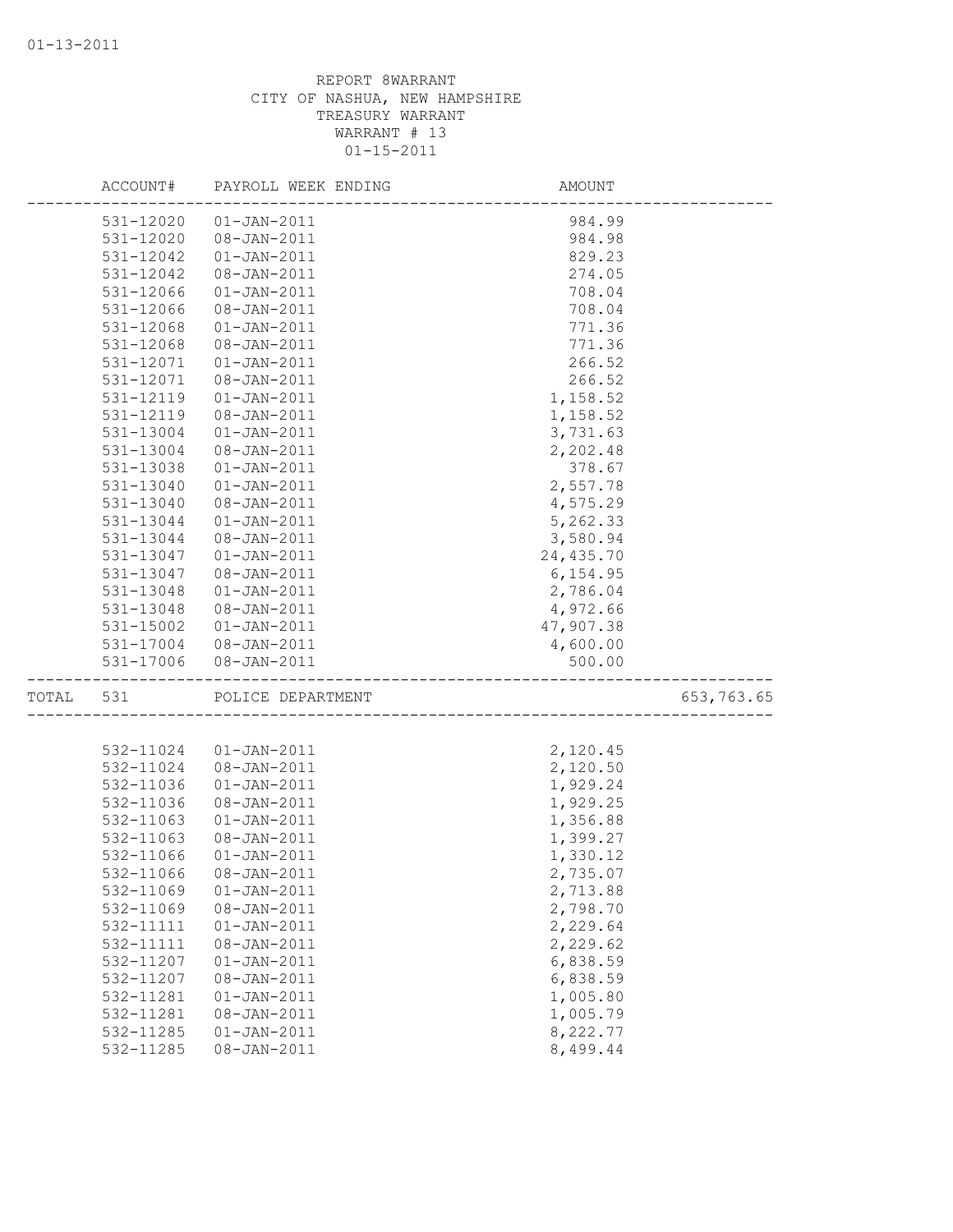|       | ACCOUNT#               | PAYROLL WEEK ENDING              | AMOUNT                |            |
|-------|------------------------|----------------------------------|-----------------------|------------|
|       | 531-12020              | $01 - JAN - 2011$                | 984.99                |            |
|       | 531-12020              | $08 - JAN - 2011$                | 984.98                |            |
|       | 531-12042              | $01 - JAN - 2011$                | 829.23                |            |
|       | 531-12042              | 08-JAN-2011                      | 274.05                |            |
|       | 531-12066              | $01 - JAN - 2011$                | 708.04                |            |
|       | 531-12066              | 08-JAN-2011                      | 708.04                |            |
|       | 531-12068              | $01 - JAN - 2011$                | 771.36                |            |
|       | 531-12068              | 08-JAN-2011                      | 771.36                |            |
|       | 531-12071              | $01 - JAN - 2011$                | 266.52                |            |
|       | 531-12071              | $08 - JAN - 2011$                | 266.52                |            |
|       | 531-12119              | $01 - JAN - 2011$                | 1,158.52              |            |
|       | 531-12119              | 08-JAN-2011                      | 1,158.52              |            |
|       | 531-13004              | $01 - JAN - 2011$                | 3,731.63              |            |
|       | 531-13004              | $08 - JAN - 2011$                | 2,202.48              |            |
|       | 531-13038              | $01 - JAN - 2011$                | 378.67                |            |
|       | 531-13040              | $01 - JAN - 2011$                | 2,557.78              |            |
|       | 531-13040              | 08-JAN-2011                      | 4,575.29              |            |
|       | 531-13044              | $01 - JAN - 2011$                | 5,262.33              |            |
|       | 531-13044              | 08-JAN-2011                      | 3,580.94              |            |
|       | 531-13047              | $01 - JAN - 2011$                | 24, 435.70            |            |
|       | 531-13047              | 08-JAN-2011                      | 6, 154.95             |            |
|       | 531-13048              | $01 - JAN - 2011$                | 2,786.04              |            |
|       | 531-13048              | 08-JAN-2011<br>$01 - JAN - 2011$ | 4,972.66<br>47,907.38 |            |
|       | 531-15002<br>531-17004 | 08-JAN-2011                      | 4,600.00              |            |
|       | 531-17006              | 08-JAN-2011                      | 500.00                |            |
| TOTAL | 531                    | POLICE DEPARTMENT                |                       | 653,763.65 |
|       |                        |                                  |                       |            |
|       | 532-11024              | $01 - JAN - 2011$                | 2,120.45              |            |
|       | 532-11024              | 08-JAN-2011                      | 2,120.50              |            |
|       | 532-11036              | $01 - JAN - 2011$                | 1,929.24              |            |
|       | 532-11036              | 08-JAN-2011                      | 1,929.25              |            |
|       | 532-11063              | $01 - JAN - 2011$                | 1,356.88              |            |
|       | 532-11063              | 08-JAN-2011                      | 1,399.27              |            |
|       | 532-11066              | $01 - JAN - 2011$                | 1,330.12              |            |
|       | 532-11066              | 08-JAN-2011                      | 2,735.07              |            |
|       | 532-11069              | $01 - JAN - 2011$                | 2,713.88              |            |
|       | 532-11069              | 08-JAN-2011                      | 2,798.70              |            |
|       | 532-11111              | $01 - JAN - 2011$                | 2,229.64              |            |
|       | 532-11111              | 08-JAN-2011                      | 2,229.62              |            |
|       | 532-11207              | $01 - JAN - 2011$                | 6,838.59              |            |
|       | 532-11207              | 08-JAN-2011                      | 6,838.59<br>1,005.80  |            |
|       | 532-11281<br>532-11281 | $01 - JAN - 2011$<br>08-JAN-2011 | 1,005.79              |            |
|       | 532-11285              | $01 - JAN - 2011$                | 8,222.77              |            |
|       | 532-11285              | $08 - JAN - 2011$                | 8,499.44              |            |
|       |                        |                                  |                       |            |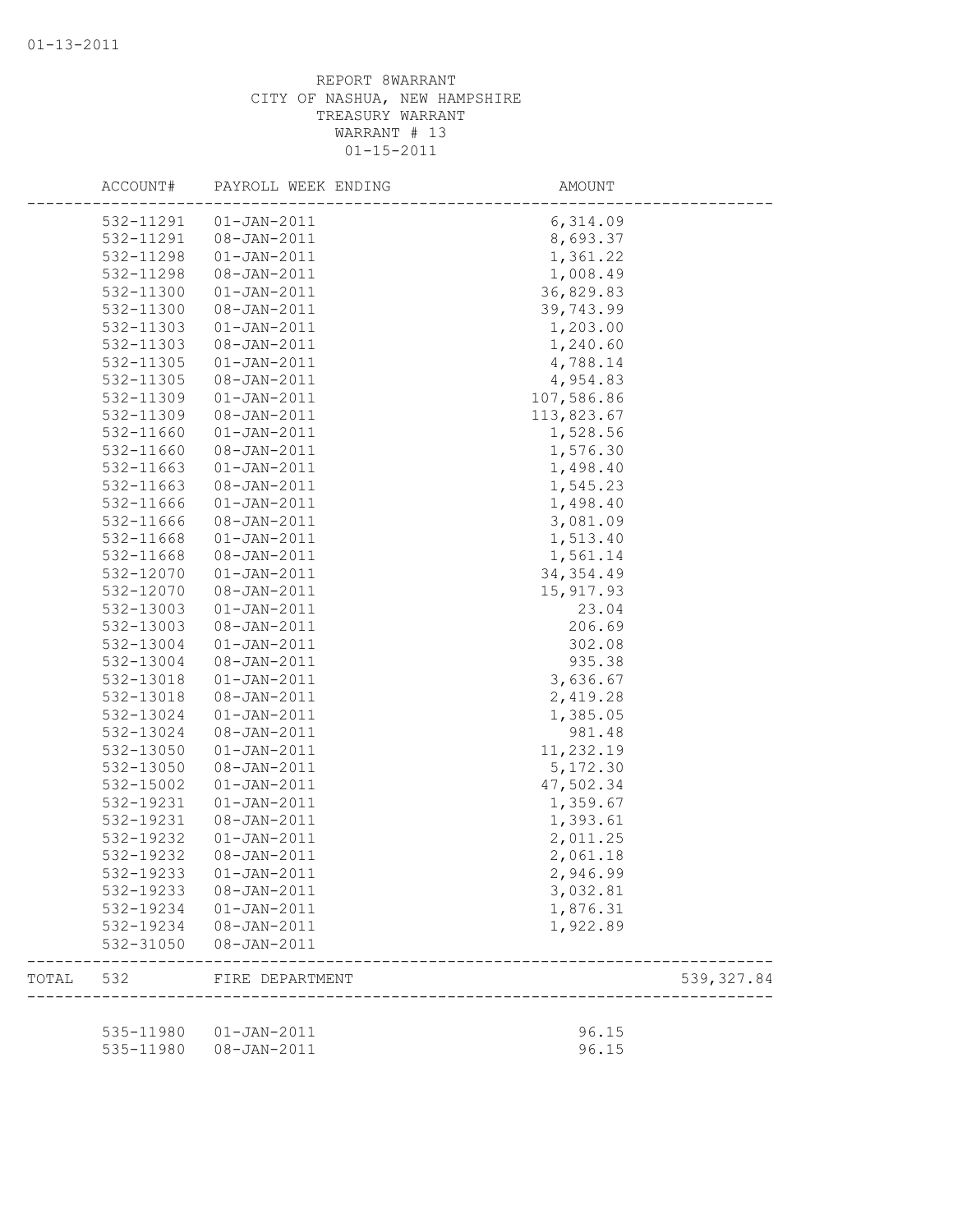|       | ACCOUNT#  | PAYROLL WEEK ENDING                   | AMOUNT         |             |
|-------|-----------|---------------------------------------|----------------|-------------|
|       | 532-11291 | $01 - JAN - 2011$                     | 6,314.09       |             |
|       | 532-11291 | $08 - JAN - 2011$                     | 8,693.37       |             |
|       | 532-11298 | $01 - JAN - 2011$                     | 1,361.22       |             |
|       | 532-11298 | 08-JAN-2011                           | 1,008.49       |             |
|       | 532-11300 | $01 - JAN - 2011$                     | 36,829.83      |             |
|       | 532-11300 | 08-JAN-2011                           | 39,743.99      |             |
|       | 532-11303 | $01 - JAN - 2011$                     | 1,203.00       |             |
|       | 532-11303 | 08-JAN-2011                           | 1,240.60       |             |
|       | 532-11305 | $01 - JAN - 2011$                     | 4,788.14       |             |
|       | 532-11305 | 08-JAN-2011                           | 4,954.83       |             |
|       | 532-11309 | $01 - JAN - 2011$                     | 107,586.86     |             |
|       | 532-11309 | 08-JAN-2011                           | 113,823.67     |             |
|       | 532-11660 | $01 - JAN - 2011$                     | 1,528.56       |             |
|       | 532-11660 | 08-JAN-2011                           | 1,576.30       |             |
|       | 532-11663 | $01 - JAN - 2011$                     | 1,498.40       |             |
|       | 532-11663 | 08-JAN-2011                           | 1,545.23       |             |
|       | 532-11666 | $01 - JAN - 2011$                     | 1,498.40       |             |
|       | 532-11666 | 08-JAN-2011                           | 3,081.09       |             |
|       | 532-11668 | $01 - JAN - 2011$                     | 1,513.40       |             |
|       | 532-11668 | 08-JAN-2011                           | 1,561.14       |             |
|       | 532-12070 | $01 - JAN - 2011$                     | 34, 354.49     |             |
|       | 532-12070 | 08-JAN-2011                           | 15, 917.93     |             |
|       | 532-13003 | $01 - JAN - 2011$                     | 23.04          |             |
|       | 532-13003 | 08-JAN-2011                           | 206.69         |             |
|       | 532-13004 | $01 - JAN - 2011$                     | 302.08         |             |
|       | 532-13004 | 08-JAN-2011                           | 935.38         |             |
|       | 532-13018 | $01 - JAN - 2011$                     | 3,636.67       |             |
|       | 532-13018 | 08-JAN-2011                           | 2,419.28       |             |
|       | 532-13024 | $01 - JAN - 2011$                     | 1,385.05       |             |
|       | 532-13024 | 08-JAN-2011                           | 981.48         |             |
|       | 532-13050 | $01 - JAN - 2011$                     | 11,232.19      |             |
|       |           |                                       |                |             |
|       | 532-13050 | 08-JAN-2011<br>$01 - JAN - 2011$      | 5, 172.30      |             |
|       | 532-15002 |                                       | 47,502.34      |             |
|       | 532-19231 | $01 - JAN - 2011$                     | 1,359.67       |             |
|       | 532-19231 | 08-JAN-2011                           | 1,393.61       |             |
|       | 532-19232 | $01 - JAN - 2011$                     | 2,011.25       |             |
|       | 532-19232 | 08-JAN-2011                           | 2,061.18       |             |
|       | 532-19233 | $01 - JAN - 2011$                     | 2,946.99       |             |
|       | 532-19233 | 08-JAN-2011                           | 3,032.81       |             |
|       | 532-19234 | $01 - JAN - 2011$                     | 1,876.31       |             |
|       | 532-19234 | $08 - JAN - 2011$                     | 1,922.89       |             |
|       | 532-31050 | 08-JAN-2011                           |                |             |
| TOTAL | 532       | FIRE DEPARTMENT                       |                | 539, 327.84 |
|       |           |                                       |                |             |
|       |           | 535-11980  01-JAN-2011<br>08-JAN-2011 | 96.15<br>96.15 |             |
|       | 535-11980 |                                       |                |             |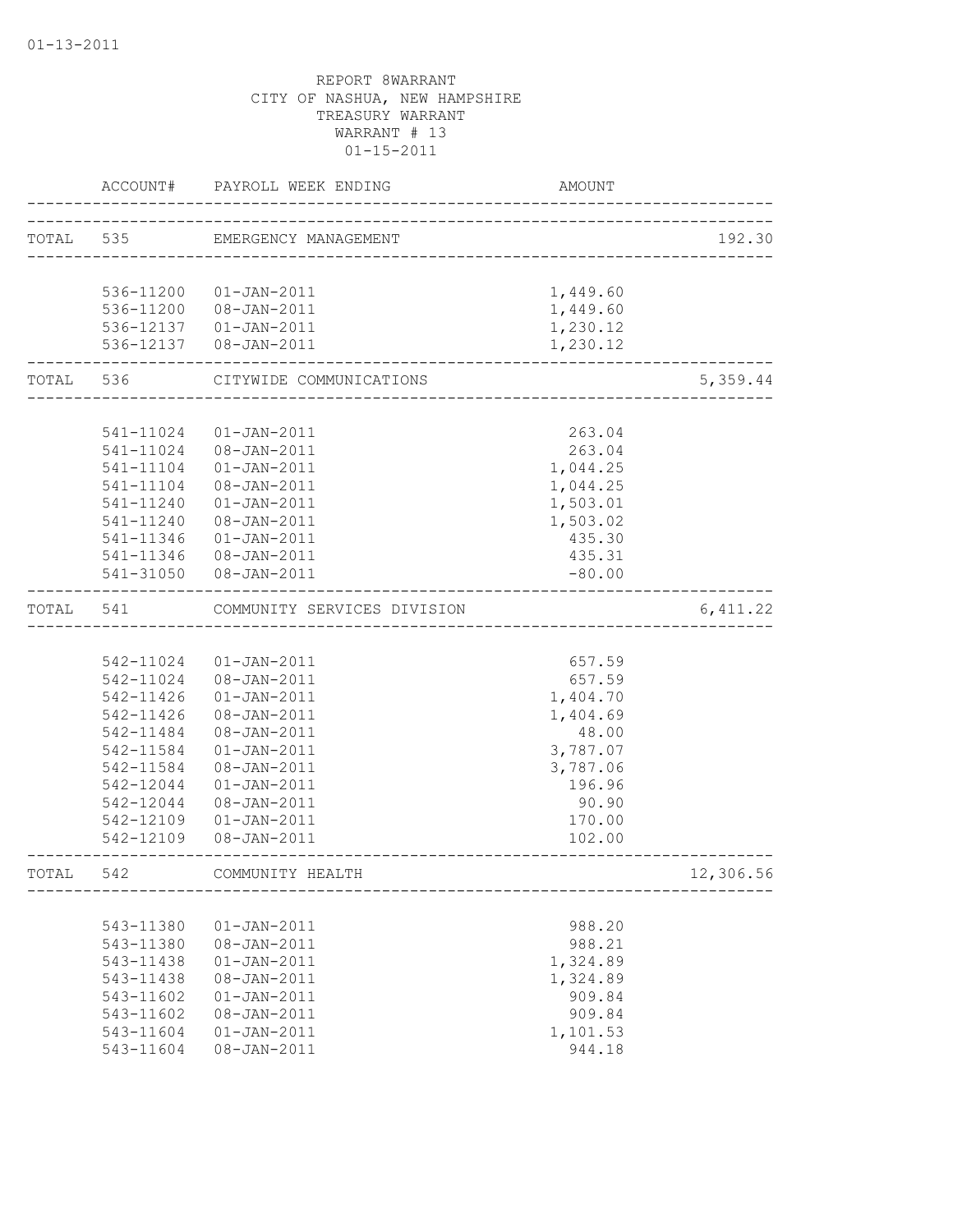|           | ACCOUNT#      | PAYROLL WEEK ENDING              | AMOUNT             |           |
|-----------|---------------|----------------------------------|--------------------|-----------|
| TOTAL 535 |               | EMERGENCY MANAGEMENT             |                    | 192.30    |
|           |               |                                  |                    |           |
|           |               | 536-11200 01-JAN-2011            | 1,449.60           |           |
|           |               | 536-11200 08-JAN-2011            | 1,449.60           |           |
|           |               | 536-12137  01-JAN-2011           | 1,230.12           |           |
|           |               | 536-12137  08-JAN-2011           | 1,230.12           |           |
|           | TOTAL 536     | CITYWIDE COMMUNICATIONS          |                    | 5,359.44  |
|           |               |                                  |                    |           |
|           | 541-11024     | $01 - JAN - 2011$                | 263.04             |           |
|           | 541-11024     | 08-JAN-2011                      | 263.04             |           |
|           | 541-11104     | $01 - JAN - 2011$                | 1,044.25           |           |
|           | 541-11104     | 08-JAN-2011                      | 1,044.25           |           |
|           | 541-11240     | $01 - JAN - 2011$                | 1,503.01           |           |
|           | 541-11240     | 08-JAN-2011<br>$01 - JAN - 2011$ | 1,503.02<br>435.30 |           |
|           | 541-11346     | 541-11346  08-JAN-2011           | 435.31             |           |
|           |               | 541-31050 08-JAN-2011            | $-80.00$           |           |
| TOTAL     | 541           | COMMUNITY SERVICES DIVISION      |                    | 6,411.22  |
|           |               |                                  |                    |           |
|           |               | 542-11024  01-JAN-2011           | 657.59             |           |
|           |               | 542-11024 08-JAN-2011            | 657.59             |           |
|           | 542-11426     | $01 - JAN - 2011$                | 1,404.70           |           |
|           | 542-11426     | 08-JAN-2011                      | 1,404.69           |           |
|           | 542-11484     | 08-JAN-2011                      | 48.00              |           |
|           | 542-11584     | $01 - JAN - 2011$                | 3,787.07           |           |
|           | 542-11584     | $08 - JAN - 2011$                | 3,787.06           |           |
|           | 542-12044     | $01 - JAN - 2011$                | 196.96             |           |
|           | 542-12044     | 08-JAN-2011                      | 90.90              |           |
|           | 542-12109     | $01 - JAN - 2011$                | 170.00             |           |
|           | 542-12109     | 08-JAN-2011                      | 102.00             |           |
| TOTAL     | 542           | COMMUNITY HEALTH                 |                    | 12,306.56 |
|           |               |                                  |                    |           |
|           | 543-11380     | $01 - JAN - 2011$                | 988.20             |           |
|           | 543-11380     | 08-JAN-2011                      | 988.21             |           |
|           | 543-11438     | $01 - JAN - 2011$                | 1,324.89           |           |
|           | 543-11438     | 08-JAN-2011                      | 1,324.89           |           |
|           | $543 - 11602$ | $01 - JAN - 2011$                | 909.84             |           |
|           | 543-11602     | 08-JAN-2011                      | 909.84             |           |
|           | 543-11604     | $01 - JAN - 2011$                | 1,101.53           |           |
|           | 543-11604     | 08-JAN-2011                      | 944.18             |           |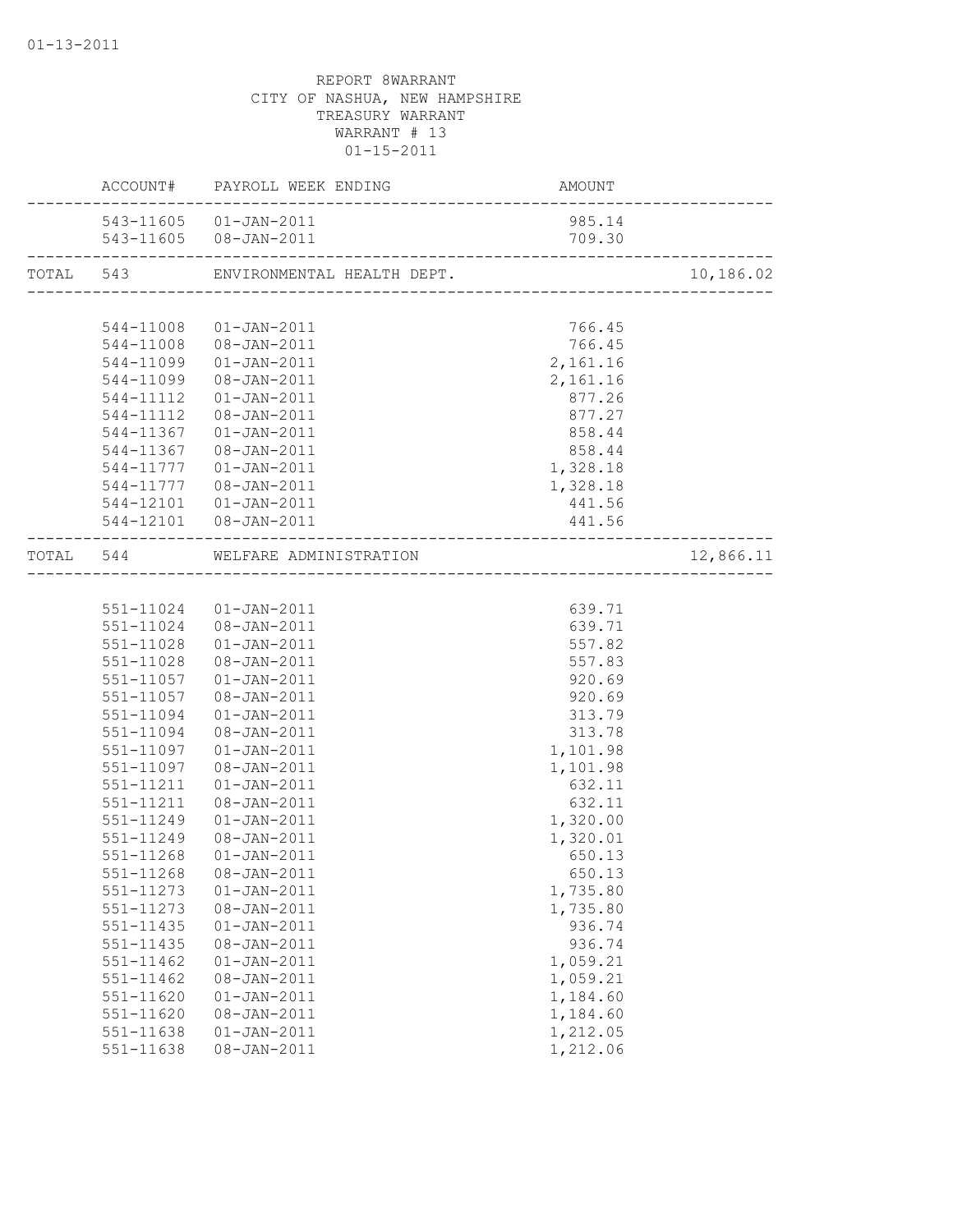|           | ACCOUNT# PAYROLL WEEK ENDING                   |          |           |
|-----------|------------------------------------------------|----------|-----------|
|           | 543-11605  01-JAN-2011                         | 985.14   |           |
|           |                                                |          |           |
|           |                                                |          | 10,186.02 |
|           |                                                |          |           |
|           | 544-11008  01-JAN-2011                         | 766.45   |           |
|           | 544-11008  08-JAN-2011                         | 766.45   |           |
|           | 544-11099  01-JAN-2011                         | 2,161.16 |           |
|           | 544-11099 08-JAN-2011                          | 2,161.16 |           |
|           | 544-11112  01-JAN-2011                         | 877.26   |           |
|           | 544-11112  08-JAN-2011                         | 877.27   |           |
|           | 544-11367  01-JAN-2011                         | 858.44   |           |
|           | 544-11367 08-JAN-2011                          | 858.44   |           |
|           | 544-11777   01-JAN-2011                        | 1,328.18 |           |
|           | 544-11777  08-JAN-2011                         | 1,328.18 |           |
|           | 544-12101  01-JAN-2011                         | 441.56   |           |
|           | 544-12101  08-JAN-2011<br>-------------------- | 441.56   |           |
|           | TOTAL 544 WELFARE ADMINISTRATION               |          | 12,866.11 |
|           |                                                |          |           |
|           | 551-11024  01-JAN-2011                         | 639.71   |           |
|           | 551-11024 08-JAN-2011                          | 639.71   |           |
|           | 551-11028  01-JAN-2011                         | 557.82   |           |
|           | 551-11028 08-JAN-2011                          | 557.83   |           |
|           | 551-11057  01-JAN-2011                         | 920.69   |           |
|           | 551-11057  08-JAN-2011                         | 920.69   |           |
| 551-11094 | 01-JAN-2011                                    | 313.79   |           |
|           | 551-11094  08-JAN-2011                         | 313.78   |           |
|           | 551-11097  01-JAN-2011                         | 1,101.98 |           |
| 551-11097 | 08-JAN-2011                                    | 1,101.98 |           |
| 551-11211 | $01 - JAN - 2011$                              | 632.11   |           |
| 551-11211 | 08-JAN-2011                                    | 632.11   |           |
| 551-11249 | $01 - JAN - 2011$                              | 1,320.00 |           |
| 551-11249 | 08-JAN-2011                                    | 1,320.01 |           |
| 551-11268 | $01 - JAN - 2011$                              | 650.13   |           |
|           | 551-11268 08-JAN-2011                          | 650.13   |           |
| 551-11273 | $01 - JAN - 2011$                              | 1,735.80 |           |
| 551-11273 | $08 - JAN - 2011$                              | 1,735.80 |           |
| 551-11435 | $01 - JAN - 2011$                              | 936.74   |           |
| 551-11435 | 08-JAN-2011                                    | 936.74   |           |
| 551-11462 | $01 - JAN - 2011$                              | 1,059.21 |           |
| 551-11462 | 08-JAN-2011                                    | 1,059.21 |           |
| 551-11620 | $01 - JAN - 2011$                              | 1,184.60 |           |
| 551-11620 | 08-JAN-2011                                    | 1,184.60 |           |
| 551-11638 | $01 - JAN - 2011$                              | 1,212.05 |           |
| 551-11638 | 08-JAN-2011                                    | 1,212.06 |           |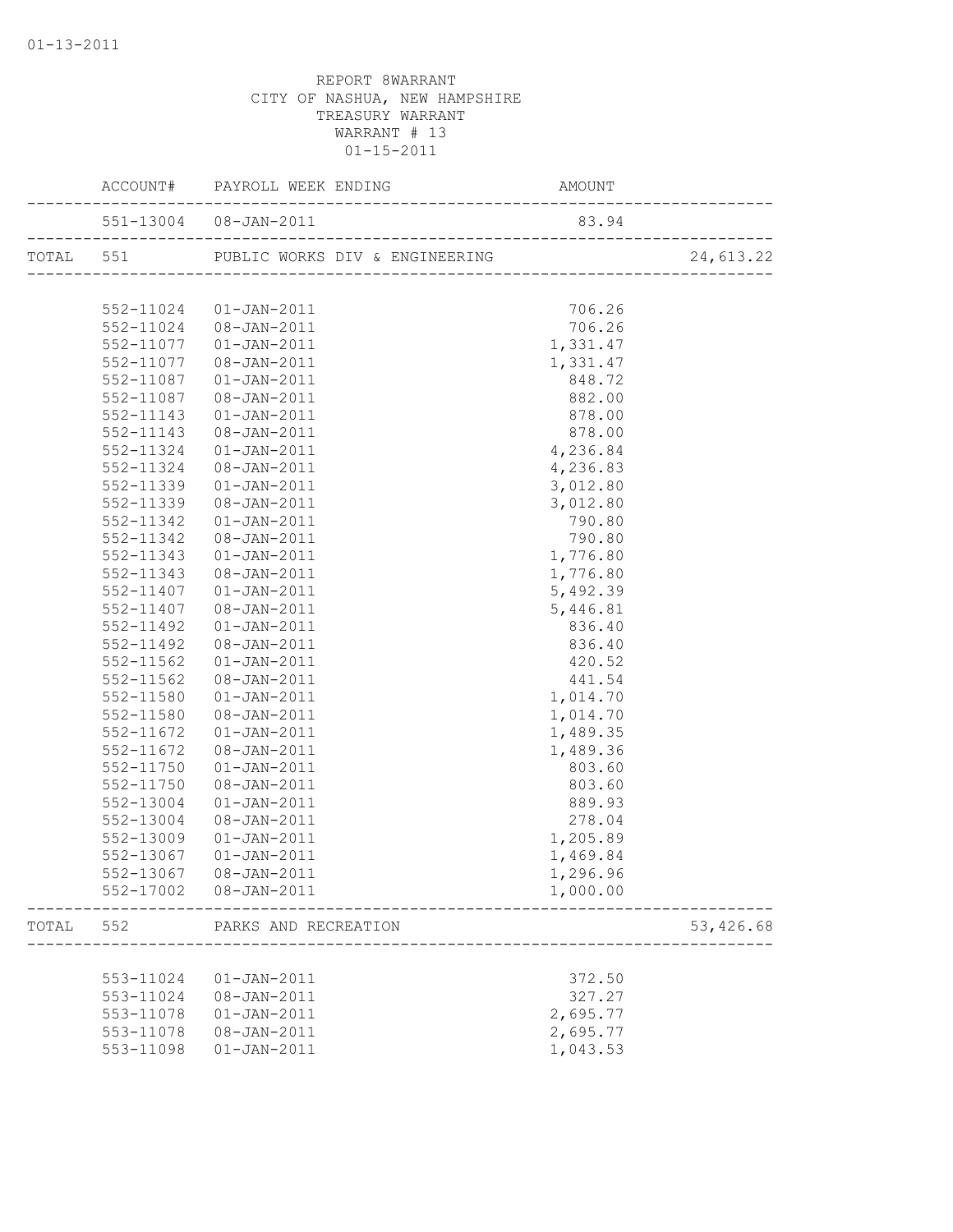|       |           | 551-13004 08-JAN-2011                         | 83.94     |  |
|-------|-----------|-----------------------------------------------|-----------|--|
|       |           |                                               | 24,613.22 |  |
|       |           |                                               |           |  |
|       |           | 552-11024  01-JAN-2011                        | 706.26    |  |
|       |           | 552-11024 08-JAN-2011                         | 706.26    |  |
|       |           | 552-11077  01-JAN-2011                        | 1,331.47  |  |
|       |           | 552-11077  08-JAN-2011                        | 1,331.47  |  |
|       |           | 552-11087  01-JAN-2011                        | 848.72    |  |
|       |           | 552-11087  08-JAN-2011                        | 882.00    |  |
|       |           | 552-11143  01-JAN-2011                        | 878.00    |  |
|       | 552-11143 | 08-JAN-2011                                   | 878.00    |  |
|       | 552-11324 | 01-JAN-2011                                   | 4,236.84  |  |
|       | 552-11324 | 08-JAN-2011                                   | 4,236.83  |  |
|       | 552-11339 | $01 - JAN - 2011$                             | 3,012.80  |  |
|       | 552-11339 | 08-JAN-2011                                   | 3,012.80  |  |
|       | 552-11342 | $01 - JAN - 2011$                             | 790.80    |  |
|       | 552-11342 | 08-JAN-2011                                   | 790.80    |  |
|       | 552-11343 | $01 - JAN - 2011$                             | 1,776.80  |  |
|       | 552-11343 | 08-JAN-2011                                   | 1,776.80  |  |
|       | 552-11407 | 01-JAN-2011                                   | 5,492.39  |  |
|       | 552-11407 | 08-JAN-2011                                   | 5,446.81  |  |
|       | 552-11492 | 01-JAN-2011                                   | 836.40    |  |
|       | 552-11492 | 08-JAN-2011                                   | 836.40    |  |
|       | 552-11562 | $01 - JAN - 2011$                             | 420.52    |  |
|       | 552-11562 | $08 - JAN - 2011$                             | 441.54    |  |
|       | 552-11580 | $01 - JAN - 2011$                             | 1,014.70  |  |
|       | 552-11580 | 08-JAN-2011                                   | 1,014.70  |  |
|       | 552-11672 | $01 - JAN - 2011$                             | 1,489.35  |  |
|       | 552-11672 | 08-JAN-2011                                   | 1,489.36  |  |
|       | 552-11750 | $01 - JAN - 2011$                             | 803.60    |  |
|       | 552-11750 | 08-JAN-2011                                   | 803.60    |  |
|       | 552-13004 | $01 - JAN - 2011$                             | 889.93    |  |
|       | 552-13004 | 08-JAN-2011                                   | 278.04    |  |
|       | 552-13009 | 01-JAN-2011                                   | 1,205.89  |  |
|       | 552-13067 | 01-JAN-2011                                   | 1,469.84  |  |
|       |           |                                               | 1,296.96  |  |
|       |           | 552-17002 08-JAN-2011                         | 1,000.00  |  |
| TOTAL |           | 552 PARKS AND RECREATION<br>_________________ | 53,426.68 |  |
|       |           |                                               |           |  |
|       | 553-11024 | $01 - JAN - 2011$                             | 372.50    |  |
|       | 553-11024 | 08-JAN-2011                                   | 327.27    |  |
|       | 553-11078 | $01 - JAN - 2011$                             | 2,695.77  |  |
|       |           | 553-11078  08-JAN-2011                        | 2,695.77  |  |
|       | 553-11098 | $01 - JAN - 2011$                             | 1,043.53  |  |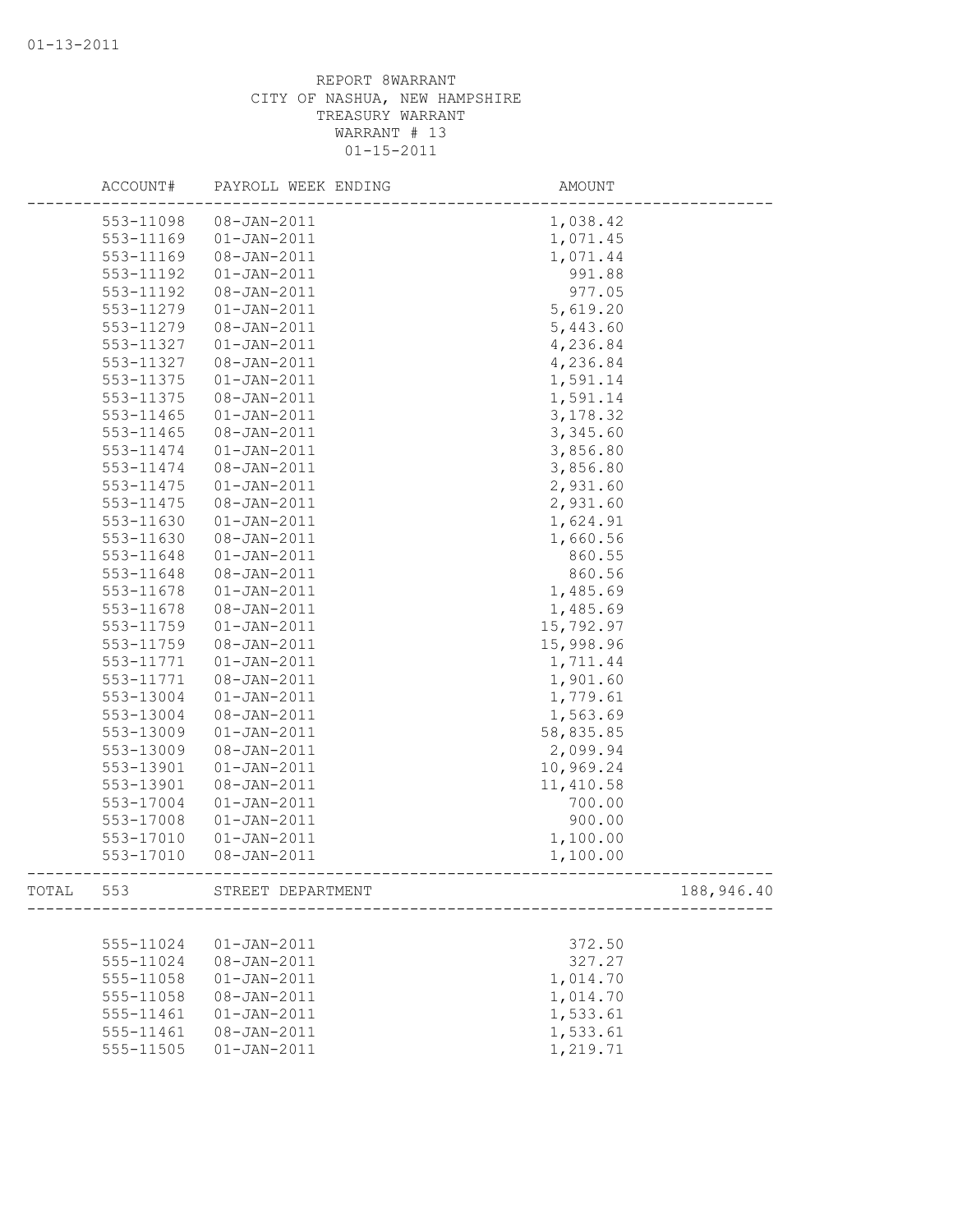|       | ACCOUNT#      | PAYROLL WEEK ENDING | AMOUNT     |            |
|-------|---------------|---------------------|------------|------------|
|       | 553-11098     | 08-JAN-2011         | 1,038.42   |            |
|       | 553-11169     | $01 - JAN - 2011$   | 1,071.45   |            |
|       | 553-11169     | 08-JAN-2011         | 1,071.44   |            |
|       | 553-11192     | $01 - JAN - 2011$   | 991.88     |            |
|       | 553-11192     | 08-JAN-2011         | 977.05     |            |
|       | 553-11279     | $01 - JAN - 2011$   | 5,619.20   |            |
|       | 553-11279     | 08-JAN-2011         | 5,443.60   |            |
|       | 553-11327     | $01 - JAN - 2011$   | 4,236.84   |            |
|       | 553-11327     | $08 - JAN - 2011$   | 4,236.84   |            |
|       | 553-11375     | $01 - JAN - 2011$   | 1,591.14   |            |
|       | 553-11375     | 08-JAN-2011         | 1,591.14   |            |
|       | 553-11465     | $01 - JAN - 2011$   | 3, 178.32  |            |
|       | $553 - 11465$ | $08 - JAN - 2011$   | 3,345.60   |            |
|       | 553-11474     | $01 - JAN - 2011$   | 3,856.80   |            |
|       | 553-11474     | 08-JAN-2011         | 3,856.80   |            |
|       | 553-11475     | $01 - JAN - 2011$   | 2,931.60   |            |
|       | 553-11475     | $08 - JAN - 2011$   | 2,931.60   |            |
|       | 553-11630     | $01 - JAN - 2011$   | 1,624.91   |            |
|       | 553-11630     | 08-JAN-2011         | 1,660.56   |            |
|       | 553-11648     | $01 - JAN - 2011$   | 860.55     |            |
|       | 553-11648     | 08-JAN-2011         | 860.56     |            |
|       | 553-11678     | $01 - JAN - 2011$   | 1,485.69   |            |
|       | 553-11678     | $08 - JAN - 2011$   | 1,485.69   |            |
|       | 553-11759     | $01 - JAN - 2011$   | 15,792.97  |            |
|       | 553-11759     | 08-JAN-2011         | 15,998.96  |            |
|       | 553-11771     | $01 - JAN - 2011$   | 1,711.44   |            |
|       | 553-11771     | 08-JAN-2011         | 1,901.60   |            |
|       | 553-13004     | $01 - JAN - 2011$   | 1,779.61   |            |
|       | 553-13004     | 08-JAN-2011         | 1,563.69   |            |
|       | 553-13009     | $01 - JAN - 2011$   | 58,835.85  |            |
|       | 553-13009     | $08 - JAN - 2011$   | 2,099.94   |            |
|       | 553-13901     | $01 - JAN - 2011$   | 10,969.24  |            |
|       | 553-13901     | $08 - JAN - 2011$   | 11, 410.58 |            |
|       | 553-17004     | $01 - JAN - 2011$   | 700.00     |            |
|       | 553-17008     | $01 - JAN - 2011$   | 900.00     |            |
|       | 553-17010     | $01 - JAN - 2011$   | 1,100.00   |            |
|       | 553-17010     | $08 - JAN - 2011$   | 1,100.00   |            |
| TOTAL | 553           | STREET DEPARTMENT   |            | 188,946.40 |
|       |               |                     |            |            |
|       | 555-11024     | $01 - JAN - 2011$   | 372.50     |            |
|       | 555-11024     | 08-JAN-2011         | 327.27     |            |
|       | 555-11058     | $01 - JAN - 2011$   | 1,014.70   |            |
|       | 555-11058     | 08-JAN-2011         | 1,014.70   |            |
|       | 555-11461     | $01 - JAN - 2011$   | 1,533.61   |            |
|       | 555-11461     | 08-JAN-2011         | 1,533.61   |            |
|       | 555-11505     | $01 - JAN - 2011$   | 1,219.71   |            |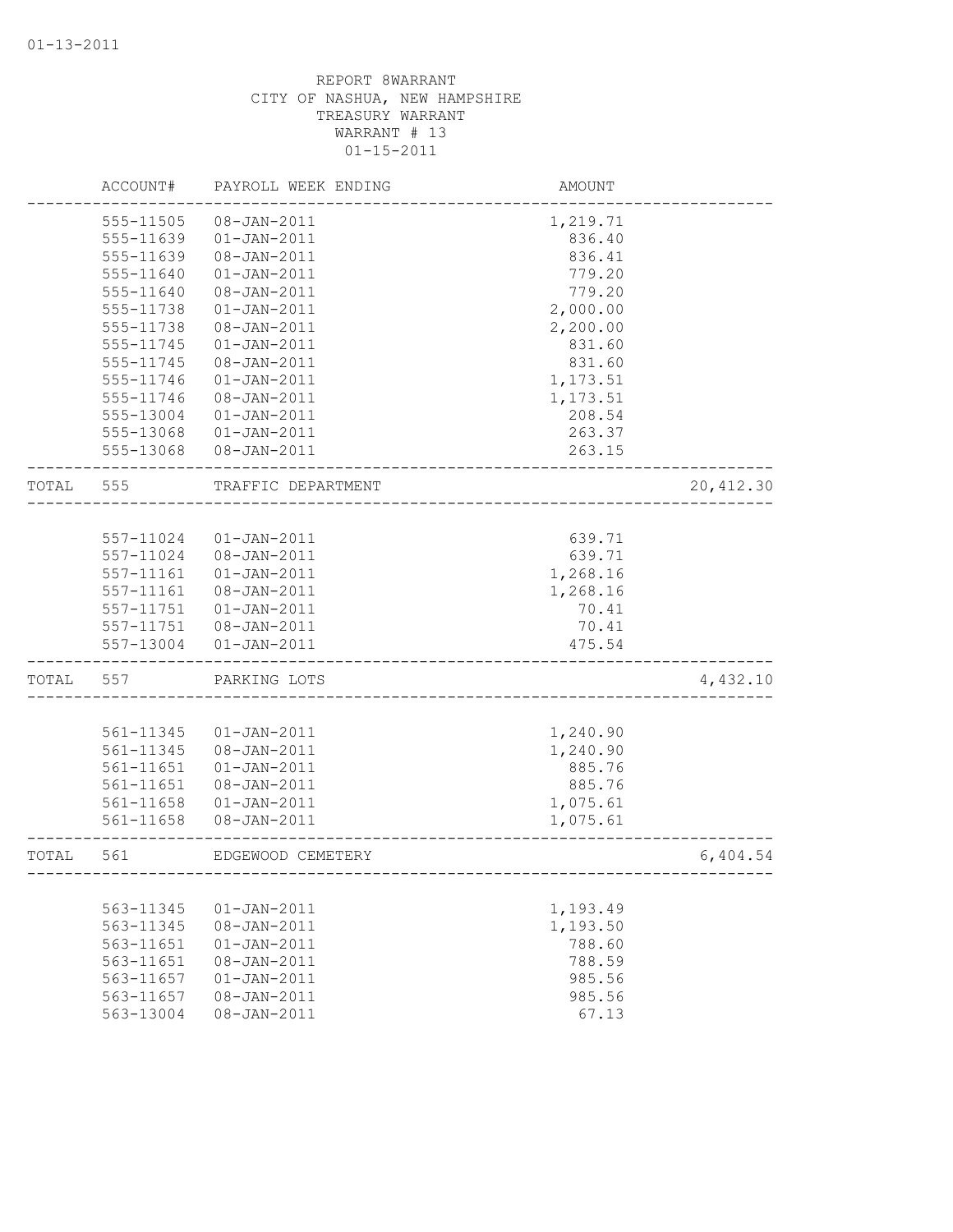|       | ACCOUNT#      | PAYROLL WEEK ENDING | AMOUNT   |            |
|-------|---------------|---------------------|----------|------------|
|       | 555-11505     | $08 - JAN - 2011$   | 1,219.71 |            |
|       | 555-11639     | $01 - JAN - 2011$   | 836.40   |            |
|       | 555-11639     | 08-JAN-2011         | 836.41   |            |
|       | 555-11640     | $01 - JAN - 2011$   | 779.20   |            |
|       | 555-11640     | 08-JAN-2011         | 779.20   |            |
|       | 555-11738     | $01 - JAN - 2011$   | 2,000.00 |            |
|       | 555-11738     | 08-JAN-2011         | 2,200.00 |            |
|       | 555-11745     | $01 - JAN - 2011$   | 831.60   |            |
|       | 555-11745     | $08 - JAN - 2011$   | 831.60   |            |
|       | 555-11746     | $01 - JAN - 2011$   | 1,173.51 |            |
|       | 555-11746     | 08-JAN-2011         | 1,173.51 |            |
|       | 555-13004     | $01 - JAN - 2011$   | 208.54   |            |
|       | 555-13068     | $01 - JAN - 2011$   | 263.37   |            |
|       | 555-13068     | $08 - JAN - 2011$   | 263.15   |            |
| TOTAL | 555           | TRAFFIC DEPARTMENT  |          | 20, 412.30 |
|       |               |                     |          |            |
|       | 557-11024     | $01 - JAN - 2011$   | 639.71   |            |
|       | 557-11024     | $08 - JAN - 2011$   | 639.71   |            |
|       | 557-11161     | $01 - JAN - 2011$   | 1,268.16 |            |
|       | 557-11161     | $08 - JAN - 2011$   | 1,268.16 |            |
|       | 557-11751     | $01 - JAN - 2011$   | 70.41    |            |
|       | 557-11751     | 08-JAN-2011         | 70.41    |            |
|       | 557-13004     | $01 - JAN - 2011$   | 475.54   |            |
| TOTAL | 557           | PARKING LOTS        |          | 4,432.10   |
|       |               |                     |          |            |
|       | 561-11345     | $01 - JAN - 2011$   | 1,240.90 |            |
|       | 561-11345     | 08-JAN-2011         | 1,240.90 |            |
|       | 561-11651     | $01 - JAN - 2011$   | 885.76   |            |
|       | 561-11651     | $08 - JAN - 2011$   | 885.76   |            |
|       | $561 - 11658$ | $01 - JAN - 2011$   | 1,075.61 |            |
|       | 561-11658     | 08-JAN-2011         | 1,075.61 |            |
| TOTAL | 561           | EDGEWOOD CEMETERY   |          | 6,404.54   |
|       |               |                     |          |            |
|       | 563-11345     | $01 - JAN - 2011$   | 1,193.49 |            |
|       | 563-11345     | $08 - JAN - 2011$   | 1,193.50 |            |
|       | 563-11651     | $01 - JAN - 2011$   | 788.60   |            |
|       | 563-11651     | 08-JAN-2011         | 788.59   |            |
|       | 563-11657     | $01 - JAN - 2011$   | 985.56   |            |
|       | 563-11657     | $08 - JAN - 2011$   | 985.56   |            |
|       | 563-13004     | $08 - JAN - 2011$   | 67.13    |            |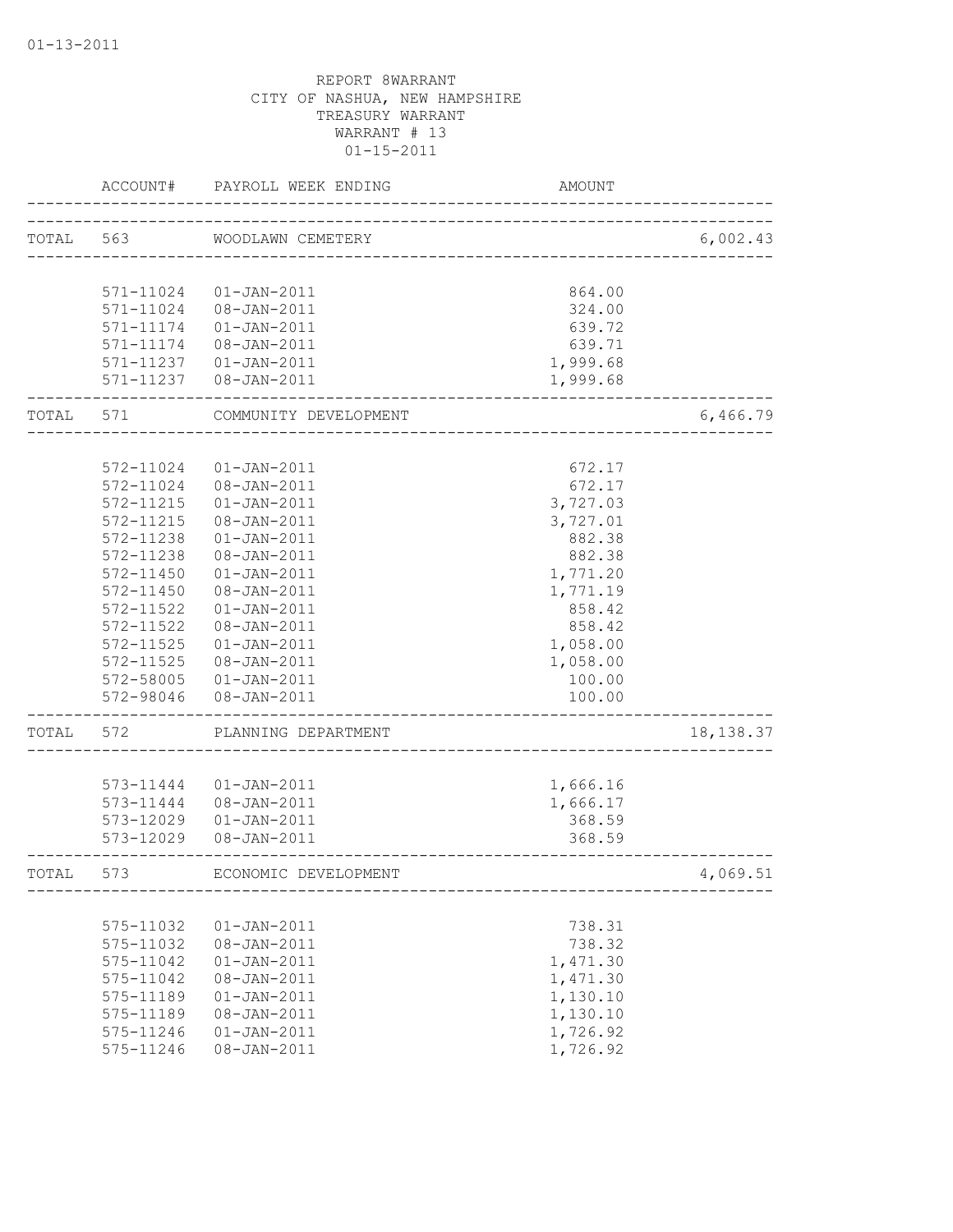|       | ACCOUNT#  | PAYROLL WEEK ENDING    | AMOUNT                      |            |
|-------|-----------|------------------------|-----------------------------|------------|
| TOTAL | 563       | WOODLAWN CEMETERY      |                             | 6,002.43   |
|       |           |                        | ___________________________ |            |
|       |           |                        |                             |            |
|       | 571-11024 | 01-JAN-2011            | 864.00                      |            |
|       | 571-11024 | 08-JAN-2011            | 324.00                      |            |
|       | 571-11174 | $01 - JAN - 2011$      | 639.72                      |            |
|       | 571-11174 | 08-JAN-2011            | 639.71                      |            |
|       |           | 571-11237  01-JAN-2011 | 1,999.68                    |            |
|       |           | 571-11237  08-JAN-2011 | 1,999.68                    |            |
| TOTAL | 571       | COMMUNITY DEVELOPMENT  |                             | 6,466.79   |
|       |           |                        |                             |            |
|       | 572-11024 | $01 - JAN - 2011$      | 672.17                      |            |
|       | 572-11024 | 08-JAN-2011            | 672.17                      |            |
|       | 572-11215 | $01 - JAN - 2011$      | 3,727.03                    |            |
|       | 572-11215 | 08-JAN-2011            | 3,727.01                    |            |
|       | 572-11238 | $01 - JAN - 2011$      | 882.38                      |            |
|       | 572-11238 | 08-JAN-2011            | 882.38                      |            |
|       | 572-11450 | 01-JAN-2011            | 1,771.20                    |            |
|       | 572-11450 | 08-JAN-2011            | 1,771.19                    |            |
|       | 572-11522 | $01 - JAN - 2011$      | 858.42                      |            |
|       | 572-11522 | $08 - JAN - 2011$      | 858.42                      |            |
|       | 572-11525 | $01 - JAN - 2011$      | 1,058.00                    |            |
|       | 572-11525 | 08-JAN-2011            | 1,058.00                    |            |
|       | 572-58005 | 01-JAN-2011            | 100.00                      |            |
|       | 572-98046 | 08-JAN-2011            | 100.00                      |            |
| TOTAL | 572       | PLANNING DEPARTMENT    |                             | 18, 138.37 |
|       |           |                        |                             |            |
|       | 573-11444 | 01-JAN-2011            | 1,666.16                    |            |
|       | 573-11444 | 08-JAN-2011            | 1,666.17                    |            |
|       | 573-12029 | $01 - JAN - 2011$      | 368.59                      |            |
|       |           | 573-12029 08-JAN-2011  | 368.59                      |            |
| TOTAL | 573       | ECONOMIC DEVELOPMENT   |                             | 4,069.51   |
|       |           |                        |                             |            |
|       | 575-11032 | $01 - JAN - 2011$      | 738.31                      |            |
|       | 575-11032 | 08-JAN-2011            | 738.32                      |            |
|       | 575-11042 | $01 - JAN - 2011$      | 1,471.30                    |            |
|       | 575-11042 | 08-JAN-2011            | 1,471.30                    |            |
|       | 575-11189 | $01 - JAN - 2011$      | 1,130.10                    |            |
|       | 575-11189 | 08-JAN-2011            | 1,130.10                    |            |
|       | 575-11246 | $01 - JAN - 2011$      | 1,726.92                    |            |
|       | 575-11246 | 08-JAN-2011            | 1,726.92                    |            |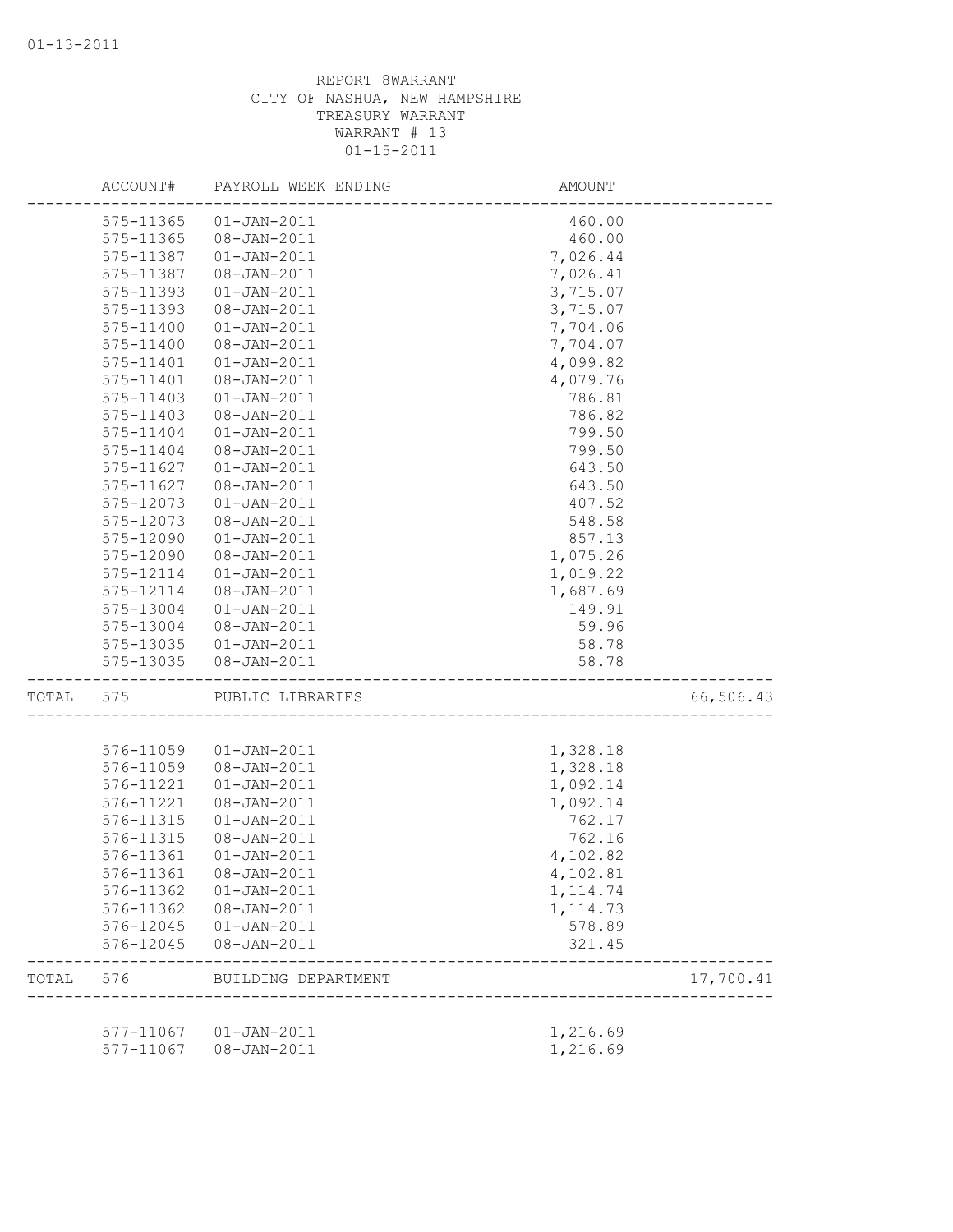|       | ACCOUNT#  | PAYROLL WEEK ENDING    | AMOUNT            |           |
|-------|-----------|------------------------|-------------------|-----------|
|       | 575-11365 | $01 - JAN - 2011$      | 460.00            |           |
|       | 575-11365 | 08-JAN-2011            | 460.00            |           |
|       | 575-11387 | $01 - JAN - 2011$      | 7,026.44          |           |
|       | 575-11387 | 08-JAN-2011            | 7,026.41          |           |
|       | 575-11393 | $01 - JAN - 2011$      | 3,715.07          |           |
|       | 575-11393 | 08-JAN-2011            | 3,715.07          |           |
|       | 575-11400 | $01 - JAN - 2011$      | 7,704.06          |           |
|       | 575-11400 | 08-JAN-2011            | 7,704.07          |           |
|       | 575-11401 | $01 - JAN - 2011$      | 4,099.82          |           |
|       | 575-11401 | $08 - JAN - 2011$      | 4,079.76          |           |
|       | 575-11403 | $01 - JAN - 2011$      | 786.81            |           |
|       | 575-11403 | 08-JAN-2011            | 786.82            |           |
|       | 575-11404 | $01 - JAN - 2011$      | 799.50            |           |
|       | 575-11404 | 08-JAN-2011            | 799.50            |           |
|       | 575-11627 | $01 - JAN - 2011$      | 643.50            |           |
|       | 575-11627 | 08-JAN-2011            | 643.50            |           |
|       | 575-12073 | $01 - JAN - 2011$      | 407.52            |           |
|       | 575-12073 | 08-JAN-2011            | 548.58            |           |
|       | 575-12090 | $01 - JAN - 2011$      | 857.13            |           |
|       | 575-12090 | 08-JAN-2011            | 1,075.26          |           |
|       | 575-12114 | $01 - JAN - 2011$      | 1,019.22          |           |
|       | 575-12114 | 08-JAN-2011            | 1,687.69          |           |
|       | 575-13004 | $01 - JAN - 2011$      | 149.91            |           |
|       | 575-13004 | 08-JAN-2011            | 59.96             |           |
|       | 575-13035 | $01 - JAN - 2011$      | 58.78             |           |
|       | 575-13035 | 08-JAN-2011            | 58.78             |           |
| TOTAL | 575       | PUBLIC LIBRARIES       |                   | 66,506.43 |
|       |           |                        |                   |           |
|       | 576-11059 | $01 - JAN - 2011$      | 1,328.18          |           |
|       | 576-11059 | 08-JAN-2011            | 1,328.18          |           |
|       | 576-11221 | $01 - JAN - 2011$      | 1,092.14          |           |
|       | 576-11221 | 08-JAN-2011            | 1,092.14          |           |
|       | 576-11315 | $01 - JAN - 2011$      | 762.17            |           |
|       | 576-11315 | 08-JAN-2011            | 762.16            |           |
|       | 576-11361 | $01 - JAN - 2011$      | 4,102.82          |           |
|       | 576-11361 | 08-JAN-2011            | 4,102.81          |           |
|       | 576-11362 | $01 - JAN - 2011$      | 1, 114.74         |           |
|       | 576-11362 | 08-JAN-2011            | 1, 114.73         |           |
|       | 576-12045 | 01-JAN-2011            | 578.89            |           |
|       | 576-12045 | 08-JAN-2011            | 321.45            |           |
| TOTAL | 576       | BUILDING DEPARTMENT    | ----------------- | 17,700.41 |
|       |           | 577-11067  01-JAN-2011 | 1,216.69          |           |
|       | 577-11067 | 08-JAN-2011            | 1,216.69          |           |
|       |           |                        |                   |           |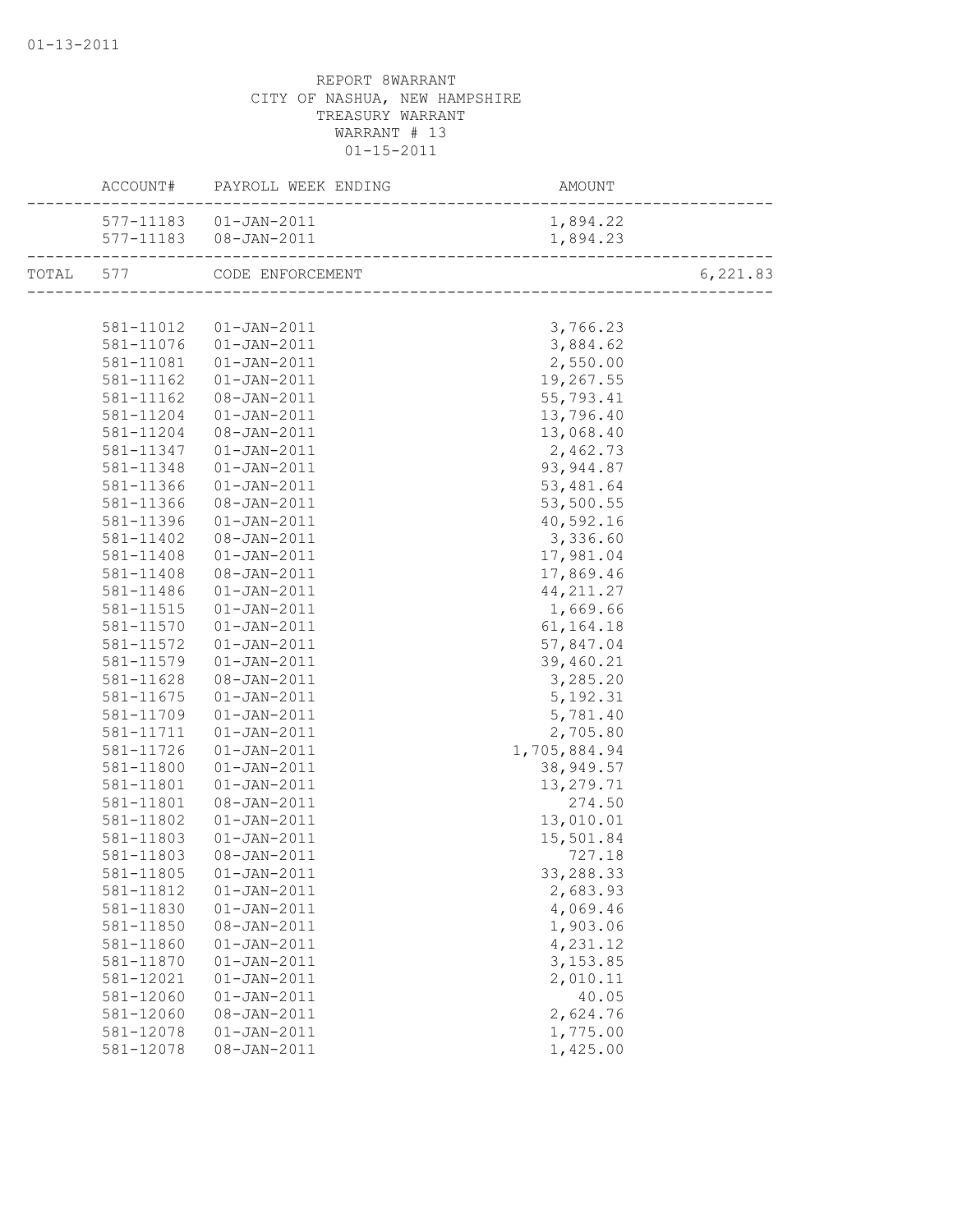|           | ACCOUNT# PAYROLL WEEK ENDING | AMOUNT               |          |
|-----------|------------------------------|----------------------|----------|
|           | 577-11183  01-JAN-2011       | 1,894.22             |          |
|           | 577-11183  08-JAN-2011       | 1,894.23             |          |
|           | TOTAL 577 CODE ENFORCEMENT   |                      | 6,221.83 |
|           |                              |                      |          |
|           | 581-11012  01-JAN-2011       | 3,766.23             |          |
| 581-11076 | $01 - JAN - 2011$            | 3,884.62             |          |
| 581-11081 | 01-JAN-2011                  | 2,550.00             |          |
| 581-11162 | 01-JAN-2011                  | 19,267.55            |          |
| 581-11162 | 08-JAN-2011                  | 55,793.41            |          |
| 581-11204 | $01 - JAN - 2011$            | 13,796.40            |          |
| 581-11204 | 08-JAN-2011                  | 13,068.40            |          |
| 581-11347 | $01 - JAN - 2011$            | 2,462.73             |          |
| 581-11348 | $01 - JAN - 2011$            | 93, 944.87           |          |
| 581-11366 | $01 - JAN - 2011$            | 53,481.64            |          |
| 581-11366 | 08-JAN-2011                  | 53,500.55            |          |
| 581-11396 | $01 - JAN - 2011$            | 40,592.16            |          |
| 581-11402 | 08-JAN-2011                  | 3,336.60             |          |
| 581-11408 | 01-JAN-2011                  | 17,981.04            |          |
| 581-11408 | 08-JAN-2011                  | 17,869.46            |          |
| 581-11486 | 01-JAN-2011                  | 44, 211.27           |          |
| 581-11515 | $01 - JAN - 2011$            | 1,669.66             |          |
| 581-11570 | 01-JAN-2011                  | 61, 164. 18          |          |
| 581-11572 | 01-JAN-2011                  | 57,847.04            |          |
| 581-11579 | $01 - JAN - 2011$            | 39,460.21            |          |
| 581-11628 | 08-JAN-2011                  | 3,285.20             |          |
| 581-11675 | $01 - JAN - 2011$            | 5, 192.31            |          |
| 581-11709 | 01-JAN-2011                  | 5,781.40             |          |
| 581-11711 | 01-JAN-2011                  | 2,705.80             |          |
| 581-11726 | 01-JAN-2011                  | 1,705,884.94         |          |
| 581-11800 | 01-JAN-2011                  | 38,949.57            |          |
| 581-11801 | 01-JAN-2011                  | 13,279.71            |          |
| 581-11801 | 08-JAN-2011                  | 274.50               |          |
| 581-11802 | $01 - JAN - 2011$            | 13,010.01            |          |
| 581-11803 | $01 - JAN - 2011$            | 15,501.84            |          |
| 581-11803 | 08-JAN-2011                  | 727.18               |          |
|           | 581-11805  01-JAN-2011       | 33,288.33            |          |
| 581-11812 | $01 - JAN - 2011$            | 2,683.93             |          |
| 581-11830 | $01 - JAN - 2011$            | 4,069.46             |          |
| 581-11850 | 08-JAN-2011                  | 1,903.06             |          |
| 581-11860 | $01 - JAN - 2011$            | 4,231.12             |          |
| 581-11870 | $01 - JAN - 2011$            | 3, 153.85            |          |
| 581-12021 | $01 - JAN - 2011$            | 2,010.11             |          |
| 581-12060 |                              | 40.05                |          |
| 581-12060 | $01 - JAN - 2011$            |                      |          |
|           | 08-JAN-2011                  | 2,624.76<br>1,775.00 |          |
| 581-12078 | $01 - JAN - 2011$            |                      |          |
| 581-12078 | 08-JAN-2011                  | 1,425.00             |          |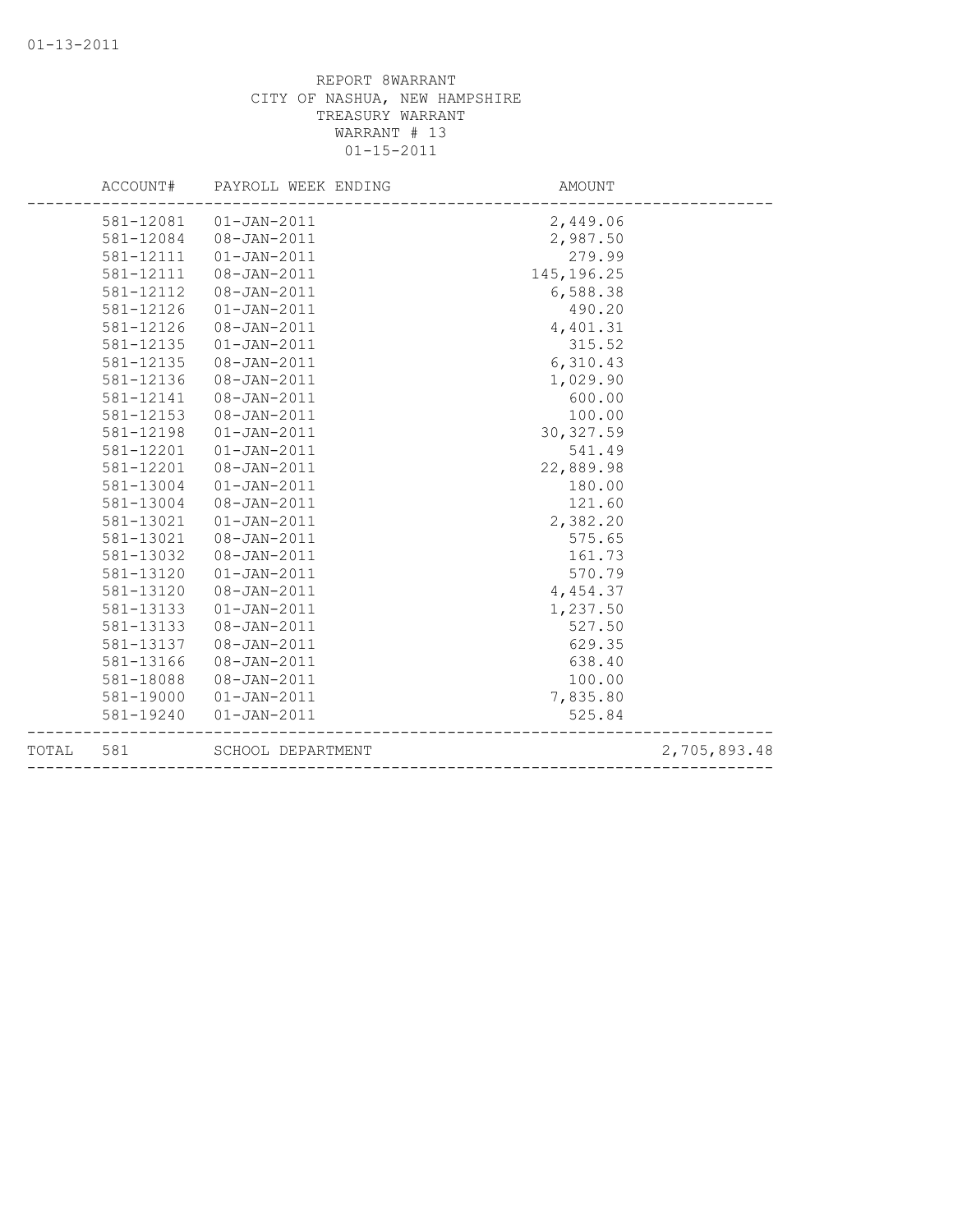|       | ACCOUNT#  | PAYROLL WEEK ENDING | AMOUNT      |              |
|-------|-----------|---------------------|-------------|--------------|
|       | 581-12081 | $01 - JAN - 2011$   | 2,449.06    |              |
|       | 581-12084 | $08 - JAN - 2011$   | 2,987.50    |              |
|       | 581-12111 | $01 - JAN - 2011$   | 279.99      |              |
|       | 581-12111 | 08-JAN-2011         | 145, 196.25 |              |
|       | 581-12112 | $08 - JAN - 2011$   | 6,588.38    |              |
|       | 581-12126 | $01 - JAN - 2011$   | 490.20      |              |
|       | 581-12126 | 08-JAN-2011         | 4,401.31    |              |
|       | 581-12135 | $01 - JAN - 2011$   | 315.52      |              |
|       | 581-12135 | $08 - JAN - 2011$   | 6,310.43    |              |
|       | 581-12136 | $08 - JAN - 2011$   | 1,029.90    |              |
|       | 581-12141 | 08-JAN-2011         | 600.00      |              |
|       | 581-12153 | 08-JAN-2011         | 100.00      |              |
|       | 581-12198 | $01 - JAN - 2011$   | 30, 327.59  |              |
|       | 581-12201 | $01 - JAN - 2011$   | 541.49      |              |
|       | 581-12201 | $08 - JAN - 2011$   | 22,889.98   |              |
|       | 581-13004 | $01 - JAN - 2011$   | 180.00      |              |
|       | 581-13004 | 08-JAN-2011         | 121.60      |              |
|       | 581-13021 | $01 - JAN - 2011$   | 2,382.20    |              |
|       | 581-13021 | $08 - JAN - 2011$   | 575.65      |              |
|       | 581-13032 | $08 - JAN - 2011$   | 161.73      |              |
|       | 581-13120 | $01 - JAN - 2011$   | 570.79      |              |
|       | 581-13120 | $08 - JAN - 2011$   | 4,454.37    |              |
|       | 581-13133 | $01 - JAN - 2011$   | 1,237.50    |              |
|       | 581-13133 | $08 - JAN - 2011$   | 527.50      |              |
|       | 581-13137 | $08 - JAN - 2011$   | 629.35      |              |
|       | 581-13166 | 08-JAN-2011         | 638.40      |              |
|       | 581-18088 | $08 - JAN - 2011$   | 100.00      |              |
|       | 581-19000 | $01 - JAN - 2011$   | 7,835.80    |              |
|       | 581-19240 | $01 - JAN - 2011$   | 525.84      |              |
| TOTAL | 581       | SCHOOL DEPARTMENT   |             | 2,705,893.48 |
|       |           |                     |             |              |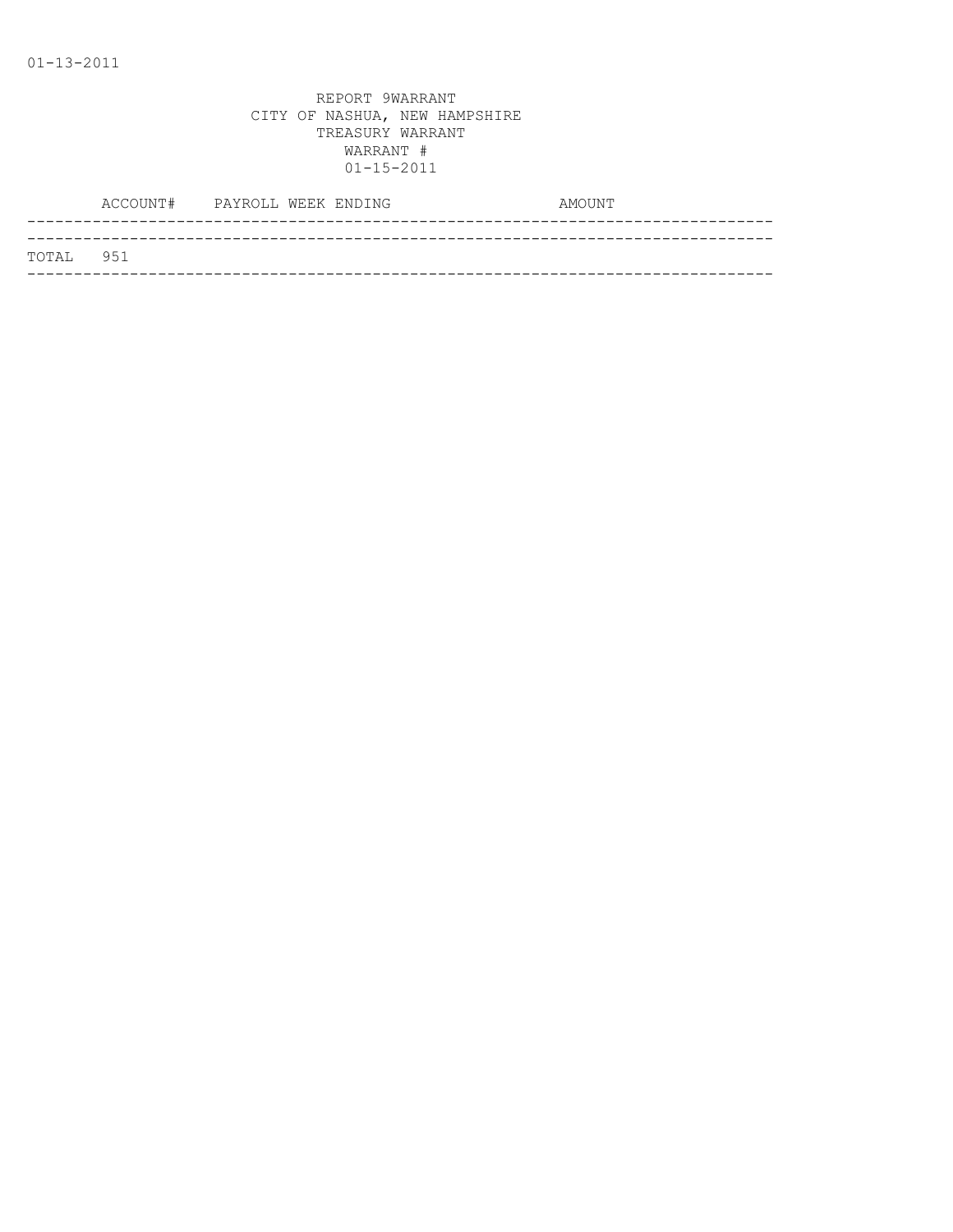| TOTAL 951 |  |
|-----------|--|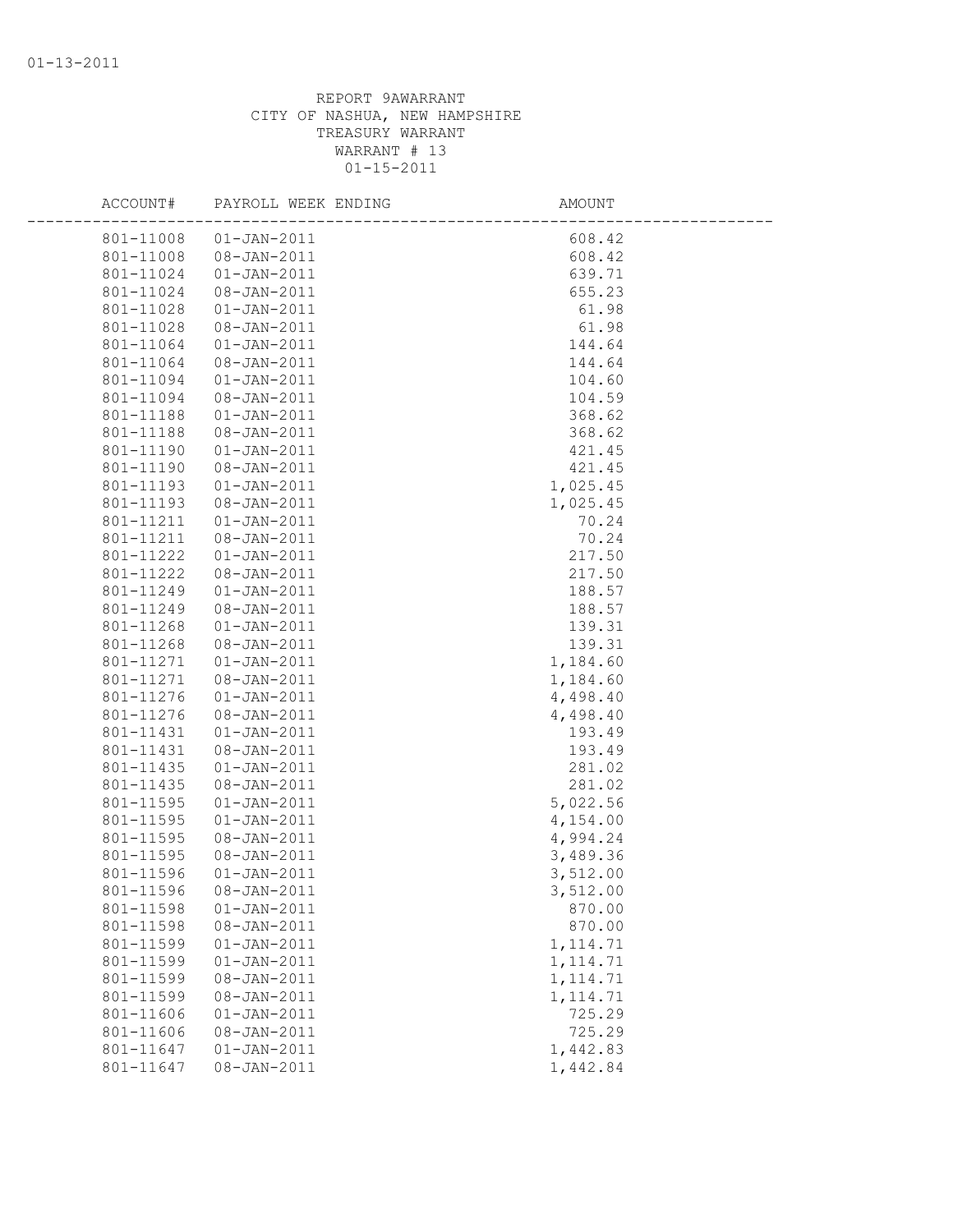| ACCOUNT#  | PAYROLL WEEK ENDING | AMOUNT    |  |
|-----------|---------------------|-----------|--|
| 801-11008 | $01 - JAN - 2011$   | 608.42    |  |
| 801-11008 | 08-JAN-2011         | 608.42    |  |
| 801-11024 | $01 - JAN - 2011$   | 639.71    |  |
| 801-11024 | 08-JAN-2011         | 655.23    |  |
| 801-11028 | $01 - JAN - 2011$   | 61.98     |  |
| 801-11028 | 08-JAN-2011         | 61.98     |  |
| 801-11064 | $01 - JAN - 2011$   | 144.64    |  |
| 801-11064 | 08-JAN-2011         | 144.64    |  |
| 801-11094 | $01 - JAN - 2011$   | 104.60    |  |
| 801-11094 | $08 - JAN - 2011$   | 104.59    |  |
| 801-11188 | $01 - JAN - 2011$   | 368.62    |  |
| 801-11188 | 08-JAN-2011         | 368.62    |  |
| 801-11190 | $01 - JAN - 2011$   | 421.45    |  |
| 801-11190 | 08-JAN-2011         | 421.45    |  |
| 801-11193 | $01 - JAN - 2011$   | 1,025.45  |  |
| 801-11193 | 08-JAN-2011         | 1,025.45  |  |
| 801-11211 | $01 - JAN - 2011$   | 70.24     |  |
| 801-11211 | 08-JAN-2011         | 70.24     |  |
| 801-11222 | $01 - JAN - 2011$   | 217.50    |  |
| 801-11222 | 08-JAN-2011         | 217.50    |  |
| 801-11249 | $01 - JAN - 2011$   | 188.57    |  |
| 801-11249 | 08-JAN-2011         | 188.57    |  |
| 801-11268 | $01 - JAN - 2011$   | 139.31    |  |
| 801-11268 | 08-JAN-2011         | 139.31    |  |
| 801-11271 | $01 - JAN - 2011$   | 1,184.60  |  |
| 801-11271 | 08-JAN-2011         | 1,184.60  |  |
| 801-11276 | $01 - JAN - 2011$   | 4,498.40  |  |
| 801-11276 | 08-JAN-2011         | 4,498.40  |  |
| 801-11431 | $01 - JAN - 2011$   | 193.49    |  |
| 801-11431 | 08-JAN-2011         | 193.49    |  |
| 801-11435 | $01 - JAN - 2011$   | 281.02    |  |
| 801-11435 | 08-JAN-2011         | 281.02    |  |
| 801-11595 | $01 - JAN - 2011$   | 5,022.56  |  |
| 801-11595 | $01 - JAN - 2011$   | 4,154.00  |  |
| 801-11595 | 08-JAN-2011         | 4,994.24  |  |
| 801-11595 | 08-JAN-2011         | 3,489.36  |  |
| 801-11596 | $01 - JAN - 2011$   | 3,512.00  |  |
| 801-11596 | $08 - JAN - 2011$   | 3,512.00  |  |
| 801-11598 | $01 - JAN - 2011$   | 870.00    |  |
| 801-11598 | $08 - JAN - 2011$   | 870.00    |  |
| 801-11599 | $01 - JAN - 2011$   | 1, 114.71 |  |
| 801-11599 | $01 - JAN - 2011$   | 1, 114.71 |  |
| 801-11599 | $08 - JAN - 2011$   | 1, 114.71 |  |
| 801-11599 | 08-JAN-2011         | 1, 114.71 |  |
| 801-11606 | $01 - JAN - 2011$   | 725.29    |  |
| 801-11606 | 08-JAN-2011         | 725.29    |  |
| 801-11647 | $01 - JAN - 2011$   | 1,442.83  |  |
| 801-11647 | $08 - JAN - 2011$   | 1,442.84  |  |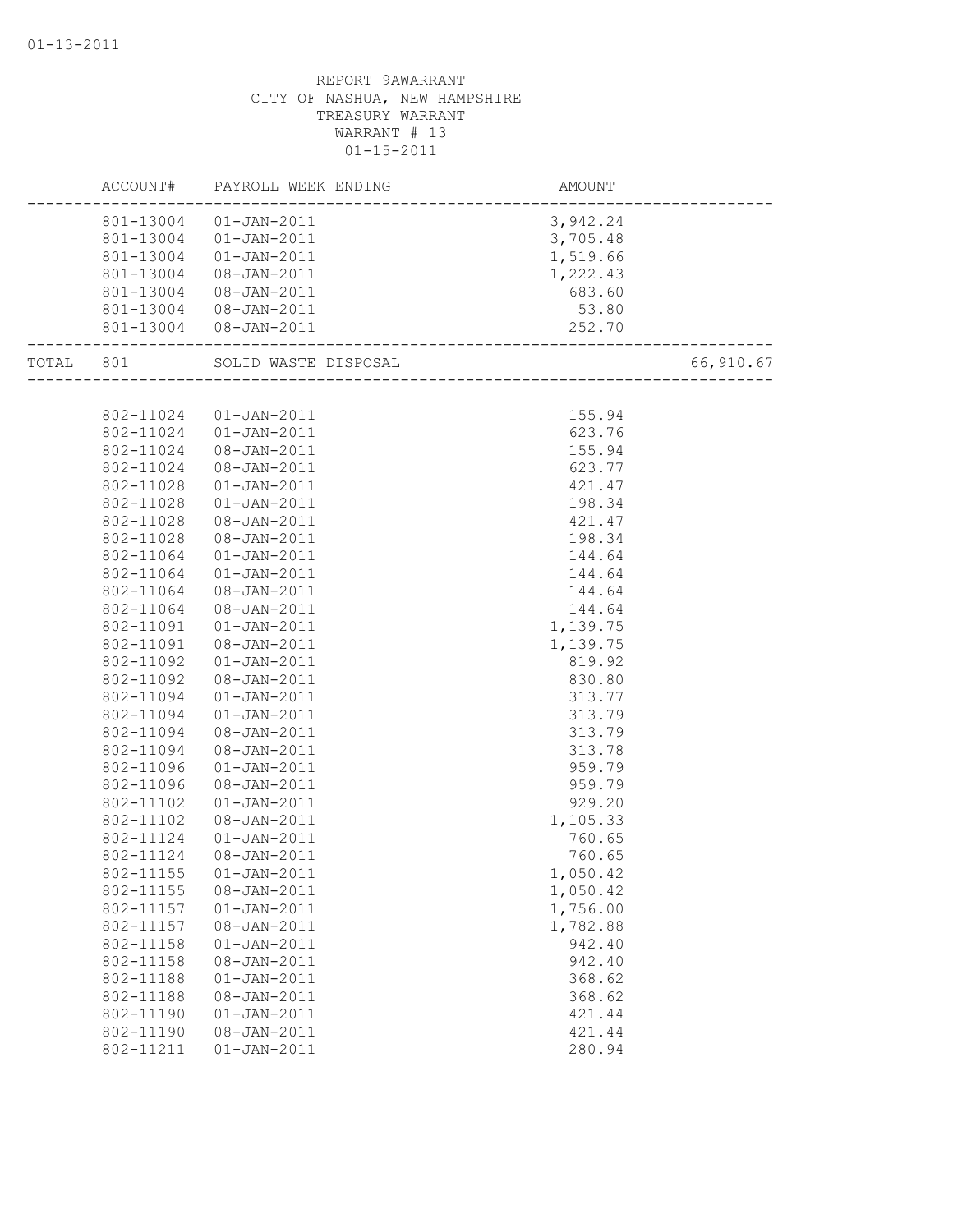|           | ACCOUNT#  | PAYROLL WEEK ENDING    | AMOUNT                           |           |
|-----------|-----------|------------------------|----------------------------------|-----------|
|           |           | 801-13004 01-JAN-2011  | 3,942.24                         |           |
|           |           | 801-13004  01-JAN-2011 | 3,705.48                         |           |
|           | 801-13004 | 01-JAN-2011            | 1,519.66                         |           |
|           | 801-13004 | 08-JAN-2011            | 1,222.43                         |           |
|           | 801-13004 | 08-JAN-2011            | 683.60                           |           |
|           |           | 801-13004  08-JAN-2011 | 53.80                            |           |
|           |           | 801-13004  08-JAN-2011 | 252.70<br>---------------------- |           |
| TOTAL 801 |           | SOLID WASTE DISPOSAL   | ~~<br>-------------------------  | 66,910.67 |
|           |           |                        |                                  |           |
|           | 802-11024 | 01-JAN-2011            | 155.94                           |           |
|           | 802-11024 | $01 - JAN - 2011$      | 623.76                           |           |
|           | 802-11024 | 08-JAN-2011            | 155.94                           |           |
|           | 802-11024 | 08-JAN-2011            | 623.77                           |           |
|           | 802-11028 | $01 - JAN - 2011$      | 421.47                           |           |
|           | 802-11028 | $01 - JAN - 2011$      | 198.34                           |           |
|           | 802-11028 | 08-JAN-2011            | 421.47                           |           |
|           | 802-11028 | $08 - JAN - 2011$      | 198.34                           |           |
|           | 802-11064 | $01 - JAN - 2011$      | 144.64                           |           |
|           | 802-11064 | $01 - JAN - 2011$      | 144.64                           |           |
|           | 802-11064 | 08-JAN-2011            | 144.64                           |           |
|           | 802-11064 | 08-JAN-2011            | 144.64                           |           |
|           | 802-11091 | $01 - JAN - 2011$      | 1,139.75                         |           |
|           | 802-11091 | 08-JAN-2011            | 1,139.75                         |           |
|           | 802-11092 | $01 - JAN - 2011$      | 819.92                           |           |
|           | 802-11092 | 08-JAN-2011            | 830.80                           |           |
|           | 802-11094 | $01 - JAN - 2011$      | 313.77                           |           |
|           | 802-11094 | $01 - JAN - 2011$      | 313.79                           |           |
|           | 802-11094 | 08-JAN-2011            | 313.79                           |           |
|           | 802-11094 | 08-JAN-2011            | 313.78                           |           |
|           | 802-11096 | $01 - JAN - 2011$      | 959.79                           |           |
|           | 802-11096 | $08 - JAN - 2011$      | 959.79                           |           |
|           | 802-11102 | $01 - JAN - 2011$      | 929.20                           |           |
|           | 802-11102 | 08-JAN-2011            | 1,105.33                         |           |
|           | 802-11124 | $01 - JAN - 2011$      | 760.65                           |           |
|           | 802-11124 | 08-JAN-2011            | 760.65                           |           |
|           | 802-11155 | $01 - JAN - 2011$      | 1,050.42                         |           |
|           | 802-11155 | 08-JAN-2011            | 1,050.42                         |           |
|           | 802-11157 | $01 - JAN - 2011$      | 1,756.00                         |           |
|           | 802-11157 | 08-JAN-2011            | 1,782.88                         |           |
|           | 802-11158 | $01 - JAN - 2011$      | 942.40                           |           |
|           | 802-11158 | 08-JAN-2011            | 942.40                           |           |
|           | 802-11188 | $01 - JAN - 2011$      | 368.62                           |           |
|           | 802-11188 | 08-JAN-2011            | 368.62                           |           |
|           | 802-11190 | $01 - JAN - 2011$      | 421.44                           |           |
|           | 802-11190 | 08-JAN-2011            | 421.44                           |           |
|           | 802-11211 | $01 - JAN - 2011$      | 280.94                           |           |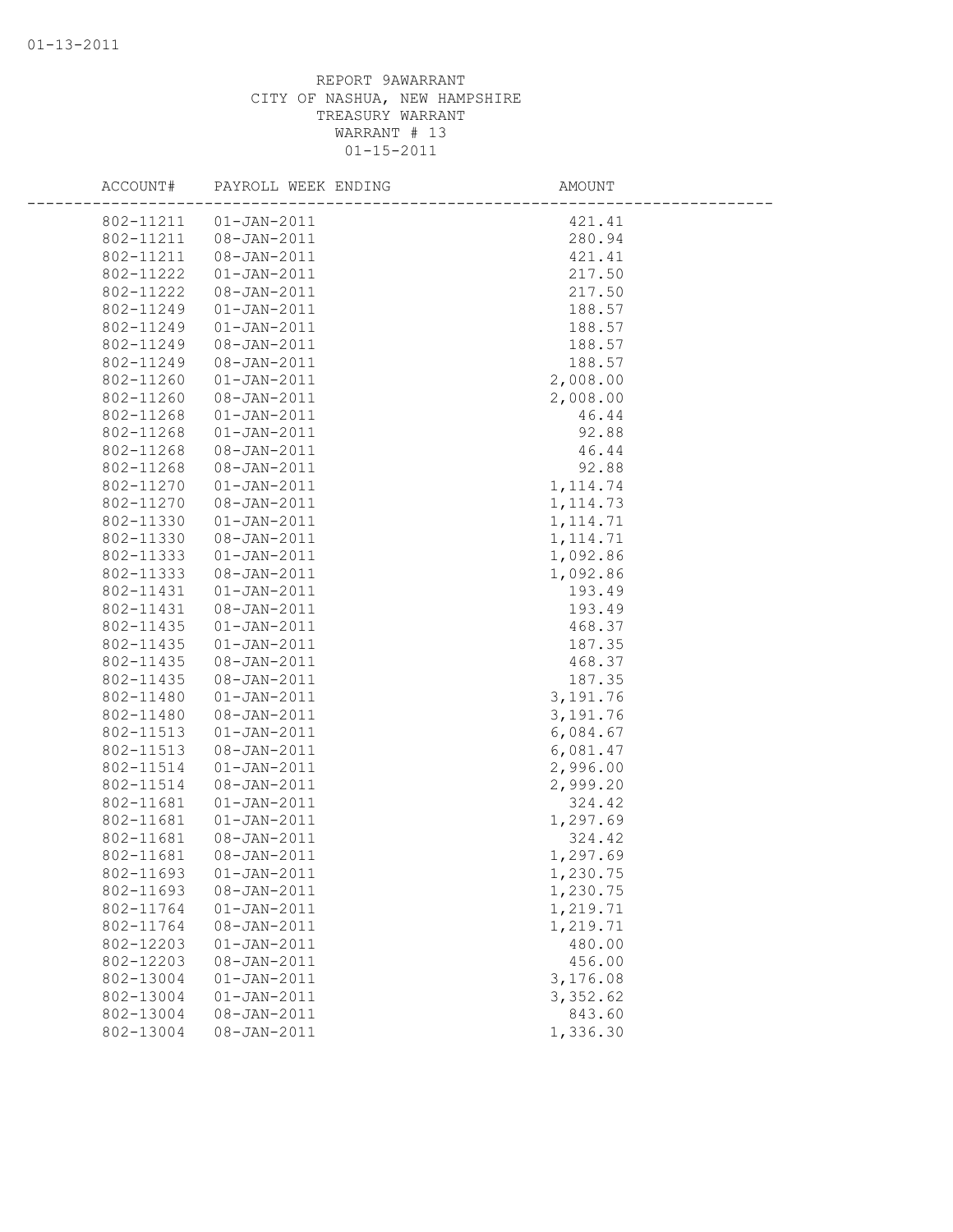| ACCOUNT#  | PAYROLL WEEK ENDING | AMOUNT    |  |
|-----------|---------------------|-----------|--|
| 802-11211 | $01 - JAN - 2011$   | 421.41    |  |
| 802-11211 | 08-JAN-2011         | 280.94    |  |
| 802-11211 | 08-JAN-2011         | 421.41    |  |
| 802-11222 | $01 - JAN - 2011$   | 217.50    |  |
| 802-11222 | 08-JAN-2011         | 217.50    |  |
| 802-11249 | $01 - JAN - 2011$   | 188.57    |  |
| 802-11249 | $01 - JAN - 2011$   | 188.57    |  |
| 802-11249 | $08 - JAN - 2011$   | 188.57    |  |
| 802-11249 | 08-JAN-2011         | 188.57    |  |
| 802-11260 | $01 - JAN - 2011$   | 2,008.00  |  |
| 802-11260 | 08-JAN-2011         | 2,008.00  |  |
| 802-11268 | $01 - JAN - 2011$   | 46.44     |  |
| 802-11268 | $01 - JAN - 2011$   | 92.88     |  |
| 802-11268 | 08-JAN-2011         | 46.44     |  |
| 802-11268 | 08-JAN-2011         | 92.88     |  |
| 802-11270 | $01 - JAN - 2011$   | 1, 114.74 |  |
| 802-11270 | 08-JAN-2011         | 1, 114.73 |  |
| 802-11330 | $01 - JAN - 2011$   | 1, 114.71 |  |
| 802-11330 | 08-JAN-2011         | 1, 114.71 |  |
| 802-11333 | $01 - JAN - 2011$   | 1,092.86  |  |
| 802-11333 | $08 - JAN - 2011$   | 1,092.86  |  |
| 802-11431 | $01 - JAN - 2011$   | 193.49    |  |
| 802-11431 | $08 - JAN - 2011$   | 193.49    |  |
| 802-11435 | $01 - JAN - 2011$   | 468.37    |  |
| 802-11435 | $01 - JAN - 2011$   | 187.35    |  |
| 802-11435 | 08-JAN-2011         | 468.37    |  |
| 802-11435 | 08-JAN-2011         | 187.35    |  |
| 802-11480 | $01 - JAN - 2011$   | 3,191.76  |  |
| 802-11480 | $08 - JAN - 2011$   | 3,191.76  |  |
| 802-11513 | $01 - JAN - 2011$   | 6,084.67  |  |
| 802-11513 | 08-JAN-2011         | 6,081.47  |  |
| 802-11514 | $01 - JAN - 2011$   | 2,996.00  |  |
| 802-11514 | 08-JAN-2011         | 2,999.20  |  |
| 802-11681 | $01 - JAN - 2011$   | 324.42    |  |
| 802-11681 | $01 - JAN - 2011$   | 1,297.69  |  |
| 802-11681 | $08 - JAN - 2011$   | 324.42    |  |
| 802-11681 | $08 - JAN - 2011$   | 1,297.69  |  |
| 802-11693 | $01 - JAN - 2011$   | 1,230.75  |  |
| 802-11693 | 08-JAN-2011         | 1,230.75  |  |
| 802-11764 | $01 - JAN - 2011$   | 1,219.71  |  |
| 802-11764 | $08 - JAN - 2011$   | 1,219.71  |  |
| 802-12203 | $01 - JAN - 2011$   | 480.00    |  |
| 802-12203 | 08-JAN-2011         | 456.00    |  |
| 802-13004 | $01 - JAN - 2011$   | 3,176.08  |  |
| 802-13004 | $01 - JAN - 2011$   | 3,352.62  |  |
| 802-13004 | $08 - JAN - 2011$   | 843.60    |  |
| 802-13004 | $08 - JAN - 2011$   | 1,336.30  |  |
|           |                     |           |  |